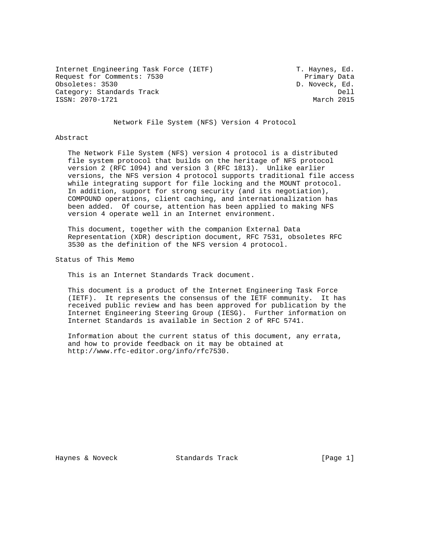Internet Engineering Task Force (IETF) T. Haynes, Ed. Request for Comments: 7530 Primary Data<br>
Obsoletes: 3530 D. Noveck, Ed. Category: Standards Track Dell Dell ISSN: 2070-1721 March 2015

D. Noveck, Ed.

Network File System (NFS) Version 4 Protocol

#### Abstract

 The Network File System (NFS) version 4 protocol is a distributed file system protocol that builds on the heritage of NFS protocol version 2 (RFC 1094) and version 3 (RFC 1813). Unlike earlier versions, the NFS version 4 protocol supports traditional file access while integrating support for file locking and the MOUNT protocol. In addition, support for strong security (and its negotiation), COMPOUND operations, client caching, and internationalization has been added. Of course, attention has been applied to making NFS version 4 operate well in an Internet environment.

 This document, together with the companion External Data Representation (XDR) description document, RFC 7531, obsoletes RFC 3530 as the definition of the NFS version 4 protocol.

Status of This Memo

This is an Internet Standards Track document.

 This document is a product of the Internet Engineering Task Force (IETF). It represents the consensus of the IETF community. It has received public review and has been approved for publication by the Internet Engineering Steering Group (IESG). Further information on Internet Standards is available in Section 2 of RFC 5741.

 Information about the current status of this document, any errata, and how to provide feedback on it may be obtained at http://www.rfc-editor.org/info/rfc7530.

Haynes & Noveck Standards Track [Page 1]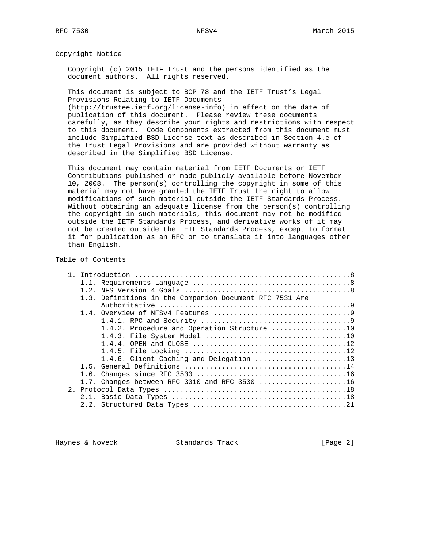Copyright Notice

 Copyright (c) 2015 IETF Trust and the persons identified as the document authors. All rights reserved.

 This document is subject to BCP 78 and the IETF Trust's Legal Provisions Relating to IETF Documents

 (http://trustee.ietf.org/license-info) in effect on the date of publication of this document. Please review these documents carefully, as they describe your rights and restrictions with respect to this document. Code Components extracted from this document must include Simplified BSD License text as described in Section 4.e of the Trust Legal Provisions and are provided without warranty as described in the Simplified BSD License.

 This document may contain material from IETF Documents or IETF Contributions published or made publicly available before November 10, 2008. The person(s) controlling the copyright in some of this material may not have granted the IETF Trust the right to allow modifications of such material outside the IETF Standards Process. Without obtaining an adequate license from the person(s) controlling the copyright in such materials, this document may not be modified outside the IETF Standards Process, and derivative works of it may not be created outside the IETF Standards Process, except to format it for publication as an RFC or to translate it into languages other than English.

### Table of Contents

| 1.3. Definitions in the Companion Document RFC 7531 Are |
|---------------------------------------------------------|
|                                                         |
|                                                         |
|                                                         |
| 1.4.2. Procedure and Operation Structure 10             |
|                                                         |
|                                                         |
|                                                         |
| 1.4.6. Client Caching and Delegation 13                 |
|                                                         |
|                                                         |
| 1.7. Changes between RFC 3010 and RFC 3530 $\ldots$ 16  |
|                                                         |
|                                                         |
|                                                         |
|                                                         |

Haynes & Noveck **Standards Track** [Page 2]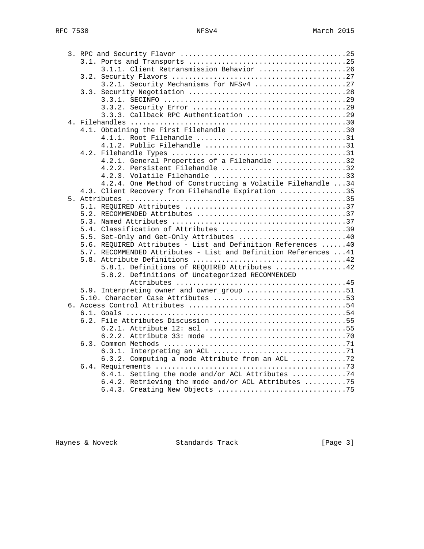|  |  | 3.1.1. Client Retransmission Behavior 26                         |  |
|--|--|------------------------------------------------------------------|--|
|  |  |                                                                  |  |
|  |  | 3.2.1. Security Mechanisms for NFSv4 27                          |  |
|  |  |                                                                  |  |
|  |  |                                                                  |  |
|  |  |                                                                  |  |
|  |  | 3.3.3. Callback RPC Authentication 29                            |  |
|  |  |                                                                  |  |
|  |  | 4.1. Obtaining the First Filehandle 30                           |  |
|  |  |                                                                  |  |
|  |  |                                                                  |  |
|  |  |                                                                  |  |
|  |  | 4.2.1. General Properties of a Filehandle 32                     |  |
|  |  | 4.2.2. Persistent Filehandle 32                                  |  |
|  |  | 4.2.3. Volatile Filehandle 33                                    |  |
|  |  | 4.2.4. One Method of Constructing a Volatile Filehandle 34       |  |
|  |  | 4.3. Client Recovery from Filehandle Expiration 35               |  |
|  |  |                                                                  |  |
|  |  |                                                                  |  |
|  |  |                                                                  |  |
|  |  |                                                                  |  |
|  |  | 5.4. Classification of Attributes 39                             |  |
|  |  | 5.5. Set-Only and Get-Only Attributes 40                         |  |
|  |  | 5.6. REQUIRED Attributes - List and Definition References  40    |  |
|  |  | 5.7. RECOMMENDED Attributes - List and Definition References  41 |  |
|  |  |                                                                  |  |
|  |  | 5.8.1. Definitions of REQUIRED Attributes 42                     |  |
|  |  | 5.8.2. Definitions of Uncategorized RECOMMENDED                  |  |
|  |  | 5.9. Interpreting owner and owner_group 51                       |  |
|  |  |                                                                  |  |
|  |  |                                                                  |  |
|  |  |                                                                  |  |
|  |  |                                                                  |  |
|  |  |                                                                  |  |
|  |  |                                                                  |  |
|  |  |                                                                  |  |
|  |  |                                                                  |  |
|  |  | 6.3.2. Computing a mode Attribute from an ACL 72                 |  |
|  |  |                                                                  |  |
|  |  | 6.4.1. Setting the mode and/or ACL Attributes 74                 |  |
|  |  | 6.4.2. Retrieving the mode and/or ACL Attributes 75              |  |
|  |  |                                                                  |  |
|  |  |                                                                  |  |

Haynes & Noveck and Standards Track and Exemple 21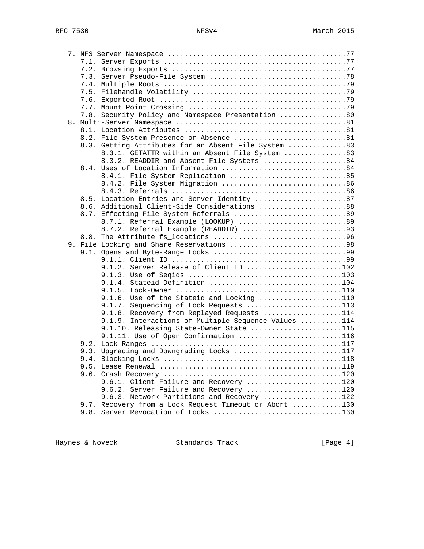| 7.8. Security Policy and Namespace Presentation 80     |  |
|--------------------------------------------------------|--|
|                                                        |  |
|                                                        |  |
| 8.2. File System Presence or Absence 81                |  |
| 8.3. Getting Attributes for an Absent File System 83   |  |
| 8.3.1. GETATTR within an Absent File System 83         |  |
| 8.3.2. READDIR and Absent File Systems 84              |  |
| 8.4. Uses of Location Information 84                   |  |
|                                                        |  |
| 8.4.1. File System Replication 85                      |  |
|                                                        |  |
|                                                        |  |
| 8.5. Location Entries and Server Identity 87           |  |
| 8.6. Additional Client-Side Considerations 88          |  |
| 8.7. Effecting File System Referrals 89                |  |
| 8.7.1. Referral Example (LOOKUP) 89                    |  |
| 8.7.2. Referral Example (READDIR) 93                   |  |
|                                                        |  |
| 9. File Locking and Share Reservations 98              |  |
|                                                        |  |
| 9.1.2. Server Release of Client ID 102                 |  |
|                                                        |  |
| 9.1.4. Stateid Definition 104                          |  |
|                                                        |  |
|                                                        |  |
| 9.1.6. Use of the Stateid and Locking 110              |  |
| 9.1.7. Sequencing of Lock Requests 113                 |  |
| 9.1.8. Recovery from Replayed Requests 114             |  |
| 9.1.9. Interactions of Multiple Sequence Values 114    |  |
| 9.1.10. Releasing State-Owner State 115                |  |
| 9.1.11. Use of Open Confirmation 116                   |  |
|                                                        |  |
| 9.3. Upgrading and Downgrading Locks 117               |  |
|                                                        |  |
|                                                        |  |
|                                                        |  |
| 9.6.1. Client Failure and Recovery 120                 |  |
| 9.6.2. Server Failure and Recovery 120                 |  |
| 9.6.3. Network Partitions and Recovery 122             |  |
| 9.7. Recovery from a Lock Request Timeout or Abort 130 |  |
| 9.8. Server Revocation of Locks 130                    |  |

Haynes & Noveck Standards Track (Page 4)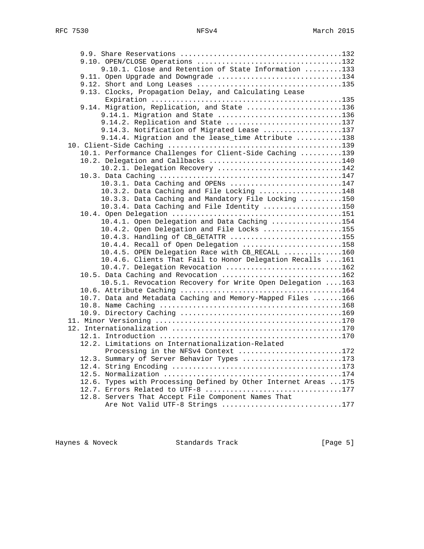| 9.10.1. Close and Retention of State Information 133             |  |
|------------------------------------------------------------------|--|
| 9.11. Open Upgrade and Downgrade 134                             |  |
|                                                                  |  |
| 9.13. Clocks, Propagation Delay, and Calculating Lease           |  |
|                                                                  |  |
| 9.14. Migration, Replication, and State 136                      |  |
| 9.14.1. Migration and State 136                                  |  |
| 9.14.2. Replication and State 137                                |  |
| 9.14.3. Notification of Migrated Lease 137                       |  |
| 9.14.4. Migration and the lease_time Attribute 138               |  |
|                                                                  |  |
| 10.1. Performance Challenges for Client-Side Caching 139         |  |
| 10.2. Delegation and Callbacks 140                               |  |
| 10.2.1. Delegation Recovery 142                                  |  |
|                                                                  |  |
| 10.3.1. Data Caching and OPENs 147                               |  |
| 10.3.2. Data Caching and File Locking 148                        |  |
| 10.3.3. Data Caching and Mandatory File Locking 150              |  |
| 10.3.4. Data Caching and File Identity 150                       |  |
|                                                                  |  |
| 10.4.1. Open Delegation and Data Caching 154                     |  |
| 10.4.2. Open Delegation and File Locks 155                       |  |
| 10.4.3. Handling of CB_GETATTR 155                               |  |
| $10.4.4$ . Recall of Open Delegation 158                         |  |
| 10.4.5. OPEN Delegation Race with CB_RECALL 160                  |  |
| 10.4.6. Clients That Fail to Honor Delegation Recalls 161        |  |
| 10.4.7. Delegation Revocation 162                                |  |
| 10.5. Data Caching and Revocation 162                            |  |
| 10.5.1. Revocation Recovery for Write Open Delegation  163       |  |
|                                                                  |  |
| 10.7. Data and Metadata Caching and Memory-Mapped Files 166      |  |
|                                                                  |  |
|                                                                  |  |
|                                                                  |  |
|                                                                  |  |
|                                                                  |  |
| 12.2. Limitations on Internationalization-Related                |  |
| Processing in the NFSv4 Context 172                              |  |
| 12.3. Summary of Server Behavior Types 173                       |  |
|                                                                  |  |
|                                                                  |  |
| 12.6. Types with Processing Defined by Other Internet Areas  175 |  |
| 12.7. Errors Related to UTF-8 177                                |  |
| 12.8. Servers That Accept File Component Names That              |  |
| Are Not Valid UTF-8 Strings 177                                  |  |

Haynes & Noveck Standards Track [Page 5]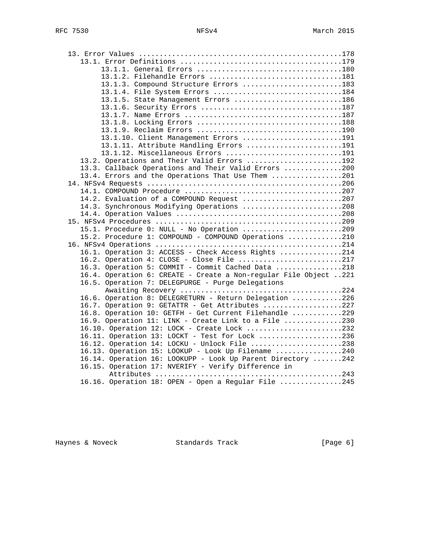| 13.1.2. Filehandle Errors 181                                    |  |
|------------------------------------------------------------------|--|
| 13.1.3. Compound Structure Errors 183                            |  |
| 13.1.4. File System Errors 184                                   |  |
| 13.1.5. State Management Errors 186                              |  |
|                                                                  |  |
|                                                                  |  |
|                                                                  |  |
|                                                                  |  |
| 13.1.10. Client Management Errors 191                            |  |
| 13.1.11. Attribute Handling Errors 191                           |  |
| 13.1.12. Miscellaneous Errors 191                                |  |
| 13.2. Operations and Their Valid Errors 192                      |  |
| 13.3. Callback Operations and Their Valid Errors 200             |  |
| 13.4. Errors and the Operations That Use Them 201                |  |
|                                                                  |  |
|                                                                  |  |
| 14.2. Evaluation of a COMPOUND Request 207                       |  |
| 14.3. Synchronous Modifying Operations 208                       |  |
|                                                                  |  |
|                                                                  |  |
| 15.1. Procedure 0: NULL - No Operation 209                       |  |
| 15.2. Procedure 1: COMPOUND - COMPOUND Operations 210            |  |
|                                                                  |  |
| 16.1. Operation 3: ACCESS - Check Access Rights 214              |  |
| 16.2. Operation 4: CLOSE - Close File 217                        |  |
| 16.3. Operation 5: COMMIT - Commit Cached Data 218               |  |
| 16.4. Operation 6: CREATE - Create a Non-regular File Object 221 |  |
| 16.5. Operation 7: DELEGPURGE - Purge Delegations                |  |
|                                                                  |  |
| 16.6. Operation 8: DELEGRETURN - Return Delegation 226           |  |
| 16.7. Operation 9: GETATTR - Get Attributes 227                  |  |
| 16.8. Operation 10: GETFH - Get Current Filehandle 229           |  |
| 16.9. Operation 11: LINK - Create Link to a File 230             |  |
| 16.10. Operation 12: LOCK - Create Lock 232                      |  |
| 16.11. Operation 13: LOCKT - Test for Lock 236                   |  |
| 16.12. Operation 14: LOCKU - Unlock File 238                     |  |
| 16.13. Operation 15: LOOKUP - Look Up Filename 240               |  |
| 16.14. Operation 16: LOOKUPP - Look Up Parent Directory 242      |  |
| 16.15. Operation 17: NVERIFY - Verify Difference in              |  |
|                                                                  |  |
| 16.16. Operation 18: OPEN - Open a Regular File 245              |  |

Haynes & Noveck **Standards Track** [Page 6]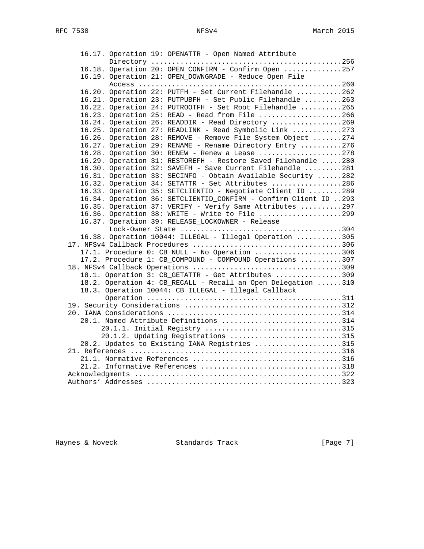16.17. Operation 19: OPENATTR - Open Named Attribute Directory ..............................................256 16.18. Operation 20: OPEN\_CONFIRM - Confirm Open ..............257 16.19. Operation 21: OPEN\_DOWNGRADE - Reduce Open File Access .................................................260 16.20. Operation 22: PUTFH - Set Current Filehandle ...........262 16.21. Operation 23: PUTPUBFH - Set Public Filehandle .........263 16.22. Operation 24: PUTROOTFH - Set Root Filehandle ..........265 16.23. Operation 25: READ - Read from File ....................266 16.24. Operation 26: READDIR - Read Directory .................269 16.25. Operation 27: READLINK - Read Symbolic Link ............273 16.26. Operation 28: REMOVE - Remove File System Object .......274 16.27. Operation 29: RENAME - Rename Directory Entry ..........276 16.28. Operation 30: RENEW - Renew a Lease ....................278 16.29. Operation 31: RESTOREFH - Restore Saved Filehandle .....280 16.30. Operation 32: SAVEFH - Save Current Filehandle .........281 16.31. Operation 33: SECINFO - Obtain Available Security ......282 16.32. Operation 34: SETATTR - Set Attributes .................286 16.33. Operation 35: SETCLIENTID - Negotiate Client ID ........289 16.34. Operation 36: SETCLIENTID\_CONFIRM - Confirm Client ID ..293 16.35. Operation 37: VERIFY - Verify Same Attributes ..........297 16.36. Operation 38: WRITE - Write to File ....................299 16.37. Operation 39: RELEASE\_LOCKOWNER - Release Lock-Owner State .......................................304 16.38. Operation 10044: ILLEGAL - Illegal Operation ...........305 17. NFSv4 Callback Procedures ....................................306 17.1. Procedure 0: CB\_NULL - No Operation .....................306 17.2. Procedure 1: CB\_COMPOUND - COMPOUND Operations ..........307 18. NFSv4 Callback Operations ....................................309 18.1. Operation 3: CB\_GETATTR - Get Attributes ................309 18.2. Operation 4: CB\_RECALL - Recall an Open Delegation ......310 18.3. Operation 10044: CB\_ILLEGAL - Illegal Callback Operation ...............................................311 19. Security Considerations ......................................312 20. IANA Considerations ..........................................314 20.1. Named Attribute Definitions .............................314 20.1.1. Initial Registry .................................315 20.1.2. Updating Registrations ...........................315 20.2. Updates to Existing IANA Registries .....................315 21. References ...................................................316 21.1. Normative References ....................................316 21.2. Informative References ..................................318 Acknowledgments ..................................................322 Authors' Addresses ...............................................323

Haynes & Noveck Standards Track [Page 7]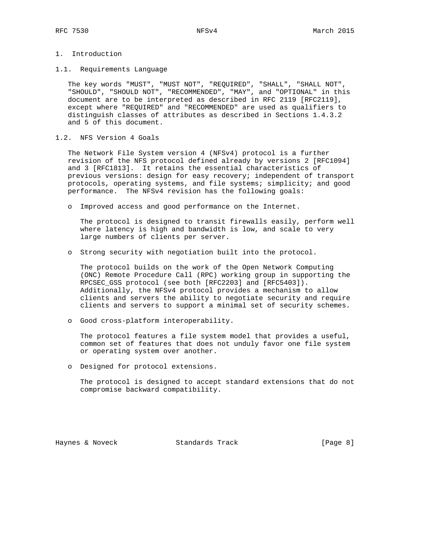# 1. Introduction

1.1. Requirements Language

 The key words "MUST", "MUST NOT", "REQUIRED", "SHALL", "SHALL NOT", "SHOULD", "SHOULD NOT", "RECOMMENDED", "MAY", and "OPTIONAL" in this document are to be interpreted as described in RFC 2119 [RFC2119], except where "REQUIRED" and "RECOMMENDED" are used as qualifiers to distinguish classes of attributes as described in Sections 1.4.3.2 and 5 of this document.

1.2. NFS Version 4 Goals

 The Network File System version 4 (NFSv4) protocol is a further revision of the NFS protocol defined already by versions 2 [RFC1094] and 3 [RFC1813]. It retains the essential characteristics of previous versions: design for easy recovery; independent of transport protocols, operating systems, and file systems; simplicity; and good performance. The NFSv4 revision has the following goals:

o Improved access and good performance on the Internet.

 The protocol is designed to transit firewalls easily, perform well where latency is high and bandwidth is low, and scale to very large numbers of clients per server.

o Strong security with negotiation built into the protocol.

 The protocol builds on the work of the Open Network Computing (ONC) Remote Procedure Call (RPC) working group in supporting the RPCSEC\_GSS protocol (see both [RFC2203] and [RFC5403]). Additionally, the NFSv4 protocol provides a mechanism to allow clients and servers the ability to negotiate security and require clients and servers to support a minimal set of security schemes.

o Good cross-platform interoperability.

 The protocol features a file system model that provides a useful, common set of features that does not unduly favor one file system or operating system over another.

o Designed for protocol extensions.

 The protocol is designed to accept standard extensions that do not compromise backward compatibility.

Haynes & Noveck **Standards Track** [Page 8]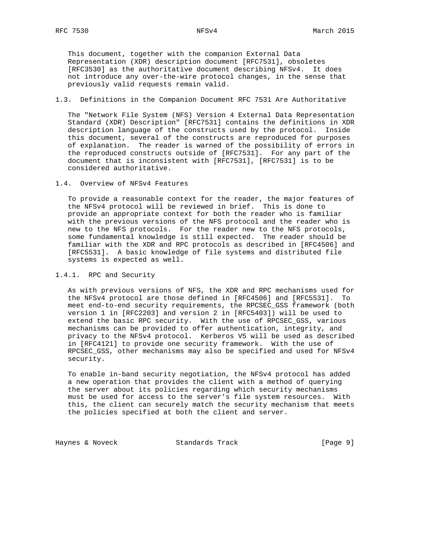This document, together with the companion External Data Representation (XDR) description document [RFC7531], obsoletes [RFC3530] as the authoritative document describing NFSv4. It does not introduce any over-the-wire protocol changes, in the sense that previously valid requests remain valid.

## 1.3. Definitions in the Companion Document RFC 7531 Are Authoritative

 The "Network File System (NFS) Version 4 External Data Representation Standard (XDR) Description" [RFC7531] contains the definitions in XDR description language of the constructs used by the protocol. Inside this document, several of the constructs are reproduced for purposes of explanation. The reader is warned of the possibility of errors in the reproduced constructs outside of [RFC7531]. For any part of the document that is inconsistent with [RFC7531], [RFC7531] is to be considered authoritative.

### 1.4. Overview of NFSv4 Features

 To provide a reasonable context for the reader, the major features of the NFSv4 protocol will be reviewed in brief. This is done to provide an appropriate context for both the reader who is familiar with the previous versions of the NFS protocol and the reader who is new to the NFS protocols. For the reader new to the NFS protocols, some fundamental knowledge is still expected. The reader should be familiar with the XDR and RPC protocols as described in [RFC4506] and [RFC5531]. A basic knowledge of file systems and distributed file systems is expected as well.

## 1.4.1. RPC and Security

 As with previous versions of NFS, the XDR and RPC mechanisms used for the NFSv4 protocol are those defined in [RFC4506] and [RFC5531]. To meet end-to-end security requirements, the RPCSEC\_GSS framework (both version 1 in [RFC2203] and version 2 in [RFC5403]) will be used to extend the basic RPC security. With the use of RPCSEC\_GSS, various mechanisms can be provided to offer authentication, integrity, and privacy to the NFSv4 protocol. Kerberos V5 will be used as described in [RFC4121] to provide one security framework. With the use of RPCSEC\_GSS, other mechanisms may also be specified and used for NFSv4 security.

 To enable in-band security negotiation, the NFSv4 protocol has added a new operation that provides the client with a method of querying the server about its policies regarding which security mechanisms must be used for access to the server's file system resources. With this, the client can securely match the security mechanism that meets the policies specified at both the client and server.

Haynes & Noveck Standards Track [Page 9]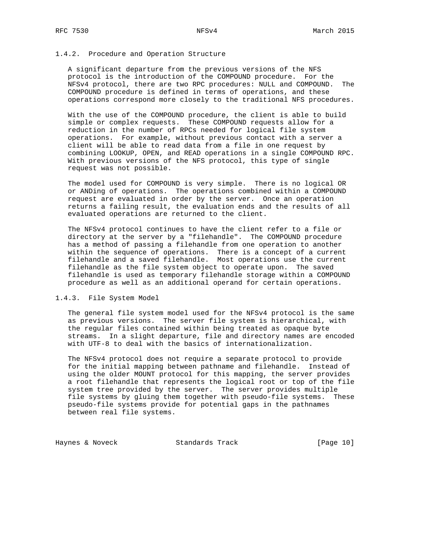### 1.4.2. Procedure and Operation Structure

 A significant departure from the previous versions of the NFS protocol is the introduction of the COMPOUND procedure. For the NFSv4 protocol, there are two RPC procedures: NULL and COMPOUND. The COMPOUND procedure is defined in terms of operations, and these operations correspond more closely to the traditional NFS procedures.

 With the use of the COMPOUND procedure, the client is able to build simple or complex requests. These COMPOUND requests allow for a reduction in the number of RPCs needed for logical file system operations. For example, without previous contact with a server a client will be able to read data from a file in one request by combining LOOKUP, OPEN, and READ operations in a single COMPOUND RPC. With previous versions of the NFS protocol, this type of single request was not possible.

 The model used for COMPOUND is very simple. There is no logical OR or ANDing of operations. The operations combined within a COMPOUND request are evaluated in order by the server. Once an operation returns a failing result, the evaluation ends and the results of all evaluated operations are returned to the client.

 The NFSv4 protocol continues to have the client refer to a file or directory at the server by a "filehandle". The COMPOUND procedure has a method of passing a filehandle from one operation to another within the sequence of operations. There is a concept of a current filehandle and a saved filehandle. Most operations use the current filehandle as the file system object to operate upon. The saved filehandle is used as temporary filehandle storage within a COMPOUND procedure as well as an additional operand for certain operations.

### 1.4.3. File System Model

 The general file system model used for the NFSv4 protocol is the same as previous versions. The server file system is hierarchical, with the regular files contained within being treated as opaque byte streams. In a slight departure, file and directory names are encoded with UTF-8 to deal with the basics of internationalization.

 The NFSv4 protocol does not require a separate protocol to provide for the initial mapping between pathname and filehandle. Instead of using the older MOUNT protocol for this mapping, the server provides a root filehandle that represents the logical root or top of the file system tree provided by the server. The server provides multiple file systems by gluing them together with pseudo-file systems. These pseudo-file systems provide for potential gaps in the pathnames between real file systems.

Haynes & Noveck Standards Track [Page 10]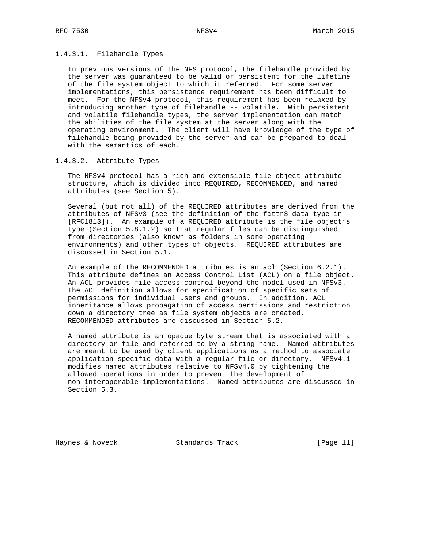## 1.4.3.1. Filehandle Types

 In previous versions of the NFS protocol, the filehandle provided by the server was guaranteed to be valid or persistent for the lifetime of the file system object to which it referred. For some server implementations, this persistence requirement has been difficult to meet. For the NFSv4 protocol, this requirement has been relaxed by introducing another type of filehandle -- volatile. With persistent and volatile filehandle types, the server implementation can match the abilities of the file system at the server along with the operating environment. The client will have knowledge of the type of filehandle being provided by the server and can be prepared to deal with the semantics of each.

## 1.4.3.2. Attribute Types

 The NFSv4 protocol has a rich and extensible file object attribute structure, which is divided into REQUIRED, RECOMMENDED, and named attributes (see Section 5).

 Several (but not all) of the REQUIRED attributes are derived from the attributes of NFSv3 (see the definition of the fattr3 data type in [RFC1813]). An example of a REQUIRED attribute is the file object's type (Section 5.8.1.2) so that regular files can be distinguished from directories (also known as folders in some operating environments) and other types of objects. REQUIRED attributes are discussed in Section 5.1.

 An example of the RECOMMENDED attributes is an acl (Section 6.2.1). This attribute defines an Access Control List (ACL) on a file object. An ACL provides file access control beyond the model used in NFSv3. The ACL definition allows for specification of specific sets of permissions for individual users and groups. In addition, ACL inheritance allows propagation of access permissions and restriction down a directory tree as file system objects are created. RECOMMENDED attributes are discussed in Section 5.2.

 A named attribute is an opaque byte stream that is associated with a directory or file and referred to by a string name. Named attributes are meant to be used by client applications as a method to associate application-specific data with a regular file or directory. NFSv4.1 modifies named attributes relative to NFSv4.0 by tightening the allowed operations in order to prevent the development of non-interoperable implementations. Named attributes are discussed in Section 5.3.

Haynes & Noveck Standards Track [Page 11]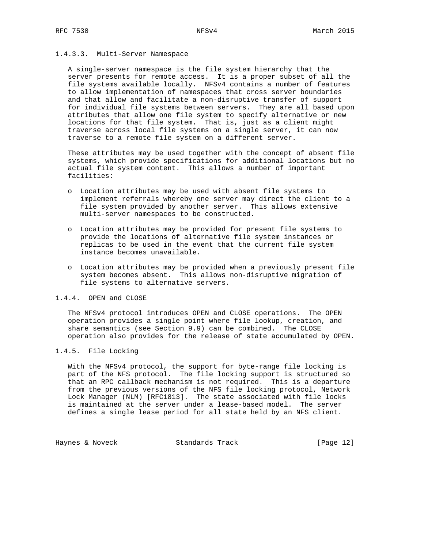# 1.4.3.3. Multi-Server Namespace

 A single-server namespace is the file system hierarchy that the server presents for remote access. It is a proper subset of all the file systems available locally. NFSv4 contains a number of features to allow implementation of namespaces that cross server boundaries and that allow and facilitate a non-disruptive transfer of support for individual file systems between servers. They are all based upon attributes that allow one file system to specify alternative or new locations for that file system. That is, just as a client might traverse across local file systems on a single server, it can now traverse to a remote file system on a different server.

 These attributes may be used together with the concept of absent file systems, which provide specifications for additional locations but no actual file system content. This allows a number of important facilities:

- o Location attributes may be used with absent file systems to implement referrals whereby one server may direct the client to a file system provided by another server. This allows extensive multi-server namespaces to be constructed.
- o Location attributes may be provided for present file systems to provide the locations of alternative file system instances or replicas to be used in the event that the current file system instance becomes unavailable.
- o Location attributes may be provided when a previously present file system becomes absent. This allows non-disruptive migration of file systems to alternative servers.

### 1.4.4. OPEN and CLOSE

 The NFSv4 protocol introduces OPEN and CLOSE operations. The OPEN operation provides a single point where file lookup, creation, and share semantics (see Section 9.9) can be combined. The CLOSE operation also provides for the release of state accumulated by OPEN.

### 1.4.5. File Locking

 With the NFSv4 protocol, the support for byte-range file locking is part of the NFS protocol. The file locking support is structured so that an RPC callback mechanism is not required. This is a departure from the previous versions of the NFS file locking protocol, Network Lock Manager (NLM) [RFC1813]. The state associated with file locks is maintained at the server under a lease-based model. The server defines a single lease period for all state held by an NFS client.

Haynes & Noveck Standards Track [Page 12]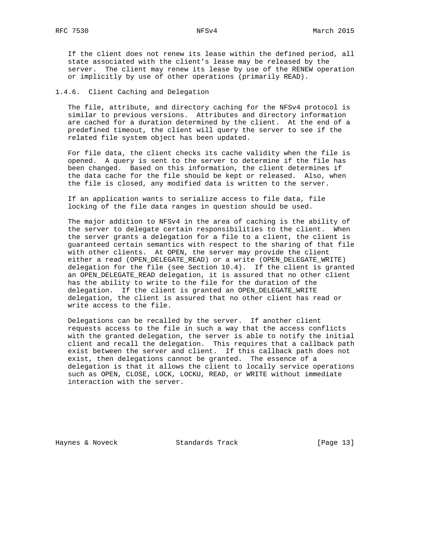If the client does not renew its lease within the defined period, all state associated with the client's lease may be released by the server. The client may renew its lease by use of the RENEW operation or implicitly by use of other operations (primarily READ).

## 1.4.6. Client Caching and Delegation

 The file, attribute, and directory caching for the NFSv4 protocol is similar to previous versions. Attributes and directory information are cached for a duration determined by the client. At the end of a predefined timeout, the client will query the server to see if the related file system object has been updated.

 For file data, the client checks its cache validity when the file is opened. A query is sent to the server to determine if the file has been changed. Based on this information, the client determines if the data cache for the file should be kept or released. Also, when the file is closed, any modified data is written to the server.

 If an application wants to serialize access to file data, file locking of the file data ranges in question should be used.

 The major addition to NFSv4 in the area of caching is the ability of the server to delegate certain responsibilities to the client. When the server grants a delegation for a file to a client, the client is guaranteed certain semantics with respect to the sharing of that file with other clients. At OPEN, the server may provide the client either a read (OPEN\_DELEGATE\_READ) or a write (OPEN\_DELEGATE\_WRITE) delegation for the file (see Section 10.4). If the client is granted an OPEN\_DELEGATE\_READ delegation, it is assured that no other client has the ability to write to the file for the duration of the delegation. If the client is granted an OPEN\_DELEGATE\_WRITE delegation, the client is assured that no other client has read or write access to the file.

 Delegations can be recalled by the server. If another client requests access to the file in such a way that the access conflicts with the granted delegation, the server is able to notify the initial client and recall the delegation. This requires that a callback path exist between the server and client. If this callback path does not exist, then delegations cannot be granted. The essence of a delegation is that it allows the client to locally service operations such as OPEN, CLOSE, LOCK, LOCKU, READ, or WRITE without immediate interaction with the server.

Haynes & Noveck Standards Track [Page 13]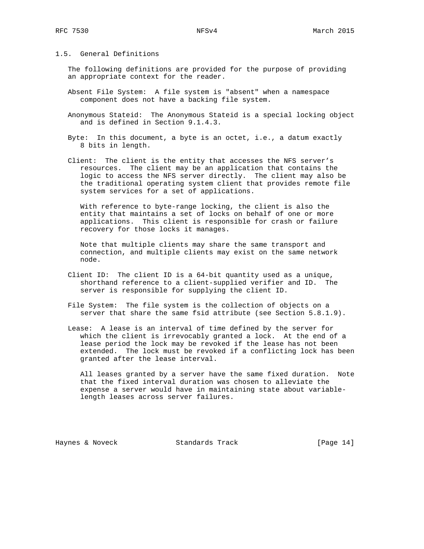## 1.5. General Definitions

 The following definitions are provided for the purpose of providing an appropriate context for the reader.

- Absent File System: A file system is "absent" when a namespace component does not have a backing file system.
- Anonymous Stateid: The Anonymous Stateid is a special locking object and is defined in Section 9.1.4.3.
- Byte: In this document, a byte is an octet, i.e., a datum exactly 8 bits in length.
- Client: The client is the entity that accesses the NFS server's resources. The client may be an application that contains the logic to access the NFS server directly. The client may also be the traditional operating system client that provides remote file system services for a set of applications.

 With reference to byte-range locking, the client is also the entity that maintains a set of locks on behalf of one or more applications. This client is responsible for crash or failure recovery for those locks it manages.

 Note that multiple clients may share the same transport and connection, and multiple clients may exist on the same network node.

- Client ID: The client ID is a 64-bit quantity used as a unique, shorthand reference to a client-supplied verifier and ID. The server is responsible for supplying the client ID.
- File System: The file system is the collection of objects on a server that share the same fsid attribute (see Section 5.8.1.9).
- Lease: A lease is an interval of time defined by the server for which the client is irrevocably granted a lock. At the end of a lease period the lock may be revoked if the lease has not been extended. The lock must be revoked if a conflicting lock has been granted after the lease interval.

 All leases granted by a server have the same fixed duration. Note that the fixed interval duration was chosen to alleviate the expense a server would have in maintaining state about variable length leases across server failures.

Haynes & Noveck Standards Track [Page 14]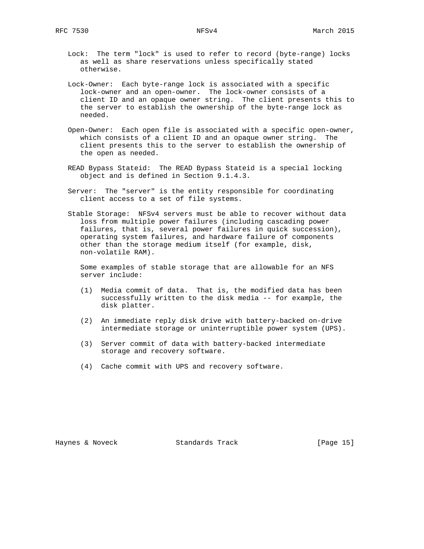- Lock: The term "lock" is used to refer to record (byte-range) locks as well as share reservations unless specifically stated otherwise.
- Lock-Owner: Each byte-range lock is associated with a specific lock-owner and an open-owner. The lock-owner consists of a client ID and an opaque owner string. The client presents this to the server to establish the ownership of the byte-range lock as needed.
- Open-Owner: Each open file is associated with a specific open-owner, which consists of a client ID and an opaque owner string. The client presents this to the server to establish the ownership of the open as needed.
- READ Bypass Stateid: The READ Bypass Stateid is a special locking object and is defined in Section 9.1.4.3.
- Server: The "server" is the entity responsible for coordinating client access to a set of file systems.
- Stable Storage: NFSv4 servers must be able to recover without data loss from multiple power failures (including cascading power failures, that is, several power failures in quick succession), operating system failures, and hardware failure of components other than the storage medium itself (for example, disk, non-volatile RAM).

 Some examples of stable storage that are allowable for an NFS server include:

- (1) Media commit of data. That is, the modified data has been successfully written to the disk media -- for example, the disk platter.
- (2) An immediate reply disk drive with battery-backed on-drive intermediate storage or uninterruptible power system (UPS).
- (3) Server commit of data with battery-backed intermediate storage and recovery software.
- (4) Cache commit with UPS and recovery software.

Haynes & Noveck Standards Track [Page 15]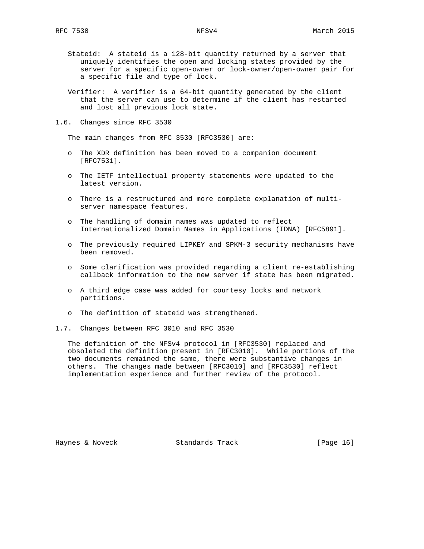- Stateid: A stateid is a 128-bit quantity returned by a server that uniquely identifies the open and locking states provided by the server for a specific open-owner or lock-owner/open-owner pair for a specific file and type of lock.
- Verifier: A verifier is a 64-bit quantity generated by the client that the server can use to determine if the client has restarted and lost all previous lock state.
- 1.6. Changes since RFC 3530

The main changes from RFC 3530 [RFC3530] are:

- o The XDR definition has been moved to a companion document [RFC7531].
- o The IETF intellectual property statements were updated to the latest version.
- o There is a restructured and more complete explanation of multi server namespace features.
- o The handling of domain names was updated to reflect Internationalized Domain Names in Applications (IDNA) [RFC5891].
- o The previously required LIPKEY and SPKM-3 security mechanisms have been removed.
- o Some clarification was provided regarding a client re-establishing callback information to the new server if state has been migrated.
- o A third edge case was added for courtesy locks and network partitions.
- o The definition of stateid was strengthened.
- 1.7. Changes between RFC 3010 and RFC 3530

 The definition of the NFSv4 protocol in [RFC3530] replaced and obsoleted the definition present in [RFC3010]. While portions of the two documents remained the same, there were substantive changes in others. The changes made between [RFC3010] and [RFC3530] reflect implementation experience and further review of the protocol.

Haynes & Noveck Standards Track [Page 16]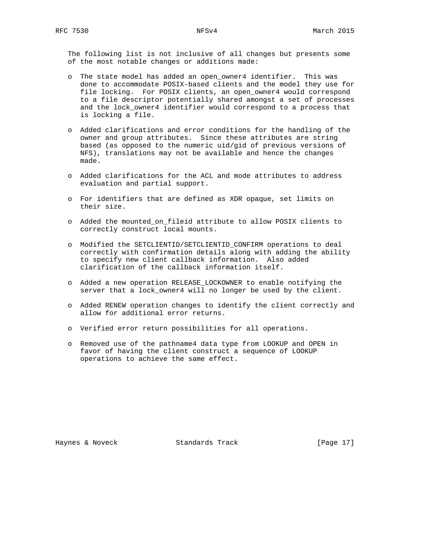The following list is not inclusive of all changes but presents some of the most notable changes or additions made:

- o The state model has added an open\_owner4 identifier. This was done to accommodate POSIX-based clients and the model they use for file locking. For POSIX clients, an open\_owner4 would correspond to a file descriptor potentially shared amongst a set of processes and the lock\_owner4 identifier would correspond to a process that is locking a file.
- o Added clarifications and error conditions for the handling of the owner and group attributes. Since these attributes are string based (as opposed to the numeric uid/gid of previous versions of NFS), translations may not be available and hence the changes made.
- o Added clarifications for the ACL and mode attributes to address evaluation and partial support.
- o For identifiers that are defined as XDR opaque, set limits on their size.
- o Added the mounted\_on\_fileid attribute to allow POSIX clients to correctly construct local mounts.
- o Modified the SETCLIENTID/SETCLIENTID\_CONFIRM operations to deal correctly with confirmation details along with adding the ability to specify new client callback information. Also added clarification of the callback information itself.
- o Added a new operation RELEASE\_LOCKOWNER to enable notifying the server that a lock\_owner4 will no longer be used by the client.
- o Added RENEW operation changes to identify the client correctly and allow for additional error returns.
- o Verified error return possibilities for all operations.
- o Removed use of the pathname4 data type from LOOKUP and OPEN in favor of having the client construct a sequence of LOOKUP operations to achieve the same effect.

Haynes & Noveck Standards Track [Page 17]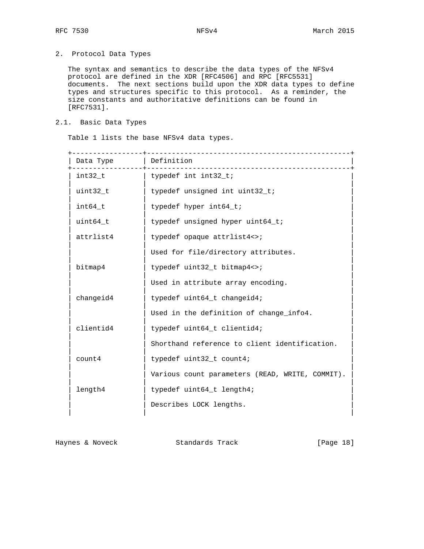# 2. Protocol Data Types

 The syntax and semantics to describe the data types of the NFSv4 protocol are defined in the XDR [RFC4506] and RPC [RFC5531] documents. The next sections build upon the XDR data types to define types and structures specific to this protocol. As a reminder, the size constants and authoritative definitions can be found in [RFC7531].

## 2.1. Basic Data Types

Table 1 lists the base NFSv4 data types.

| Data Type | Definition                                      |  |  |
|-----------|-------------------------------------------------|--|--|
| int32_t   | typedef int int32_t;                            |  |  |
| uint32 t  | typedef unsigned int uint32_t;                  |  |  |
| int64 t   | typedef hyper int64_t;                          |  |  |
| uint64 t  | typedef unsigned hyper uint64_t;                |  |  |
| attrlist4 | typedef opaque attrlist4<>;                     |  |  |
|           | Used for file/directory attributes.             |  |  |
| bitmap4   | typedef uint32_t bitmap4<>;                     |  |  |
|           | Used in attribute array encoding.               |  |  |
| changeid4 | typedef uint64_t changeid4;                     |  |  |
|           | Used in the definition of change_info4.         |  |  |
| clientid4 | typedef uint64_t clientid4;                     |  |  |
|           | Shorthand reference to client identification.   |  |  |
| count4    | typedef uint32_t count4;                        |  |  |
|           | Various count parameters (READ, WRITE, COMMIT). |  |  |
| length4   | typedef uint64_t length4;                       |  |  |
|           | Describes LOCK lengths.                         |  |  |
|           |                                                 |  |  |

Haynes & Noveck Standards Track [Page 18]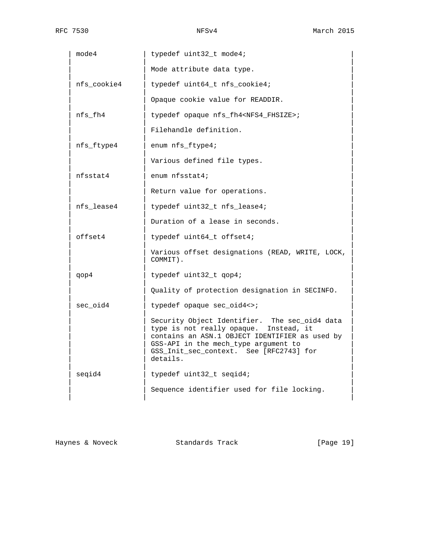| mode4       | typedef uint32_t mode4;                                                                                                                                                                                                                  |
|-------------|------------------------------------------------------------------------------------------------------------------------------------------------------------------------------------------------------------------------------------------|
|             | Mode attribute data type.                                                                                                                                                                                                                |
| nfs_cookie4 | typedef uint64_t nfs_cookie4;                                                                                                                                                                                                            |
|             | Opaque cookie value for READDIR.                                                                                                                                                                                                         |
| nfs fh4     | typedef opaque nfs_fh4 <nfs4_fhsize>;</nfs4_fhsize>                                                                                                                                                                                      |
|             | Filehandle definition.                                                                                                                                                                                                                   |
| nfs_ftype4  | enum nfs_ftype4;                                                                                                                                                                                                                         |
|             | Various defined file types.                                                                                                                                                                                                              |
| nfsstat4    | enum nfsstat4;                                                                                                                                                                                                                           |
|             | Return value for operations.                                                                                                                                                                                                             |
| nfs lease4  | typedef uint32_t nfs_lease4;                                                                                                                                                                                                             |
|             | Duration of a lease in seconds.                                                                                                                                                                                                          |
| offset4     | typedef uint64_t offset4;                                                                                                                                                                                                                |
|             | Various offset designations (READ, WRITE, LOCK,<br>COMMIT).                                                                                                                                                                              |
| qop4        | typedef uint32_t qop4;                                                                                                                                                                                                                   |
|             | Quality of protection designation in SECINFO.                                                                                                                                                                                            |
| sec oid4    | typedef opaque sec_oid4<>;                                                                                                                                                                                                               |
|             | Security Object Identifier. The sec_oid4 data<br>type is not really opaque. Instead, it<br>contains an ASN.1 OBJECT IDENTIFIER as used by<br>GSS-API in the mech_type argument to<br>GSS_Init_sec_context. See [RFC2743] for<br>details. |
| seqid4      | typedef uint32_t seqid4;                                                                                                                                                                                                                 |
|             | Sequence identifier used for file locking.                                                                                                                                                                                               |

Haynes & Noveck Standards Track [Page 19]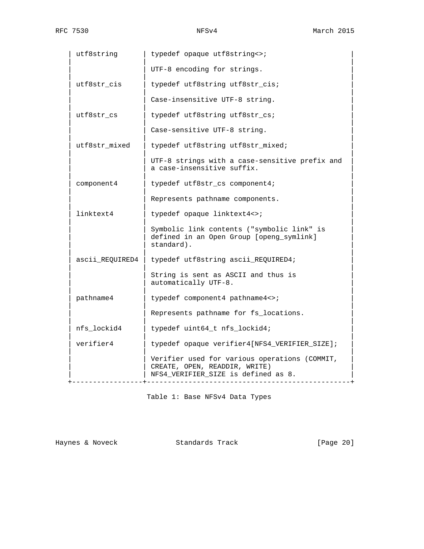| utf8string      | typedef opaque utf8string<>;                                                                                          |
|-----------------|-----------------------------------------------------------------------------------------------------------------------|
|                 | UTF-8 encoding for strings.                                                                                           |
| utf8str cis     | typedef utf8string utf8str_cis;                                                                                       |
|                 | Case-insensitive UTF-8 string.                                                                                        |
| utf8str_cs      | typedef utf8string utf8str_cs;                                                                                        |
|                 | Case-sensitive UTF-8 string.                                                                                          |
| utf8str_mixed   | typedef utf8string utf8str_mixed;                                                                                     |
|                 | UTF-8 strings with a case-sensitive prefix and<br>a case-insensitive suffix.                                          |
| component4      | typedef utf8str_cs component4;                                                                                        |
|                 | Represents pathname components.                                                                                       |
| linktext4       | typedef opaque linktext4<>;                                                                                           |
|                 | Symbolic link contents ("symbolic link" is<br>defined in an Open Group [openg_symlink]<br>standard).                  |
| ascii_REQUIRED4 | typedef utf8string ascii_REQUIRED4;                                                                                   |
|                 | String is sent as ASCII and thus is<br>automatically UTF-8.                                                           |
| pathname4       | typedef component4 pathname4<>;                                                                                       |
|                 | Represents pathname for fs_locations.                                                                                 |
| nfs_lockid4     | typedef uint64_t nfs_lockid4;                                                                                         |
| verifier4       | typedef opaque verifier4[NFS4_VERIFIER_SIZE];                                                                         |
|                 | Verifier used for various operations (COMMIT,<br>CREATE, OPEN, READDIR, WRITE)<br>NFS4_VERIFIER_SIZE is defined as 8. |

Table 1: Base NFSv4 Data Types

Haynes & Noveck Standards Track [Page 20]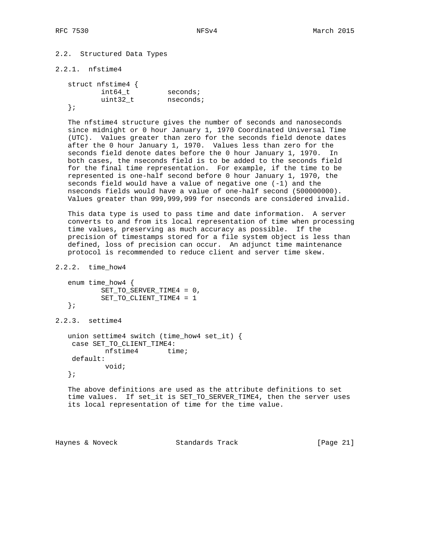# 2.2. Structured Data Types

```
2.2.1. nfstime4
```
 struct nfstime4 { int64\_t seconds; uint32\_t nseconds; };

 The nfstime4 structure gives the number of seconds and nanoseconds since midnight or 0 hour January 1, 1970 Coordinated Universal Time (UTC). Values greater than zero for the seconds field denote dates after the 0 hour January 1, 1970. Values less than zero for the seconds field denote dates before the 0 hour January 1, 1970. In both cases, the nseconds field is to be added to the seconds field for the final time representation. For example, if the time to be represented is one-half second before 0 hour January 1, 1970, the seconds field would have a value of negative one (-1) and the nseconds fields would have a value of one-half second (500000000). Values greater than 999,999,999 for nseconds are considered invalid.

 This data type is used to pass time and date information. A server converts to and from its local representation of time when processing time values, preserving as much accuracy as possible. If the precision of timestamps stored for a file system object is less than defined, loss of precision can occur. An adjunct time maintenance protocol is recommended to reduce client and server time skew.

```
2.2.2. time_how4
```

```
 enum time_how4 {
        SET_TO_SERVER_TIME4 = 0,
         SET_TO_CLIENT_TIME4 = 1
 };
```
2.2.3. settime4

```
 union settime4 switch (time_how4 set_it) {
 case SET_TO_CLIENT_TIME4:
         nfstime4 time;
 default:
         void;
```
};

 The above definitions are used as the attribute definitions to set time values. If set\_it is SET\_TO\_SERVER\_TIME4, then the server uses its local representation of time for the time value.

Haynes & Noveck Standards Track [Page 21]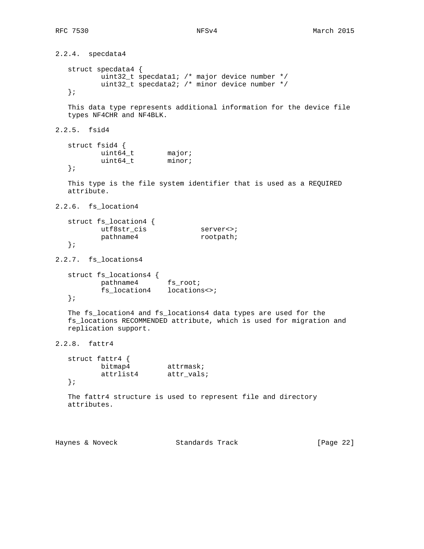```
2.2.4. specdata4
   struct specdata4 {
           uint32_t specdata1; /* major device number */
          uint32_t specdata2; /* minor device number */
   };
   This data type represents additional information for the device file
   types NF4CHR and NF4BLK.
2.2.5. fsid4
   struct fsid4 {
uint64_t major;
uint64_t minor;
   };
   This type is the file system identifier that is used as a REQUIRED
   attribute.
2.2.6. fs_location4
   struct fs_location4 {
         utf8str_cis server<>;
         pathname4 rootpath;
   };
2.2.7. fs_locations4
   struct fs_locations4 {
          pathname4 fs_root;
          fs_location4 locations<>;
   };
   The fs_location4 and fs_locations4 data types are used for the
   fs_locations RECOMMENDED attribute, which is used for migration and
   replication support.
2.2.8. fattr4
   struct fattr4 {
bitmap4 attrmask;
 attrlist4 attr_vals;
   };
   The fattr4 structure is used to represent file and directory
   attributes.
```
Haynes & Noveck Standards Track [Page 22]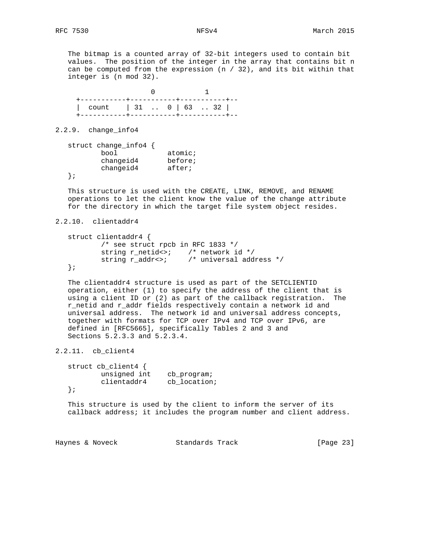The bitmap is a counted array of 32-bit integers used to contain bit values. The position of the integer in the array that contains bit n can be computed from the expression  $(n / 32)$ , and its bit within that integer is (n mod 32).



2.2.9. change\_info4

 struct change\_info4 { bool atomic; changeid4 before; changeid4 after; };

 This structure is used with the CREATE, LINK, REMOVE, and RENAME operations to let the client know the value of the change attribute for the directory in which the target file system object resides.

2.2.10. clientaddr4

```
 struct clientaddr4 {
         /* see struct rpcb in RFC 1833 */
 string r_netid<>; /* network id */
 string r_addr<>; /* universal address */
   };
```
 The clientaddr4 structure is used as part of the SETCLIENTID operation, either (1) to specify the address of the client that is using a client ID or (2) as part of the callback registration. The r\_netid and r\_addr fields respectively contain a network id and universal address. The network id and universal address concepts, together with formats for TCP over IPv4 and TCP over IPv6, are defined in [RFC5665], specifically Tables 2 and 3 and Sections 5.2.3.3 and 5.2.3.4.

2.2.11. cb\_client4

 struct cb\_client4 { unsigned int cb\_program; clientaddr4 cb\_location; };

 This structure is used by the client to inform the server of its callback address; it includes the program number and client address.

Haynes & Noveck Standards Track [Page 23]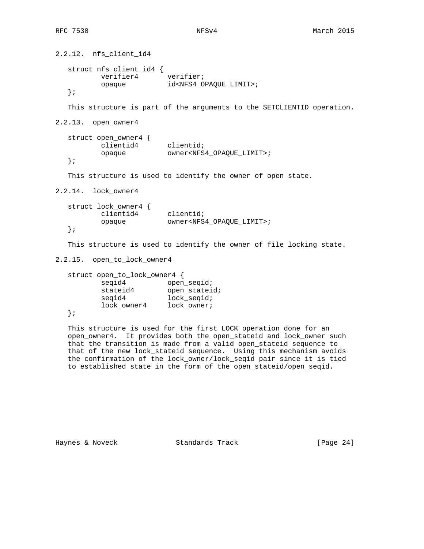2.2.12. nfs\_client\_id4 struct nfs\_client\_id4 { verifier4 verifier; opaque id<NFS4\_OPAQUE\_LIMIT>; }; This structure is part of the arguments to the SETCLIENTID operation. 2.2.13. open\_owner4 struct open\_owner4 { clientid4 clientid;<br>cnosus curs: turc opaque owner<NFS4\_OPAQUE\_LIMIT>; }; This structure is used to identify the owner of open state. 2.2.14. lock\_owner4 struct lock\_owner4 { clientid4 clientid; opaque owner<NFS4\_OPAQUE\_LIMIT>; }; This structure is used to identify the owner of file locking state. 2.2.15. open\_to\_lock\_owner4 struct open\_to\_lock\_owner4 { seqid4 open\_seqid; stateid4 open\_stateid; seqid4 lock\_seqid; lock owner4 lock owner; }; This structure is used for the first LOCK operation done for an open\_owner4. It provides both the open\_stateid and lock\_owner such that the transition is made from a valid open\_stateid sequence to that of the new lock\_stateid sequence. Using this mechanism avoids the confirmation of the lock\_owner/lock\_seqid pair since it is tied

Haynes & Noveck Standards Track [Page 24]

to established state in the form of the open\_stateid/open\_seqid.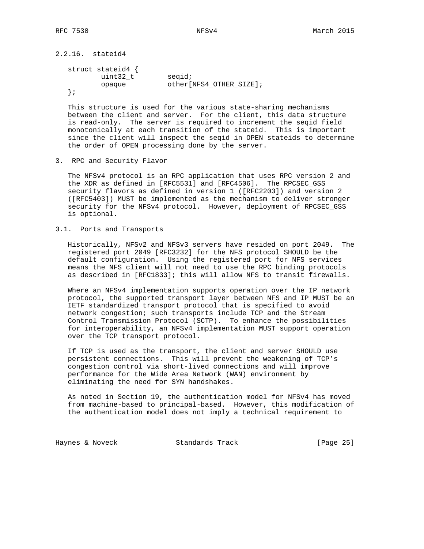2.2.16. stateid4

```
 struct stateid4 {
uint32_t seqid;
opaque other[NFS4_OTHER_SIZE];
  };
```
 This structure is used for the various state-sharing mechanisms between the client and server. For the client, this data structure is read-only. The server is required to increment the seqid field monotonically at each transition of the stateid. This is important since the client will inspect the seqid in OPEN stateids to determine the order of OPEN processing done by the server.

3. RPC and Security Flavor

 The NFSv4 protocol is an RPC application that uses RPC version 2 and the XDR as defined in [RFC5531] and [RFC4506]. The RPCSEC\_GSS security flavors as defined in version 1 ([RFC2203]) and version 2 ([RFC5403]) MUST be implemented as the mechanism to deliver stronger security for the NFSv4 protocol. However, deployment of RPCSEC\_GSS is optional.

## 3.1. Ports and Transports

 Historically, NFSv2 and NFSv3 servers have resided on port 2049. The registered port 2049 [RFC3232] for the NFS protocol SHOULD be the default configuration. Using the registered port for NFS services means the NFS client will not need to use the RPC binding protocols as described in [RFC1833]; this will allow NFS to transit firewalls.

 Where an NFSv4 implementation supports operation over the IP network protocol, the supported transport layer between NFS and IP MUST be an IETF standardized transport protocol that is specified to avoid network congestion; such transports include TCP and the Stream Control Transmission Protocol (SCTP). To enhance the possibilities for interoperability, an NFSv4 implementation MUST support operation over the TCP transport protocol.

 If TCP is used as the transport, the client and server SHOULD use persistent connections. This will prevent the weakening of TCP's congestion control via short-lived connections and will improve performance for the Wide Area Network (WAN) environment by eliminating the need for SYN handshakes.

 As noted in Section 19, the authentication model for NFSv4 has moved from machine-based to principal-based. However, this modification of the authentication model does not imply a technical requirement to

Haynes & Noveck Standards Track [Page 25]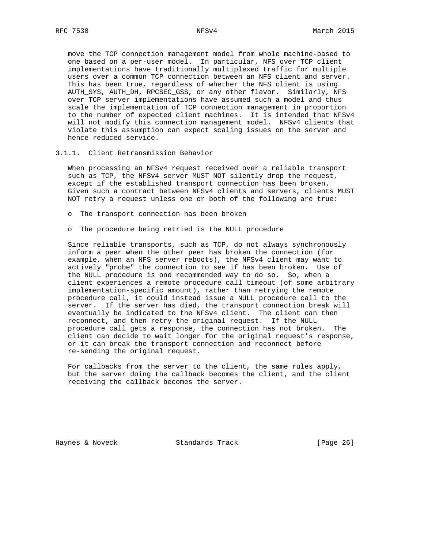move the TCP connection management model from whole machine-based to one based on a per-user model. In particular, NFS over TCP client implementations have traditionally multiplexed traffic for multiple users over a common TCP connection between an NFS client and server. This has been true, regardless of whether the NFS client is using AUTH\_SYS, AUTH\_DH, RPCSEC\_GSS, or any other flavor. Similarly, NFS over TCP server implementations have assumed such a model and thus scale the implementation of TCP connection management in proportion to the number of expected client machines. It is intended that NFSv4 will not modify this connection management model. NFSv4 clients that violate this assumption can expect scaling issues on the server and hence reduced service.

3.1.1. Client Retransmission Behavior

 When processing an NFSv4 request received over a reliable transport such as TCP, the NFSv4 server MUST NOT silently drop the request, except if the established transport connection has been broken. Given such a contract between NFSv4 clients and servers, clients MUST NOT retry a request unless one or both of the following are true:

- o The transport connection has been broken
- o The procedure being retried is the NULL procedure

 Since reliable transports, such as TCP, do not always synchronously inform a peer when the other peer has broken the connection (for example, when an NFS server reboots), the NFSv4 client may want to actively "probe" the connection to see if has been broken. Use of the NULL procedure is one recommended way to do so. So, when a client experiences a remote procedure call timeout (of some arbitrary implementation-specific amount), rather than retrying the remote procedure call, it could instead issue a NULL procedure call to the server. If the server has died, the transport connection break will eventually be indicated to the NFSv4 client. The client can then reconnect, and then retry the original request. If the NULL procedure call gets a response, the connection has not broken. The client can decide to wait longer for the original request's response, or it can break the transport connection and reconnect before re-sending the original request.

 For callbacks from the server to the client, the same rules apply, but the server doing the callback becomes the client, and the client receiving the callback becomes the server.

Haynes & Noveck Standards Track [Page 26]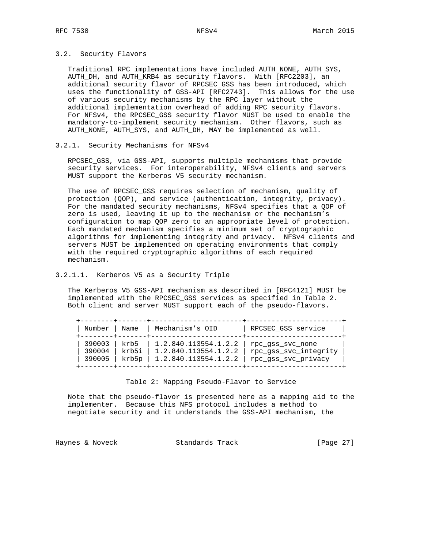## 3.2. Security Flavors

 Traditional RPC implementations have included AUTH\_NONE, AUTH\_SYS, AUTH\_DH, and AUTH\_KRB4 as security flavors. With [RFC2203], an additional security flavor of RPCSEC\_GSS has been introduced, which uses the functionality of GSS-API [RFC2743]. This allows for the use of various security mechanisms by the RPC layer without the additional implementation overhead of adding RPC security flavors. For NFSv4, the RPCSEC\_GSS security flavor MUST be used to enable the mandatory-to-implement security mechanism. Other flavors, such as AUTH\_NONE, AUTH\_SYS, and AUTH\_DH, MAY be implemented as well.

### 3.2.1. Security Mechanisms for NFSv4

 RPCSEC\_GSS, via GSS-API, supports multiple mechanisms that provide security services. For interoperability, NFSv4 clients and servers MUST support the Kerberos V5 security mechanism.

 The use of RPCSEC\_GSS requires selection of mechanism, quality of protection (QOP), and service (authentication, integrity, privacy). For the mandated security mechanisms, NFSv4 specifies that a QOP of zero is used, leaving it up to the mechanism or the mechanism's configuration to map QOP zero to an appropriate level of protection. Each mandated mechanism specifies a minimum set of cryptographic algorithms for implementing integrity and privacy. NFSv4 clients and servers MUST be implemented on operating environments that comply with the required cryptographic algorithms of each required mechanism.

## 3.2.1.1. Kerberos V5 as a Security Triple

 The Kerberos V5 GSS-API mechanism as described in [RFC4121] MUST be implemented with the RPCSEC\_GSS services as specified in Table 2. Both client and server MUST support each of the pseudo-flavors.

| Number<br>-------+- | Name  | Mechanism's OID      | RPCSEC_GSS service    |
|---------------------|-------|----------------------|-----------------------|
| 390003              | krb5  | 1.2.840.113554.1.2.2 | rpc qss svc none      |
| 390004              | krb5i | 1.2.840.113554.1.2.2 | rpc_gss_svc_integrity |
| 390005              | krb5p | 1.2.840.113554.1.2.2 | rpc_gss_svc_privacy   |

#### Table 2: Mapping Pseudo-Flavor to Service

 Note that the pseudo-flavor is presented here as a mapping aid to the implementer. Because this NFS protocol includes a method to negotiate security and it understands the GSS-API mechanism, the

Haynes & Noveck Standards Track [Page 27]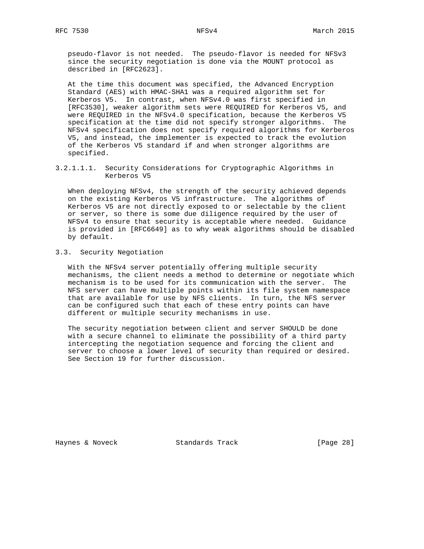pseudo-flavor is not needed. The pseudo-flavor is needed for NFSv3 since the security negotiation is done via the MOUNT protocol as described in [RFC2623].

 At the time this document was specified, the Advanced Encryption Standard (AES) with HMAC-SHA1 was a required algorithm set for Kerberos V5. In contrast, when NFSv4.0 was first specified in [RFC3530], weaker algorithm sets were REQUIRED for Kerberos V5, and were REQUIRED in the NFSv4.0 specification, because the Kerberos V5 specification at the time did not specify stronger algorithms. The NFSv4 specification does not specify required algorithms for Kerberos V5, and instead, the implementer is expected to track the evolution of the Kerberos V5 standard if and when stronger algorithms are specified.

3.2.1.1.1. Security Considerations for Cryptographic Algorithms in Kerberos V5

 When deploying NFSv4, the strength of the security achieved depends on the existing Kerberos V5 infrastructure. The algorithms of Kerberos V5 are not directly exposed to or selectable by the client or server, so there is some due diligence required by the user of NFSv4 to ensure that security is acceptable where needed. Guidance is provided in [RFC6649] as to why weak algorithms should be disabled by default.

# 3.3. Security Negotiation

 With the NFSv4 server potentially offering multiple security mechanisms, the client needs a method to determine or negotiate which mechanism is to be used for its communication with the server. The NFS server can have multiple points within its file system namespace that are available for use by NFS clients. In turn, the NFS server can be configured such that each of these entry points can have different or multiple security mechanisms in use.

 The security negotiation between client and server SHOULD be done with a secure channel to eliminate the possibility of a third party intercepting the negotiation sequence and forcing the client and server to choose a lower level of security than required or desired. See Section 19 for further discussion.

Haynes & Noveck Standards Track [Page 28]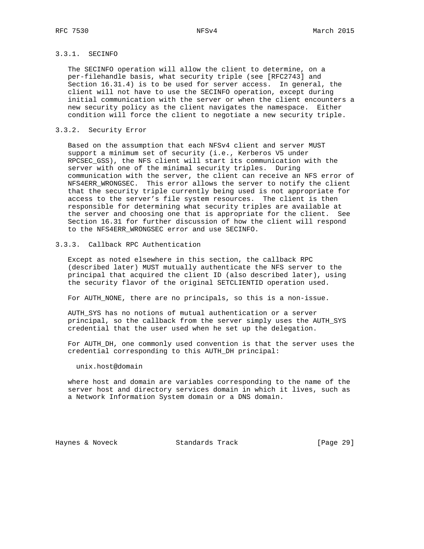# 3.3.1. SECINFO

 The SECINFO operation will allow the client to determine, on a per-filehandle basis, what security triple (see [RFC2743] and Section 16.31.4) is to be used for server access. In general, the client will not have to use the SECINFO operation, except during initial communication with the server or when the client encounters a new security policy as the client navigates the namespace. Either condition will force the client to negotiate a new security triple.

### 3.3.2. Security Error

 Based on the assumption that each NFSv4 client and server MUST support a minimum set of security (i.e., Kerberos V5 under RPCSEC\_GSS), the NFS client will start its communication with the server with one of the minimal security triples. During communication with the server, the client can receive an NFS error of NFS4ERR\_WRONGSEC. This error allows the server to notify the client that the security triple currently being used is not appropriate for access to the server's file system resources. The client is then responsible for determining what security triples are available at the server and choosing one that is appropriate for the client. See Section 16.31 for further discussion of how the client will respond to the NFS4ERR\_WRONGSEC error and use SECINFO.

### 3.3.3. Callback RPC Authentication

 Except as noted elsewhere in this section, the callback RPC (described later) MUST mutually authenticate the NFS server to the principal that acquired the client ID (also described later), using the security flavor of the original SETCLIENTID operation used.

For AUTH\_NONE, there are no principals, so this is a non-issue.

 AUTH\_SYS has no notions of mutual authentication or a server principal, so the callback from the server simply uses the AUTH\_SYS credential that the user used when he set up the delegation.

 For AUTH\_DH, one commonly used convention is that the server uses the credential corresponding to this AUTH\_DH principal:

### unix.host@domain

 where host and domain are variables corresponding to the name of the server host and directory services domain in which it lives, such as a Network Information System domain or a DNS domain.

Haynes & Noveck Standards Track [Page 29]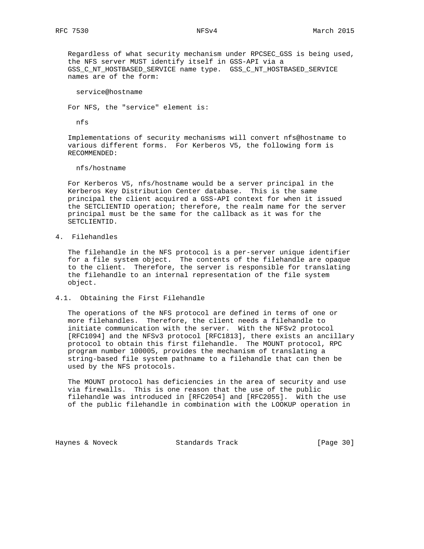Regardless of what security mechanism under RPCSEC\_GSS is being used, the NFS server MUST identify itself in GSS-API via a GSS\_C\_NT\_HOSTBASED\_SERVICE name type. GSS\_C\_NT\_HOSTBASED\_SERVICE names are of the form:

service@hostname

For NFS, the "service" element is:

nfs

 Implementations of security mechanisms will convert nfs@hostname to various different forms. For Kerberos V5, the following form is RECOMMENDED:

nfs/hostname

 For Kerberos V5, nfs/hostname would be a server principal in the Kerberos Key Distribution Center database. This is the same principal the client acquired a GSS-API context for when it issued the SETCLIENTID operation; therefore, the realm name for the server principal must be the same for the callback as it was for the SETCLIENTID.

4. Filehandles

 The filehandle in the NFS protocol is a per-server unique identifier for a file system object. The contents of the filehandle are opaque to the client. Therefore, the server is responsible for translating the filehandle to an internal representation of the file system object.

4.1. Obtaining the First Filehandle

 The operations of the NFS protocol are defined in terms of one or more filehandles. Therefore, the client needs a filehandle to initiate communication with the server. With the NFSv2 protocol [RFC1094] and the NFSv3 protocol [RFC1813], there exists an ancillary protocol to obtain this first filehandle. The MOUNT protocol, RPC program number 100005, provides the mechanism of translating a string-based file system pathname to a filehandle that can then be used by the NFS protocols.

 The MOUNT protocol has deficiencies in the area of security and use via firewalls. This is one reason that the use of the public filehandle was introduced in [RFC2054] and [RFC2055]. With the use of the public filehandle in combination with the LOOKUP operation in

Haynes & Noveck Standards Track [Page 30]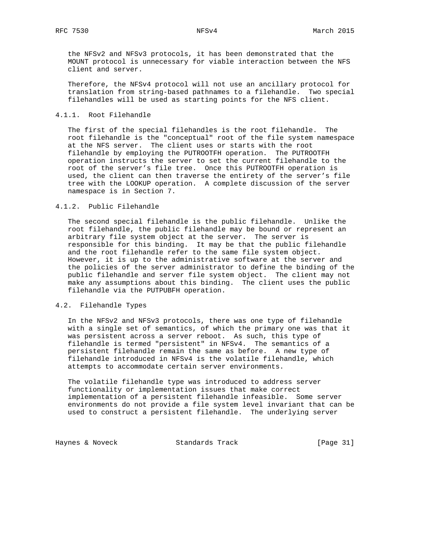the NFSv2 and NFSv3 protocols, it has been demonstrated that the MOUNT protocol is unnecessary for viable interaction between the NFS client and server.

 Therefore, the NFSv4 protocol will not use an ancillary protocol for translation from string-based pathnames to a filehandle. Two special filehandles will be used as starting points for the NFS client.

#### 4.1.1. Root Filehandle

 The first of the special filehandles is the root filehandle. The root filehandle is the "conceptual" root of the file system namespace at the NFS server. The client uses or starts with the root filehandle by employing the PUTROOTFH operation. The PUTROOTFH operation instructs the server to set the current filehandle to the root of the server's file tree. Once this PUTROOTFH operation is used, the client can then traverse the entirety of the server's file tree with the LOOKUP operation. A complete discussion of the server namespace is in Section 7.

## 4.1.2. Public Filehandle

 The second special filehandle is the public filehandle. Unlike the root filehandle, the public filehandle may be bound or represent an arbitrary file system object at the server. The server is responsible for this binding. It may be that the public filehandle and the root filehandle refer to the same file system object. However, it is up to the administrative software at the server and the policies of the server administrator to define the binding of the public filehandle and server file system object. The client may not make any assumptions about this binding. The client uses the public filehandle via the PUTPUBFH operation.

#### 4.2. Filehandle Types

 In the NFSv2 and NFSv3 protocols, there was one type of filehandle with a single set of semantics, of which the primary one was that it was persistent across a server reboot. As such, this type of filehandle is termed "persistent" in NFSv4. The semantics of a persistent filehandle remain the same as before. A new type of filehandle introduced in NFSv4 is the volatile filehandle, which attempts to accommodate certain server environments.

 The volatile filehandle type was introduced to address server functionality or implementation issues that make correct implementation of a persistent filehandle infeasible. Some server environments do not provide a file system level invariant that can be used to construct a persistent filehandle. The underlying server

Haynes & Noveck Standards Track [Page 31]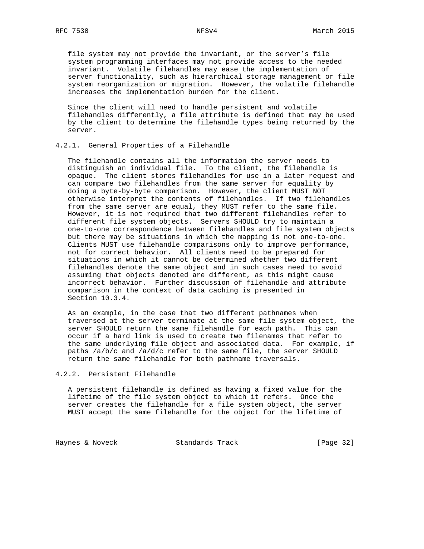file system may not provide the invariant, or the server's file system programming interfaces may not provide access to the needed invariant. Volatile filehandles may ease the implementation of server functionality, such as hierarchical storage management or file system reorganization or migration. However, the volatile filehandle increases the implementation burden for the client.

 Since the client will need to handle persistent and volatile filehandles differently, a file attribute is defined that may be used by the client to determine the filehandle types being returned by the server.

#### 4.2.1. General Properties of a Filehandle

 The filehandle contains all the information the server needs to distinguish an individual file. To the client, the filehandle is opaque. The client stores filehandles for use in a later request and can compare two filehandles from the same server for equality by doing a byte-by-byte comparison. However, the client MUST NOT otherwise interpret the contents of filehandles. If two filehandles from the same server are equal, they MUST refer to the same file. However, it is not required that two different filehandles refer to different file system objects. Servers SHOULD try to maintain a one-to-one correspondence between filehandles and file system objects but there may be situations in which the mapping is not one-to-one. Clients MUST use filehandle comparisons only to improve performance, not for correct behavior. All clients need to be prepared for situations in which it cannot be determined whether two different filehandles denote the same object and in such cases need to avoid assuming that objects denoted are different, as this might cause incorrect behavior. Further discussion of filehandle and attribute comparison in the context of data caching is presented in Section 10.3.4.

 As an example, in the case that two different pathnames when traversed at the server terminate at the same file system object, the server SHOULD return the same filehandle for each path. This can occur if a hard link is used to create two filenames that refer to the same underlying file object and associated data. For example, if paths  $/a/b/c$  and  $/a/d/c$  refer to the same file, the server SHOULD return the same filehandle for both pathname traversals.

4.2.2. Persistent Filehandle

 A persistent filehandle is defined as having a fixed value for the lifetime of the file system object to which it refers. Once the server creates the filehandle for a file system object, the server MUST accept the same filehandle for the object for the lifetime of

Haynes & Noveck Standards Track [Page 32]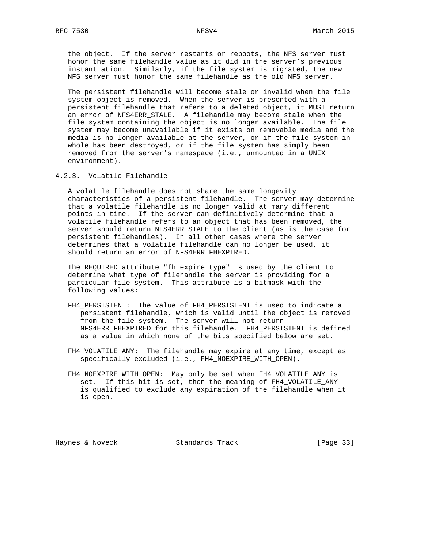the object. If the server restarts or reboots, the NFS server must honor the same filehandle value as it did in the server's previous instantiation. Similarly, if the file system is migrated, the new NFS server must honor the same filehandle as the old NFS server.

 The persistent filehandle will become stale or invalid when the file system object is removed. When the server is presented with a persistent filehandle that refers to a deleted object, it MUST return an error of NFS4ERR\_STALE. A filehandle may become stale when the file system containing the object is no longer available. The file system may become unavailable if it exists on removable media and the media is no longer available at the server, or if the file system in whole has been destroyed, or if the file system has simply been removed from the server's namespace (i.e., unmounted in a UNIX environment).

4.2.3. Volatile Filehandle

 A volatile filehandle does not share the same longevity characteristics of a persistent filehandle. The server may determine that a volatile filehandle is no longer valid at many different points in time. If the server can definitively determine that a volatile filehandle refers to an object that has been removed, the server should return NFS4ERR\_STALE to the client (as is the case for persistent filehandles). In all other cases where the server determines that a volatile filehandle can no longer be used, it should return an error of NFS4ERR\_FHEXPIRED.

 The REQUIRED attribute "fh\_expire\_type" is used by the client to determine what type of filehandle the server is providing for a particular file system. This attribute is a bitmask with the following values:

- FH4\_PERSISTENT: The value of FH4\_PERSISTENT is used to indicate a persistent filehandle, which is valid until the object is removed from the file system. The server will not return NFS4ERR\_FHEXPIRED for this filehandle. FH4\_PERSISTENT is defined as a value in which none of the bits specified below are set.
- FH4 VOLATILE ANY: The filehandle may expire at any time, except as specifically excluded (i.e., FH4\_NOEXPIRE\_WITH\_OPEN).
- FH4\_NOEXPIRE\_WITH\_OPEN: May only be set when FH4\_VOLATILE\_ANY is set. If this bit is set, then the meaning of FH4\_VOLATILE\_ANY is qualified to exclude any expiration of the filehandle when it is open.

Haynes & Noveck Standards Track [Page 33]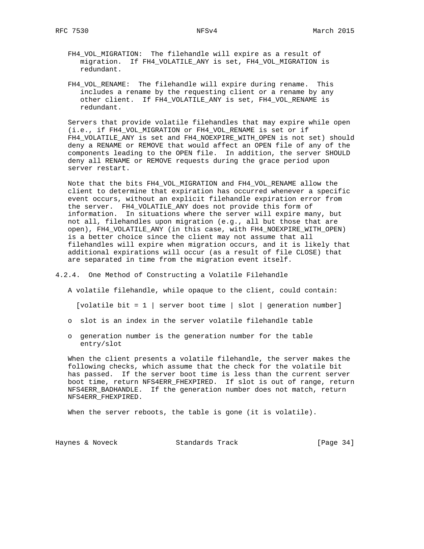- FH4\_VOL\_MIGRATION: The filehandle will expire as a result of migration. If FH4\_VOLATILE\_ANY is set, FH4\_VOL\_MIGRATION is redundant.
- FH4\_VOL\_RENAME: The filehandle will expire during rename. This includes a rename by the requesting client or a rename by any other client. If FH4\_VOLATILE\_ANY is set, FH4\_VOL\_RENAME is redundant.

 Servers that provide volatile filehandles that may expire while open (i.e., if FH4\_VOL\_MIGRATION or FH4\_VOL\_RENAME is set or if FH4\_VOLATILE\_ANY is set and FH4\_NOEXPIRE\_WITH\_OPEN is not set) should deny a RENAME or REMOVE that would affect an OPEN file of any of the components leading to the OPEN file. In addition, the server SHOULD deny all RENAME or REMOVE requests during the grace period upon server restart.

 Note that the bits FH4\_VOL\_MIGRATION and FH4\_VOL\_RENAME allow the client to determine that expiration has occurred whenever a specific event occurs, without an explicit filehandle expiration error from the server. FH4\_VOLATILE\_ANY does not provide this form of information. In situations where the server will expire many, but not all, filehandles upon migration (e.g., all but those that are open), FH4\_VOLATILE\_ANY (in this case, with FH4\_NOEXPIRE\_WITH\_OPEN) is a better choice since the client may not assume that all filehandles will expire when migration occurs, and it is likely that additional expirations will occur (as a result of file CLOSE) that are separated in time from the migration event itself.

#### 4.2.4. One Method of Constructing a Volatile Filehandle

- A volatile filehandle, while opaque to the client, could contain: [volatile bit = 1 | server boot time | slot | generation number]
- o slot is an index in the server volatile filehandle table
- o generation number is the generation number for the table entry/slot

 When the client presents a volatile filehandle, the server makes the following checks, which assume that the check for the volatile bit has passed. If the server boot time is less than the current server boot time, return NFS4ERR\_FHEXPIRED. If slot is out of range, return NFS4ERR\_BADHANDLE. If the generation number does not match, return NFS4ERR\_FHEXPIRED.

When the server reboots, the table is gone (it is volatile).

Haynes & Noveck Standards Track [Page 34]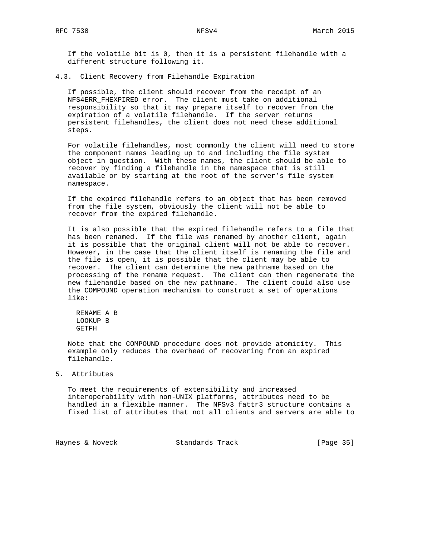If the volatile bit is 0, then it is a persistent filehandle with a different structure following it.

4.3. Client Recovery from Filehandle Expiration

 If possible, the client should recover from the receipt of an NFS4ERR\_FHEXPIRED error. The client must take on additional responsibility so that it may prepare itself to recover from the expiration of a volatile filehandle. If the server returns persistent filehandles, the client does not need these additional steps.

 For volatile filehandles, most commonly the client will need to store the component names leading up to and including the file system object in question. With these names, the client should be able to recover by finding a filehandle in the namespace that is still available or by starting at the root of the server's file system namespace.

 If the expired filehandle refers to an object that has been removed from the file system, obviously the client will not be able to recover from the expired filehandle.

 It is also possible that the expired filehandle refers to a file that has been renamed. If the file was renamed by another client, again it is possible that the original client will not be able to recover. However, in the case that the client itself is renaming the file and the file is open, it is possible that the client may be able to recover. The client can determine the new pathname based on the processing of the rename request. The client can then regenerate the new filehandle based on the new pathname. The client could also use the COMPOUND operation mechanism to construct a set of operations like:

 RENAME A B LOOKUP B GETFH

 Note that the COMPOUND procedure does not provide atomicity. This example only reduces the overhead of recovering from an expired filehandle.

#### 5. Attributes

 To meet the requirements of extensibility and increased interoperability with non-UNIX platforms, attributes need to be handled in a flexible manner. The NFSv3 fattr3 structure contains a fixed list of attributes that not all clients and servers are able to

Haynes & Noveck Standards Track [Page 35]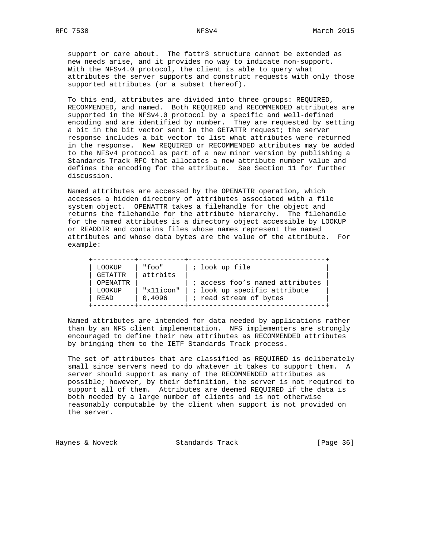support or care about. The fattr3 structure cannot be extended as new needs arise, and it provides no way to indicate non-support. With the NFSv4.0 protocol, the client is able to query what attributes the server supports and construct requests with only those supported attributes (or a subset thereof).

 To this end, attributes are divided into three groups: REQUIRED, RECOMMENDED, and named. Both REQUIRED and RECOMMENDED attributes are supported in the NFSv4.0 protocol by a specific and well-defined encoding and are identified by number. They are requested by setting a bit in the bit vector sent in the GETATTR request; the server response includes a bit vector to list what attributes were returned in the response. New REQUIRED or RECOMMENDED attributes may be added to the NFSv4 protocol as part of a new minor version by publishing a Standards Track RFC that allocates a new attribute number value and defines the encoding for the attribute. See Section 11 for further discussion.

 Named attributes are accessed by the OPENATTR operation, which accesses a hidden directory of attributes associated with a file system object. OPENATTR takes a filehandle for the object and returns the filehandle for the attribute hierarchy. The filehandle for the named attributes is a directory object accessible by LOOKUP or READDIR and contains files whose names represent the named attributes and whose data bytes are the value of the attribute. For example:

+----------+-----------+---------------------------------+

| LOOKUP  | "foo"     | ; look up file                  |  |
|---------|-----------|---------------------------------|--|
| GETATTR | attrbits  |                                 |  |
|         | OPENATTR  | ; access foo's named attributes |  |
| LOOKUP  | "x11icon" | ; look up specific attribute    |  |
| READ    | 0.4096    | ; read stream of bytes          |  |
|         |           |                                 |  |

 Named attributes are intended for data needed by applications rather than by an NFS client implementation. NFS implementers are strongly encouraged to define their new attributes as RECOMMENDED attributes by bringing them to the IETF Standards Track process.

 The set of attributes that are classified as REQUIRED is deliberately small since servers need to do whatever it takes to support them. A server should support as many of the RECOMMENDED attributes as possible; however, by their definition, the server is not required to support all of them. Attributes are deemed REQUIRED if the data is both needed by a large number of clients and is not otherwise reasonably computable by the client when support is not provided on the server.

Haynes & Noveck Standards Track [Page 36]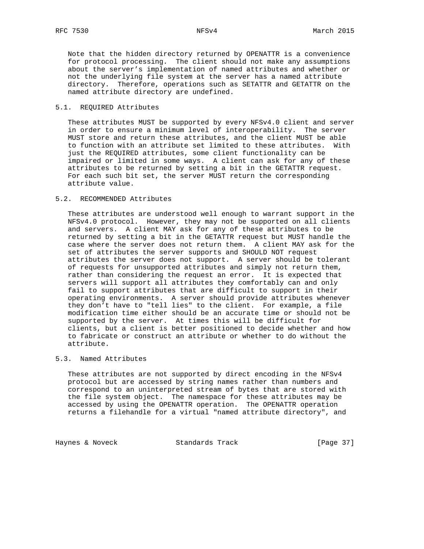Note that the hidden directory returned by OPENATTR is a convenience for protocol processing. The client should not make any assumptions about the server's implementation of named attributes and whether or not the underlying file system at the server has a named attribute directory. Therefore, operations such as SETATTR and GETATTR on the named attribute directory are undefined.

## 5.1. REQUIRED Attributes

 These attributes MUST be supported by every NFSv4.0 client and server in order to ensure a minimum level of interoperability. The server MUST store and return these attributes, and the client MUST be able to function with an attribute set limited to these attributes. With just the REQUIRED attributes, some client functionality can be impaired or limited in some ways. A client can ask for any of these attributes to be returned by setting a bit in the GETATTR request. For each such bit set, the server MUST return the corresponding attribute value.

## 5.2. RECOMMENDED Attributes

 These attributes are understood well enough to warrant support in the NFSv4.0 protocol. However, they may not be supported on all clients and servers. A client MAY ask for any of these attributes to be returned by setting a bit in the GETATTR request but MUST handle the case where the server does not return them. A client MAY ask for the set of attributes the server supports and SHOULD NOT request attributes the server does not support. A server should be tolerant of requests for unsupported attributes and simply not return them, rather than considering the request an error. It is expected that servers will support all attributes they comfortably can and only fail to support attributes that are difficult to support in their operating environments. A server should provide attributes whenever they don't have to "tell lies" to the client. For example, a file modification time either should be an accurate time or should not be supported by the server. At times this will be difficult for clients, but a client is better positioned to decide whether and how to fabricate or construct an attribute or whether to do without the attribute.

## 5.3. Named Attributes

 These attributes are not supported by direct encoding in the NFSv4 protocol but are accessed by string names rather than numbers and correspond to an uninterpreted stream of bytes that are stored with the file system object. The namespace for these attributes may be accessed by using the OPENATTR operation. The OPENATTR operation returns a filehandle for a virtual "named attribute directory", and

Haynes & Noveck Standards Track [Page 37]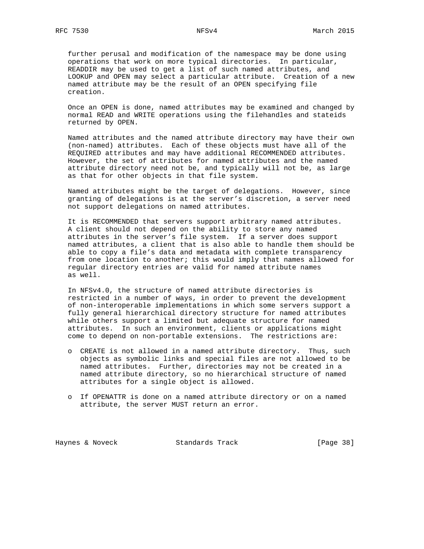further perusal and modification of the namespace may be done using operations that work on more typical directories. In particular, READDIR may be used to get a list of such named attributes, and LOOKUP and OPEN may select a particular attribute. Creation of a new named attribute may be the result of an OPEN specifying file creation.

 Once an OPEN is done, named attributes may be examined and changed by normal READ and WRITE operations using the filehandles and stateids returned by OPEN.

 Named attributes and the named attribute directory may have their own (non-named) attributes. Each of these objects must have all of the REQUIRED attributes and may have additional RECOMMENDED attributes. However, the set of attributes for named attributes and the named attribute directory need not be, and typically will not be, as large as that for other objects in that file system.

 Named attributes might be the target of delegations. However, since granting of delegations is at the server's discretion, a server need not support delegations on named attributes.

 It is RECOMMENDED that servers support arbitrary named attributes. A client should not depend on the ability to store any named attributes in the server's file system. If a server does support named attributes, a client that is also able to handle them should be able to copy a file's data and metadata with complete transparency from one location to another; this would imply that names allowed for regular directory entries are valid for named attribute names as well.

 In NFSv4.0, the structure of named attribute directories is restricted in a number of ways, in order to prevent the development of non-interoperable implementations in which some servers support a fully general hierarchical directory structure for named attributes while others support a limited but adequate structure for named attributes. In such an environment, clients or applications might come to depend on non-portable extensions. The restrictions are:

- o CREATE is not allowed in a named attribute directory. Thus, such objects as symbolic links and special files are not allowed to be named attributes. Further, directories may not be created in a named attribute directory, so no hierarchical structure of named attributes for a single object is allowed.
- o If OPENATTR is done on a named attribute directory or on a named attribute, the server MUST return an error.

Haynes & Noveck Standards Track [Page 38]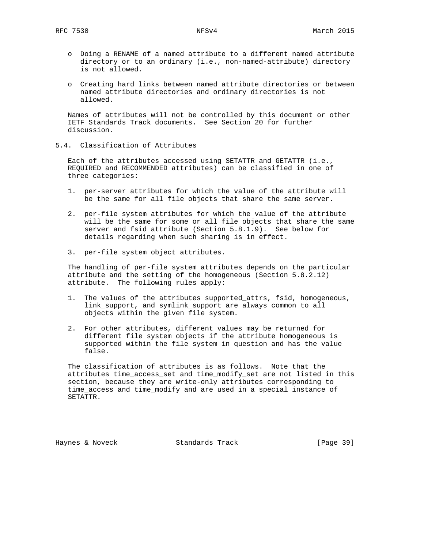- o Doing a RENAME of a named attribute to a different named attribute directory or to an ordinary (i.e., non-named-attribute) directory is not allowed.
- o Creating hard links between named attribute directories or between named attribute directories and ordinary directories is not allowed.

 Names of attributes will not be controlled by this document or other IETF Standards Track documents. See Section 20 for further discussion.

5.4. Classification of Attributes

 Each of the attributes accessed using SETATTR and GETATTR (i.e., REQUIRED and RECOMMENDED attributes) can be classified in one of three categories:

- 1. per-server attributes for which the value of the attribute will be the same for all file objects that share the same server.
- 2. per-file system attributes for which the value of the attribute will be the same for some or all file objects that share the same server and fsid attribute (Section 5.8.1.9). See below for details regarding when such sharing is in effect.
- 3. per-file system object attributes.

 The handling of per-file system attributes depends on the particular attribute and the setting of the homogeneous (Section 5.8.2.12) attribute. The following rules apply:

- 1. The values of the attributes supported\_attrs, fsid, homogeneous, link\_support, and symlink\_support are always common to all objects within the given file system.
- 2. For other attributes, different values may be returned for different file system objects if the attribute homogeneous is supported within the file system in question and has the value false.

 The classification of attributes is as follows. Note that the attributes time\_access\_set and time\_modify\_set are not listed in this section, because they are write-only attributes corresponding to time\_access and time\_modify and are used in a special instance of SETATTR.

Haynes & Noveck Standards Track [Page 39]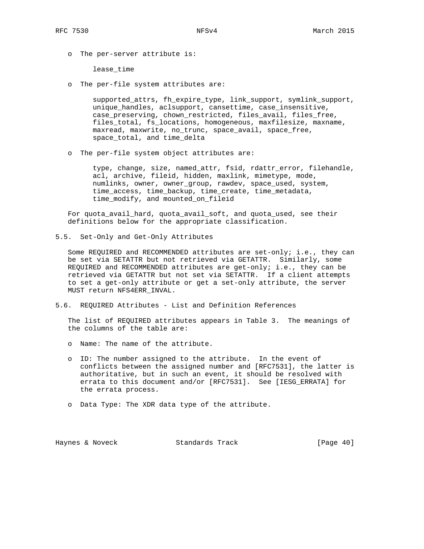o The per-server attribute is:

lease\_time

o The per-file system attributes are:

 supported\_attrs, fh\_expire\_type, link\_support, symlink\_support, unique\_handles, aclsupport, cansettime, case\_insensitive, case\_preserving, chown\_restricted, files\_avail, files\_free, files\_total, fs\_locations, homogeneous, maxfilesize, maxname, maxread, maxwrite, no\_trunc, space\_avail, space\_free, space\_total, and time\_delta

o The per-file system object attributes are:

 type, change, size, named\_attr, fsid, rdattr\_error, filehandle, acl, archive, fileid, hidden, maxlink, mimetype, mode, numlinks, owner, owner\_group, rawdev, space\_used, system, time\_access, time\_backup, time\_create, time\_metadata, time\_modify, and mounted\_on\_fileid

 For quota\_avail\_hard, quota\_avail\_soft, and quota\_used, see their definitions below for the appropriate classification.

5.5. Set-Only and Get-Only Attributes

 Some REQUIRED and RECOMMENDED attributes are set-only; i.e., they can be set via SETATTR but not retrieved via GETATTR. Similarly, some REQUIRED and RECOMMENDED attributes are get-only; i.e., they can be retrieved via GETATTR but not set via SETATTR. If a client attempts to set a get-only attribute or get a set-only attribute, the server MUST return NFS4ERR\_INVAL.

5.6. REQUIRED Attributes - List and Definition References

 The list of REQUIRED attributes appears in Table 3. The meanings of the columns of the table are:

- o Name: The name of the attribute.
- o ID: The number assigned to the attribute. In the event of conflicts between the assigned number and [RFC7531], the latter is authoritative, but in such an event, it should be resolved with errata to this document and/or [RFC7531]. See [IESG\_ERRATA] for the errata process.
- o Data Type: The XDR data type of the attribute.

Haynes & Noveck Standards Track [Page 40]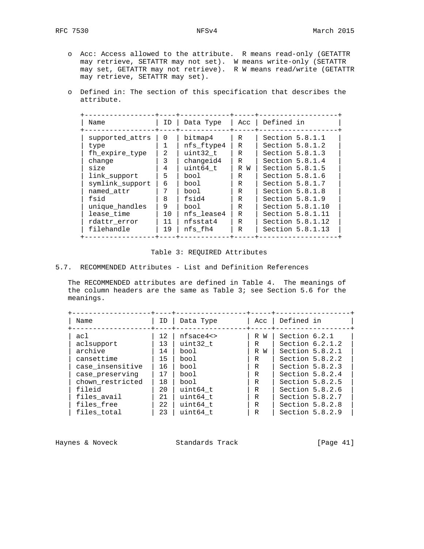- o Acc: Access allowed to the attribute. R means read-only (GETATTR may retrieve, SETATTR may not set). W means write-only (SETATTR may set, GETATTR may not retrieve). R W means read/write (GETATTR may retrieve, SETATTR may set).
	- o Defined in: The section of this specification that describes the attribute.

| Name            | ID | Data Type  |     | Acc   Defined in  |
|-----------------|----|------------|-----|-------------------|
| supported attrs | 0  | bitmap4    | R   | Section $5.8.1.1$ |
| type            | 1  | nfs ftype4 | R   | Section $5.8.1.2$ |
| fh expire type  | 2  | uint32 t   | R   | Section $5.8.1.3$ |
| change          | 3  | changeid4  | R   | Section $5.8.1.4$ |
| size            | 4  | uint64 t   | R W | Section $5.8.1.5$ |
| link support    | 5  | bool       | R   | Section $5.8.1.6$ |
| symlink_support | 6  | bool       | R   | Section 5.8.1.7   |
| named attr      | 7  | bool       | R   | Section $5.8.1.8$ |
| fsid            | 8  | fsid4      | R   | Section $5.8.1.9$ |
| unique handles  | 9  | bool       | R   | Section 5.8.1.10  |
| lease time      | 10 | nfs lease4 | R   | Section 5.8.1.11  |
| rdattr error    | 11 | nfsstat4   | R   | Section 5.8.1.12  |
| filehandle      | 19 | nfs fh4    | R   | Section 5.8.1.13  |

## Table 3: REQUIRED Attributes

## 5.7. RECOMMENDED Attributes - List and Definition References

 The RECOMMENDED attributes are defined in Table 4. The meanings of the column headers are the same as Table 3; see Section 5.6 for the meanings.

| Name                                                                              | ID.                              | Data Type                                           | Acc                                  | Defined in                                                                                                             |
|-----------------------------------------------------------------------------------|----------------------------------|-----------------------------------------------------|--------------------------------------|------------------------------------------------------------------------------------------------------------------------|
| acl<br>aclsupport<br>archive<br>cansettime<br>case insensitive<br>case_preserving | 12<br>13<br>14<br>15<br>16<br>17 | nfsace4<br>uint32 t<br>bool<br>bool<br>bool<br>bool | R<br>W<br>R<br>R<br>W<br>R<br>R<br>R | Section 6.2.1<br>Section $6.2.1.2$<br>Section $5.8.2.1$<br>Section $5.8.2.2$<br>Section $5.8.2.3$<br>Section $5.8.2.4$ |
| chown restricted                                                                  | 18                               | bool                                                | R                                    | Section $5.8.2.5$                                                                                                      |
| fileid                                                                            | 20                               | uint64 t                                            | $\mathbb{R}$                         | Section $5.8.2.6$                                                                                                      |
| files avail                                                                       | 21                               | uint64 t                                            | R                                    | Section 5.8.2.7                                                                                                        |
| files free                                                                        | 22                               | uint64 t                                            | R                                    | Section 5.8.2.8                                                                                                        |
| files total                                                                       | 23                               | uint64 t                                            | R                                    | Section $5.8.2.9$                                                                                                      |

Haynes & Noveck Standards Track [Page 41]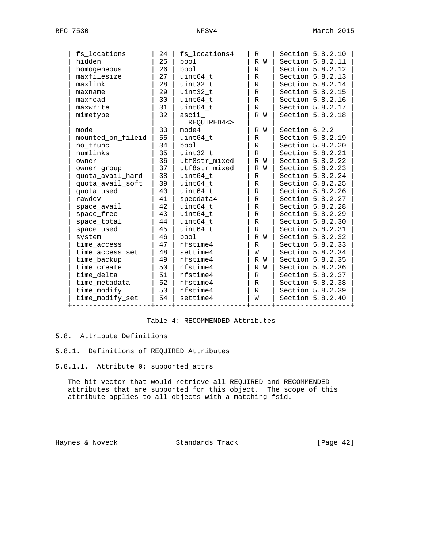| fs locations      | 24 | fs_locations4 | R            | Section 5.8.2.10 |
|-------------------|----|---------------|--------------|------------------|
| hidden            | 25 | bool          | R W          | Section 5.8.2.11 |
| homogeneous       | 26 | bool          | R            | Section 5.8.2.12 |
| maxfilesize       | 27 | uint64_t      | R            | Section 5.8.2.13 |
| maxlink           | 28 | uint32_t      | $\mathbb{R}$ | Section 5.8.2.14 |
| maxname           | 29 | uint32_t      | R            | Section 5.8.2.15 |
| maxread           | 30 | uint64_t      | R            | Section 5.8.2.16 |
| maxwrite          | 31 | uint64_t      | $\mathbb R$  | Section 5.8.2.17 |
| mimetype          | 32 | ascii         | R W          | Section 5.8.2.18 |
|                   |    | REOUIRED4<>   |              |                  |
| mode              | 33 | mode4         | R W          | Section 6.2.2    |
| mounted_on_fileid | 55 | uint64 t      | $\mathbb{R}$ | Section 5.8.2.19 |
| no trunc          | 34 | bool          | $\mathbb{R}$ | Section 5.8.2.20 |
| numlinks          | 35 | uint32_t      | R            | Section 5.8.2.21 |
| owner             | 36 | utf8str mixed | R W          | Section 5.8.2.22 |
| owner_group       | 37 | utf8str_mixed | R W          | Section 5.8.2.23 |
| quota_avail_hard  | 38 | uint64_t      | $\mathbb{R}$ | Section 5.8.2.24 |
| quota_avail_soft  | 39 | uint64 t      | R            | Section 5.8.2.25 |
| quota_used        | 40 | uint64_t      | R            | Section 5.8.2.26 |
| rawdev            | 41 | specdata4     | $\mathbb{R}$ | Section 5.8.2.27 |
| space_avail       | 42 | uint64 t      | $\mathbb{R}$ | Section 5.8.2.28 |
| space free        | 43 | uint64 t      | $\mathbb{R}$ | Section 5.8.2.29 |
| space_total       | 44 | uint64 t      | $\mathbb{R}$ | Section 5.8.2.30 |
| space used        | 45 | uint64 t      | R            | Section 5.8.2.31 |
| system            | 46 | bool          | R W          | Section 5.8.2.32 |
| time access       | 47 | nfstime4      | R            | Section 5.8.2.33 |
| time_access_set   | 48 | settime4      | W            | Section 5.8.2.34 |
| time_backup       | 49 | nfstime4      | R W          | Section 5.8.2.35 |
| time_create       | 50 | nfstime4      | R W          | Section 5.8.2.36 |
| time delta        | 51 | nfstime4      | R            | Section 5.8.2.37 |
| time metadata     | 52 | nfstime4      | $\mathbb{R}$ | Section 5.8.2.38 |
| time modify       | 53 | nfstime4      | R            | Section 5.8.2.39 |
| time modify set   | 54 | settime4      | W            | Section 5.8.2.40 |
|                   |    |               |              |                  |

# Table 4: RECOMMENDED Attributes

# 5.8. Attribute Definitions

# 5.8.1. Definitions of REQUIRED Attributes

5.8.1.1. Attribute 0: supported\_attrs

 The bit vector that would retrieve all REQUIRED and RECOMMENDED attributes that are supported for this object. The scope of this attribute applies to all objects with a matching fsid.

Haynes & Noveck Standards Track [Page 42]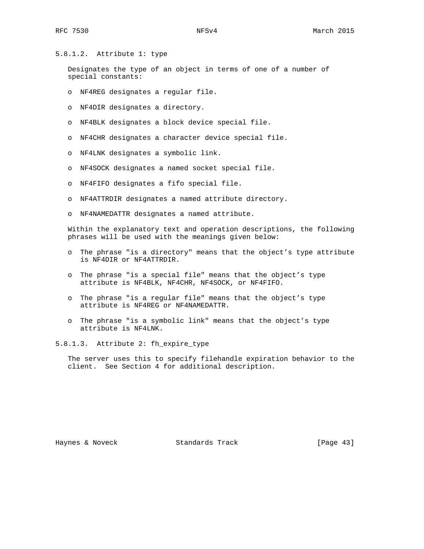## 5.8.1.2. Attribute 1: type

 Designates the type of an object in terms of one of a number of special constants:

- o NF4REG designates a regular file.
- o NF4DIR designates a directory.
- o NF4BLK designates a block device special file.
- o NF4CHR designates a character device special file.
- o NF4LNK designates a symbolic link.
- o NF4SOCK designates a named socket special file.
- o NF4FIFO designates a fifo special file.
- o NF4ATTRDIR designates a named attribute directory.
- o NF4NAMEDATTR designates a named attribute.

 Within the explanatory text and operation descriptions, the following phrases will be used with the meanings given below:

- o The phrase "is a directory" means that the object's type attribute is NF4DIR or NF4ATTRDIR.
- o The phrase "is a special file" means that the object's type attribute is NF4BLK, NF4CHR, NF4SOCK, or NF4FIFO.
- o The phrase "is a regular file" means that the object's type attribute is NF4REG or NF4NAMEDATTR.
- o The phrase "is a symbolic link" means that the object's type attribute is NF4LNK.

5.8.1.3. Attribute 2: fh\_expire\_type

 The server uses this to specify filehandle expiration behavior to the client. See Section 4 for additional description.

Haynes & Noveck Standards Track [Page 43]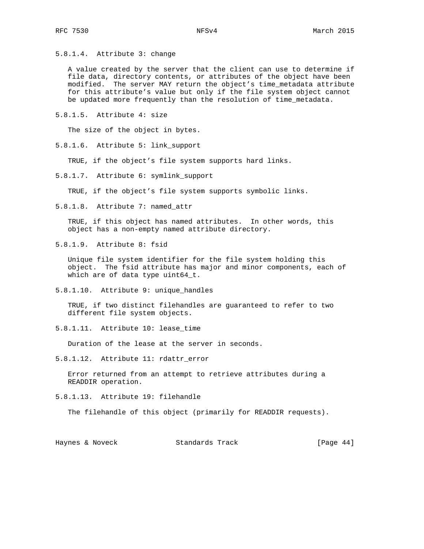5.8.1.4. Attribute 3: change

 A value created by the server that the client can use to determine if file data, directory contents, or attributes of the object have been modified. The server MAY return the object's time\_metadata attribute for this attribute's value but only if the file system object cannot be updated more frequently than the resolution of time\_metadata.

5.8.1.5. Attribute 4: size

The size of the object in bytes.

5.8.1.6. Attribute 5: link\_support

TRUE, if the object's file system supports hard links.

5.8.1.7. Attribute 6: symlink\_support

TRUE, if the object's file system supports symbolic links.

5.8.1.8. Attribute 7: named\_attr

 TRUE, if this object has named attributes. In other words, this object has a non-empty named attribute directory.

5.8.1.9. Attribute 8: fsid

 Unique file system identifier for the file system holding this object. The fsid attribute has major and minor components, each of which are of data type uint64\_t.

5.8.1.10. Attribute 9: unique\_handles

 TRUE, if two distinct filehandles are guaranteed to refer to two different file system objects.

5.8.1.11. Attribute 10: lease\_time

Duration of the lease at the server in seconds.

5.8.1.12. Attribute 11: rdattr\_error

 Error returned from an attempt to retrieve attributes during a READDIR operation.

5.8.1.13. Attribute 19: filehandle

The filehandle of this object (primarily for READDIR requests).

Haynes & Noveck Standards Track [Page 44]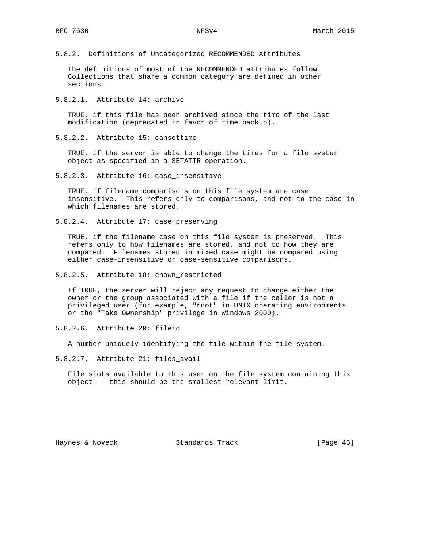5.8.2. Definitions of Uncategorized RECOMMENDED Attributes

 The definitions of most of the RECOMMENDED attributes follow. Collections that share a common category are defined in other sections.

5.8.2.1. Attribute 14: archive

 TRUE, if this file has been archived since the time of the last modification (deprecated in favor of time\_backup).

5.8.2.2. Attribute 15: cansettime

 TRUE, if the server is able to change the times for a file system object as specified in a SETATTR operation.

5.8.2.3. Attribute 16: case\_insensitive

 TRUE, if filename comparisons on this file system are case insensitive. This refers only to comparisons, and not to the case in which filenames are stored.

5.8.2.4. Attribute 17: case\_preserving

 TRUE, if the filename case on this file system is preserved. This refers only to how filenames are stored, and not to how they are compared. Filenames stored in mixed case might be compared using either case-insensitive or case-sensitive comparisons.

5.8.2.5. Attribute 18: chown\_restricted

 If TRUE, the server will reject any request to change either the owner or the group associated with a file if the caller is not a privileged user (for example, "root" in UNIX operating environments or the "Take Ownership" privilege in Windows 2000).

5.8.2.6. Attribute 20: fileid

A number uniquely identifying the file within the file system.

5.8.2.7. Attribute 21: files\_avail

 File slots available to this user on the file system containing this object -- this should be the smallest relevant limit.

Haynes & Noveck Standards Track [Page 45]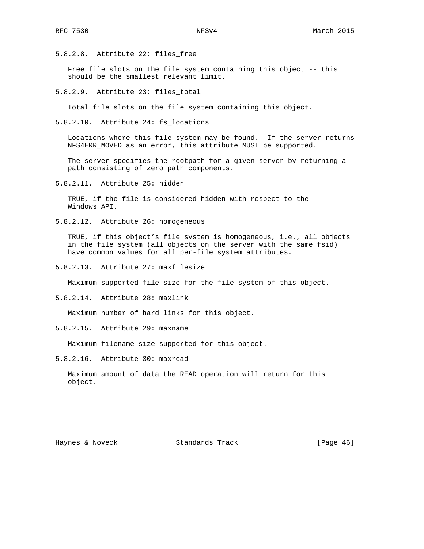5.8.2.8. Attribute 22: files\_free

Free file slots on the file system containing this object -- this should be the smallest relevant limit.

5.8.2.9. Attribute 23: files\_total

Total file slots on the file system containing this object.

5.8.2.10. Attribute 24: fs\_locations

 Locations where this file system may be found. If the server returns NFS4ERR\_MOVED as an error, this attribute MUST be supported.

 The server specifies the rootpath for a given server by returning a path consisting of zero path components.

5.8.2.11. Attribute 25: hidden

 TRUE, if the file is considered hidden with respect to the Windows API.

5.8.2.12. Attribute 26: homogeneous

 TRUE, if this object's file system is homogeneous, i.e., all objects in the file system (all objects on the server with the same fsid) have common values for all per-file system attributes.

5.8.2.13. Attribute 27: maxfilesize

Maximum supported file size for the file system of this object.

5.8.2.14. Attribute 28: maxlink

Maximum number of hard links for this object.

5.8.2.15. Attribute 29: maxname

Maximum filename size supported for this object.

5.8.2.16. Attribute 30: maxread

 Maximum amount of data the READ operation will return for this object.

Haynes & Noveck Standards Track [Page 46]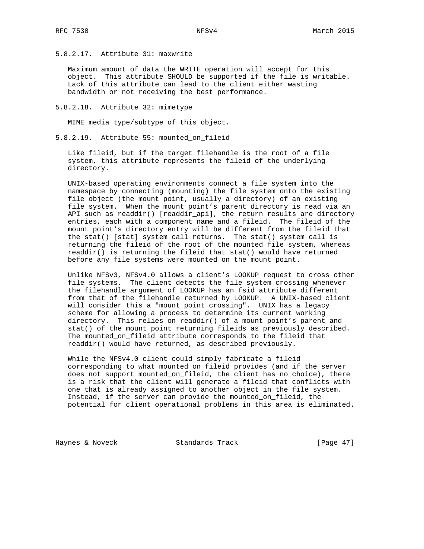5.8.2.17. Attribute 31: maxwrite

 Maximum amount of data the WRITE operation will accept for this object. This attribute SHOULD be supported if the file is writable. Lack of this attribute can lead to the client either wasting bandwidth or not receiving the best performance.

5.8.2.18. Attribute 32: mimetype

MIME media type/subtype of this object.

5.8.2.19. Attribute 55: mounted\_on\_fileid

 Like fileid, but if the target filehandle is the root of a file system, this attribute represents the fileid of the underlying directory.

 UNIX-based operating environments connect a file system into the namespace by connecting (mounting) the file system onto the existing file object (the mount point, usually a directory) of an existing file system. When the mount point's parent directory is read via an API such as readdir() [readdir\_api], the return results are directory entries, each with a component name and a fileid. The fileid of the mount point's directory entry will be different from the fileid that the stat() [stat] system call returns. The stat() system call is returning the fileid of the root of the mounted file system, whereas readdir() is returning the fileid that stat() would have returned before any file systems were mounted on the mount point.

 Unlike NFSv3, NFSv4.0 allows a client's LOOKUP request to cross other file systems. The client detects the file system crossing whenever the filehandle argument of LOOKUP has an fsid attribute different from that of the filehandle returned by LOOKUP. A UNIX-based client will consider this a "mount point crossing". UNIX has a legacy scheme for allowing a process to determine its current working directory. This relies on readdir() of a mount point's parent and stat() of the mount point returning fileids as previously described. The mounted\_on\_fileid attribute corresponds to the fileid that readdir() would have returned, as described previously.

 While the NFSv4.0 client could simply fabricate a fileid corresponding to what mounted\_on\_fileid provides (and if the server does not support mounted\_on\_fileid, the client has no choice), there is a risk that the client will generate a fileid that conflicts with one that is already assigned to another object in the file system. Instead, if the server can provide the mounted\_on\_fileid, the potential for client operational problems in this area is eliminated.

Haynes & Noveck Standards Track [Page 47]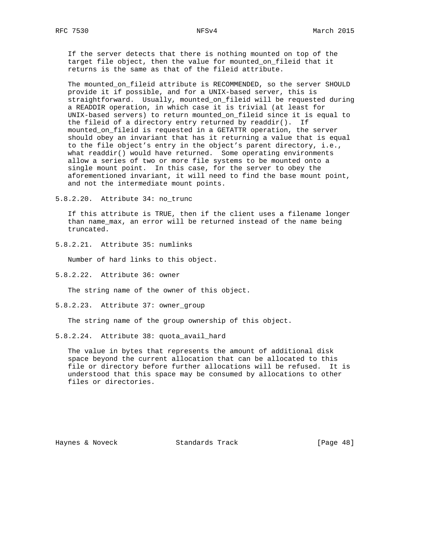If the server detects that there is nothing mounted on top of the target file object, then the value for mounted\_on\_fileid that it returns is the same as that of the fileid attribute.

 The mounted\_on\_fileid attribute is RECOMMENDED, so the server SHOULD provide it if possible, and for a UNIX-based server, this is straightforward. Usually, mounted\_on\_fileid will be requested during a READDIR operation, in which case it is trivial (at least for UNIX-based servers) to return mounted\_on\_fileid since it is equal to the fileid of a directory entry returned by  $readdir()$ . If mounted\_on\_fileid is requested in a GETATTR operation, the server should obey an invariant that has it returning a value that is equal to the file object's entry in the object's parent directory, i.e., what readdir() would have returned. Some operating environments allow a series of two or more file systems to be mounted onto a single mount point. In this case, for the server to obey the aforementioned invariant, it will need to find the base mount point, and not the intermediate mount points.

5.8.2.20. Attribute 34: no\_trunc

 If this attribute is TRUE, then if the client uses a filename longer than name\_max, an error will be returned instead of the name being truncated.

5.8.2.21. Attribute 35: numlinks

Number of hard links to this object.

5.8.2.22. Attribute 36: owner

The string name of the owner of this object.

5.8.2.23. Attribute 37: owner\_group

The string name of the group ownership of this object.

5.8.2.24. Attribute 38: quota\_avail\_hard

 The value in bytes that represents the amount of additional disk space beyond the current allocation that can be allocated to this file or directory before further allocations will be refused. It is understood that this space may be consumed by allocations to other files or directories.

Haynes & Noveck Standards Track [Page 48]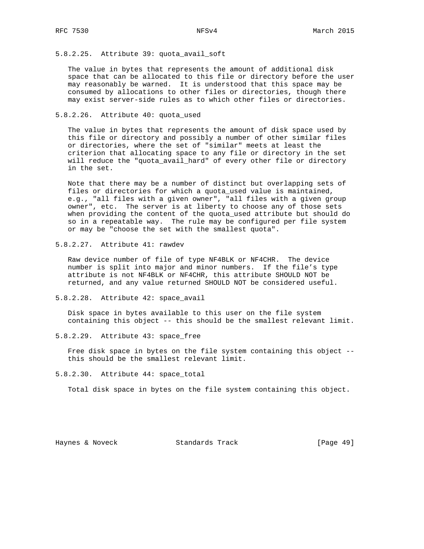# 5.8.2.25. Attribute 39: quota\_avail\_soft

 The value in bytes that represents the amount of additional disk space that can be allocated to this file or directory before the user may reasonably be warned. It is understood that this space may be consumed by allocations to other files or directories, though there may exist server-side rules as to which other files or directories.

## 5.8.2.26. Attribute 40: quota\_used

 The value in bytes that represents the amount of disk space used by this file or directory and possibly a number of other similar files or directories, where the set of "similar" meets at least the criterion that allocating space to any file or directory in the set will reduce the "quota\_avail\_hard" of every other file or directory in the set.

 Note that there may be a number of distinct but overlapping sets of files or directories for which a quota\_used value is maintained, e.g., "all files with a given owner", "all files with a given group owner", etc. The server is at liberty to choose any of those sets when providing the content of the quota\_used attribute but should do so in a repeatable way. The rule may be configured per file system or may be "choose the set with the smallest quota".

5.8.2.27. Attribute 41: rawdev

 Raw device number of file of type NF4BLK or NF4CHR. The device number is split into major and minor numbers. If the file's type attribute is not NF4BLK or NF4CHR, this attribute SHOULD NOT be returned, and any value returned SHOULD NOT be considered useful.

5.8.2.28. Attribute 42: space\_avail

 Disk space in bytes available to this user on the file system containing this object -- this should be the smallest relevant limit.

5.8.2.29. Attribute 43: space\_free

 Free disk space in bytes on the file system containing this object - this should be the smallest relevant limit.

5.8.2.30. Attribute 44: space\_total

Total disk space in bytes on the file system containing this object.

Haynes & Noveck Standards Track [Page 49]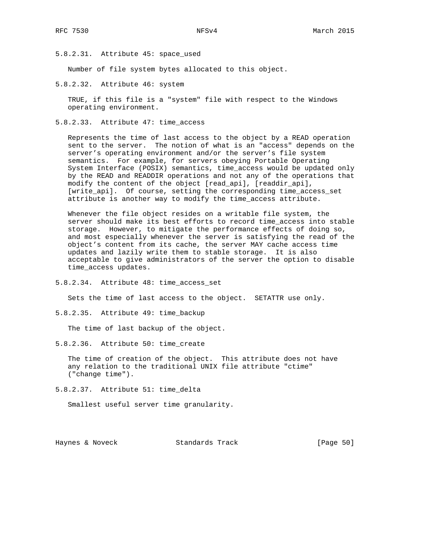5.8.2.31. Attribute 45: space\_used

Number of file system bytes allocated to this object.

5.8.2.32. Attribute 46: system

 TRUE, if this file is a "system" file with respect to the Windows operating environment.

5.8.2.33. Attribute 47: time\_access

 Represents the time of last access to the object by a READ operation sent to the server. The notion of what is an "access" depends on the server's operating environment and/or the server's file system semantics. For example, for servers obeying Portable Operating System Interface (POSIX) semantics, time\_access would be updated only by the READ and READDIR operations and not any of the operations that modify the content of the object [read\_api], [readdir\_api], [write\_api]. Of course, setting the corresponding time\_access\_set attribute is another way to modify the time\_access attribute.

 Whenever the file object resides on a writable file system, the server should make its best efforts to record time\_access into stable storage. However, to mitigate the performance effects of doing so, and most especially whenever the server is satisfying the read of the object's content from its cache, the server MAY cache access time updates and lazily write them to stable storage. It is also acceptable to give administrators of the server the option to disable time\_access updates.

5.8.2.34. Attribute 48: time\_access\_set

Sets the time of last access to the object. SETATTR use only.

5.8.2.35. Attribute 49: time\_backup

The time of last backup of the object.

5.8.2.36. Attribute 50: time\_create

 The time of creation of the object. This attribute does not have any relation to the traditional UNIX file attribute "ctime" ("change time").

5.8.2.37. Attribute 51: time\_delta

Smallest useful server time granularity.

Haynes & Noveck Standards Track [Page 50]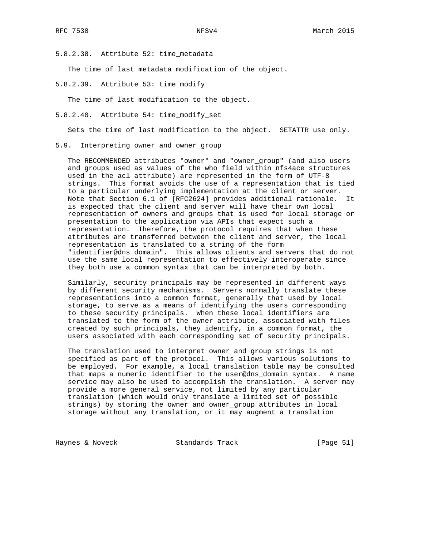5.8.2.38. Attribute 52: time\_metadata

The time of last metadata modification of the object.

5.8.2.39. Attribute 53: time\_modify

The time of last modification to the object.

5.8.2.40. Attribute 54: time\_modify\_set

Sets the time of last modification to the object. SETATTR use only.

5.9. Interpreting owner and owner\_group

 The RECOMMENDED attributes "owner" and "owner\_group" (and also users and groups used as values of the who field within nfs4ace structures used in the acl attribute) are represented in the form of UTF-8 strings. This format avoids the use of a representation that is tied to a particular underlying implementation at the client or server. Note that Section 6.1 of [RFC2624] provides additional rationale. It is expected that the client and server will have their own local representation of owners and groups that is used for local storage or presentation to the application via APIs that expect such a representation. Therefore, the protocol requires that when these attributes are transferred between the client and server, the local representation is translated to a string of the form "identifier@dns\_domain". This allows clients and servers that do not use the same local representation to effectively interoperate since they both use a common syntax that can be interpreted by both.

 Similarly, security principals may be represented in different ways by different security mechanisms. Servers normally translate these representations into a common format, generally that used by local storage, to serve as a means of identifying the users corresponding to these security principals. When these local identifiers are translated to the form of the owner attribute, associated with files created by such principals, they identify, in a common format, the users associated with each corresponding set of security principals.

 The translation used to interpret owner and group strings is not specified as part of the protocol. This allows various solutions to be employed. For example, a local translation table may be consulted that maps a numeric identifier to the user@dns\_domain syntax. A name service may also be used to accomplish the translation. A server may provide a more general service, not limited by any particular translation (which would only translate a limited set of possible strings) by storing the owner and owner\_group attributes in local storage without any translation, or it may augment a translation

Haynes & Noveck Standards Track [Page 51]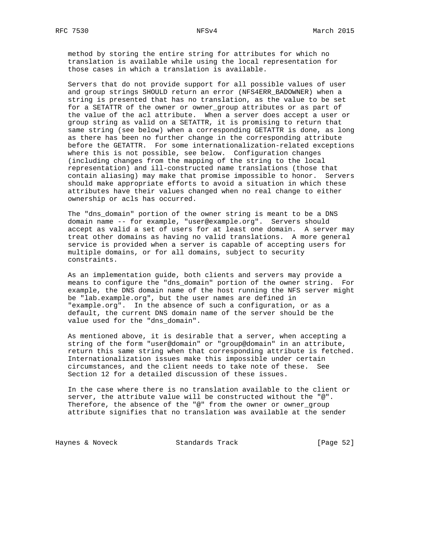method by storing the entire string for attributes for which no translation is available while using the local representation for those cases in which a translation is available.

 Servers that do not provide support for all possible values of user and group strings SHOULD return an error (NFS4ERR\_BADOWNER) when a string is presented that has no translation, as the value to be set for a SETATTR of the owner or owner\_group attributes or as part of the value of the acl attribute. When a server does accept a user or group string as valid on a SETATTR, it is promising to return that same string (see below) when a corresponding GETATTR is done, as long as there has been no further change in the corresponding attribute before the GETATTR. For some internationalization-related exceptions where this is not possible, see below. Configuration changes (including changes from the mapping of the string to the local representation) and ill-constructed name translations (those that contain aliasing) may make that promise impossible to honor. Servers should make appropriate efforts to avoid a situation in which these attributes have their values changed when no real change to either ownership or acls has occurred.

 The "dns\_domain" portion of the owner string is meant to be a DNS domain name -- for example, "user@example.org". Servers should accept as valid a set of users for at least one domain. A server may treat other domains as having no valid translations. A more general service is provided when a server is capable of accepting users for multiple domains, or for all domains, subject to security constraints.

 As an implementation guide, both clients and servers may provide a means to configure the "dns\_domain" portion of the owner string. For example, the DNS domain name of the host running the NFS server might be "lab.example.org", but the user names are defined in "example.org". In the absence of such a configuration, or as a default, the current DNS domain name of the server should be the value used for the "dns\_domain".

 As mentioned above, it is desirable that a server, when accepting a string of the form "user@domain" or "group@domain" in an attribute, return this same string when that corresponding attribute is fetched. Internationalization issues make this impossible under certain circumstances, and the client needs to take note of these. See Section 12 for a detailed discussion of these issues.

 In the case where there is no translation available to the client or server, the attribute value will be constructed without the "@". Therefore, the absence of the "@" from the owner or owner\_group attribute signifies that no translation was available at the sender

Haynes & Noveck Standards Track [Page 52]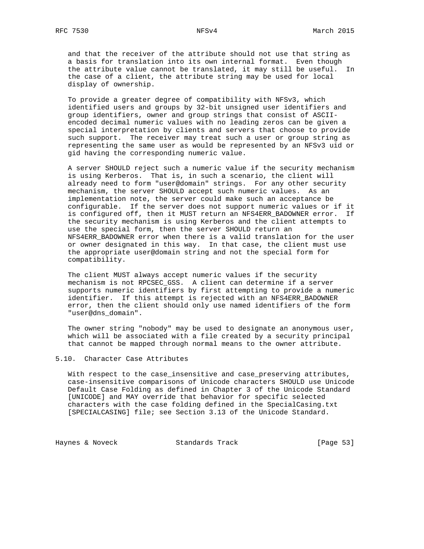and that the receiver of the attribute should not use that string as a basis for translation into its own internal format. Even though the attribute value cannot be translated, it may still be useful. In the case of a client, the attribute string may be used for local display of ownership.

 To provide a greater degree of compatibility with NFSv3, which identified users and groups by 32-bit unsigned user identifiers and group identifiers, owner and group strings that consist of ASCII encoded decimal numeric values with no leading zeros can be given a special interpretation by clients and servers that choose to provide such support. The receiver may treat such a user or group string as representing the same user as would be represented by an NFSv3 uid or gid having the corresponding numeric value.

 A server SHOULD reject such a numeric value if the security mechanism is using Kerberos. That is, in such a scenario, the client will already need to form "user@domain" strings. For any other security mechanism, the server SHOULD accept such numeric values. As an implementation note, the server could make such an acceptance be configurable. If the server does not support numeric values or if it is configured off, then it MUST return an NFS4ERR\_BADOWNER error. If the security mechanism is using Kerberos and the client attempts to use the special form, then the server SHOULD return an NFS4ERR\_BADOWNER error when there is a valid translation for the user or owner designated in this way. In that case, the client must use the appropriate user@domain string and not the special form for compatibility.

 The client MUST always accept numeric values if the security mechanism is not RPCSEC\_GSS. A client can determine if a server supports numeric identifiers by first attempting to provide a numeric identifier. If this attempt is rejected with an NFS4ERR\_BADOWNER error, then the client should only use named identifiers of the form "user@dns\_domain".

 The owner string "nobody" may be used to designate an anonymous user, which will be associated with a file created by a security principal that cannot be mapped through normal means to the owner attribute.

#### 5.10. Character Case Attributes

 With respect to the case\_insensitive and case\_preserving attributes, case-insensitive comparisons of Unicode characters SHOULD use Unicode Default Case Folding as defined in Chapter 3 of the Unicode Standard [UNICODE] and MAY override that behavior for specific selected characters with the case folding defined in the SpecialCasing.txt [SPECIALCASING] file; see Section 3.13 of the Unicode Standard.

Haynes & Noveck Standards Track [Page 53]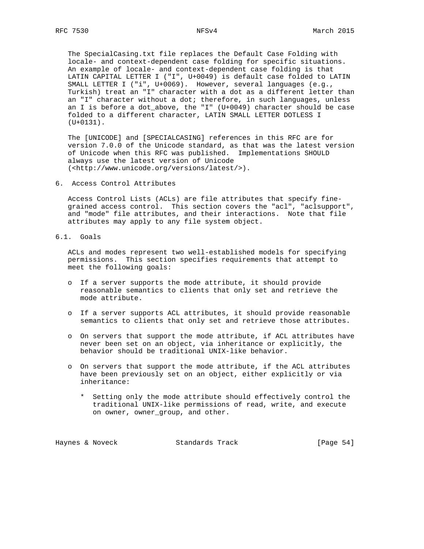The SpecialCasing.txt file replaces the Default Case Folding with locale- and context-dependent case folding for specific situations. An example of locale- and context-dependent case folding is that LATIN CAPITAL LETTER I ("I", U+0049) is default case folded to LATIN SMALL LETTER I ("i", U+0069). However, several languages (e.g., Turkish) treat an "I" character with a dot as a different letter than an "I" character without a dot; therefore, in such languages, unless an I is before a dot\_above, the "I" (U+0049) character should be case folded to a different character, LATIN SMALL LETTER DOTLESS I (U+0131).

 The [UNICODE] and [SPECIALCASING] references in this RFC are for version 7.0.0 of the Unicode standard, as that was the latest version of Unicode when this RFC was published. Implementations SHOULD always use the latest version of Unicode (<http://www.unicode.org/versions/latest/>).

6. Access Control Attributes

 Access Control Lists (ACLs) are file attributes that specify fine grained access control. This section covers the "acl", "aclsupport", and "mode" file attributes, and their interactions. Note that file attributes may apply to any file system object.

6.1. Goals

 ACLs and modes represent two well-established models for specifying permissions. This section specifies requirements that attempt to meet the following goals:

- o If a server supports the mode attribute, it should provide reasonable semantics to clients that only set and retrieve the mode attribute.
- o If a server supports ACL attributes, it should provide reasonable semantics to clients that only set and retrieve those attributes.
- o On servers that support the mode attribute, if ACL attributes have never been set on an object, via inheritance or explicitly, the behavior should be traditional UNIX-like behavior.
- o On servers that support the mode attribute, if the ACL attributes have been previously set on an object, either explicitly or via inheritance:
	- \* Setting only the mode attribute should effectively control the traditional UNIX-like permissions of read, write, and execute on owner, owner\_group, and other.

| Standards Track<br>Haynes & Noveck | [Page $54$ ] |  |
|------------------------------------|--------------|--|
|------------------------------------|--------------|--|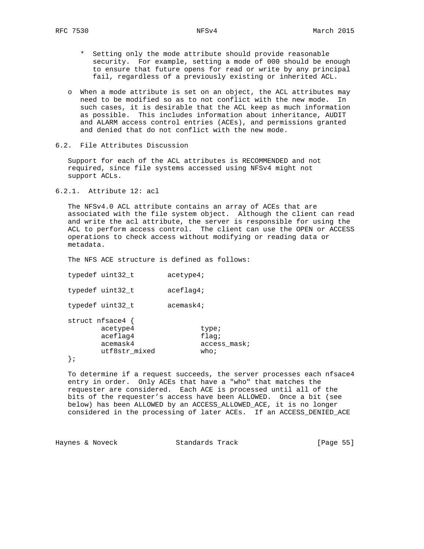- \* Setting only the mode attribute should provide reasonable security. For example, setting a mode of 000 should be enough to ensure that future opens for read or write by any principal fail, regardless of a previously existing or inherited ACL.
- o When a mode attribute is set on an object, the ACL attributes may need to be modified so as to not conflict with the new mode. In such cases, it is desirable that the ACL keep as much information as possible. This includes information about inheritance, AUDIT and ALARM access control entries (ACEs), and permissions granted and denied that do not conflict with the new mode.
- 6.2. File Attributes Discussion

 Support for each of the ACL attributes is RECOMMENDED and not required, since file systems accessed using NFSv4 might not support ACLs.

6.2.1. Attribute 12: acl

 The NFSv4.0 ACL attribute contains an array of ACEs that are associated with the file system object. Although the client can read and write the acl attribute, the server is responsible for using the ACL to perform access control. The client can use the OPEN or ACCESS operations to check access without modifying or reading data or metadata.

The NFS ACE structure is defined as follows:

typedef uint32\_t acetype4;

typedef uint32\_t aceflag4;

typedef uint32 t acemask4;

|  | struct $nf$ sace4 { |                    |
|--|---------------------|--------------------|
|  | acetype4            | type;              |
|  | aceflag4            | flaq;              |
|  | acemask4            | access mask;       |
|  | utf8str_mixed       | who $\mathfrak{i}$ |
|  |                     |                    |

};

 To determine if a request succeeds, the server processes each nfsace4 entry in order. Only ACEs that have a "who" that matches the requester are considered. Each ACE is processed until all of the bits of the requester's access have been ALLOWED. Once a bit (see below) has been ALLOWED by an ACCESS\_ALLOWED\_ACE, it is no longer considered in the processing of later ACEs. If an ACCESS\_DENIED\_ACE

Haynes & Noveck Standards Track [Page 55]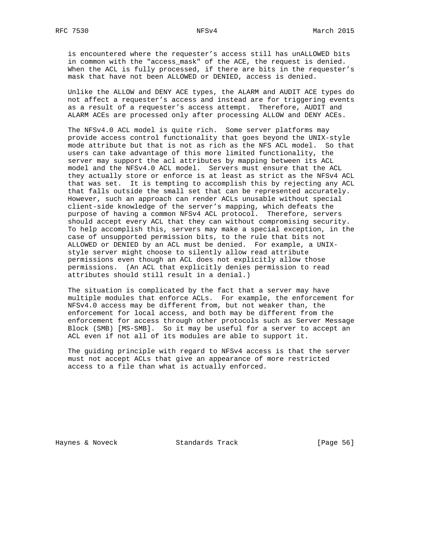is encountered where the requester's access still has unALLOWED bits in common with the "access\_mask" of the ACE, the request is denied. When the ACL is fully processed, if there are bits in the requester's mask that have not been ALLOWED or DENIED, access is denied.

 Unlike the ALLOW and DENY ACE types, the ALARM and AUDIT ACE types do not affect a requester's access and instead are for triggering events as a result of a requester's access attempt. Therefore, AUDIT and ALARM ACEs are processed only after processing ALLOW and DENY ACEs.

 The NFSv4.0 ACL model is quite rich. Some server platforms may provide access control functionality that goes beyond the UNIX-style mode attribute but that is not as rich as the NFS ACL model. So that users can take advantage of this more limited functionality, the server may support the acl attributes by mapping between its ACL model and the NFSv4.0 ACL model. Servers must ensure that the ACL they actually store or enforce is at least as strict as the NFSv4 ACL that was set. It is tempting to accomplish this by rejecting any ACL that falls outside the small set that can be represented accurately. However, such an approach can render ACLs unusable without special client-side knowledge of the server's mapping, which defeats the purpose of having a common NFSv4 ACL protocol. Therefore, servers should accept every ACL that they can without compromising security. To help accomplish this, servers may make a special exception, in the case of unsupported permission bits, to the rule that bits not ALLOWED or DENIED by an ACL must be denied. For example, a UNIX style server might choose to silently allow read attribute permissions even though an ACL does not explicitly allow those permissions. (An ACL that explicitly denies permission to read attributes should still result in a denial.)

 The situation is complicated by the fact that a server may have multiple modules that enforce ACLs. For example, the enforcement for NFSv4.0 access may be different from, but not weaker than, the enforcement for local access, and both may be different from the enforcement for access through other protocols such as Server Message Block (SMB) [MS-SMB]. So it may be useful for a server to accept an ACL even if not all of its modules are able to support it.

 The guiding principle with regard to NFSv4 access is that the server must not accept ACLs that give an appearance of more restricted access to a file than what is actually enforced.

Haynes & Noveck Standards Track [Page 56]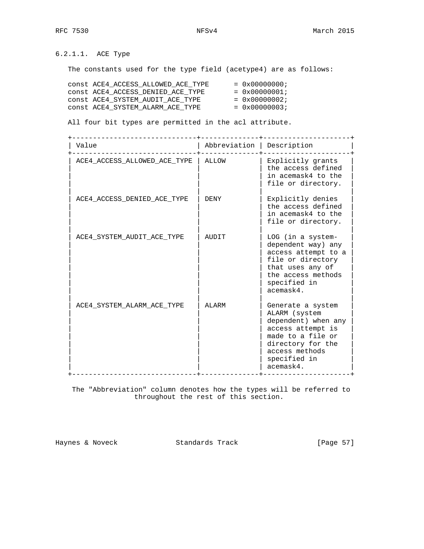6.2.1.1. ACE Type

The constants used for the type field (acetype4) are as follows:

| CONST ACE4 ACCESS ALLOWED ACE TYPE | $= 0x00000000;$        |
|------------------------------------|------------------------|
| CONSt ACE4 ACCESS DENIED ACE TYPE  | $= 0 \times 00000001;$ |
| CONSt ACE4 SYSTEM AUDIT ACE TYPE   | $= 0 \times 00000002;$ |
| CONSt ACE4 SYSTEM ALARM ACE TYPE   | $= 0 \times 00000003;$ |

All four bit types are permitted in the acl attribute.

 +------------------------------+--------------+---------------------+ | Abbreviation | Description |

| ACE4 ACCESS ALLOWED ACE TYPE | ALLOW | Explicitly grants<br>the access defined<br>in acemask4 to the<br>file or directory.                                                                                     |
|------------------------------|-------|-------------------------------------------------------------------------------------------------------------------------------------------------------------------------|
| ACE4 ACCESS DENIED ACE TYPE  | DENY  | Explicitly denies<br>the access defined<br>in acemask4 to the<br>file or directory.                                                                                     |
| ACE4 SYSTEM AUDIT ACE TYPE   | AUDIT | LOG (in a system-<br>dependent way) any<br>access attempt to a<br>file or directory<br>that uses any of<br>the access methods<br>specified in<br>acemask4.              |
| ACE4 SYSTEM ALARM ACE TYPE   | ALARM | Generate a system<br>ALARM (system<br>dependent) when any<br>access attempt is<br>made to a file or<br>directory for the<br>access methods<br>specified in<br>acemask4. |

 The "Abbreviation" column denotes how the types will be referred to throughout the rest of this section.

Haynes & Noveck Standards Track [Page 57]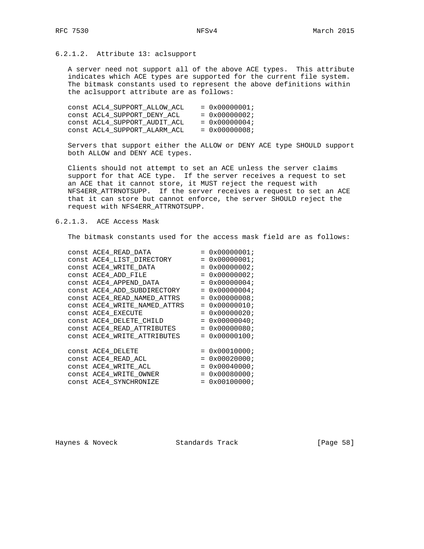# 6.2.1.2. Attribute 13: aclsupport

 A server need not support all of the above ACE types. This attribute indicates which ACE types are supported for the current file system. The bitmask constants used to represent the above definitions within the aclsupport attribute are as follows:

| CONSt ACL4_SUPPORT_ALLOW ACL | $= 0x00000001;$        |
|------------------------------|------------------------|
| CONSt ACL4 SUPPORT DENY ACL  | $= 0 \times 00000002;$ |
| CONSt ACL4 SUPPORT AUDIT ACL | $= 0 \times 00000004;$ |
| CONSt ACL4 SUPPORT ALARM ACL | $= 0x00000008;$        |

 Servers that support either the ALLOW or DENY ACE type SHOULD support both ALLOW and DENY ACE types.

 Clients should not attempt to set an ACE unless the server claims support for that ACE type. If the server receives a request to set an ACE that it cannot store, it MUST reject the request with NFS4ERR\_ATTRNOTSUPP. If the server receives a request to set an ACE that it can store but cannot enforce, the server SHOULD reject the request with NFS4ERR\_ATTRNOTSUPP.

# 6.2.1.3. ACE Access Mask

The bitmask constants used for the access mask field are as follows:

| CONSt ACE4 READ DATA         | $= 0x00000001;$        |
|------------------------------|------------------------|
| CONSt ACE4 LIST DIRECTORY    | $= 0 \times 00000001;$ |
| CONSt ACE4 WRITE DATA        | $= 0 \times 00000002;$ |
| CONSt ACE4_ADD_FILE          | $= 0x00000002;$        |
| CONSt ACE4_APPEND DATA       | $= 0x00000004;$        |
| const ACE4_ADD_SUBDIRECTORY  | $= 0x00000004;$        |
| CONSt ACE4 READ NAMED ATTRS  | $= 0x00000008;$        |
| CONSt ACE4_WRITE_NAMED_ATTRS | $= 0x00000010;$        |
| CONSt ACE4 EXECUTE           | $= 0x00000020;$        |
| CONSt ACE4 DELETE CHILD      | $= 0 \times 00000040;$ |
| const ACE4 READ ATTRIBUTES   | $= 0 \times 00000080;$ |
| CONSt ACE4_WRITE_ATTRIBUTES  | $= 0 \times 00000100;$ |
|                              |                        |
| CONSt ACE4_DELETE            | $= 0x00010000;$        |
| CONSt ACE4 READ ACL          | $= 0x00020000;$        |
| CONSt ACE4 WRITE ACL         | $= 0x00040000;$        |
| CONSt ACE4 WRITE OWNER       | $= 0x00080000;$        |
| CONSt ACE4 SYNCHRONIZE       | $= 0 \times 00100000i$ |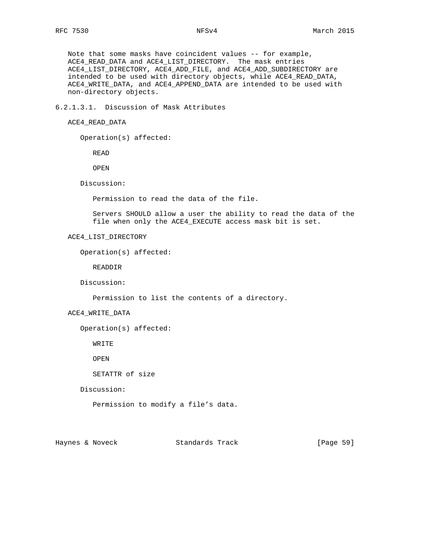Note that some masks have coincident values -- for example, ACE4\_READ\_DATA and ACE4\_LIST\_DIRECTORY. The mask entries ACE4\_LIST\_DIRECTORY, ACE4\_ADD\_FILE, and ACE4\_ADD\_SUBDIRECTORY are intended to be used with directory objects, while ACE4\_READ\_DATA, ACE4\_WRITE\_DATA, and ACE4\_APPEND\_DATA are intended to be used with non-directory objects.

6.2.1.3.1. Discussion of Mask Attributes

```
 ACE4_READ_DATA
```
Operation(s) affected:

READ

OPEN

Discussion:

Permission to read the data of the file.

 Servers SHOULD allow a user the ability to read the data of the file when only the ACE4\_EXECUTE access mask bit is set.

## ACE4\_LIST\_DIRECTORY

```
 Operation(s) affected:
```
READDIR

Discussion:

Permission to list the contents of a directory.

ACE4\_WRITE\_DATA

Operation(s) affected:

WRITE

OPEN

SETATTR of size

Discussion:

Permission to modify a file's data.

Haynes & Noveck Standards Track [Page 59]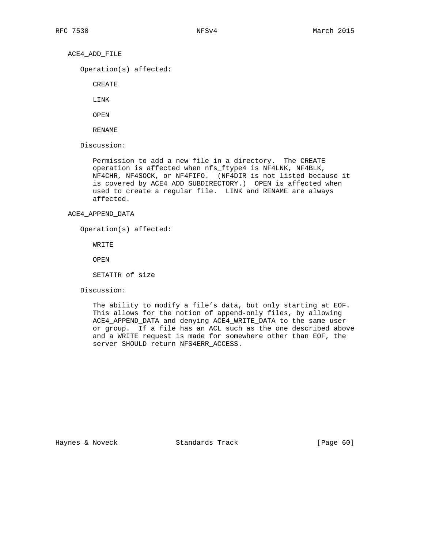ACE4\_ADD\_FILE

Operation(s) affected:

CREATE

LINK

OPEN

RENAME

Discussion:

 Permission to add a new file in a directory. The CREATE operation is affected when nfs\_ftype4 is NF4LNK, NF4BLK, NF4CHR, NF4SOCK, or NF4FIFO. (NF4DIR is not listed because it is covered by ACE4\_ADD\_SUBDIRECTORY.) OPEN is affected when used to create a regular file. LINK and RENAME are always affected.

#### ACE4\_APPEND\_DATA

Operation(s) affected:

WRITE

OPEN

SETATTR of size

Discussion:

 The ability to modify a file's data, but only starting at EOF. This allows for the notion of append-only files, by allowing ACE4\_APPEND\_DATA and denying ACE4\_WRITE\_DATA to the same user or group. If a file has an ACL such as the one described above and a WRITE request is made for somewhere other than EOF, the server SHOULD return NFS4ERR\_ACCESS.

Haynes & Noveck Standards Track [Page 60]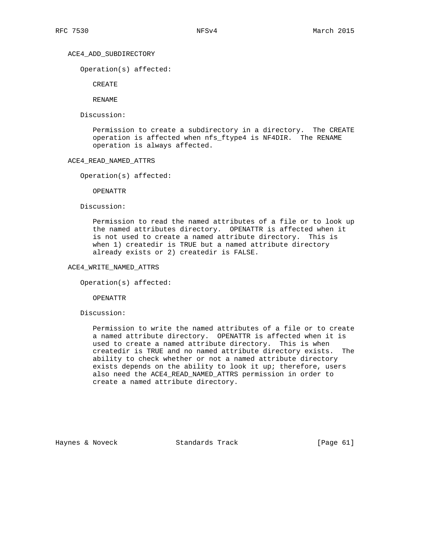## ACE4\_ADD\_SUBDIRECTORY

Operation(s) affected:

CREATE

RENAME

Discussion:

 Permission to create a subdirectory in a directory. The CREATE operation is affected when nfs\_ftype4 is NF4DIR. The RENAME operation is always affected.

## ACE4\_READ\_NAMED\_ATTRS

Operation(s) affected:

OPENATTR

Discussion:

 Permission to read the named attributes of a file or to look up the named attributes directory. OPENATTR is affected when it is not used to create a named attribute directory. This is when 1) createdir is TRUE but a named attribute directory already exists or 2) createdir is FALSE.

## ACE4\_WRITE\_NAMED\_ATTRS

Operation(s) affected:

OPENATTR

Discussion:

 Permission to write the named attributes of a file or to create a named attribute directory. OPENATTR is affected when it is used to create a named attribute directory. This is when createdir is TRUE and no named attribute directory exists. The ability to check whether or not a named attribute directory exists depends on the ability to look it up; therefore, users also need the ACE4\_READ\_NAMED\_ATTRS permission in order to create a named attribute directory.

Haynes & Noveck Standards Track [Page 61]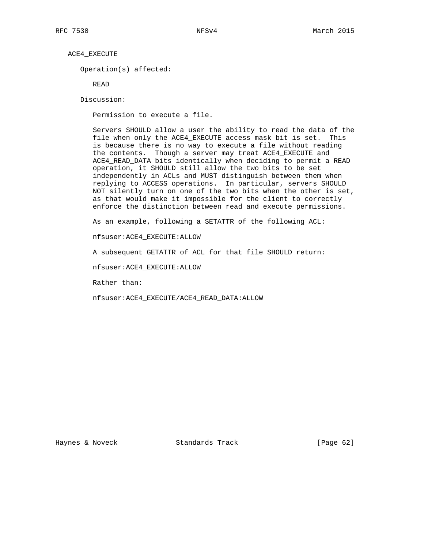ACE4\_EXECUTE

Operation(s) affected:

READ

Discussion:

Permission to execute a file.

 Servers SHOULD allow a user the ability to read the data of the file when only the ACE4\_EXECUTE access mask bit is set. This is because there is no way to execute a file without reading the contents. Though a server may treat ACE4\_EXECUTE and ACE4\_READ\_DATA bits identically when deciding to permit a READ operation, it SHOULD still allow the two bits to be set independently in ACLs and MUST distinguish between them when replying to ACCESS operations. In particular, servers SHOULD NOT silently turn on one of the two bits when the other is set, as that would make it impossible for the client to correctly enforce the distinction between read and execute permissions.

As an example, following a SETATTR of the following ACL:

nfsuser:ACE4\_EXECUTE:ALLOW

A subsequent GETATTR of ACL for that file SHOULD return:

nfsuser:ACE4\_EXECUTE:ALLOW

Rather than:

nfsuser:ACE4\_EXECUTE/ACE4\_READ\_DATA:ALLOW

Haynes & Noveck Standards Track [Page 62]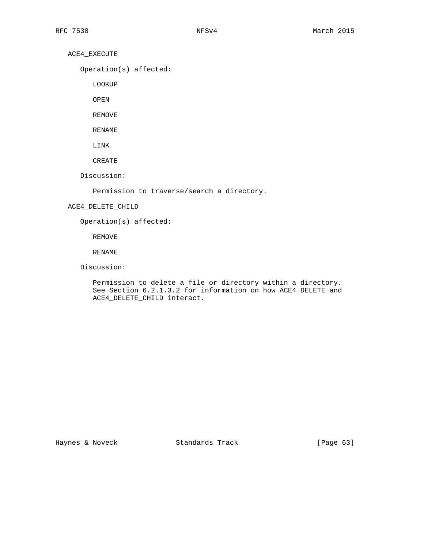ACE4\_EXECUTE

Operation(s) affected:

LOOKUP

OPEN

REMOVE

RENAME

LINK

CREATE

Discussion:

Permission to traverse/search a directory.

## ACE4\_DELETE\_CHILD

Operation(s) affected:

REMOVE

RENAME

Discussion:

 Permission to delete a file or directory within a directory. See Section 6.2.1.3.2 for information on how ACE4\_DELETE and ACE4\_DELETE\_CHILD interact.

Haynes & Noveck Standards Track [Page 63]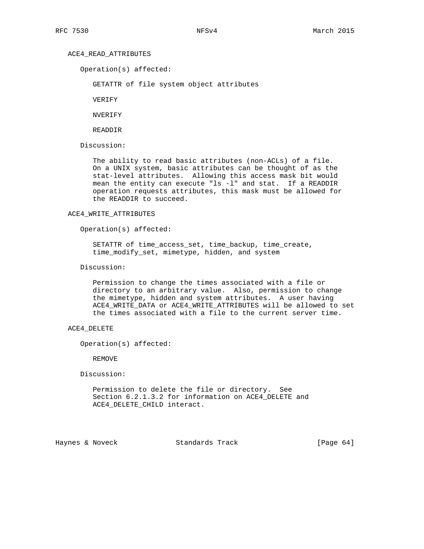## ACE4\_READ\_ATTRIBUTES

Operation(s) affected:

GETATTR of file system object attributes

VERIFY

NVERIFY

READDIR

Discussion:

 The ability to read basic attributes (non-ACLs) of a file. On a UNIX system, basic attributes can be thought of as the stat-level attributes. Allowing this access mask bit would mean the entity can execute "ls -l" and stat. If a READDIR operation requests attributes, this mask must be allowed for the READDIR to succeed.

#### ACE4\_WRITE\_ATTRIBUTES

Operation(s) affected:

 SETATTR of time\_access\_set, time\_backup, time\_create, time\_modify\_set, mimetype, hidden, and system

Discussion:

 Permission to change the times associated with a file or directory to an arbitrary value. Also, permission to change the mimetype, hidden and system attributes. A user having ACE4\_WRITE\_DATA or ACE4\_WRITE\_ATTRIBUTES will be allowed to set the times associated with a file to the current server time.

## ACE4\_DELETE

Operation(s) affected:

REMOVE

Discussion:

 Permission to delete the file or directory. See Section 6.2.1.3.2 for information on ACE4\_DELETE and ACE4\_DELETE\_CHILD interact.

Haynes & Noveck Standards Track [Page 64]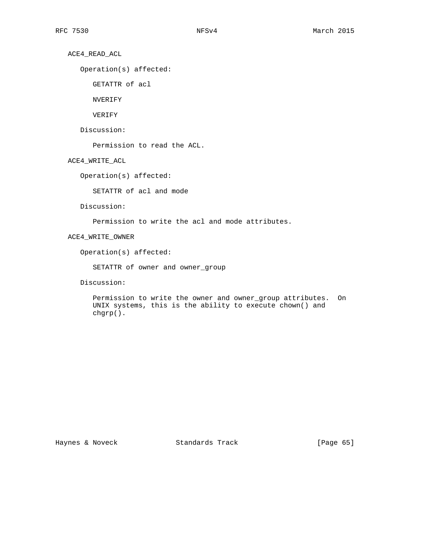ACE4\_READ\_ACL

Operation(s) affected:

GETATTR of acl

NVERIFY

VERIFY

Discussion:

Permission to read the ACL.

ACE4\_WRITE\_ACL

Operation(s) affected:

SETATTR of acl and mode

Discussion:

Permission to write the acl and mode attributes.

ACE4\_WRITE\_OWNER

Operation(s) affected:

SETATTR of owner and owner\_group

Discussion:

 Permission to write the owner and owner\_group attributes. On UNIX systems, this is the ability to execute chown() and chgrp().

Haynes & Noveck Standards Track [Page 65]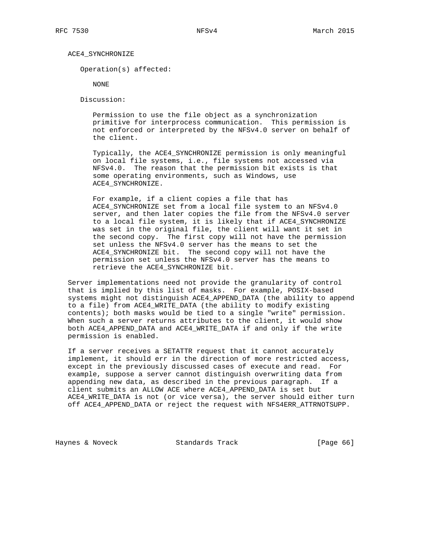#### ACE4\_SYNCHRONIZE

Operation(s) affected:

NONE

Discussion:

 Permission to use the file object as a synchronization primitive for interprocess communication. This permission is not enforced or interpreted by the NFSv4.0 server on behalf of the client.

 Typically, the ACE4\_SYNCHRONIZE permission is only meaningful on local file systems, i.e., file systems not accessed via NFSv4.0. The reason that the permission bit exists is that some operating environments, such as Windows, use ACE4\_SYNCHRONIZE.

 For example, if a client copies a file that has ACE4\_SYNCHRONIZE set from a local file system to an NFSv4.0 server, and then later copies the file from the NFSv4.0 server to a local file system, it is likely that if ACE4\_SYNCHRONIZE was set in the original file, the client will want it set in the second copy. The first copy will not have the permission set unless the NFSv4.0 server has the means to set the ACE4\_SYNCHRONIZE bit. The second copy will not have the permission set unless the NFSv4.0 server has the means to retrieve the ACE4\_SYNCHRONIZE bit.

 Server implementations need not provide the granularity of control that is implied by this list of masks. For example, POSIX-based systems might not distinguish ACE4\_APPEND\_DATA (the ability to append to a file) from ACE4\_WRITE\_DATA (the ability to modify existing contents); both masks would be tied to a single "write" permission. When such a server returns attributes to the client, it would show both ACE4\_APPEND\_DATA and ACE4\_WRITE\_DATA if and only if the write permission is enabled.

 If a server receives a SETATTR request that it cannot accurately implement, it should err in the direction of more restricted access, except in the previously discussed cases of execute and read. For example, suppose a server cannot distinguish overwriting data from appending new data, as described in the previous paragraph. If a client submits an ALLOW ACE where ACE4\_APPEND\_DATA is set but ACE4\_WRITE\_DATA is not (or vice versa), the server should either turn off ACE4\_APPEND\_DATA or reject the request with NFS4ERR\_ATTRNOTSUPP.

Haynes & Noveck Standards Track [Page 66]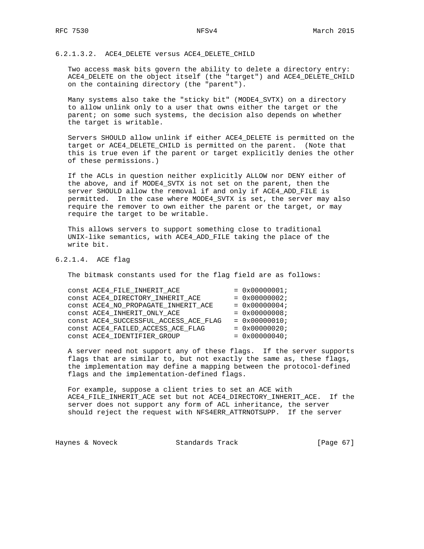6.2.1.3.2. ACE4\_DELETE versus ACE4\_DELETE\_CHILD

 Two access mask bits govern the ability to delete a directory entry: ACE4\_DELETE on the object itself (the "target") and ACE4\_DELETE\_CHILD on the containing directory (the "parent").

 Many systems also take the "sticky bit" (MODE4\_SVTX) on a directory to allow unlink only to a user that owns either the target or the parent; on some such systems, the decision also depends on whether the target is writable.

 Servers SHOULD allow unlink if either ACE4\_DELETE is permitted on the target or ACE4 DELETE CHILD is permitted on the parent. (Note that this is true even if the parent or target explicitly denies the other of these permissions.)

 If the ACLs in question neither explicitly ALLOW nor DENY either of the above, and if MODE4\_SVTX is not set on the parent, then the server SHOULD allow the removal if and only if ACE4\_ADD\_FILE is permitted. In the case where MODE4\_SVTX is set, the server may also require the remover to own either the parent or the target, or may require the target to be writable.

 This allows servers to support something close to traditional UNIX-like semantics, with ACE4\_ADD\_FILE taking the place of the write bit.

## 6.2.1.4. ACE flag

The bitmask constants used for the flag field are as follows:

|  | CONSt ACE4_FILE_INHERIT_ACE           | $= 0 \times 00000001;$ |
|--|---------------------------------------|------------------------|
|  | CONSt ACE4 DIRECTORY INHERIT ACE      | $= 0x00000002;$        |
|  | CONSt ACE4_NO_PROPAGATE_INHERIT_ACE   | $= 0x00000004;$        |
|  | CONSt ACE4 INHERIT ONLY ACE           | $= 0x00000008;$        |
|  | CONSt ACE4 SUCCESSFUL ACCESS ACE FLAG | $= 0x00000010;$        |
|  | CONSt ACE4_FAILED_ACCESS_ACE_FLAG     | $= 0x00000020;$        |
|  | CONSt ACE4 IDENTIFIER GROUP           | $= 0x00000040;$        |
|  |                                       |                        |

 A server need not support any of these flags. If the server supports flags that are similar to, but not exactly the same as, these flags, the implementation may define a mapping between the protocol-defined flags and the implementation-defined flags.

 For example, suppose a client tries to set an ACE with ACE4\_FILE\_INHERIT\_ACE set but not ACE4\_DIRECTORY\_INHERIT\_ACE. If the server does not support any form of ACL inheritance, the server should reject the request with NFS4ERR\_ATTRNOTSUPP. If the server

Haynes & Noveck Standards Track [Page 67]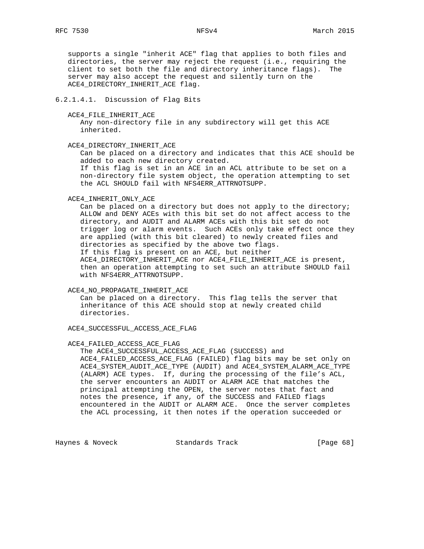supports a single "inherit ACE" flag that applies to both files and directories, the server may reject the request (i.e., requiring the client to set both the file and directory inheritance flags). The server may also accept the request and silently turn on the ACE4\_DIRECTORY\_INHERIT\_ACE flag.

## 6.2.1.4.1. Discussion of Flag Bits

ACE4 FILE INHERIT ACE

 Any non-directory file in any subdirectory will get this ACE inherited.

#### ACE4\_DIRECTORY\_INHERIT\_ACE

 Can be placed on a directory and indicates that this ACE should be added to each new directory created.

 If this flag is set in an ACE in an ACL attribute to be set on a non-directory file system object, the operation attempting to set the ACL SHOULD fail with NFS4ERR\_ATTRNOTSUPP.

#### ACE4\_INHERIT\_ONLY\_ACE

 Can be placed on a directory but does not apply to the directory; ALLOW and DENY ACEs with this bit set do not affect access to the directory, and AUDIT and ALARM ACEs with this bit set do not trigger log or alarm events. Such ACEs only take effect once they are applied (with this bit cleared) to newly created files and directories as specified by the above two flags. If this flag is present on an ACE, but neither ACE4\_DIRECTORY\_INHERIT\_ACE nor ACE4\_FILE\_INHERIT\_ACE is present, then an operation attempting to set such an attribute SHOULD fail with NFS4ERR\_ATTRNOTSUPP.

#### ACE4\_NO\_PROPAGATE\_INHERIT\_ACE

 Can be placed on a directory. This flag tells the server that inheritance of this ACE should stop at newly created child directories.

ACE4\_SUCCESSFUL\_ACCESS\_ACE\_FLAG

#### ACE4\_FAILED\_ACCESS\_ACE\_FLAG

The ACE4 SUCCESSFUL ACCESS ACE FLAG (SUCCESS) and ACE4\_FAILED\_ACCESS\_ACE\_FLAG (FAILED) flag bits may be set only on ACE4\_SYSTEM\_AUDIT\_ACE\_TYPE (AUDIT) and ACE4\_SYSTEM\_ALARM\_ACE\_TYPE (ALARM) ACE types. If, during the processing of the file's ACL, the server encounters an AUDIT or ALARM ACE that matches the principal attempting the OPEN, the server notes that fact and notes the presence, if any, of the SUCCESS and FAILED flags encountered in the AUDIT or ALARM ACE. Once the server completes the ACL processing, it then notes if the operation succeeded or

Haynes & Noveck Standards Track [Page 68]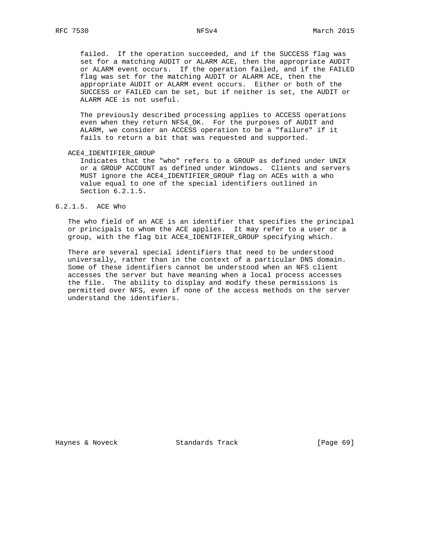failed. If the operation succeeded, and if the SUCCESS flag was set for a matching AUDIT or ALARM ACE, then the appropriate AUDIT or ALARM event occurs. If the operation failed, and if the FAILED flag was set for the matching AUDIT or ALARM ACE, then the appropriate AUDIT or ALARM event occurs. Either or both of the SUCCESS or FAILED can be set, but if neither is set, the AUDIT or ALARM ACE is not useful.

 The previously described processing applies to ACCESS operations even when they return NFS4\_OK. For the purposes of AUDIT and ALARM, we consider an ACCESS operation to be a "failure" if it fails to return a bit that was requested and supported.

ACE4\_IDENTIFIER\_GROUP

 Indicates that the "who" refers to a GROUP as defined under UNIX or a GROUP ACCOUNT as defined under Windows. Clients and servers MUST ignore the ACE4\_IDENTIFIER\_GROUP flag on ACEs with a who value equal to one of the special identifiers outlined in Section 6.2.1.5.

#### 6.2.1.5. ACE Who

 The who field of an ACE is an identifier that specifies the principal or principals to whom the ACE applies. It may refer to a user or a group, with the flag bit ACE4\_IDENTIFIER\_GROUP specifying which.

 There are several special identifiers that need to be understood universally, rather than in the context of a particular DNS domain. Some of these identifiers cannot be understood when an NFS client accesses the server but have meaning when a local process accesses the file. The ability to display and modify these permissions is permitted over NFS, even if none of the access methods on the server understand the identifiers.

Haynes & Noveck Standards Track [Page 69]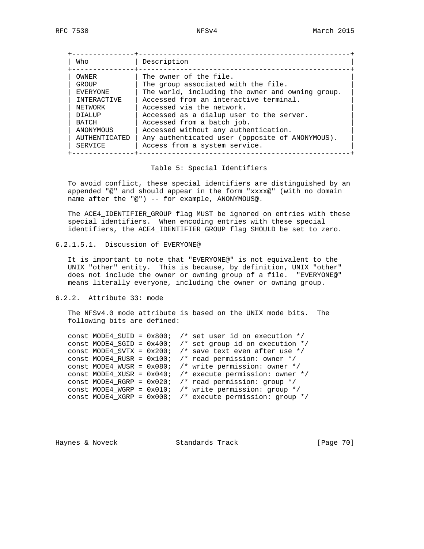| Who            | Description                                      |
|----------------|--------------------------------------------------|
| OWNER          | The owner of the file.                           |
| GROUP          | The group associated with the file.              |
| EVERYONE       | The world, including the owner and owning group. |
| INTERACTIVE    | Accessed from an interactive terminal.           |
| NETWORK        | Accessed via the network.                        |
| <b>DTALIJP</b> | Accessed as a dialup user to the server.         |
| BATCH          | Accessed from a batch job.                       |
| ANONYMOUS      | Accessed without any authentication.             |
| AUTHENTICATED  | Any authenticated user (opposite of ANONYMOUS).  |
| SERVICE        | Access from a system service.                    |

#### Table 5: Special Identifiers

 To avoid conflict, these special identifiers are distinguished by an appended "@" and should appear in the form "xxxx@" (with no domain name after the "@") -- for example, ANONYMOUS@.

 The ACE4\_IDENTIFIER\_GROUP flag MUST be ignored on entries with these special identifiers. When encoding entries with these special identifiers, the ACE4\_IDENTIFIER\_GROUP flag SHOULD be set to zero.

## 6.2.1.5.1. Discussion of EVERYONE@

 It is important to note that "EVERYONE@" is not equivalent to the UNIX "other" entity. This is because, by definition, UNIX "other" does not include the owner or owning group of a file. "EVERYONE@" means literally everyone, including the owner or owning group.

## 6.2.2. Attribute 33: mode

 The NFSv4.0 mode attribute is based on the UNIX mode bits. The following bits are defined:

|  |                                |  | const MODE4_SUID = $0x800$ ; /* set user id on execution */ |
|--|--------------------------------|--|-------------------------------------------------------------|
|  | CONSt MODE4 SGID = $0x400$ ;   |  | /* set group id on execution $*/$                           |
|  | $const$ MODE4_SVTX = $0x200$ ; |  | /* save text even after use $*/$                            |
|  | $const$ MODE4_RUSR = $0x100$ ; |  | $\prime$ * read permission: owner */                        |
|  | $const$ MODE4_WUSR = $0x080$ ; |  | /* write permission: owner */                               |
|  | $const$ MODE4_XUSR = $0x040$ ; |  | $\prime$ * execute permission: owner */                     |
|  | CONSt MODE4_RGRP = $0x020$ ;   |  | $\prime$ * read permission: group */                        |
|  | $const$ MODE4_WGRP = $0x010$ ; |  | /* write permission: $qrow * /$                             |
|  | CONST MODE4 XGRP = $0x008$ ;   |  | /* execute permission: group */                             |
|  |                                |  |                                                             |

Haynes & Noveck Standards Track [Page 70]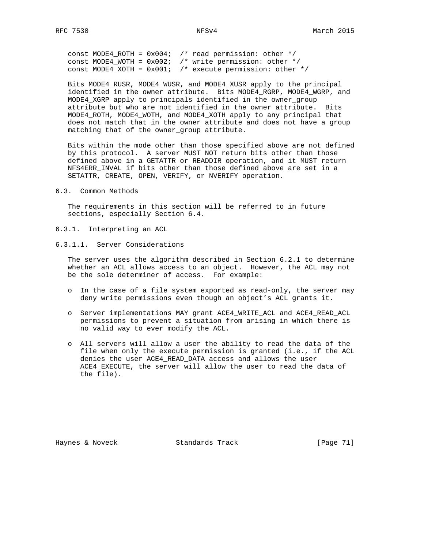const MODE4\_ROTH =  $0x004$ ; /\* read permission: other \*/ const MODE4\_WOTH = 0x002; /\* write permission: other \*/ const MODE4\_XOTH =  $0x001$ ; /\* execute permission: other \*/

 Bits MODE4\_RUSR, MODE4\_WUSR, and MODE4\_XUSR apply to the principal identified in the owner attribute. Bits MODE4\_RGRP, MODE4\_WGRP, and MODE4\_XGRP apply to principals identified in the owner\_group attribute but who are not identified in the owner attribute. Bits MODE4\_ROTH, MODE4\_WOTH, and MODE4\_XOTH apply to any principal that does not match that in the owner attribute and does not have a group matching that of the owner\_group attribute.

 Bits within the mode other than those specified above are not defined by this protocol. A server MUST NOT return bits other than those defined above in a GETATTR or READDIR operation, and it MUST return NFS4ERR INVAL if bits other than those defined above are set in a SETATTR, CREATE, OPEN, VERIFY, or NVERIFY operation.

6.3. Common Methods

 The requirements in this section will be referred to in future sections, especially Section 6.4.

- 6.3.1. Interpreting an ACL
- 6.3.1.1. Server Considerations

 The server uses the algorithm described in Section 6.2.1 to determine whether an ACL allows access to an object. However, the ACL may not be the sole determiner of access. For example:

- o In the case of a file system exported as read-only, the server may deny write permissions even though an object's ACL grants it.
- o Server implementations MAY grant ACE4\_WRITE\_ACL and ACE4\_READ\_ACL permissions to prevent a situation from arising in which there is no valid way to ever modify the ACL.
- o All servers will allow a user the ability to read the data of the file when only the execute permission is granted (i.e., if the ACL denies the user ACE4\_READ\_DATA access and allows the user ACE4\_EXECUTE, the server will allow the user to read the data of the file).

Haynes & Noveck Standards Track [Page 71]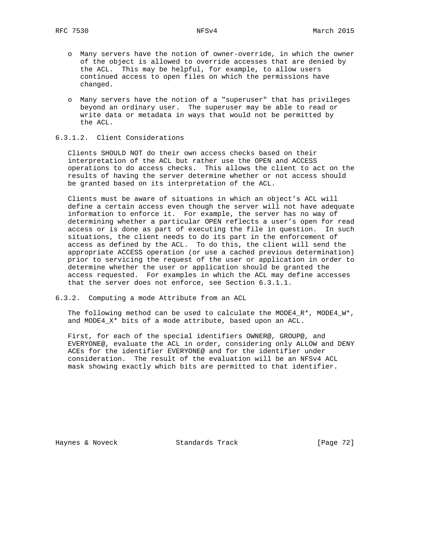- o Many servers have the notion of owner-override, in which the owner of the object is allowed to override accesses that are denied by the ACL. This may be helpful, for example, to allow users continued access to open files on which the permissions have changed.
- o Many servers have the notion of a "superuser" that has privileges beyond an ordinary user. The superuser may be able to read or write data or metadata in ways that would not be permitted by the ACL.

## 6.3.1.2. Client Considerations

 Clients SHOULD NOT do their own access checks based on their interpretation of the ACL but rather use the OPEN and ACCESS operations to do access checks. This allows the client to act on the results of having the server determine whether or not access should be granted based on its interpretation of the ACL.

 Clients must be aware of situations in which an object's ACL will define a certain access even though the server will not have adequate information to enforce it. For example, the server has no way of determining whether a particular OPEN reflects a user's open for read access or is done as part of executing the file in question. In such situations, the client needs to do its part in the enforcement of access as defined by the ACL. To do this, the client will send the appropriate ACCESS operation (or use a cached previous determination) prior to servicing the request of the user or application in order to determine whether the user or application should be granted the access requested. For examples in which the ACL may define accesses that the server does not enforce, see Section 6.3.1.1.

6.3.2. Computing a mode Attribute from an ACL

 The following method can be used to calculate the MODE4\_R\*, MODE4\_W\*, and MODE4\_X\* bits of a mode attribute, based upon an ACL.

 First, for each of the special identifiers OWNER@, GROUP@, and EVERYONE@, evaluate the ACL in order, considering only ALLOW and DENY ACEs for the identifier EVERYONE@ and for the identifier under consideration. The result of the evaluation will be an NFSv4 ACL mask showing exactly which bits are permitted to that identifier.

Haynes & Noveck Standards Track [Page 72]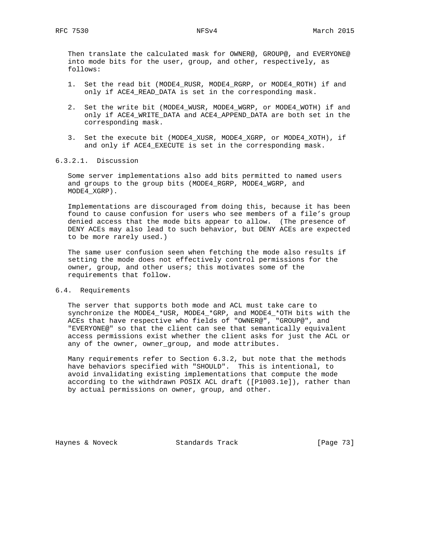Then translate the calculated mask for OWNER@, GROUP@, and EVERYONE@ into mode bits for the user, group, and other, respectively, as follows:

- 1. Set the read bit (MODE4\_RUSR, MODE4\_RGRP, or MODE4\_ROTH) if and only if ACE4\_READ\_DATA is set in the corresponding mask.
- 2. Set the write bit (MODE4\_WUSR, MODE4\_WGRP, or MODE4\_WOTH) if and only if ACE4\_WRITE\_DATA and ACE4\_APPEND\_DATA are both set in the corresponding mask.
- 3. Set the execute bit (MODE4\_XUSR, MODE4\_XGRP, or MODE4\_XOTH), if and only if ACE4\_EXECUTE is set in the corresponding mask.

## 6.3.2.1. Discussion

 Some server implementations also add bits permitted to named users and groups to the group bits (MODE4\_RGRP, MODE4\_WGRP, and MODE4\_XGRP).

 Implementations are discouraged from doing this, because it has been found to cause confusion for users who see members of a file's group denied access that the mode bits appear to allow. (The presence of DENY ACEs may also lead to such behavior, but DENY ACEs are expected to be more rarely used.)

 The same user confusion seen when fetching the mode also results if setting the mode does not effectively control permissions for the owner, group, and other users; this motivates some of the requirements that follow.

### 6.4. Requirements

 The server that supports both mode and ACL must take care to synchronize the MODE4\_\*USR, MODE4\_\*GRP, and MODE4\_\*OTH bits with the ACEs that have respective who fields of "OWNER@", "GROUP@", and "EVERYONE@" so that the client can see that semantically equivalent access permissions exist whether the client asks for just the ACL or any of the owner, owner\_group, and mode attributes.

 Many requirements refer to Section 6.3.2, but note that the methods have behaviors specified with "SHOULD". This is intentional, to avoid invalidating existing implementations that compute the mode according to the withdrawn POSIX ACL draft ([P1003.1e]), rather than by actual permissions on owner, group, and other.

Haynes & Noveck Standards Track [Page 73]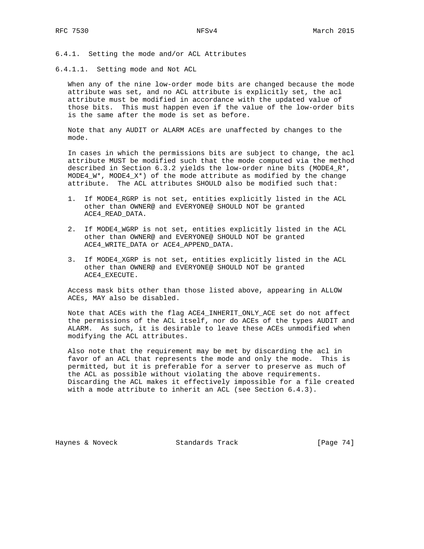6.4.1. Setting the mode and/or ACL Attributes

6.4.1.1. Setting mode and Not ACL

 When any of the nine low-order mode bits are changed because the mode attribute was set, and no ACL attribute is explicitly set, the acl attribute must be modified in accordance with the updated value of those bits. This must happen even if the value of the low-order bits is the same after the mode is set as before.

 Note that any AUDIT or ALARM ACEs are unaffected by changes to the mode.

 In cases in which the permissions bits are subject to change, the acl attribute MUST be modified such that the mode computed via the method described in Section 6.3.2 yields the low-order nine bits (MODE4\_R\*, MODE $4\_\mathrm{W}^*$ , MODE $4\_\mathrm{X}^*$ ) of the mode attribute as modified by the change attribute. The ACL attributes SHOULD also be modified such that:

- 1. If MODE4\_RGRP is not set, entities explicitly listed in the ACL other than OWNER@ and EVERYONE@ SHOULD NOT be granted ACE4\_READ\_DATA.
- 2. If MODE4\_WGRP is not set, entities explicitly listed in the ACL other than OWNER@ and EVERYONE@ SHOULD NOT be granted ACE4\_WRITE\_DATA or ACE4\_APPEND\_DATA.
- 3. If MODE4\_XGRP is not set, entities explicitly listed in the ACL other than OWNER@ and EVERYONE@ SHOULD NOT be granted ACE4\_EXECUTE.

 Access mask bits other than those listed above, appearing in ALLOW ACEs, MAY also be disabled.

 Note that ACEs with the flag ACE4\_INHERIT\_ONLY\_ACE set do not affect the permissions of the ACL itself, nor do ACEs of the types AUDIT and ALARM. As such, it is desirable to leave these ACEs unmodified when modifying the ACL attributes.

 Also note that the requirement may be met by discarding the acl in favor of an ACL that represents the mode and only the mode. This is permitted, but it is preferable for a server to preserve as much of the ACL as possible without violating the above requirements. Discarding the ACL makes it effectively impossible for a file created with a mode attribute to inherit an ACL (see Section 6.4.3).

Haynes & Noveck Standards Track [Page 74]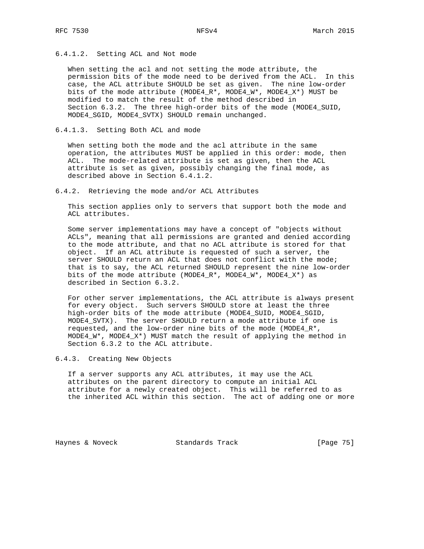## 6.4.1.2. Setting ACL and Not mode

 When setting the acl and not setting the mode attribute, the permission bits of the mode need to be derived from the ACL. In this case, the ACL attribute SHOULD be set as given. The nine low-order bits of the mode attribute (MODE4\_R\*, MODE4\_W\*, MODE4\_X\*) MUST be modified to match the result of the method described in Section 6.3.2. The three high-order bits of the mode (MODE4\_SUID, MODE4\_SGID, MODE4\_SVTX) SHOULD remain unchanged.

## 6.4.1.3. Setting Both ACL and mode

 When setting both the mode and the acl attribute in the same operation, the attributes MUST be applied in this order: mode, then ACL. The mode-related attribute is set as given, then the ACL attribute is set as given, possibly changing the final mode, as described above in Section 6.4.1.2.

6.4.2. Retrieving the mode and/or ACL Attributes

 This section applies only to servers that support both the mode and ACL attributes.

 Some server implementations may have a concept of "objects without ACLs", meaning that all permissions are granted and denied according to the mode attribute, and that no ACL attribute is stored for that object. If an ACL attribute is requested of such a server, the server SHOULD return an ACL that does not conflict with the mode; that is to say, the ACL returned SHOULD represent the nine low-order bits of the mode attribute (MODE4\_R\*, MODE4\_W\*, MODE4\_X\*) as described in Section 6.3.2.

 For other server implementations, the ACL attribute is always present for every object. Such servers SHOULD store at least the three high-order bits of the mode attribute (MODE4\_SUID, MODE4\_SGID, MODE4\_SVTX). The server SHOULD return a mode attribute if one is requested, and the low-order nine bits of the mode (MODE4\_R\*, MODE4\_W\*, MODE4\_X\*) MUST match the result of applying the method in Section 6.3.2 to the ACL attribute.

6.4.3. Creating New Objects

 If a server supports any ACL attributes, it may use the ACL attributes on the parent directory to compute an initial ACL attribute for a newly created object. This will be referred to as the inherited ACL within this section. The act of adding one or more

Haynes & Noveck Standards Track [Page 75]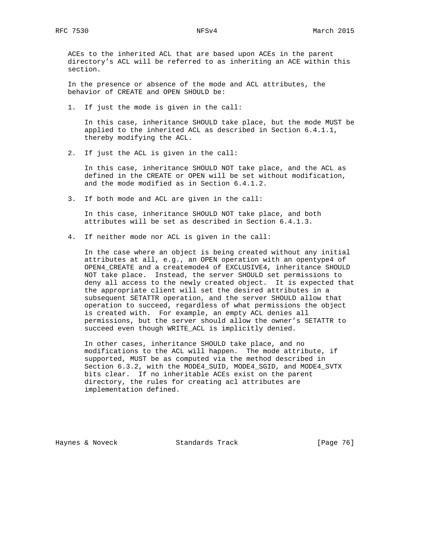ACEs to the inherited ACL that are based upon ACEs in the parent directory's ACL will be referred to as inheriting an ACE within this section.

 In the presence or absence of the mode and ACL attributes, the behavior of CREATE and OPEN SHOULD be:

1. If just the mode is given in the call:

 In this case, inheritance SHOULD take place, but the mode MUST be applied to the inherited ACL as described in Section 6.4.1.1, thereby modifying the ACL.

2. If just the ACL is given in the call:

 In this case, inheritance SHOULD NOT take place, and the ACL as defined in the CREATE or OPEN will be set without modification, and the mode modified as in Section 6.4.1.2.

3. If both mode and ACL are given in the call:

 In this case, inheritance SHOULD NOT take place, and both attributes will be set as described in Section 6.4.1.3.

4. If neither mode nor ACL is given in the call:

 In the case where an object is being created without any initial attributes at all, e.g., an OPEN operation with an opentype4 of OPEN4\_CREATE and a createmode4 of EXCLUSIVE4, inheritance SHOULD NOT take place. Instead, the server SHOULD set permissions to deny all access to the newly created object. It is expected that the appropriate client will set the desired attributes in a subsequent SETATTR operation, and the server SHOULD allow that operation to succeed, regardless of what permissions the object is created with. For example, an empty ACL denies all permissions, but the server should allow the owner's SETATTR to succeed even though WRITE\_ACL is implicitly denied.

 In other cases, inheritance SHOULD take place, and no modifications to the ACL will happen. The mode attribute, if supported, MUST be as computed via the method described in Section 6.3.2, with the MODE4\_SUID, MODE4\_SGID, and MODE4\_SVTX bits clear. If no inheritable ACEs exist on the parent directory, the rules for creating acl attributes are implementation defined.

Haynes & Noveck Standards Track [Page 76]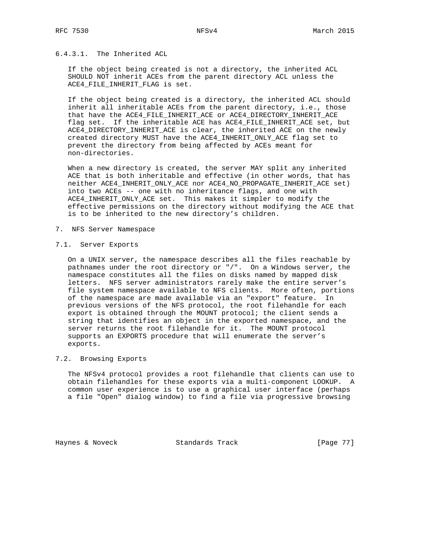## 6.4.3.1. The Inherited ACL

 If the object being created is not a directory, the inherited ACL SHOULD NOT inherit ACEs from the parent directory ACL unless the ACE4\_FILE\_INHERIT\_FLAG is set.

 If the object being created is a directory, the inherited ACL should inherit all inheritable ACEs from the parent directory, i.e., those that have the ACE4\_FILE\_INHERIT\_ACE or ACE4\_DIRECTORY\_INHERIT\_ACE flag set. If the inheritable ACE has ACE4\_FILE\_INHERIT\_ACE set, but ACE4\_DIRECTORY\_INHERIT\_ACE is clear, the inherited ACE on the newly created directory MUST have the ACE4\_INHERIT\_ONLY\_ACE flag set to prevent the directory from being affected by ACEs meant for non-directories.

 When a new directory is created, the server MAY split any inherited ACE that is both inheritable and effective (in other words, that has neither ACE4\_INHERIT\_ONLY\_ACE nor ACE4\_NO\_PROPAGATE\_INHERIT\_ACE set) into two ACEs -- one with no inheritance flags, and one with ACE4\_INHERIT\_ONLY\_ACE set. This makes it simpler to modify the effective permissions on the directory without modifying the ACE that is to be inherited to the new directory's children.

- 7. NFS Server Namespace
- 7.1. Server Exports

 On a UNIX server, the namespace describes all the files reachable by pathnames under the root directory or "/". On a Windows server, the namespace constitutes all the files on disks named by mapped disk letters. NFS server administrators rarely make the entire server's file system namespace available to NFS clients. More often, portions of the namespace are made available via an "export" feature. In previous versions of the NFS protocol, the root filehandle for each export is obtained through the MOUNT protocol; the client sends a string that identifies an object in the exported namespace, and the server returns the root filehandle for it. The MOUNT protocol supports an EXPORTS procedure that will enumerate the server's exports.

## 7.2. Browsing Exports

 The NFSv4 protocol provides a root filehandle that clients can use to obtain filehandles for these exports via a multi-component LOOKUP. A common user experience is to use a graphical user interface (perhaps a file "Open" dialog window) to find a file via progressive browsing

Haynes & Noveck Standards Track [Page 77]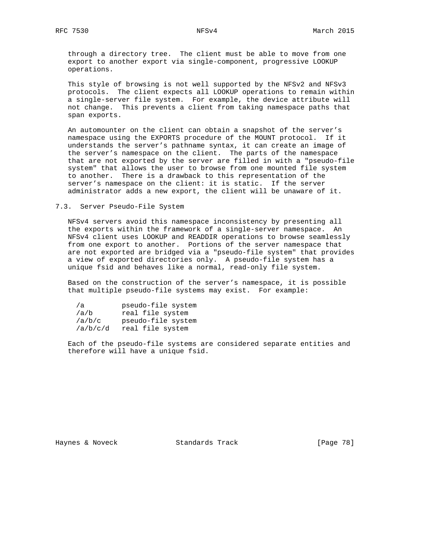through a directory tree. The client must be able to move from one export to another export via single-component, progressive LOOKUP operations.

 This style of browsing is not well supported by the NFSv2 and NFSv3 protocols. The client expects all LOOKUP operations to remain within a single-server file system. For example, the device attribute will not change. This prevents a client from taking namespace paths that span exports.

 An automounter on the client can obtain a snapshot of the server's namespace using the EXPORTS procedure of the MOUNT protocol. If it understands the server's pathname syntax, it can create an image of the server's namespace on the client. The parts of the namespace that are not exported by the server are filled in with a "pseudo-file system" that allows the user to browse from one mounted file system to another. There is a drawback to this representation of the server's namespace on the client: it is static. If the server administrator adds a new export, the client will be unaware of it.

### 7.3. Server Pseudo-File System

 NFSv4 servers avoid this namespace inconsistency by presenting all the exports within the framework of a single-server namespace. An NFSv4 client uses LOOKUP and READDIR operations to browse seamlessly from one export to another. Portions of the server namespace that are not exported are bridged via a "pseudo-file system" that provides a view of exported directories only. A pseudo-file system has a unique fsid and behaves like a normal, read-only file system.

 Based on the construction of the server's namespace, it is possible that multiple pseudo-file systems may exist. For example:

| /a       | pseudo-file system |
|----------|--------------------|
| /a/b     | real file system   |
| /a/b/c   | pseudo-file system |
| /a/b/c/d | real file system   |

 Each of the pseudo-file systems are considered separate entities and therefore will have a unique fsid.

Haynes & Noveck Standards Track [Page 78]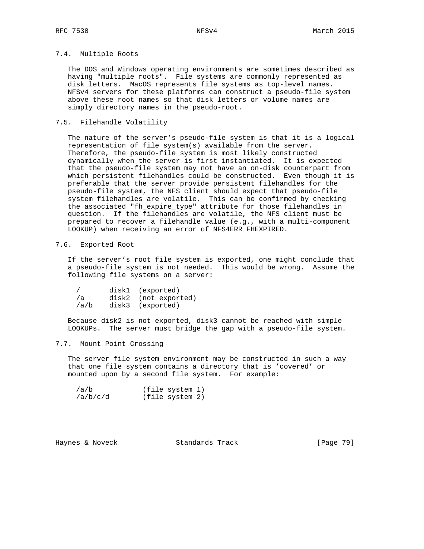## 7.4. Multiple Roots

 The DOS and Windows operating environments are sometimes described as having "multiple roots". File systems are commonly represented as disk letters. MacOS represents file systems as top-level names. NFSv4 servers for these platforms can construct a pseudo-file system above these root names so that disk letters or volume names are simply directory names in the pseudo-root.

## 7.5. Filehandle Volatility

 The nature of the server's pseudo-file system is that it is a logical representation of file system(s) available from the server. Therefore, the pseudo-file system is most likely constructed dynamically when the server is first instantiated. It is expected that the pseudo-file system may not have an on-disk counterpart from which persistent filehandles could be constructed. Even though it is preferable that the server provide persistent filehandles for the pseudo-file system, the NFS client should expect that pseudo-file system filehandles are volatile. This can be confirmed by checking the associated "fh\_expire\_type" attribute for those filehandles in question. If the filehandles are volatile, the NFS client must be prepared to recover a filehandle value (e.g., with a multi-component LOOKUP) when receiving an error of NFS4ERR\_FHEXPIRED.

## 7.6. Exported Root

 If the server's root file system is exported, one might conclude that a pseudo-file system is not needed. This would be wrong. Assume the following file systems on a server:

|      | disk1 (exported)     |
|------|----------------------|
| /a   | disk2 (not exported) |
| /a/b | disk3 (exported)     |

 Because disk2 is not exported, disk3 cannot be reached with simple LOOKUPs. The server must bridge the gap with a pseudo-file system.

## 7.7. Mount Point Crossing

 The server file system environment may be constructed in such a way that one file system contains a directory that is 'covered' or mounted upon by a second file system. For example:

| /a/b     | (file system 1) |
|----------|-----------------|
| /a/b/c/d | (file system 2) |

Haynes & Noveck Standards Track [Page 79]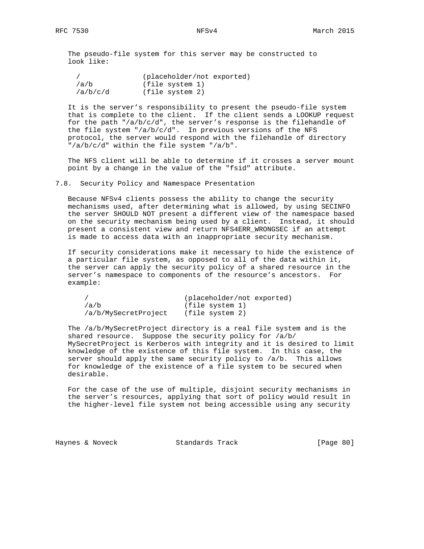The pseudo-file system for this server may be constructed to look like:

|          | (placeholder/not exported) |
|----------|----------------------------|
| /a/b     | (file system 1)            |
| /a/b/c/d | (file system 2)            |

 It is the server's responsibility to present the pseudo-file system that is complete to the client. If the client sends a LOOKUP request for the path " $\frac{a}{b}/c/d$ ", the server's response is the filehandle of the file system "/a/b/c/d". In previous versions of the NFS protocol, the server would respond with the filehandle of directory "/a/b/c/d" within the file system "/a/b".

 The NFS client will be able to determine if it crosses a server mount point by a change in the value of the "fsid" attribute.

### 7.8. Security Policy and Namespace Presentation

 Because NFSv4 clients possess the ability to change the security mechanisms used, after determining what is allowed, by using SECINFO the server SHOULD NOT present a different view of the namespace based on the security mechanism being used by a client. Instead, it should present a consistent view and return NFS4ERR\_WRONGSEC if an attempt is made to access data with an inappropriate security mechanism.

 If security considerations make it necessary to hide the existence of a particular file system, as opposed to all of the data within it, the server can apply the security policy of a shared resource in the server's namespace to components of the resource's ancestors. For example:

|                      | (placeholder/not exported) |
|----------------------|----------------------------|
| /a/b                 | (file system 1)            |
| /a/b/MySecretProject | (file system 2)            |

 The /a/b/MySecretProject directory is a real file system and is the shared resource. Suppose the security policy for /a/b/ MySecretProject is Kerberos with integrity and it is desired to limit knowledge of the existence of this file system. In this case, the server should apply the same security policy to /a/b. This allows for knowledge of the existence of a file system to be secured when desirable.

 For the case of the use of multiple, disjoint security mechanisms in the server's resources, applying that sort of policy would result in the higher-level file system not being accessible using any security

Haynes & Noveck Standards Track [Page 80]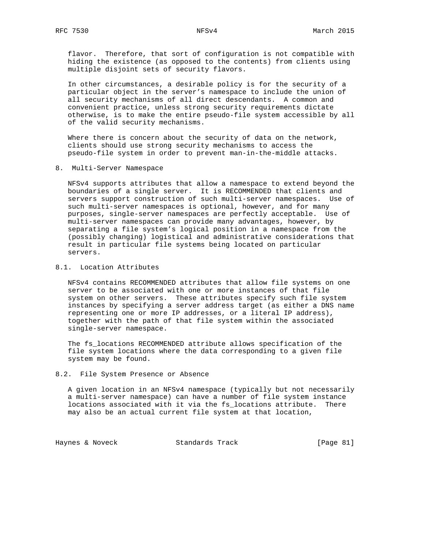flavor. Therefore, that sort of configuration is not compatible with hiding the existence (as opposed to the contents) from clients using multiple disjoint sets of security flavors.

 In other circumstances, a desirable policy is for the security of a particular object in the server's namespace to include the union of all security mechanisms of all direct descendants. A common and convenient practice, unless strong security requirements dictate otherwise, is to make the entire pseudo-file system accessible by all of the valid security mechanisms.

 Where there is concern about the security of data on the network, clients should use strong security mechanisms to access the pseudo-file system in order to prevent man-in-the-middle attacks.

### 8. Multi-Server Namespace

 NFSv4 supports attributes that allow a namespace to extend beyond the boundaries of a single server. It is RECOMMENDED that clients and servers support construction of such multi-server namespaces. Use of such multi-server namespaces is optional, however, and for many purposes, single-server namespaces are perfectly acceptable. Use of multi-server namespaces can provide many advantages, however, by separating a file system's logical position in a namespace from the (possibly changing) logistical and administrative considerations that result in particular file systems being located on particular servers.

## 8.1. Location Attributes

 NFSv4 contains RECOMMENDED attributes that allow file systems on one server to be associated with one or more instances of that file system on other servers. These attributes specify such file system instances by specifying a server address target (as either a DNS name representing one or more IP addresses, or a literal IP address), together with the path of that file system within the associated single-server namespace.

 The fs\_locations RECOMMENDED attribute allows specification of the file system locations where the data corresponding to a given file system may be found.

### 8.2. File System Presence or Absence

 A given location in an NFSv4 namespace (typically but not necessarily a multi-server namespace) can have a number of file system instance locations associated with it via the fs\_locations attribute. There may also be an actual current file system at that location,

Haynes & Noveck Standards Track [Page 81]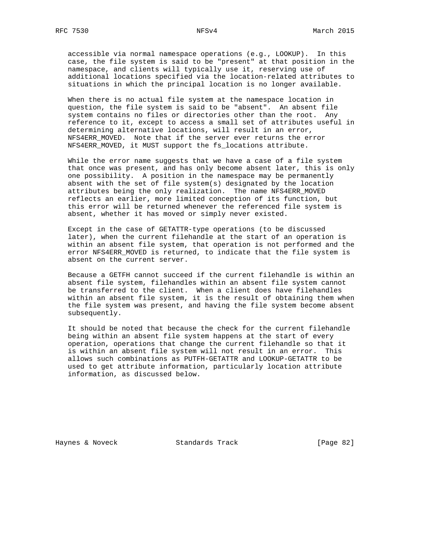accessible via normal namespace operations (e.g., LOOKUP). In this case, the file system is said to be "present" at that position in the namespace, and clients will typically use it, reserving use of additional locations specified via the location-related attributes to situations in which the principal location is no longer available.

 When there is no actual file system at the namespace location in question, the file system is said to be "absent". An absent file system contains no files or directories other than the root. Any reference to it, except to access a small set of attributes useful in determining alternative locations, will result in an error, NFS4ERR\_MOVED. Note that if the server ever returns the error NFS4ERR\_MOVED, it MUST support the fs\_locations attribute.

 While the error name suggests that we have a case of a file system that once was present, and has only become absent later, this is only one possibility. A position in the namespace may be permanently absent with the set of file system(s) designated by the location attributes being the only realization. The name NFS4ERR\_MOVED reflects an earlier, more limited conception of its function, but this error will be returned whenever the referenced file system is absent, whether it has moved or simply never existed.

 Except in the case of GETATTR-type operations (to be discussed later), when the current filehandle at the start of an operation is within an absent file system, that operation is not performed and the error NFS4ERR\_MOVED is returned, to indicate that the file system is absent on the current server.

 Because a GETFH cannot succeed if the current filehandle is within an absent file system, filehandles within an absent file system cannot be transferred to the client. When a client does have filehandles within an absent file system, it is the result of obtaining them when the file system was present, and having the file system become absent subsequently.

 It should be noted that because the check for the current filehandle being within an absent file system happens at the start of every operation, operations that change the current filehandle so that it is within an absent file system will not result in an error. This allows such combinations as PUTFH-GETATTR and LOOKUP-GETATTR to be used to get attribute information, particularly location attribute information, as discussed below.

Haynes & Noveck Standards Track [Page 82]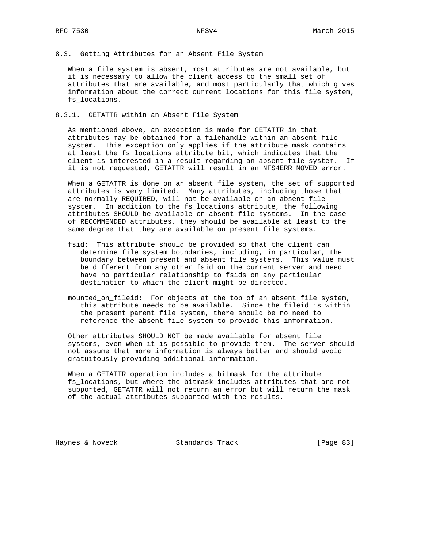8.3. Getting Attributes for an Absent File System

 When a file system is absent, most attributes are not available, but it is necessary to allow the client access to the small set of attributes that are available, and most particularly that which gives information about the correct current locations for this file system, fs\_locations.

## 8.3.1. GETATTR within an Absent File System

 As mentioned above, an exception is made for GETATTR in that attributes may be obtained for a filehandle within an absent file system. This exception only applies if the attribute mask contains at least the fs\_locations attribute bit, which indicates that the client is interested in a result regarding an absent file system. If it is not requested, GETATTR will result in an NFS4ERR\_MOVED error.

 When a GETATTR is done on an absent file system, the set of supported attributes is very limited. Many attributes, including those that are normally REQUIRED, will not be available on an absent file system. In addition to the fs\_locations attribute, the following attributes SHOULD be available on absent file systems. In the case of RECOMMENDED attributes, they should be available at least to the same degree that they are available on present file systems.

- fsid: This attribute should be provided so that the client can determine file system boundaries, including, in particular, the boundary between present and absent file systems. This value must be different from any other fsid on the current server and need have no particular relationship to fsids on any particular destination to which the client might be directed.
- mounted\_on\_fileid: For objects at the top of an absent file system, this attribute needs to be available. Since the fileid is within the present parent file system, there should be no need to reference the absent file system to provide this information.

 Other attributes SHOULD NOT be made available for absent file systems, even when it is possible to provide them. The server should not assume that more information is always better and should avoid gratuitously providing additional information.

 When a GETATTR operation includes a bitmask for the attribute fs\_locations, but where the bitmask includes attributes that are not supported, GETATTR will not return an error but will return the mask of the actual attributes supported with the results.

Haynes & Noveck Standards Track [Page 83]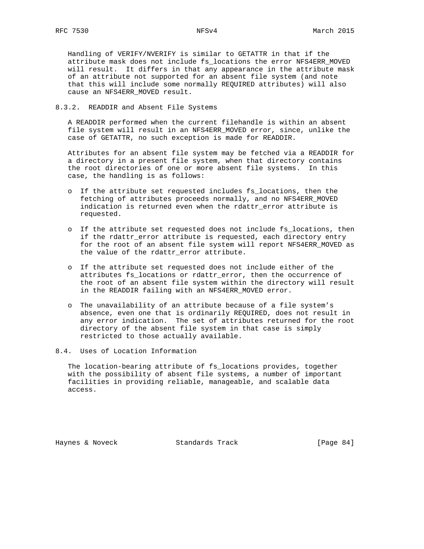Handling of VERIFY/NVERIFY is similar to GETATTR in that if the attribute mask does not include fs\_locations the error NFS4ERR\_MOVED will result. It differs in that any appearance in the attribute mask of an attribute not supported for an absent file system (and note that this will include some normally REQUIRED attributes) will also cause an NFS4ERR\_MOVED result.

## 8.3.2. READDIR and Absent File Systems

 A READDIR performed when the current filehandle is within an absent file system will result in an NFS4ERR\_MOVED error, since, unlike the case of GETATTR, no such exception is made for READDIR.

 Attributes for an absent file system may be fetched via a READDIR for a directory in a present file system, when that directory contains the root directories of one or more absent file systems. In this case, the handling is as follows:

- o If the attribute set requested includes fs\_locations, then the fetching of attributes proceeds normally, and no NFS4ERR\_MOVED indication is returned even when the rdattr\_error attribute is requested.
- o If the attribute set requested does not include fs\_locations, then if the rdattr\_error attribute is requested, each directory entry for the root of an absent file system will report NFS4ERR\_MOVED as the value of the rdattr\_error attribute.
- o If the attribute set requested does not include either of the attributes fs\_locations or rdattr\_error, then the occurrence of the root of an absent file system within the directory will result in the READDIR failing with an NFS4ERR\_MOVED error.
- o The unavailability of an attribute because of a file system's absence, even one that is ordinarily REQUIRED, does not result in any error indication. The set of attributes returned for the root directory of the absent file system in that case is simply restricted to those actually available.
- 8.4. Uses of Location Information

 The location-bearing attribute of fs\_locations provides, together with the possibility of absent file systems, a number of important facilities in providing reliable, manageable, and scalable data access.

Haynes & Noveck Standards Track [Page 84]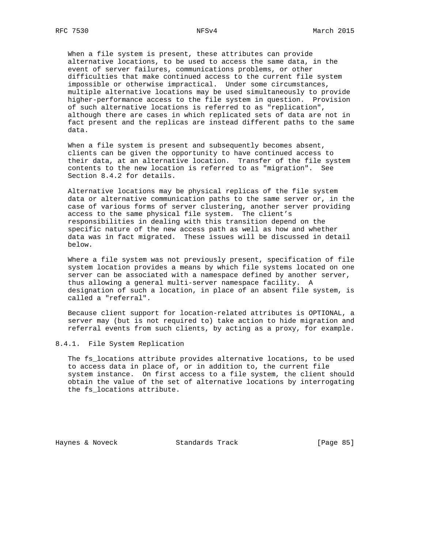When a file system is present, these attributes can provide alternative locations, to be used to access the same data, in the event of server failures, communications problems, or other difficulties that make continued access to the current file system impossible or otherwise impractical. Under some circumstances, multiple alternative locations may be used simultaneously to provide higher-performance access to the file system in question. Provision of such alternative locations is referred to as "replication", although there are cases in which replicated sets of data are not in fact present and the replicas are instead different paths to the same data.

 When a file system is present and subsequently becomes absent, clients can be given the opportunity to have continued access to their data, at an alternative location. Transfer of the file system contents to the new location is referred to as "migration". See Section 8.4.2 for details.

 Alternative locations may be physical replicas of the file system data or alternative communication paths to the same server or, in the case of various forms of server clustering, another server providing access to the same physical file system. The client's responsibilities in dealing with this transition depend on the specific nature of the new access path as well as how and whether data was in fact migrated. These issues will be discussed in detail below.

 Where a file system was not previously present, specification of file system location provides a means by which file systems located on one server can be associated with a namespace defined by another server, thus allowing a general multi-server namespace facility. A designation of such a location, in place of an absent file system, is called a "referral".

 Because client support for location-related attributes is OPTIONAL, a server may (but is not required to) take action to hide migration and referral events from such clients, by acting as a proxy, for example.

### 8.4.1. File System Replication

 The fs\_locations attribute provides alternative locations, to be used to access data in place of, or in addition to, the current file system instance. On first access to a file system, the client should obtain the value of the set of alternative locations by interrogating the fs\_locations attribute.

Haynes & Noveck Standards Track [Page 85]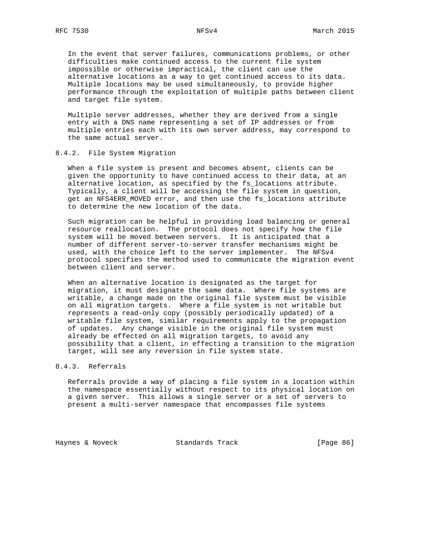In the event that server failures, communications problems, or other difficulties make continued access to the current file system impossible or otherwise impractical, the client can use the alternative locations as a way to get continued access to its data. Multiple locations may be used simultaneously, to provide higher performance through the exploitation of multiple paths between client and target file system.

 Multiple server addresses, whether they are derived from a single entry with a DNS name representing a set of IP addresses or from multiple entries each with its own server address, may correspond to the same actual server.

## 8.4.2. File System Migration

 When a file system is present and becomes absent, clients can be given the opportunity to have continued access to their data, at an alternative location, as specified by the fs\_locations attribute. Typically, a client will be accessing the file system in question, get an NFS4ERR\_MOVED error, and then use the fs\_locations attribute to determine the new location of the data.

 Such migration can be helpful in providing load balancing or general resource reallocation. The protocol does not specify how the file system will be moved between servers. It is anticipated that a number of different server-to-server transfer mechanisms might be used, with the choice left to the server implementer. The NFSv4 protocol specifies the method used to communicate the migration event between client and server.

 When an alternative location is designated as the target for migration, it must designate the same data. Where file systems are writable, a change made on the original file system must be visible on all migration targets. Where a file system is not writable but represents a read-only copy (possibly periodically updated) of a writable file system, similar requirements apply to the propagation of updates. Any change visible in the original file system must already be effected on all migration targets, to avoid any possibility that a client, in effecting a transition to the migration target, will see any reversion in file system state.

## 8.4.3. Referrals

 Referrals provide a way of placing a file system in a location within the namespace essentially without respect to its physical location on a given server. This allows a single server or a set of servers to present a multi-server namespace that encompasses file systems

Haynes & Noveck Standards Track [Page 86]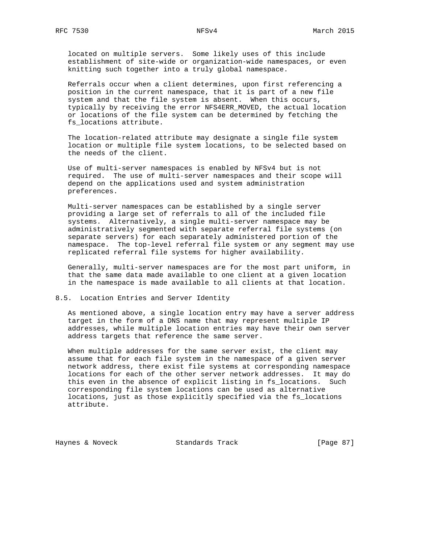located on multiple servers. Some likely uses of this include establishment of site-wide or organization-wide namespaces, or even knitting such together into a truly global namespace.

 Referrals occur when a client determines, upon first referencing a position in the current namespace, that it is part of a new file system and that the file system is absent. When this occurs, typically by receiving the error NFS4ERR\_MOVED, the actual location or locations of the file system can be determined by fetching the fs\_locations attribute.

 The location-related attribute may designate a single file system location or multiple file system locations, to be selected based on the needs of the client.

 Use of multi-server namespaces is enabled by NFSv4 but is not required. The use of multi-server namespaces and their scope will depend on the applications used and system administration preferences.

 Multi-server namespaces can be established by a single server providing a large set of referrals to all of the included file systems. Alternatively, a single multi-server namespace may be administratively segmented with separate referral file systems (on separate servers) for each separately administered portion of the namespace. The top-level referral file system or any segment may use replicated referral file systems for higher availability.

 Generally, multi-server namespaces are for the most part uniform, in that the same data made available to one client at a given location in the namespace is made available to all clients at that location.

### 8.5. Location Entries and Server Identity

 As mentioned above, a single location entry may have a server address target in the form of a DNS name that may represent multiple IP addresses, while multiple location entries may have their own server address targets that reference the same server.

 When multiple addresses for the same server exist, the client may assume that for each file system in the namespace of a given server network address, there exist file systems at corresponding namespace locations for each of the other server network addresses. It may do this even in the absence of explicit listing in fs\_locations. Such corresponding file system locations can be used as alternative locations, just as those explicitly specified via the fs\_locations attribute.

Haynes & Noveck Standards Track [Page 87]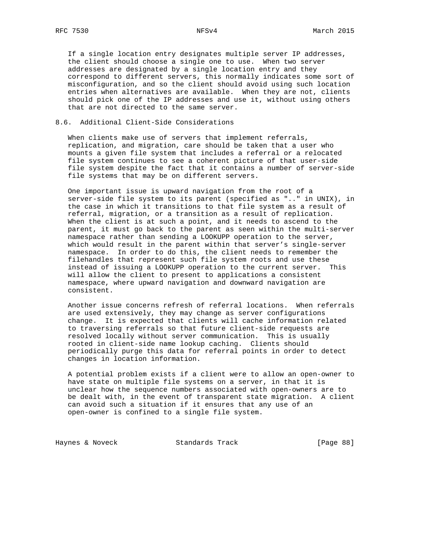If a single location entry designates multiple server IP addresses, the client should choose a single one to use. When two server addresses are designated by a single location entry and they correspond to different servers, this normally indicates some sort of misconfiguration, and so the client should avoid using such location entries when alternatives are available. When they are not, clients should pick one of the IP addresses and use it, without using others that are not directed to the same server.

## 8.6. Additional Client-Side Considerations

 When clients make use of servers that implement referrals, replication, and migration, care should be taken that a user who mounts a given file system that includes a referral or a relocated file system continues to see a coherent picture of that user-side file system despite the fact that it contains a number of server-side file systems that may be on different servers.

 One important issue is upward navigation from the root of a server-side file system to its parent (specified as ".." in UNIX), in the case in which it transitions to that file system as a result of referral, migration, or a transition as a result of replication. When the client is at such a point, and it needs to ascend to the parent, it must go back to the parent as seen within the multi-server namespace rather than sending a LOOKUPP operation to the server, which would result in the parent within that server's single-server namespace. In order to do this, the client needs to remember the filehandles that represent such file system roots and use these instead of issuing a LOOKUPP operation to the current server. This will allow the client to present to applications a consistent namespace, where upward navigation and downward navigation are consistent.

 Another issue concerns refresh of referral locations. When referrals are used extensively, they may change as server configurations change. It is expected that clients will cache information related to traversing referrals so that future client-side requests are resolved locally without server communication. This is usually rooted in client-side name lookup caching. Clients should periodically purge this data for referral points in order to detect changes in location information.

 A potential problem exists if a client were to allow an open-owner to have state on multiple file systems on a server, in that it is unclear how the sequence numbers associated with open-owners are to be dealt with, in the event of transparent state migration. A client can avoid such a situation if it ensures that any use of an open-owner is confined to a single file system.

Haynes & Noveck Standards Track [Page 88]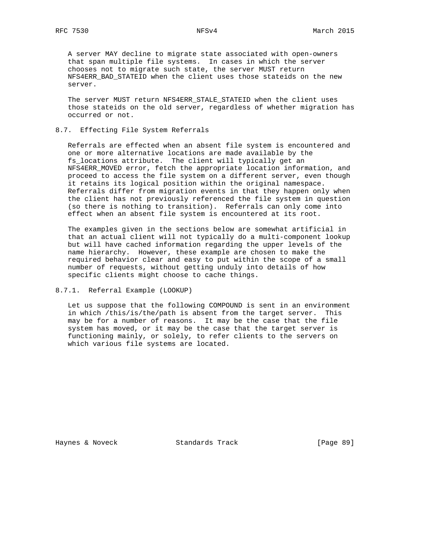A server MAY decline to migrate state associated with open-owners that span multiple file systems. In cases in which the server chooses not to migrate such state, the server MUST return NFS4ERR BAD STATEID when the client uses those stateids on the new server.

 The server MUST return NFS4ERR\_STALE\_STATEID when the client uses those stateids on the old server, regardless of whether migration has occurred or not.

## 8.7. Effecting File System Referrals

 Referrals are effected when an absent file system is encountered and one or more alternative locations are made available by the fs\_locations attribute. The client will typically get an NFS4ERR\_MOVED error, fetch the appropriate location information, and proceed to access the file system on a different server, even though it retains its logical position within the original namespace. Referrals differ from migration events in that they happen only when the client has not previously referenced the file system in question (so there is nothing to transition). Referrals can only come into effect when an absent file system is encountered at its root.

 The examples given in the sections below are somewhat artificial in that an actual client will not typically do a multi-component lookup but will have cached information regarding the upper levels of the name hierarchy. However, these example are chosen to make the required behavior clear and easy to put within the scope of a small number of requests, without getting unduly into details of how specific clients might choose to cache things.

8.7.1. Referral Example (LOOKUP)

 Let us suppose that the following COMPOUND is sent in an environment in which /this/is/the/path is absent from the target server. This may be for a number of reasons. It may be the case that the file system has moved, or it may be the case that the target server is functioning mainly, or solely, to refer clients to the servers on which various file systems are located.

Haynes & Noveck Standards Track [Page 89]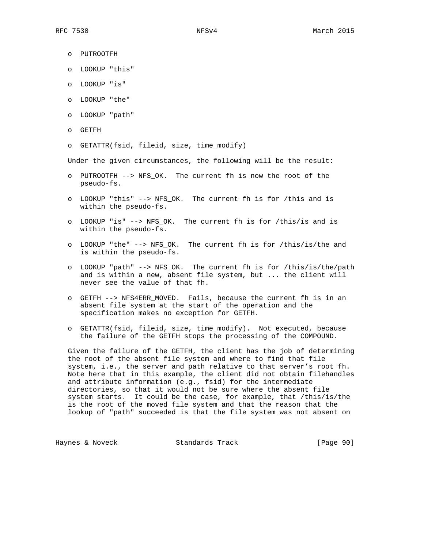- o PUTROOTFH
- o LOOKUP "this"
- o LOOKUP "is"
- o LOOKUP "the"
- o LOOKUP "path"
- o GETFH
- o GETATTR(fsid, fileid, size, time\_modify)

Under the given circumstances, the following will be the result:

- o PUTROOTFH --> NFS\_OK. The current fh is now the root of the pseudo-fs.
- o LOOKUP "this" --> NFS\_OK. The current fh is for /this and is within the pseudo-fs.
- o LOOKUP "is" --> NFS\_OK. The current fh is for /this/is and is within the pseudo-fs.
- o LOOKUP "the" --> NFS\_OK. The current fh is for /this/is/the and is within the pseudo-fs.
- o LOOKUP "path" --> NFS\_OK. The current fh is for /this/is/the/path and is within a new, absent file system, but ... the client will never see the value of that fh.
- o GETFH --> NFS4ERR\_MOVED. Fails, because the current fh is in an absent file system at the start of the operation and the specification makes no exception for GETFH.
- o GETATTR(fsid, fileid, size, time\_modify). Not executed, because the failure of the GETFH stops the processing of the COMPOUND.

 Given the failure of the GETFH, the client has the job of determining the root of the absent file system and where to find that file system, i.e., the server and path relative to that server's root fh. Note here that in this example, the client did not obtain filehandles and attribute information (e.g., fsid) for the intermediate directories, so that it would not be sure where the absent file system starts. It could be the case, for example, that /this/is/the is the root of the moved file system and that the reason that the lookup of "path" succeeded is that the file system was not absent on

Haynes & Noveck Standards Track [Page 90]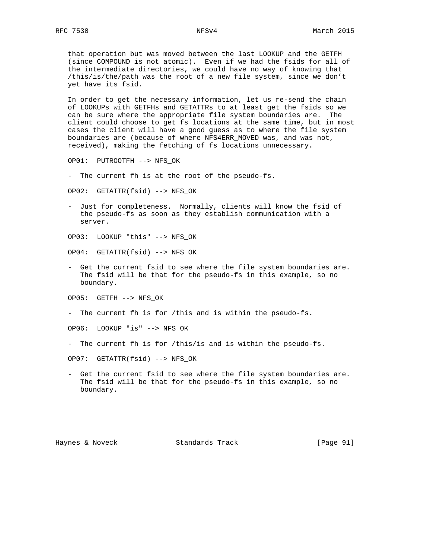that operation but was moved between the last LOOKUP and the GETFH (since COMPOUND is not atomic). Even if we had the fsids for all of the intermediate directories, we could have no way of knowing that /this/is/the/path was the root of a new file system, since we don't yet have its fsid.

 In order to get the necessary information, let us re-send the chain of LOOKUPs with GETFHs and GETATTRs to at least get the fsids so we can be sure where the appropriate file system boundaries are. The client could choose to get fs\_locations at the same time, but in most cases the client will have a good guess as to where the file system boundaries are (because of where NFS4ERR\_MOVED was, and was not, received), making the fetching of fs\_locations unnecessary.

OP01: PUTROOTFH --> NFS\_OK

- The current fh is at the root of the pseudo-fs.

OP02: GETATTR(fsid) --> NFS\_OK

- Just for completeness. Normally, clients will know the fsid of the pseudo-fs as soon as they establish communication with a server.
- OP03: LOOKUP "this" --> NFS\_OK
- OP04: GETATTR(fsid) --> NFS\_OK
- Get the current fsid to see where the file system boundaries are. The fsid will be that for the pseudo-fs in this example, so no boundary.

OP05: GETFH --> NFS\_OK

- The current fh is for /this and is within the pseudo-fs.

OP06: LOOKUP "is" --> NFS\_OK

- The current fh is for /this/is and is within the pseudo-fs.

OP07: GETATTR(fsid) --> NFS\_OK

 - Get the current fsid to see where the file system boundaries are. The fsid will be that for the pseudo-fs in this example, so no boundary.

Haynes & Noveck Standards Track [Page 91]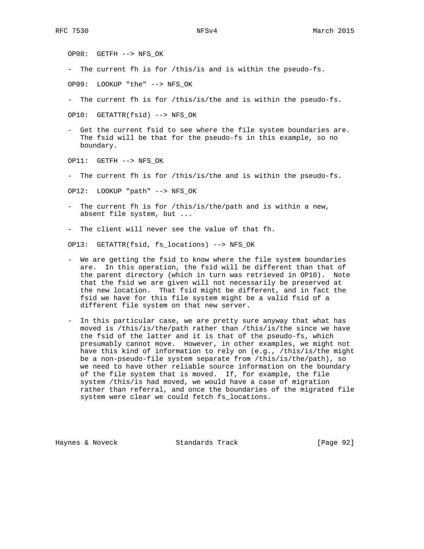OP08: GETFH --> NFS\_OK

- The current fh is for /this/is and is within the pseudo-fs.

OP09: LOOKUP "the" --> NFS\_OK

- The current fh is for /this/is/the and is within the pseudo-fs.

OP10: GETATTR(fsid) --> NFS\_OK

 - Get the current fsid to see where the file system boundaries are. The fsid will be that for the pseudo-fs in this example, so no boundary.

OP11: GETFH --> NFS\_OK

- The current fh is for /this/is/the and is within the pseudo-fs.

OP12: LOOKUP "path" --> NFS\_OK

 - The current fh is for /this/is/the/path and is within a new, absent file system, but ...

- The client will never see the value of that fh.

OP13: GETATTR(fsid, fs\_locations) --> NFS\_OK

- We are getting the fsid to know where the file system boundaries are. In this operation, the fsid will be different than that of the parent directory (which in turn was retrieved in OP10). Note that the fsid we are given will not necessarily be preserved at the new location. That fsid might be different, and in fact the fsid we have for this file system might be a valid fsid of a different file system on that new server.
- In this particular case, we are pretty sure anyway that what has moved is /this/is/the/path rather than /this/is/the since we have the fsid of the latter and it is that of the pseudo-fs, which presumably cannot move. However, in other examples, we might not have this kind of information to rely on (e.g., /this/is/the might be a non-pseudo-file system separate from /this/is/the/path), so we need to have other reliable source information on the boundary of the file system that is moved. If, for example, the file system /this/is had moved, we would have a case of migration rather than referral, and once the boundaries of the migrated file system were clear we could fetch fs\_locations.

Haynes & Noveck Standards Track [Page 92]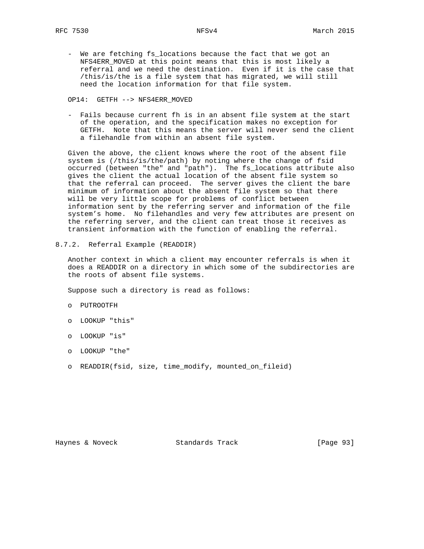- We are fetching fs\_locations because the fact that we got an NFS4ERR\_MOVED at this point means that this is most likely a referral and we need the destination. Even if it is the case that /this/is/the is a file system that has migrated, we will still need the location information for that file system.

OP14: GETFH --> NFS4ERR\_MOVED

 - Fails because current fh is in an absent file system at the start of the operation, and the specification makes no exception for GETFH. Note that this means the server will never send the client a filehandle from within an absent file system.

 Given the above, the client knows where the root of the absent file system is (/this/is/the/path) by noting where the change of fsid occurred (between "the" and "path"). The fs\_locations attribute also gives the client the actual location of the absent file system so that the referral can proceed. The server gives the client the bare minimum of information about the absent file system so that there will be very little scope for problems of conflict between information sent by the referring server and information of the file system's home. No filehandles and very few attributes are present on the referring server, and the client can treat those it receives as transient information with the function of enabling the referral.

8.7.2. Referral Example (READDIR)

 Another context in which a client may encounter referrals is when it does a READDIR on a directory in which some of the subdirectories are the roots of absent file systems.

Suppose such a directory is read as follows:

- o PUTROOTFH
- o LOOKUP "this"
- o LOOKUP "is"
- o LOOKUP "the"
- o READDIR(fsid, size, time\_modify, mounted\_on\_fileid)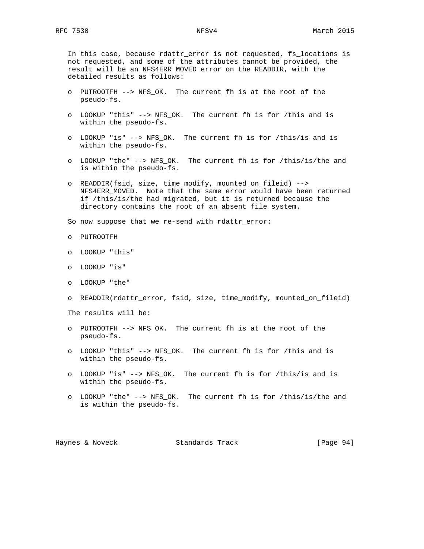In this case, because rdattr\_error is not requested, fs\_locations is not requested, and some of the attributes cannot be provided, the result will be an NFS4ERR\_MOVED error on the READDIR, with the detailed results as follows:

- o PUTROOTFH --> NFS\_OK. The current fh is at the root of the pseudo-fs.
- o LOOKUP "this" --> NFS\_OK. The current fh is for /this and is within the pseudo-fs.
- o LOOKUP "is" --> NFS\_OK. The current fh is for /this/is and is within the pseudo-fs.
- o LOOKUP "the" --> NFS\_OK. The current fh is for /this/is/the and is within the pseudo-fs.
- o READDIR(fsid, size, time\_modify, mounted\_on\_fileid) --> NFS4ERR\_MOVED. Note that the same error would have been returned if /this/is/the had migrated, but it is returned because the directory contains the root of an absent file system.

So now suppose that we re-send with rdattr\_error:

- o PUTROOTFH
- o LOOKUP "this"
- o LOOKUP "is"
- o LOOKUP "the"
- o READDIR(rdattr\_error, fsid, size, time\_modify, mounted\_on\_fileid)

The results will be:

- o PUTROOTFH --> NFS\_OK. The current fh is at the root of the pseudo-fs.
- o LOOKUP "this" --> NFS\_OK. The current fh is for /this and is within the pseudo-fs.
- o LOOKUP "is" --> NFS\_OK. The current fh is for /this/is and is within the pseudo-fs.
- o LOOKUP "the" --> NFS\_OK. The current fh is for /this/is/the and is within the pseudo-fs.

Haynes & Noveck Standards Track [Page 94]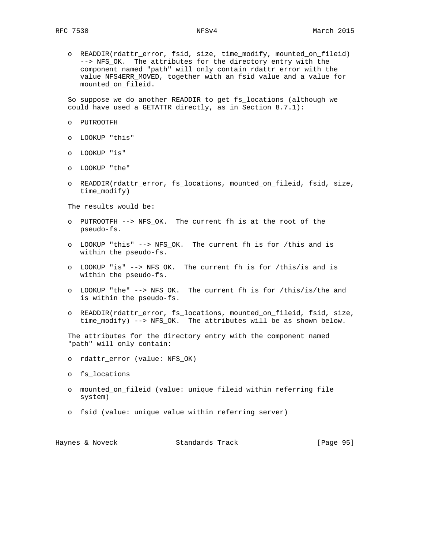o READDIR(rdattr\_error, fsid, size, time\_modify, mounted\_on\_fileid) --> NFS\_OK. The attributes for the directory entry with the component named "path" will only contain rdattr\_error with the value NFS4ERR\_MOVED, together with an fsid value and a value for mounted\_on\_fileid.

 So suppose we do another READDIR to get fs\_locations (although we could have used a GETATTR directly, as in Section 8.7.1):

- o PUTROOTFH
- o LOOKUP "this"
- o LOOKUP "is"
- o LOOKUP "the"
- o READDIR(rdattr\_error, fs\_locations, mounted\_on\_fileid, fsid, size, time\_modify)

The results would be:

- o PUTROOTFH --> NFS\_OK. The current fh is at the root of the pseudo-fs.
- o LOOKUP "this" --> NFS\_OK. The current fh is for /this and is within the pseudo-fs.
- o LOOKUP "is" --> NFS\_OK. The current fh is for /this/is and is within the pseudo-fs.
- o LOOKUP "the" --> NFS\_OK. The current fh is for /this/is/the and is within the pseudo-fs.
- o READDIR(rdattr\_error, fs\_locations, mounted\_on\_fileid, fsid, size, time\_modify) --> NFS\_OK. The attributes will be as shown below.

 The attributes for the directory entry with the component named "path" will only contain:

- o rdattr\_error (value: NFS\_OK)
- o fs\_locations
- o mounted\_on\_fileid (value: unique fileid within referring file system)
- o fsid (value: unique value within referring server)

| Haynes & Noveck |  |  | Standards Track |  | [Page 95] |  |
|-----------------|--|--|-----------------|--|-----------|--|
|-----------------|--|--|-----------------|--|-----------|--|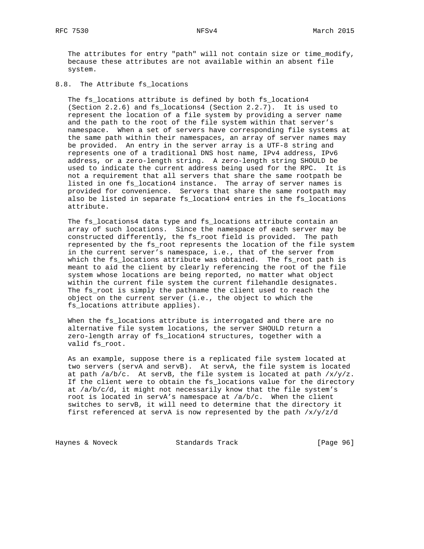The attributes for entry "path" will not contain size or time\_modify, because these attributes are not available within an absent file system.

## 8.8. The Attribute fs\_locations

 The fs\_locations attribute is defined by both fs\_location4 (Section 2.2.6) and fs\_locations4 (Section 2.2.7). It is used to represent the location of a file system by providing a server name and the path to the root of the file system within that server's namespace. When a set of servers have corresponding file systems at the same path within their namespaces, an array of server names may be provided. An entry in the server array is a UTF-8 string and represents one of a traditional DNS host name, IPv4 address, IPv6 address, or a zero-length string. A zero-length string SHOULD be used to indicate the current address being used for the RPC. It is not a requirement that all servers that share the same rootpath be listed in one fs\_location4 instance. The array of server names is provided for convenience. Servers that share the same rootpath may also be listed in separate fs\_location4 entries in the fs\_locations attribute.

 The fs\_locations4 data type and fs\_locations attribute contain an array of such locations. Since the namespace of each server may be constructed differently, the fs\_root field is provided. The path represented by the fs\_root represents the location of the file system in the current server's namespace, i.e., that of the server from which the fs\_locations attribute was obtained. The fs\_root path is meant to aid the client by clearly referencing the root of the file system whose locations are being reported, no matter what object within the current file system the current filehandle designates. The fs\_root is simply the pathname the client used to reach the object on the current server (i.e., the object to which the fs\_locations attribute applies).

 When the fs\_locations attribute is interrogated and there are no alternative file system locations, the server SHOULD return a zero-length array of fs\_location4 structures, together with a valid fs\_root.

 As an example, suppose there is a replicated file system located at two servers (servA and servB). At servA, the file system is located at path  $/a/b/c$ . At servB, the file system is located at path  $/x/y/z$ . If the client were to obtain the fs\_locations value for the directory at /a/b/c/d, it might not necessarily know that the file system's root is located in servA's namespace at /a/b/c. When the client switches to servB, it will need to determine that the directory it first referenced at servA is now represented by the path  $/x/y/z/d$ 

Haynes & Noveck Standards Track [Page 96]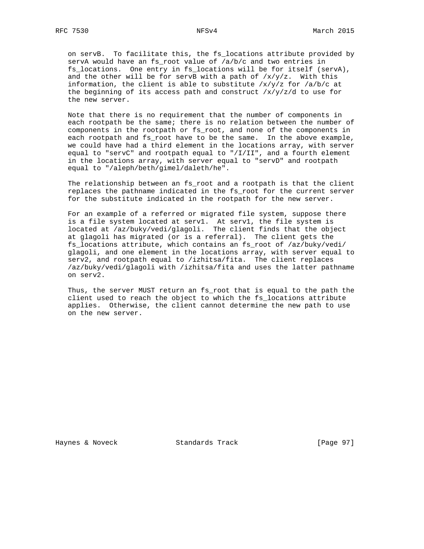on servB. To facilitate this, the fs\_locations attribute provided by servA would have an fs\_root value of /a/b/c and two entries in fs\_locations. One entry in fs\_locations will be for itself (servA), and the other will be for servB with a path of  $/x/y/z$ . With this information, the client is able to substitute  $/x/y/z$  for  $/a/b/c$  at the beginning of its access path and construct  $/x/y/z/d$  to use for the new server.

 Note that there is no requirement that the number of components in each rootpath be the same; there is no relation between the number of components in the rootpath or fs\_root, and none of the components in each rootpath and fs\_root have to be the same. In the above example, we could have had a third element in the locations array, with server equal to "servC" and rootpath equal to "/I/II", and a fourth element in the locations array, with server equal to "servD" and rootpath equal to "/aleph/beth/gimel/daleth/he".

 The relationship between an fs\_root and a rootpath is that the client replaces the pathname indicated in the fs\_root for the current server for the substitute indicated in the rootpath for the new server.

 For an example of a referred or migrated file system, suppose there is a file system located at serv1. At serv1, the file system is located at /az/buky/vedi/glagoli. The client finds that the object at glagoli has migrated (or is a referral). The client gets the fs\_locations attribute, which contains an fs\_root of /az/buky/vedi/ glagoli, and one element in the locations array, with server equal to serv2, and rootpath equal to /izhitsa/fita. The client replaces /az/buky/vedi/glagoli with /izhitsa/fita and uses the latter pathname on serv2.

 Thus, the server MUST return an fs\_root that is equal to the path the client used to reach the object to which the fs\_locations attribute applies. Otherwise, the client cannot determine the new path to use on the new server.

Haynes & Noveck Standards Track [Page 97]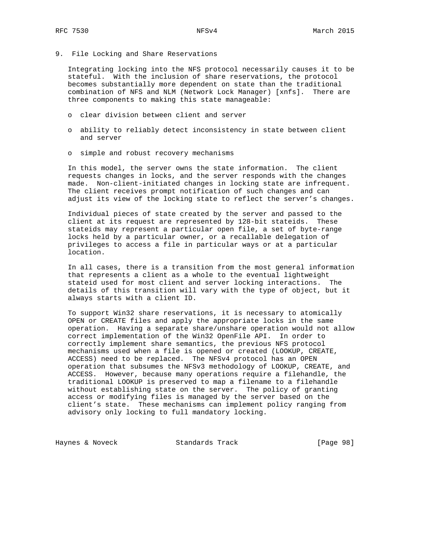9. File Locking and Share Reservations

 Integrating locking into the NFS protocol necessarily causes it to be stateful. With the inclusion of share reservations, the protocol becomes substantially more dependent on state than the traditional combination of NFS and NLM (Network Lock Manager) [xnfs]. There are three components to making this state manageable:

- o clear division between client and server
- o ability to reliably detect inconsistency in state between client and server
- o simple and robust recovery mechanisms

 In this model, the server owns the state information. The client requests changes in locks, and the server responds with the changes made. Non-client-initiated changes in locking state are infrequent. The client receives prompt notification of such changes and can adjust its view of the locking state to reflect the server's changes.

 Individual pieces of state created by the server and passed to the client at its request are represented by 128-bit stateids. These stateids may represent a particular open file, a set of byte-range locks held by a particular owner, or a recallable delegation of privileges to access a file in particular ways or at a particular location.

 In all cases, there is a transition from the most general information that represents a client as a whole to the eventual lightweight stateid used for most client and server locking interactions. The details of this transition will vary with the type of object, but it always starts with a client ID.

 To support Win32 share reservations, it is necessary to atomically OPEN or CREATE files and apply the appropriate locks in the same operation. Having a separate share/unshare operation would not allow correct implementation of the Win32 OpenFile API. In order to correctly implement share semantics, the previous NFS protocol mechanisms used when a file is opened or created (LOOKUP, CREATE, ACCESS) need to be replaced. The NFSv4 protocol has an OPEN operation that subsumes the NFSv3 methodology of LOOKUP, CREATE, and ACCESS. However, because many operations require a filehandle, the traditional LOOKUP is preserved to map a filename to a filehandle without establishing state on the server. The policy of granting access or modifying files is managed by the server based on the client's state. These mechanisms can implement policy ranging from advisory only locking to full mandatory locking.

Haynes & Noveck Standards Track [Page 98]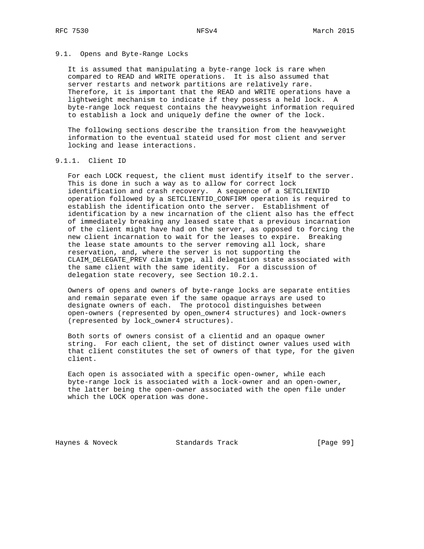## 9.1. Opens and Byte-Range Locks

 It is assumed that manipulating a byte-range lock is rare when compared to READ and WRITE operations. It is also assumed that server restarts and network partitions are relatively rare. Therefore, it is important that the READ and WRITE operations have a lightweight mechanism to indicate if they possess a held lock. A byte-range lock request contains the heavyweight information required to establish a lock and uniquely define the owner of the lock.

 The following sections describe the transition from the heavyweight information to the eventual stateid used for most client and server locking and lease interactions.

## 9.1.1. Client ID

 For each LOCK request, the client must identify itself to the server. This is done in such a way as to allow for correct lock identification and crash recovery. A sequence of a SETCLIENTID operation followed by a SETCLIENTID\_CONFIRM operation is required to establish the identification onto the server. Establishment of identification by a new incarnation of the client also has the effect of immediately breaking any leased state that a previous incarnation of the client might have had on the server, as opposed to forcing the new client incarnation to wait for the leases to expire. Breaking the lease state amounts to the server removing all lock, share reservation, and, where the server is not supporting the CLAIM\_DELEGATE\_PREV claim type, all delegation state associated with the same client with the same identity. For a discussion of delegation state recovery, see Section 10.2.1.

 Owners of opens and owners of byte-range locks are separate entities and remain separate even if the same opaque arrays are used to designate owners of each. The protocol distinguishes between open-owners (represented by open\_owner4 structures) and lock-owners (represented by lock\_owner4 structures).

 Both sorts of owners consist of a clientid and an opaque owner string. For each client, the set of distinct owner values used with that client constitutes the set of owners of that type, for the given client.

 Each open is associated with a specific open-owner, while each byte-range lock is associated with a lock-owner and an open-owner, the latter being the open-owner associated with the open file under which the LOCK operation was done.

Haynes & Noveck Standards Track [Page 99]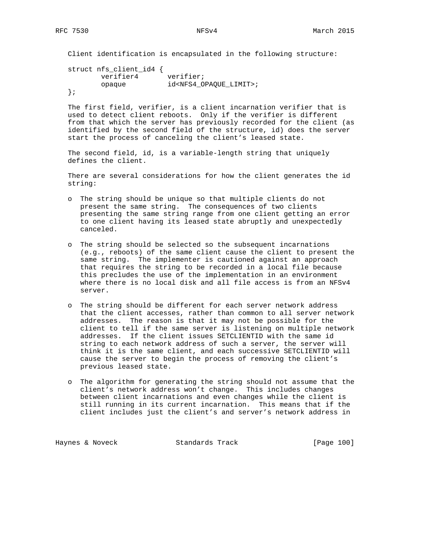Client identification is encapsulated in the following structure:

 struct nfs\_client\_id4 { verifier4 verifier; opaque id<NFS4\_OPAQUE\_LIMIT>; };

 The first field, verifier, is a client incarnation verifier that is used to detect client reboots. Only if the verifier is different from that which the server has previously recorded for the client (as identified by the second field of the structure, id) does the server start the process of canceling the client's leased state.

 The second field, id, is a variable-length string that uniquely defines the client.

 There are several considerations for how the client generates the id string:

- o The string should be unique so that multiple clients do not present the same string. The consequences of two clients presenting the same string range from one client getting an error to one client having its leased state abruptly and unexpectedly canceled.
- o The string should be selected so the subsequent incarnations (e.g., reboots) of the same client cause the client to present the same string. The implementer is cautioned against an approach that requires the string to be recorded in a local file because this precludes the use of the implementation in an environment where there is no local disk and all file access is from an NFSv4 server.
- o The string should be different for each server network address that the client accesses, rather than common to all server network addresses. The reason is that it may not be possible for the client to tell if the same server is listening on multiple network addresses. If the client issues SETCLIENTID with the same id string to each network address of such a server, the server will think it is the same client, and each successive SETCLIENTID will cause the server to begin the process of removing the client's previous leased state.
- o The algorithm for generating the string should not assume that the client's network address won't change. This includes changes between client incarnations and even changes while the client is still running in its current incarnation. This means that if the client includes just the client's and server's network address in

Haynes & Noveck Standards Track [Page 100]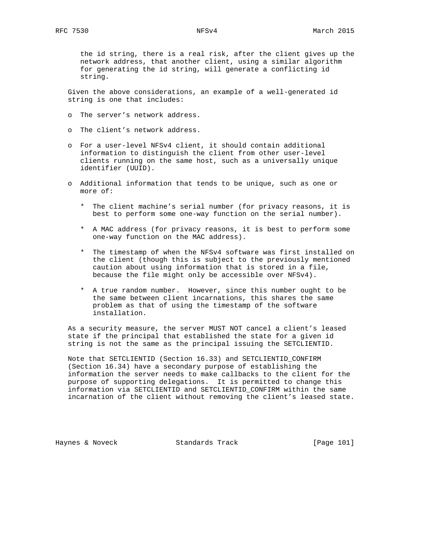the id string, there is a real risk, after the client gives up the network address, that another client, using a similar algorithm for generating the id string, will generate a conflicting id string.

 Given the above considerations, an example of a well-generated id string is one that includes:

- o The server's network address.
- o The client's network address.
- o For a user-level NFSv4 client, it should contain additional information to distinguish the client from other user-level clients running on the same host, such as a universally unique identifier (UUID).
- o Additional information that tends to be unique, such as one or more of:
	- \* The client machine's serial number (for privacy reasons, it is best to perform some one-way function on the serial number).
	- \* A MAC address (for privacy reasons, it is best to perform some one-way function on the MAC address).
	- \* The timestamp of when the NFSv4 software was first installed on the client (though this is subject to the previously mentioned caution about using information that is stored in a file, because the file might only be accessible over NFSv4).
	- \* A true random number. However, since this number ought to be the same between client incarnations, this shares the same problem as that of using the timestamp of the software installation.

 As a security measure, the server MUST NOT cancel a client's leased state if the principal that established the state for a given id string is not the same as the principal issuing the SETCLIENTID.

 Note that SETCLIENTID (Section 16.33) and SETCLIENTID\_CONFIRM (Section 16.34) have a secondary purpose of establishing the information the server needs to make callbacks to the client for the purpose of supporting delegations. It is permitted to change this information via SETCLIENTID and SETCLIENTID\_CONFIRM within the same incarnation of the client without removing the client's leased state.

Haynes & Noveck Standards Track [Page 101]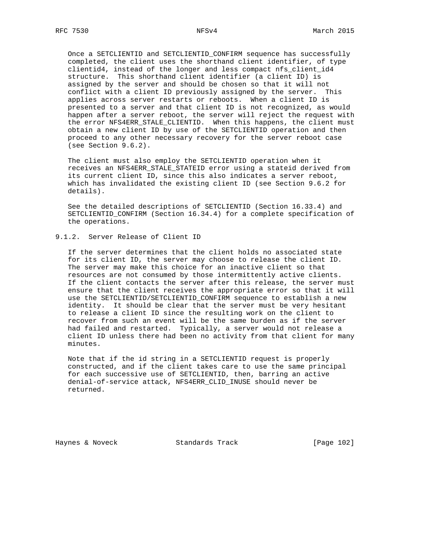Once a SETCLIENTID and SETCLIENTID\_CONFIRM sequence has successfully completed, the client uses the shorthand client identifier, of type clientid4, instead of the longer and less compact nfs\_client\_id4 structure. This shorthand client identifier (a client ID) is assigned by the server and should be chosen so that it will not conflict with a client ID previously assigned by the server. This applies across server restarts or reboots. When a client ID is presented to a server and that client ID is not recognized, as would happen after a server reboot, the server will reject the request with the error NFS4ERR\_STALE\_CLIENTID. When this happens, the client must obtain a new client ID by use of the SETCLIENTID operation and then proceed to any other necessary recovery for the server reboot case (see Section 9.6.2).

 The client must also employ the SETCLIENTID operation when it receives an NFS4ERR\_STALE\_STATEID error using a stateid derived from its current client ID, since this also indicates a server reboot, which has invalidated the existing client ID (see Section 9.6.2 for details).

 See the detailed descriptions of SETCLIENTID (Section 16.33.4) and SETCLIENTID\_CONFIRM (Section 16.34.4) for a complete specification of the operations.

## 9.1.2. Server Release of Client ID

 If the server determines that the client holds no associated state for its client ID, the server may choose to release the client ID. The server may make this choice for an inactive client so that resources are not consumed by those intermittently active clients. If the client contacts the server after this release, the server must ensure that the client receives the appropriate error so that it will use the SETCLIENTID/SETCLIENTID\_CONFIRM sequence to establish a new identity. It should be clear that the server must be very hesitant to release a client ID since the resulting work on the client to recover from such an event will be the same burden as if the server had failed and restarted. Typically, a server would not release a client ID unless there had been no activity from that client for many minutes.

 Note that if the id string in a SETCLIENTID request is properly constructed, and if the client takes care to use the same principal for each successive use of SETCLIENTID, then, barring an active denial-of-service attack, NFS4ERR\_CLID\_INUSE should never be returned.

Haynes & Noveck Standards Track [Page 102]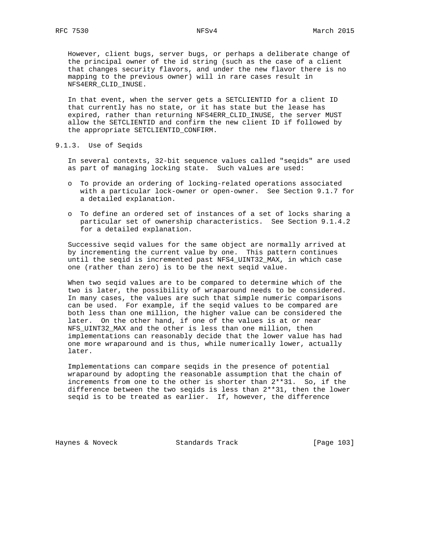However, client bugs, server bugs, or perhaps a deliberate change of the principal owner of the id string (such as the case of a client that changes security flavors, and under the new flavor there is no mapping to the previous owner) will in rare cases result in NFS4ERR\_CLID\_INUSE.

 In that event, when the server gets a SETCLIENTID for a client ID that currently has no state, or it has state but the lease has expired, rather than returning NFS4ERR\_CLID\_INUSE, the server MUST allow the SETCLIENTID and confirm the new client ID if followed by the appropriate SETCLIENTID\_CONFIRM.

9.1.3. Use of Seqids

 In several contexts, 32-bit sequence values called "seqids" are used as part of managing locking state. Such values are used:

- o To provide an ordering of locking-related operations associated with a particular lock-owner or open-owner. See Section 9.1.7 for a detailed explanation.
- o To define an ordered set of instances of a set of locks sharing a particular set of ownership characteristics. See Section 9.1.4.2 for a detailed explanation.

 Successive seqid values for the same object are normally arrived at by incrementing the current value by one. This pattern continues until the seqid is incremented past NFS4\_UINT32\_MAX, in which case one (rather than zero) is to be the next seqid value.

 When two seqid values are to be compared to determine which of the two is later, the possibility of wraparound needs to be considered. In many cases, the values are such that simple numeric comparisons can be used. For example, if the seqid values to be compared are both less than one million, the higher value can be considered the later. On the other hand, if one of the values is at or near NFS\_UINT32\_MAX and the other is less than one million, then implementations can reasonably decide that the lower value has had one more wraparound and is thus, while numerically lower, actually later.

 Implementations can compare seqids in the presence of potential wraparound by adopting the reasonable assumption that the chain of increments from one to the other is shorter than 2\*\*31. So, if the difference between the two seqids is less than 2\*\*31, then the lower seqid is to be treated as earlier. If, however, the difference

Haynes & Noveck Standards Track [Page 103]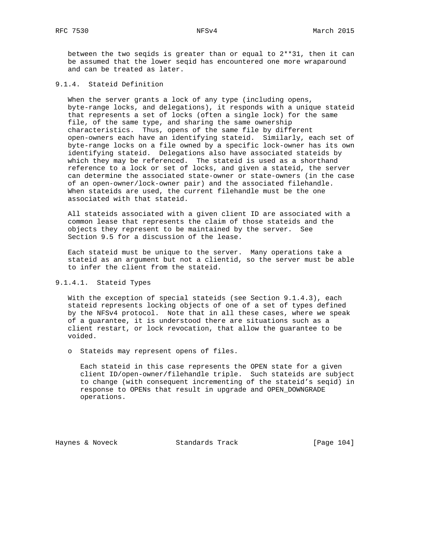between the two seqids is greater than or equal to 2\*\*31, then it can be assumed that the lower seqid has encountered one more wraparound and can be treated as later.

## 9.1.4. Stateid Definition

 When the server grants a lock of any type (including opens, byte-range locks, and delegations), it responds with a unique stateid that represents a set of locks (often a single lock) for the same file, of the same type, and sharing the same ownership characteristics. Thus, opens of the same file by different open-owners each have an identifying stateid. Similarly, each set of byte-range locks on a file owned by a specific lock-owner has its own identifying stateid. Delegations also have associated stateids by which they may be referenced. The stateid is used as a shorthand reference to a lock or set of locks, and given a stateid, the server can determine the associated state-owner or state-owners (in the case of an open-owner/lock-owner pair) and the associated filehandle. When stateids are used, the current filehandle must be the one associated with that stateid.

 All stateids associated with a given client ID are associated with a common lease that represents the claim of those stateids and the objects they represent to be maintained by the server. See Section 9.5 for a discussion of the lease.

 Each stateid must be unique to the server. Many operations take a stateid as an argument but not a clientid, so the server must be able to infer the client from the stateid.

## 9.1.4.1. Stateid Types

 With the exception of special stateids (see Section 9.1.4.3), each stateid represents locking objects of one of a set of types defined by the NFSv4 protocol. Note that in all these cases, where we speak of a guarantee, it is understood there are situations such as a client restart, or lock revocation, that allow the guarantee to be voided.

o Stateids may represent opens of files.

 Each stateid in this case represents the OPEN state for a given client ID/open-owner/filehandle triple. Such stateids are subject to change (with consequent incrementing of the stateid's seqid) in response to OPENs that result in upgrade and OPEN\_DOWNGRADE operations.

Haynes & Noveck Standards Track [Page 104]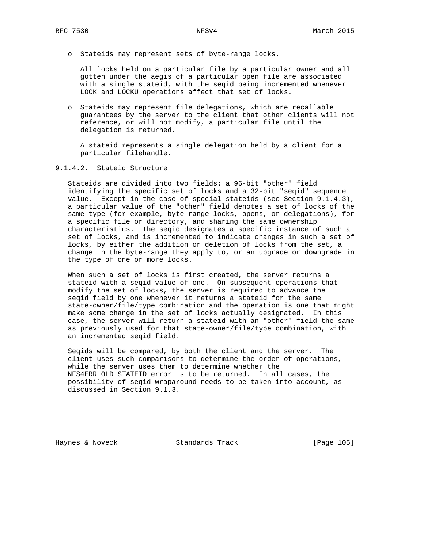o Stateids may represent sets of byte-range locks.

 All locks held on a particular file by a particular owner and all gotten under the aegis of a particular open file are associated with a single stateid, with the seqid being incremented whenever LOCK and LOCKU operations affect that set of locks.

 o Stateids may represent file delegations, which are recallable guarantees by the server to the client that other clients will not reference, or will not modify, a particular file until the delegation is returned.

 A stateid represents a single delegation held by a client for a particular filehandle.

# 9.1.4.2. Stateid Structure

 Stateids are divided into two fields: a 96-bit "other" field identifying the specific set of locks and a 32-bit "seqid" sequence value. Except in the case of special stateids (see Section 9.1.4.3), a particular value of the "other" field denotes a set of locks of the same type (for example, byte-range locks, opens, or delegations), for a specific file or directory, and sharing the same ownership characteristics. The seqid designates a specific instance of such a set of locks, and is incremented to indicate changes in such a set of locks, by either the addition or deletion of locks from the set, a change in the byte-range they apply to, or an upgrade or downgrade in the type of one or more locks.

 When such a set of locks is first created, the server returns a stateid with a seqid value of one. On subsequent operations that modify the set of locks, the server is required to advance the seqid field by one whenever it returns a stateid for the same state-owner/file/type combination and the operation is one that might make some change in the set of locks actually designated. In this case, the server will return a stateid with an "other" field the same as previously used for that state-owner/file/type combination, with an incremented seqid field.

 Seqids will be compared, by both the client and the server. The client uses such comparisons to determine the order of operations, while the server uses them to determine whether the NFS4ERR\_OLD\_STATEID error is to be returned. In all cases, the possibility of seqid wraparound needs to be taken into account, as discussed in Section 9.1.3.

Haynes & Noveck Standards Track [Page 105]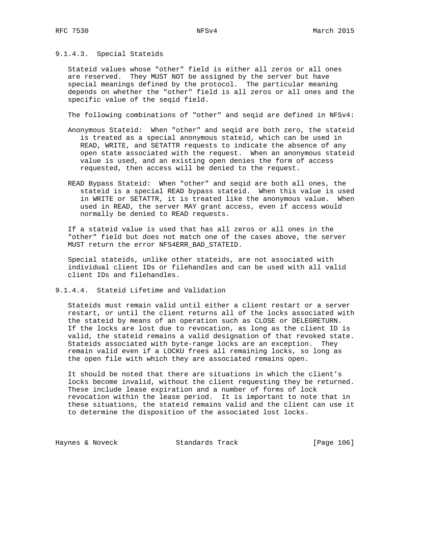## 9.1.4.3. Special Stateids

 Stateid values whose "other" field is either all zeros or all ones are reserved. They MUST NOT be assigned by the server but have special meanings defined by the protocol. The particular meaning depends on whether the "other" field is all zeros or all ones and the specific value of the seqid field.

The following combinations of "other" and seqid are defined in NFSv4:

- Anonymous Stateid: When "other" and seqid are both zero, the stateid is treated as a special anonymous stateid, which can be used in READ, WRITE, and SETATTR requests to indicate the absence of any open state associated with the request. When an anonymous stateid value is used, and an existing open denies the form of access requested, then access will be denied to the request.
- READ Bypass Stateid: When "other" and seqid are both all ones, the stateid is a special READ bypass stateid. When this value is used in WRITE or SETATTR, it is treated like the anonymous value. When used in READ, the server MAY grant access, even if access would normally be denied to READ requests.

 If a stateid value is used that has all zeros or all ones in the "other" field but does not match one of the cases above, the server MUST return the error NFS4ERR\_BAD\_STATEID.

 Special stateids, unlike other stateids, are not associated with individual client IDs or filehandles and can be used with all valid client IDs and filehandles.

9.1.4.4. Stateid Lifetime and Validation

 Stateids must remain valid until either a client restart or a server restart, or until the client returns all of the locks associated with the stateid by means of an operation such as CLOSE or DELEGRETURN. If the locks are lost due to revocation, as long as the client ID is valid, the stateid remains a valid designation of that revoked state. Stateids associated with byte-range locks are an exception. They remain valid even if a LOCKU frees all remaining locks, so long as the open file with which they are associated remains open.

 It should be noted that there are situations in which the client's locks become invalid, without the client requesting they be returned. These include lease expiration and a number of forms of lock revocation within the lease period. It is important to note that in these situations, the stateid remains valid and the client can use it to determine the disposition of the associated lost locks.

Haynes & Noveck Standards Track [Page 106]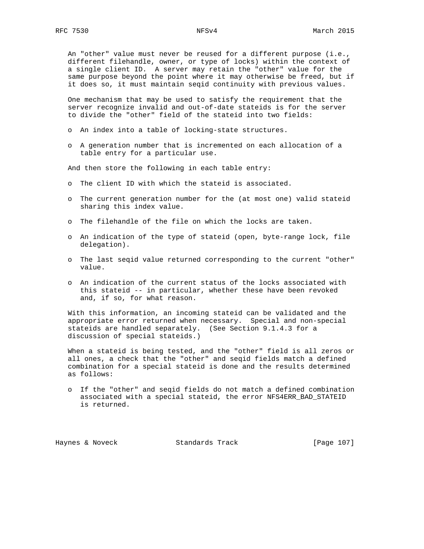An "other" value must never be reused for a different purpose (i.e., different filehandle, owner, or type of locks) within the context of a single client ID. A server may retain the "other" value for the same purpose beyond the point where it may otherwise be freed, but if it does so, it must maintain seqid continuity with previous values.

 One mechanism that may be used to satisfy the requirement that the server recognize invalid and out-of-date stateids is for the server to divide the "other" field of the stateid into two fields:

- o An index into a table of locking-state structures.
- o A generation number that is incremented on each allocation of a table entry for a particular use.

And then store the following in each table entry:

- o The client ID with which the stateid is associated.
- o The current generation number for the (at most one) valid stateid sharing this index value.
- o The filehandle of the file on which the locks are taken.
- o An indication of the type of stateid (open, byte-range lock, file delegation).
- o The last seqid value returned corresponding to the current "other" value.
- o An indication of the current status of the locks associated with this stateid -- in particular, whether these have been revoked and, if so, for what reason.

 With this information, an incoming stateid can be validated and the appropriate error returned when necessary. Special and non-special stateids are handled separately. (See Section 9.1.4.3 for a discussion of special stateids.)

 When a stateid is being tested, and the "other" field is all zeros or all ones, a check that the "other" and seqid fields match a defined combination for a special stateid is done and the results determined as follows:

 o If the "other" and seqid fields do not match a defined combination associated with a special stateid, the error NFS4ERR\_BAD\_STATEID is returned.

Haynes & Noveck Standards Track [Page 107]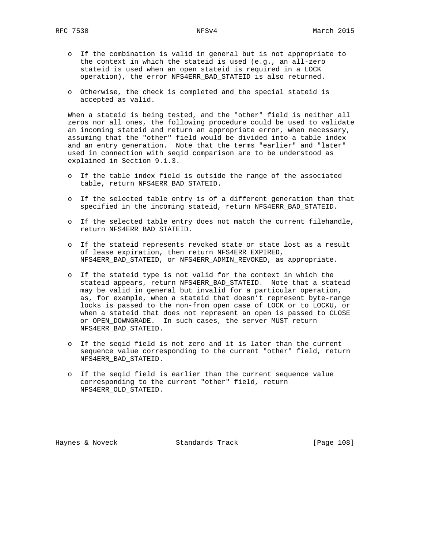- o If the combination is valid in general but is not appropriate to the context in which the stateid is used (e.g., an all-zero stateid is used when an open stateid is required in a LOCK operation), the error NFS4ERR\_BAD\_STATEID is also returned.
- o Otherwise, the check is completed and the special stateid is accepted as valid.

 When a stateid is being tested, and the "other" field is neither all zeros nor all ones, the following procedure could be used to validate an incoming stateid and return an appropriate error, when necessary, assuming that the "other" field would be divided into a table index and an entry generation. Note that the terms "earlier" and "later" used in connection with seqid comparison are to be understood as explained in Section 9.1.3.

- o If the table index field is outside the range of the associated table, return NFS4ERR\_BAD\_STATEID.
- o If the selected table entry is of a different generation than that specified in the incoming stateid, return NFS4ERR\_BAD\_STATEID.
- o If the selected table entry does not match the current filehandle, return NFS4ERR\_BAD\_STATEID.
- o If the stateid represents revoked state or state lost as a result of lease expiration, then return NFS4ERR\_EXPIRED, NFS4ERR\_BAD\_STATEID, or NFS4ERR\_ADMIN\_REVOKED, as appropriate.
- o If the stateid type is not valid for the context in which the stateid appears, return NFS4ERR\_BAD\_STATEID. Note that a stateid may be valid in general but invalid for a particular operation, as, for example, when a stateid that doesn't represent byte-range locks is passed to the non-from\_open case of LOCK or to LOCKU, or when a stateid that does not represent an open is passed to CLOSE or OPEN\_DOWNGRADE. In such cases, the server MUST return NFS4ERR\_BAD\_STATEID.
- o If the seqid field is not zero and it is later than the current sequence value corresponding to the current "other" field, return NFS4ERR\_BAD\_STATEID.
- o If the seqid field is earlier than the current sequence value corresponding to the current "other" field, return NFS4ERR\_OLD\_STATEID.

Haynes & Noveck Standards Track [Page 108]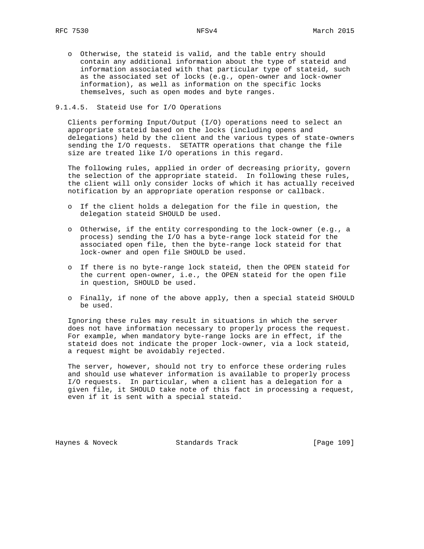o Otherwise, the stateid is valid, and the table entry should contain any additional information about the type of stateid and information associated with that particular type of stateid, such as the associated set of locks (e.g., open-owner and lock-owner information), as well as information on the specific locks themselves, such as open modes and byte ranges.

## 9.1.4.5. Stateid Use for I/O Operations

 Clients performing Input/Output (I/O) operations need to select an appropriate stateid based on the locks (including opens and delegations) held by the client and the various types of state-owners sending the I/O requests. SETATTR operations that change the file size are treated like I/O operations in this regard.

 The following rules, applied in order of decreasing priority, govern the selection of the appropriate stateid. In following these rules, the client will only consider locks of which it has actually received notification by an appropriate operation response or callback.

- o If the client holds a delegation for the file in question, the delegation stateid SHOULD be used.
- o Otherwise, if the entity corresponding to the lock-owner (e.g., a process) sending the I/O has a byte-range lock stateid for the associated open file, then the byte-range lock stateid for that lock-owner and open file SHOULD be used.
- o If there is no byte-range lock stateid, then the OPEN stateid for the current open-owner, i.e., the OPEN stateid for the open file in question, SHOULD be used.
- o Finally, if none of the above apply, then a special stateid SHOULD be used.

 Ignoring these rules may result in situations in which the server does not have information necessary to properly process the request. For example, when mandatory byte-range locks are in effect, if the stateid does not indicate the proper lock-owner, via a lock stateid, a request might be avoidably rejected.

 The server, however, should not try to enforce these ordering rules and should use whatever information is available to properly process I/O requests. In particular, when a client has a delegation for a given file, it SHOULD take note of this fact in processing a request, even if it is sent with a special stateid.

Haynes & Noveck Standards Track [Page 109]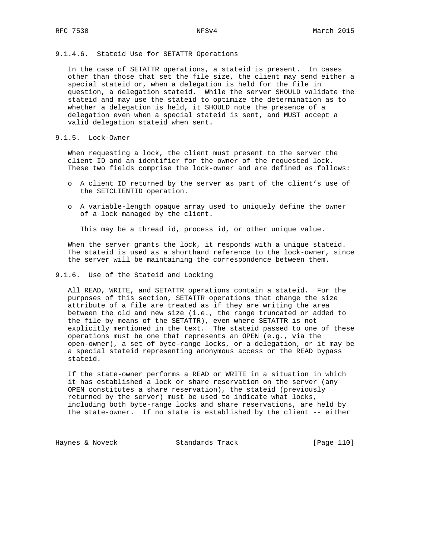# 9.1.4.6. Stateid Use for SETATTR Operations

 In the case of SETATTR operations, a stateid is present. In cases other than those that set the file size, the client may send either a special stateid or, when a delegation is held for the file in question, a delegation stateid. While the server SHOULD validate the stateid and may use the stateid to optimize the determination as to whether a delegation is held, it SHOULD note the presence of a delegation even when a special stateid is sent, and MUST accept a valid delegation stateid when sent.

# 9.1.5. Lock-Owner

 When requesting a lock, the client must present to the server the client ID and an identifier for the owner of the requested lock. These two fields comprise the lock-owner and are defined as follows:

- o A client ID returned by the server as part of the client's use of the SETCLIENTID operation.
- o A variable-length opaque array used to uniquely define the owner of a lock managed by the client.

This may be a thread id, process id, or other unique value.

 When the server grants the lock, it responds with a unique stateid. The stateid is used as a shorthand reference to the lock-owner, since the server will be maintaining the correspondence between them.

## 9.1.6. Use of the Stateid and Locking

 All READ, WRITE, and SETATTR operations contain a stateid. For the purposes of this section, SETATTR operations that change the size attribute of a file are treated as if they are writing the area between the old and new size (i.e., the range truncated or added to the file by means of the SETATTR), even where SETATTR is not explicitly mentioned in the text. The stateid passed to one of these operations must be one that represents an OPEN (e.g., via the open-owner), a set of byte-range locks, or a delegation, or it may be a special stateid representing anonymous access or the READ bypass stateid.

 If the state-owner performs a READ or WRITE in a situation in which it has established a lock or share reservation on the server (any OPEN constitutes a share reservation), the stateid (previously returned by the server) must be used to indicate what locks, including both byte-range locks and share reservations, are held by the state-owner. If no state is established by the client -- either

Haynes & Noveck Standards Track [Page 110]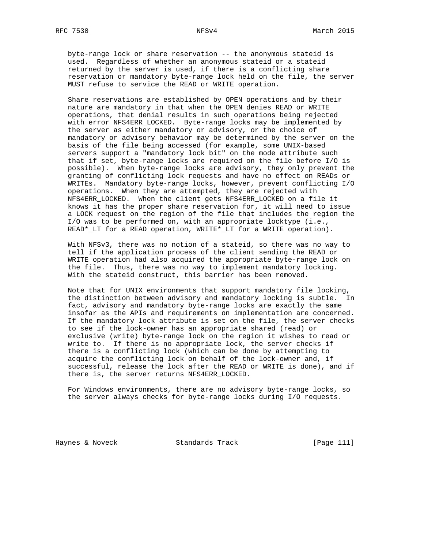byte-range lock or share reservation -- the anonymous stateid is used. Regardless of whether an anonymous stateid or a stateid returned by the server is used, if there is a conflicting share reservation or mandatory byte-range lock held on the file, the server MUST refuse to service the READ or WRITE operation.

 Share reservations are established by OPEN operations and by their nature are mandatory in that when the OPEN denies READ or WRITE operations, that denial results in such operations being rejected with error NFS4ERR\_LOCKED. Byte-range locks may be implemented by the server as either mandatory or advisory, or the choice of mandatory or advisory behavior may be determined by the server on the basis of the file being accessed (for example, some UNIX-based servers support a "mandatory lock bit" on the mode attribute such that if set, byte-range locks are required on the file before I/O is possible). When byte-range locks are advisory, they only prevent the granting of conflicting lock requests and have no effect on READs or WRITEs. Mandatory byte-range locks, however, prevent conflicting I/O operations. When they are attempted, they are rejected with NFS4ERR\_LOCKED. When the client gets NFS4ERR\_LOCKED on a file it knows it has the proper share reservation for, it will need to issue a LOCK request on the region of the file that includes the region the I/O was to be performed on, with an appropriate locktype (i.e., READ\*\_LT for a READ operation, WRITE\*\_LT for a WRITE operation).

 With NFSv3, there was no notion of a stateid, so there was no way to tell if the application process of the client sending the READ or WRITE operation had also acquired the appropriate byte-range lock on the file. Thus, there was no way to implement mandatory locking. With the stateid construct, this barrier has been removed.

 Note that for UNIX environments that support mandatory file locking, the distinction between advisory and mandatory locking is subtle. In fact, advisory and mandatory byte-range locks are exactly the same insofar as the APIs and requirements on implementation are concerned. If the mandatory lock attribute is set on the file, the server checks to see if the lock-owner has an appropriate shared (read) or exclusive (write) byte-range lock on the region it wishes to read or write to. If there is no appropriate lock, the server checks if there is a conflicting lock (which can be done by attempting to acquire the conflicting lock on behalf of the lock-owner and, if successful, release the lock after the READ or WRITE is done), and if there is, the server returns NFS4ERR\_LOCKED.

 For Windows environments, there are no advisory byte-range locks, so the server always checks for byte-range locks during I/O requests.

Haynes & Noveck Standards Track [Page 111]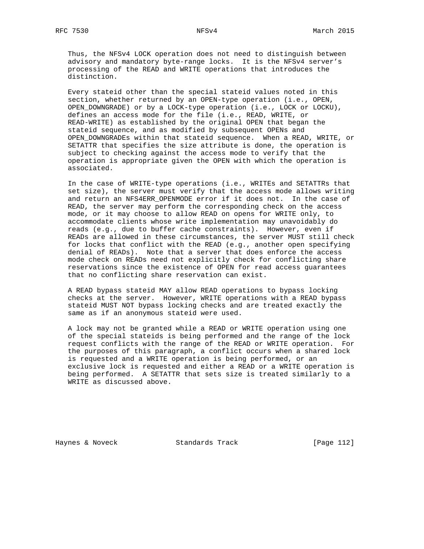Thus, the NFSv4 LOCK operation does not need to distinguish between advisory and mandatory byte-range locks. It is the NFSv4 server's processing of the READ and WRITE operations that introduces the distinction.

 Every stateid other than the special stateid values noted in this section, whether returned by an OPEN-type operation (i.e., OPEN, OPEN\_DOWNGRADE) or by a LOCK-type operation (i.e., LOCK or LOCKU), defines an access mode for the file (i.e., READ, WRITE, or READ-WRITE) as established by the original OPEN that began the stateid sequence, and as modified by subsequent OPENs and OPEN\_DOWNGRADEs within that stateid sequence. When a READ, WRITE, or SETATTR that specifies the size attribute is done, the operation is subject to checking against the access mode to verify that the operation is appropriate given the OPEN with which the operation is associated.

 In the case of WRITE-type operations (i.e., WRITEs and SETATTRs that set size), the server must verify that the access mode allows writing and return an NFS4ERR\_OPENMODE error if it does not. In the case of READ, the server may perform the corresponding check on the access mode, or it may choose to allow READ on opens for WRITE only, to accommodate clients whose write implementation may unavoidably do reads (e.g., due to buffer cache constraints). However, even if READs are allowed in these circumstances, the server MUST still check for locks that conflict with the READ (e.g., another open specifying denial of READs). Note that a server that does enforce the access mode check on READs need not explicitly check for conflicting share reservations since the existence of OPEN for read access guarantees that no conflicting share reservation can exist.

 A READ bypass stateid MAY allow READ operations to bypass locking checks at the server. However, WRITE operations with a READ bypass stateid MUST NOT bypass locking checks and are treated exactly the same as if an anonymous stateid were used.

 A lock may not be granted while a READ or WRITE operation using one of the special stateids is being performed and the range of the lock request conflicts with the range of the READ or WRITE operation. For the purposes of this paragraph, a conflict occurs when a shared lock is requested and a WRITE operation is being performed, or an exclusive lock is requested and either a READ or a WRITE operation is being performed. A SETATTR that sets size is treated similarly to a WRITE as discussed above.

Haynes & Noveck Standards Track [Page 112]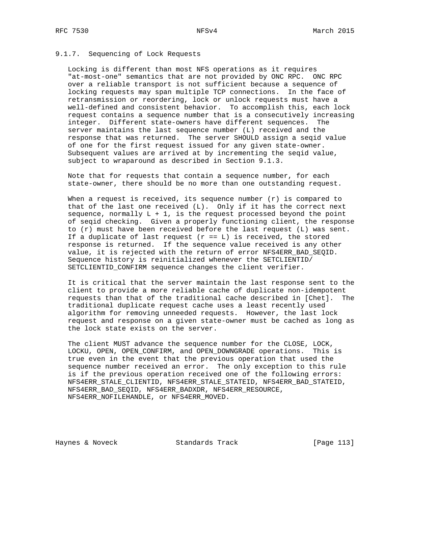## 9.1.7. Sequencing of Lock Requests

 Locking is different than most NFS operations as it requires "at-most-one" semantics that are not provided by ONC RPC. ONC RPC over a reliable transport is not sufficient because a sequence of locking requests may span multiple TCP connections. In the face of retransmission or reordering, lock or unlock requests must have a well-defined and consistent behavior. To accomplish this, each lock request contains a sequence number that is a consecutively increasing integer. Different state-owners have different sequences. The server maintains the last sequence number (L) received and the response that was returned. The server SHOULD assign a seqid value of one for the first request issued for any given state-owner. Subsequent values are arrived at by incrementing the seqid value, subject to wraparound as described in Section 9.1.3.

 Note that for requests that contain a sequence number, for each state-owner, there should be no more than one outstanding request.

When a request is received, its sequence number  $(r)$  is compared to that of the last one received  $(L)$ . Only if it has the correct next sequence, normally  $L + 1$ , is the request processed beyond the point of seqid checking. Given a properly functioning client, the response to (r) must have been received before the last request (L) was sent. If a duplicate of last request  $(r == L)$  is received, the stored response is returned. If the sequence value received is any other value, it is rejected with the return of error NFS4ERR\_BAD\_SEQID. Sequence history is reinitialized whenever the SETCLIENTID/ SETCLIENTID\_CONFIRM sequence changes the client verifier.

 It is critical that the server maintain the last response sent to the client to provide a more reliable cache of duplicate non-idempotent requests than that of the traditional cache described in [Chet]. The traditional duplicate request cache uses a least recently used algorithm for removing unneeded requests. However, the last lock request and response on a given state-owner must be cached as long as the lock state exists on the server.

 The client MUST advance the sequence number for the CLOSE, LOCK, LOCKU, OPEN, OPEN\_CONFIRM, and OPEN\_DOWNGRADE operations. This is true even in the event that the previous operation that used the sequence number received an error. The only exception to this rule is if the previous operation received one of the following errors: NFS4ERR\_STALE\_CLIENTID, NFS4ERR\_STALE\_STATEID, NFS4ERR\_BAD\_STATEID, NFS4ERR\_BAD\_SEQID, NFS4ERR\_BADXDR, NFS4ERR\_RESOURCE, NFS4ERR\_NOFILEHANDLE, or NFS4ERR\_MOVED.

Haynes & Noveck Standards Track [Page 113]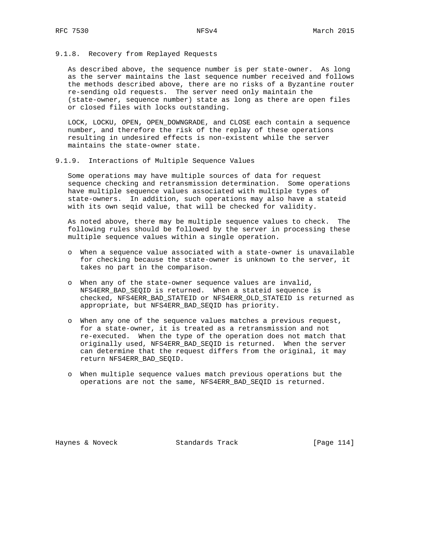## 9.1.8. Recovery from Replayed Requests

 As described above, the sequence number is per state-owner. As long as the server maintains the last sequence number received and follows the methods described above, there are no risks of a Byzantine router re-sending old requests. The server need only maintain the (state-owner, sequence number) state as long as there are open files or closed files with locks outstanding.

 LOCK, LOCKU, OPEN, OPEN\_DOWNGRADE, and CLOSE each contain a sequence number, and therefore the risk of the replay of these operations resulting in undesired effects is non-existent while the server maintains the state-owner state.

9.1.9. Interactions of Multiple Sequence Values

 Some operations may have multiple sources of data for request sequence checking and retransmission determination. Some operations have multiple sequence values associated with multiple types of state-owners. In addition, such operations may also have a stateid with its own seqid value, that will be checked for validity.

 As noted above, there may be multiple sequence values to check. The following rules should be followed by the server in processing these multiple sequence values within a single operation.

- o When a sequence value associated with a state-owner is unavailable for checking because the state-owner is unknown to the server, it takes no part in the comparison.
- o When any of the state-owner sequence values are invalid, NFS4ERR\_BAD\_SEQID is returned. When a stateid sequence is checked, NFS4ERR\_BAD\_STATEID or NFS4ERR\_OLD\_STATEID is returned as appropriate, but NFS4ERR\_BAD\_SEQID has priority.
- o When any one of the sequence values matches a previous request, for a state-owner, it is treated as a retransmission and not re-executed. When the type of the operation does not match that originally used, NFS4ERR\_BAD\_SEQID is returned. When the server can determine that the request differs from the original, it may return NFS4ERR\_BAD\_SEQID.
- o When multiple sequence values match previous operations but the operations are not the same, NFS4ERR\_BAD\_SEQID is returned.

Haynes & Noveck Standards Track [Page 114]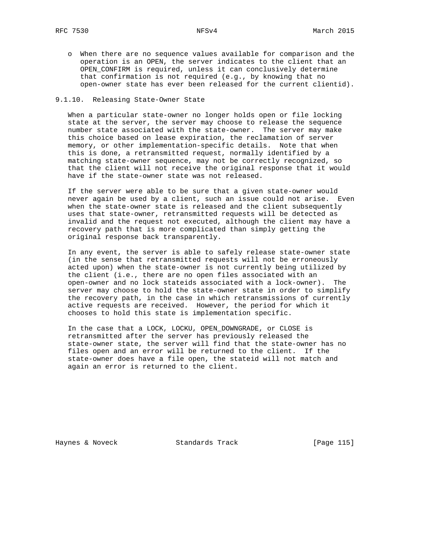o When there are no sequence values available for comparison and the operation is an OPEN, the server indicates to the client that an OPEN\_CONFIRM is required, unless it can conclusively determine that confirmation is not required (e.g., by knowing that no open-owner state has ever been released for the current clientid).

# 9.1.10. Releasing State-Owner State

 When a particular state-owner no longer holds open or file locking state at the server, the server may choose to release the sequence number state associated with the state-owner. The server may make this choice based on lease expiration, the reclamation of server memory, or other implementation-specific details. Note that when this is done, a retransmitted request, normally identified by a matching state-owner sequence, may not be correctly recognized, so that the client will not receive the original response that it would have if the state-owner state was not released.

 If the server were able to be sure that a given state-owner would never again be used by a client, such an issue could not arise. Even when the state-owner state is released and the client subsequently uses that state-owner, retransmitted requests will be detected as invalid and the request not executed, although the client may have a recovery path that is more complicated than simply getting the original response back transparently.

 In any event, the server is able to safely release state-owner state (in the sense that retransmitted requests will not be erroneously acted upon) when the state-owner is not currently being utilized by the client (i.e., there are no open files associated with an open-owner and no lock stateids associated with a lock-owner). The server may choose to hold the state-owner state in order to simplify the recovery path, in the case in which retransmissions of currently active requests are received. However, the period for which it chooses to hold this state is implementation specific.

 In the case that a LOCK, LOCKU, OPEN\_DOWNGRADE, or CLOSE is retransmitted after the server has previously released the state-owner state, the server will find that the state-owner has no files open and an error will be returned to the client. If the state-owner does have a file open, the stateid will not match and again an error is returned to the client.

Haynes & Noveck Standards Track [Page 115]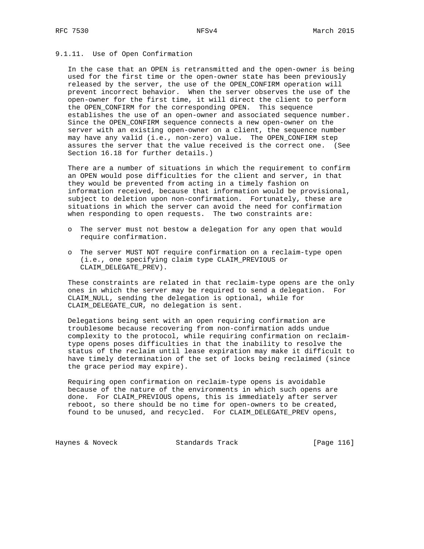# 9.1.11. Use of Open Confirmation

 In the case that an OPEN is retransmitted and the open-owner is being used for the first time or the open-owner state has been previously released by the server, the use of the OPEN\_CONFIRM operation will prevent incorrect behavior. When the server observes the use of the open-owner for the first time, it will direct the client to perform the OPEN\_CONFIRM for the corresponding OPEN. This sequence establishes the use of an open-owner and associated sequence number. Since the OPEN\_CONFIRM sequence connects a new open-owner on the server with an existing open-owner on a client, the sequence number may have any valid (i.e., non-zero) value. The OPEN\_CONFIRM step assures the server that the value received is the correct one. (See Section 16.18 for further details.)

 There are a number of situations in which the requirement to confirm an OPEN would pose difficulties for the client and server, in that they would be prevented from acting in a timely fashion on information received, because that information would be provisional, subject to deletion upon non-confirmation. Fortunately, these are situations in which the server can avoid the need for confirmation when responding to open requests. The two constraints are:

- o The server must not bestow a delegation for any open that would require confirmation.
- o The server MUST NOT require confirmation on a reclaim-type open (i.e., one specifying claim type CLAIM\_PREVIOUS or CLAIM\_DELEGATE\_PREV).

 These constraints are related in that reclaim-type opens are the only ones in which the server may be required to send a delegation. For CLAIM\_NULL, sending the delegation is optional, while for CLAIM\_DELEGATE\_CUR, no delegation is sent.

 Delegations being sent with an open requiring confirmation are troublesome because recovering from non-confirmation adds undue complexity to the protocol, while requiring confirmation on reclaim type opens poses difficulties in that the inability to resolve the status of the reclaim until lease expiration may make it difficult to have timely determination of the set of locks being reclaimed (since the grace period may expire).

 Requiring open confirmation on reclaim-type opens is avoidable because of the nature of the environments in which such opens are done. For CLAIM\_PREVIOUS opens, this is immediately after server reboot, so there should be no time for open-owners to be created, found to be unused, and recycled. For CLAIM\_DELEGATE\_PREV opens,

Haynes & Noveck Standards Track [Page 116]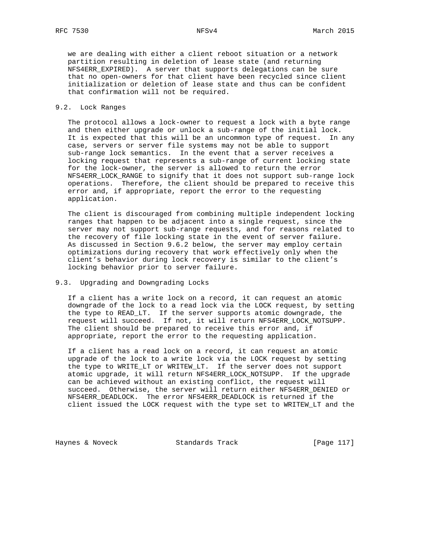we are dealing with either a client reboot situation or a network partition resulting in deletion of lease state (and returning NFS4ERR\_EXPIRED). A server that supports delegations can be sure that no open-owners for that client have been recycled since client initialization or deletion of lease state and thus can be confident that confirmation will not be required.

## 9.2. Lock Ranges

 The protocol allows a lock-owner to request a lock with a byte range and then either upgrade or unlock a sub-range of the initial lock. It is expected that this will be an uncommon type of request. In any case, servers or server file systems may not be able to support sub-range lock semantics. In the event that a server receives a locking request that represents a sub-range of current locking state for the lock-owner, the server is allowed to return the error NFS4ERR\_LOCK\_RANGE to signify that it does not support sub-range lock operations. Therefore, the client should be prepared to receive this error and, if appropriate, report the error to the requesting application.

 The client is discouraged from combining multiple independent locking ranges that happen to be adjacent into a single request, since the server may not support sub-range requests, and for reasons related to the recovery of file locking state in the event of server failure. As discussed in Section 9.6.2 below, the server may employ certain optimizations during recovery that work effectively only when the client's behavior during lock recovery is similar to the client's locking behavior prior to server failure.

# 9.3. Upgrading and Downgrading Locks

 If a client has a write lock on a record, it can request an atomic downgrade of the lock to a read lock via the LOCK request, by setting the type to READ\_LT. If the server supports atomic downgrade, the request will succeed. If not, it will return NFS4ERR\_LOCK\_NOTSUPP. The client should be prepared to receive this error and, if appropriate, report the error to the requesting application.

 If a client has a read lock on a record, it can request an atomic upgrade of the lock to a write lock via the LOCK request by setting the type to WRITE\_LT or WRITEW\_LT. If the server does not support atomic upgrade, it will return NFS4ERR\_LOCK\_NOTSUPP. If the upgrade can be achieved without an existing conflict, the request will succeed. Otherwise, the server will return either NFS4ERR\_DENIED or NFS4ERR\_DEADLOCK. The error NFS4ERR\_DEADLOCK is returned if the client issued the LOCK request with the type set to WRITEW\_LT and the

Haynes & Noveck Standards Track [Page 117]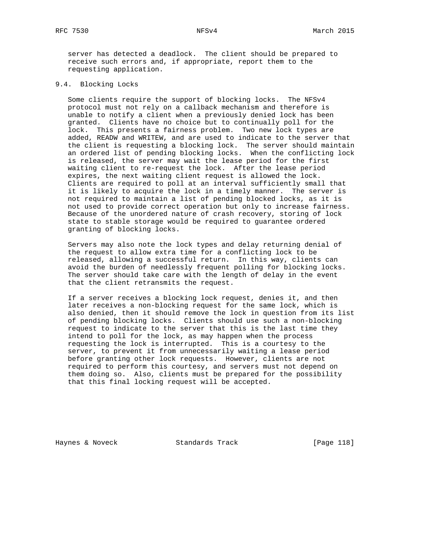server has detected a deadlock. The client should be prepared to receive such errors and, if appropriate, report them to the requesting application.

## 9.4. Blocking Locks

 Some clients require the support of blocking locks. The NFSv4 protocol must not rely on a callback mechanism and therefore is unable to notify a client when a previously denied lock has been granted. Clients have no choice but to continually poll for the lock. This presents a fairness problem. Two new lock types are added, READW and WRITEW, and are used to indicate to the server that the client is requesting a blocking lock. The server should maintain an ordered list of pending blocking locks. When the conflicting lock is released, the server may wait the lease period for the first waiting client to re-request the lock. After the lease period expires, the next waiting client request is allowed the lock. Clients are required to poll at an interval sufficiently small that it is likely to acquire the lock in a timely manner. The server is not required to maintain a list of pending blocked locks, as it is not used to provide correct operation but only to increase fairness. Because of the unordered nature of crash recovery, storing of lock state to stable storage would be required to guarantee ordered granting of blocking locks.

 Servers may also note the lock types and delay returning denial of the request to allow extra time for a conflicting lock to be released, allowing a successful return. In this way, clients can avoid the burden of needlessly frequent polling for blocking locks. The server should take care with the length of delay in the event that the client retransmits the request.

 If a server receives a blocking lock request, denies it, and then later receives a non-blocking request for the same lock, which is also denied, then it should remove the lock in question from its list of pending blocking locks. Clients should use such a non-blocking request to indicate to the server that this is the last time they intend to poll for the lock, as may happen when the process requesting the lock is interrupted. This is a courtesy to the server, to prevent it from unnecessarily waiting a lease period before granting other lock requests. However, clients are not required to perform this courtesy, and servers must not depend on them doing so. Also, clients must be prepared for the possibility that this final locking request will be accepted.

Haynes & Noveck Standards Track [Page 118]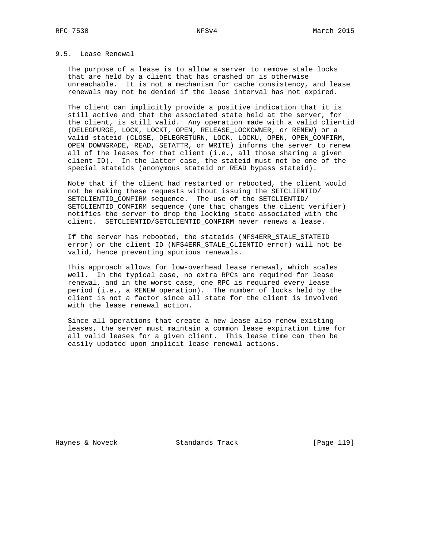# 9.5. Lease Renewal

 The purpose of a lease is to allow a server to remove stale locks that are held by a client that has crashed or is otherwise unreachable. It is not a mechanism for cache consistency, and lease renewals may not be denied if the lease interval has not expired.

 The client can implicitly provide a positive indication that it is still active and that the associated state held at the server, for the client, is still valid. Any operation made with a valid clientid (DELEGPURGE, LOCK, LOCKT, OPEN, RELEASE\_LOCKOWNER, or RENEW) or a valid stateid (CLOSE, DELEGRETURN, LOCK, LOCKU, OPEN, OPEN\_CONFIRM, OPEN DOWNGRADE, READ, SETATTR, or WRITE) informs the server to renew all of the leases for that client (i.e., all those sharing a given client ID). In the latter case, the stateid must not be one of the special stateids (anonymous stateid or READ bypass stateid).

 Note that if the client had restarted or rebooted, the client would not be making these requests without issuing the SETCLIENTID/ SETCLIENTID\_CONFIRM sequence. The use of the SETCLIENTID/ SETCLIENTID\_CONFIRM sequence (one that changes the client verifier) notifies the server to drop the locking state associated with the client. SETCLIENTID/SETCLIENTID\_CONFIRM never renews a lease.

 If the server has rebooted, the stateids (NFS4ERR\_STALE\_STATEID error) or the client ID (NFS4ERR\_STALE\_CLIENTID error) will not be valid, hence preventing spurious renewals.

 This approach allows for low-overhead lease renewal, which scales well. In the typical case, no extra RPCs are required for lease renewal, and in the worst case, one RPC is required every lease period (i.e., a RENEW operation). The number of locks held by the client is not a factor since all state for the client is involved with the lease renewal action.

 Since all operations that create a new lease also renew existing leases, the server must maintain a common lease expiration time for all valid leases for a given client. This lease time can then be easily updated upon implicit lease renewal actions.

Haynes & Noveck Standards Track [Page 119]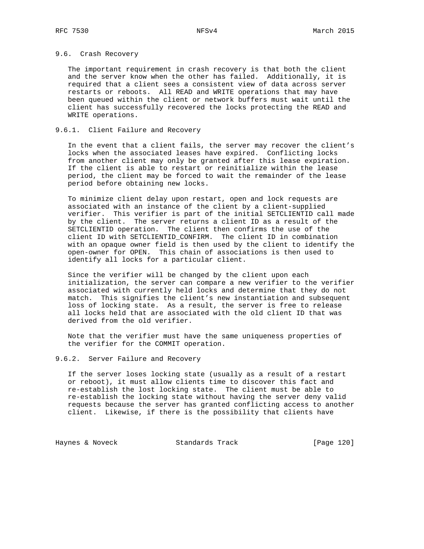# 9.6. Crash Recovery

 The important requirement in crash recovery is that both the client and the server know when the other has failed. Additionally, it is required that a client sees a consistent view of data across server restarts or reboots. All READ and WRITE operations that may have been queued within the client or network buffers must wait until the client has successfully recovered the locks protecting the READ and WRITE operations.

# 9.6.1. Client Failure and Recovery

 In the event that a client fails, the server may recover the client's locks when the associated leases have expired. Conflicting locks from another client may only be granted after this lease expiration. If the client is able to restart or reinitialize within the lease period, the client may be forced to wait the remainder of the lease period before obtaining new locks.

 To minimize client delay upon restart, open and lock requests are associated with an instance of the client by a client-supplied verifier. This verifier is part of the initial SETCLIENTID call made by the client. The server returns a client ID as a result of the SETCLIENTID operation. The client then confirms the use of the client ID with SETCLIENTID\_CONFIRM. The client ID in combination with an opaque owner field is then used by the client to identify the open-owner for OPEN. This chain of associations is then used to identify all locks for a particular client.

 Since the verifier will be changed by the client upon each initialization, the server can compare a new verifier to the verifier associated with currently held locks and determine that they do not match. This signifies the client's new instantiation and subsequent loss of locking state. As a result, the server is free to release all locks held that are associated with the old client ID that was derived from the old verifier.

 Note that the verifier must have the same uniqueness properties of the verifier for the COMMIT operation.

## 9.6.2. Server Failure and Recovery

 If the server loses locking state (usually as a result of a restart or reboot), it must allow clients time to discover this fact and re-establish the lost locking state. The client must be able to re-establish the locking state without having the server deny valid requests because the server has granted conflicting access to another client. Likewise, if there is the possibility that clients have

Haynes & Noveck Standards Track [Page 120]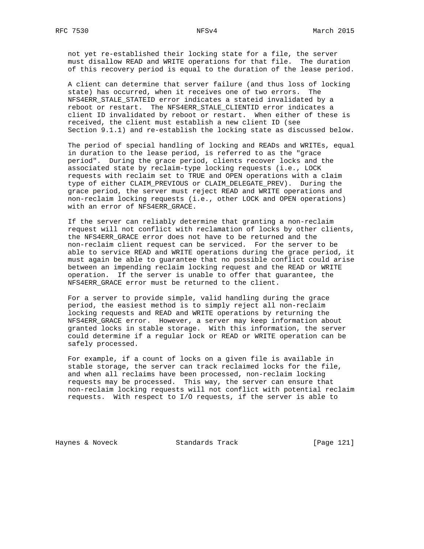not yet re-established their locking state for a file, the server must disallow READ and WRITE operations for that file. The duration of this recovery period is equal to the duration of the lease period.

 A client can determine that server failure (and thus loss of locking state) has occurred, when it receives one of two errors. The NFS4ERR\_STALE\_STATEID error indicates a stateid invalidated by a reboot or restart. The NFS4ERR\_STALE\_CLIENTID error indicates a client ID invalidated by reboot or restart. When either of these is received, the client must establish a new client ID (see Section 9.1.1) and re-establish the locking state as discussed below.

 The period of special handling of locking and READs and WRITEs, equal in duration to the lease period, is referred to as the "grace period". During the grace period, clients recover locks and the associated state by reclaim-type locking requests (i.e., LOCK requests with reclaim set to TRUE and OPEN operations with a claim type of either CLAIM\_PREVIOUS or CLAIM\_DELEGATE\_PREV). During the grace period, the server must reject READ and WRITE operations and non-reclaim locking requests (i.e., other LOCK and OPEN operations) with an error of NFS4ERR\_GRACE.

 If the server can reliably determine that granting a non-reclaim request will not conflict with reclamation of locks by other clients, the NFS4ERR\_GRACE error does not have to be returned and the non-reclaim client request can be serviced. For the server to be able to service READ and WRITE operations during the grace period, it must again be able to guarantee that no possible conflict could arise between an impending reclaim locking request and the READ or WRITE operation. If the server is unable to offer that guarantee, the NFS4ERR\_GRACE error must be returned to the client.

 For a server to provide simple, valid handling during the grace period, the easiest method is to simply reject all non-reclaim locking requests and READ and WRITE operations by returning the NFS4ERR\_GRACE error. However, a server may keep information about granted locks in stable storage. With this information, the server could determine if a regular lock or READ or WRITE operation can be safely processed.

 For example, if a count of locks on a given file is available in stable storage, the server can track reclaimed locks for the file, and when all reclaims have been processed, non-reclaim locking requests may be processed. This way, the server can ensure that non-reclaim locking requests will not conflict with potential reclaim requests. With respect to I/O requests, if the server is able to

Haynes & Noveck Standards Track [Page 121]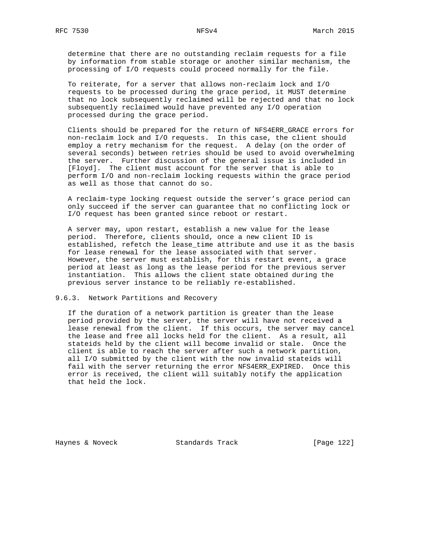determine that there are no outstanding reclaim requests for a file by information from stable storage or another similar mechanism, the processing of I/O requests could proceed normally for the file.

 To reiterate, for a server that allows non-reclaim lock and I/O requests to be processed during the grace period, it MUST determine that no lock subsequently reclaimed will be rejected and that no lock subsequently reclaimed would have prevented any I/O operation processed during the grace period.

 Clients should be prepared for the return of NFS4ERR\_GRACE errors for non-reclaim lock and I/O requests. In this case, the client should employ a retry mechanism for the request. A delay (on the order of several seconds) between retries should be used to avoid overwhelming the server. Further discussion of the general issue is included in [Floyd]. The client must account for the server that is able to perform I/O and non-reclaim locking requests within the grace period as well as those that cannot do so.

 A reclaim-type locking request outside the server's grace period can only succeed if the server can guarantee that no conflicting lock or I/O request has been granted since reboot or restart.

 A server may, upon restart, establish a new value for the lease period. Therefore, clients should, once a new client ID is established, refetch the lease\_time attribute and use it as the basis for lease renewal for the lease associated with that server. However, the server must establish, for this restart event, a grace period at least as long as the lease period for the previous server instantiation. This allows the client state obtained during the previous server instance to be reliably re-established.

9.6.3. Network Partitions and Recovery

 If the duration of a network partition is greater than the lease period provided by the server, the server will have not received a lease renewal from the client. If this occurs, the server may cancel the lease and free all locks held for the client. As a result, all stateids held by the client will become invalid or stale. Once the client is able to reach the server after such a network partition, all I/O submitted by the client with the now invalid stateids will fail with the server returning the error NFS4ERR\_EXPIRED. Once this error is received, the client will suitably notify the application that held the lock.

Haynes & Noveck Standards Track [Page 122]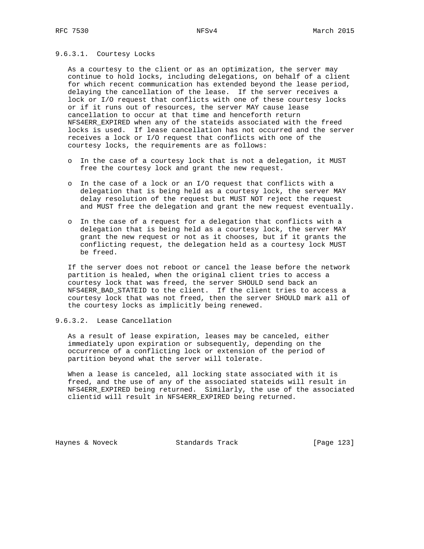# 9.6.3.1. Courtesy Locks

 As a courtesy to the client or as an optimization, the server may continue to hold locks, including delegations, on behalf of a client for which recent communication has extended beyond the lease period, delaying the cancellation of the lease. If the server receives a lock or I/O request that conflicts with one of these courtesy locks or if it runs out of resources, the server MAY cause lease cancellation to occur at that time and henceforth return NFS4ERR EXPIRED when any of the stateids associated with the freed locks is used. If lease cancellation has not occurred and the server receives a lock or I/O request that conflicts with one of the courtesy locks, the requirements are as follows:

- o In the case of a courtesy lock that is not a delegation, it MUST free the courtesy lock and grant the new request.
- o In the case of a lock or an I/O request that conflicts with a delegation that is being held as a courtesy lock, the server MAY delay resolution of the request but MUST NOT reject the request and MUST free the delegation and grant the new request eventually.
- o In the case of a request for a delegation that conflicts with a delegation that is being held as a courtesy lock, the server MAY grant the new request or not as it chooses, but if it grants the conflicting request, the delegation held as a courtesy lock MUST be freed.

 If the server does not reboot or cancel the lease before the network partition is healed, when the original client tries to access a courtesy lock that was freed, the server SHOULD send back an NFS4ERR\_BAD\_STATEID to the client. If the client tries to access a courtesy lock that was not freed, then the server SHOULD mark all of the courtesy locks as implicitly being renewed.

9.6.3.2. Lease Cancellation

 As a result of lease expiration, leases may be canceled, either immediately upon expiration or subsequently, depending on the occurrence of a conflicting lock or extension of the period of partition beyond what the server will tolerate.

 When a lease is canceled, all locking state associated with it is freed, and the use of any of the associated stateids will result in NFS4ERR\_EXPIRED being returned. Similarly, the use of the associated clientid will result in NFS4ERR\_EXPIRED being returned.

Haynes & Noveck Standards Track [Page 123]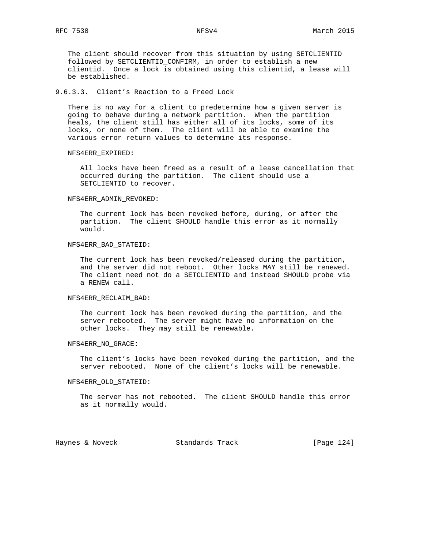The client should recover from this situation by using SETCLIENTID followed by SETCLIENTID\_CONFIRM, in order to establish a new clientid. Once a lock is obtained using this clientid, a lease will be established.

# 9.6.3.3. Client's Reaction to a Freed Lock

 There is no way for a client to predetermine how a given server is going to behave during a network partition. When the partition heals, the client still has either all of its locks, some of its locks, or none of them. The client will be able to examine the various error return values to determine its response.

## NFS4ERR\_EXPIRED:

 All locks have been freed as a result of a lease cancellation that occurred during the partition. The client should use a SETCLIENTID to recover.

### NFS4ERR\_ADMIN\_REVOKED:

 The current lock has been revoked before, during, or after the partition. The client SHOULD handle this error as it normally would.

## NFS4ERR\_BAD\_STATEID:

 The current lock has been revoked/released during the partition, and the server did not reboot. Other locks MAY still be renewed. The client need not do a SETCLIENTID and instead SHOULD probe via a RENEW call.

### NFS4ERR\_RECLAIM\_BAD:

 The current lock has been revoked during the partition, and the server rebooted. The server might have no information on the other locks. They may still be renewable.

## NFS4ERR\_NO\_GRACE:

 The client's locks have been revoked during the partition, and the server rebooted. None of the client's locks will be renewable.

### NFS4ERR\_OLD\_STATEID:

 The server has not rebooted. The client SHOULD handle this error as it normally would.

Haynes & Noveck Standards Track [Page 124]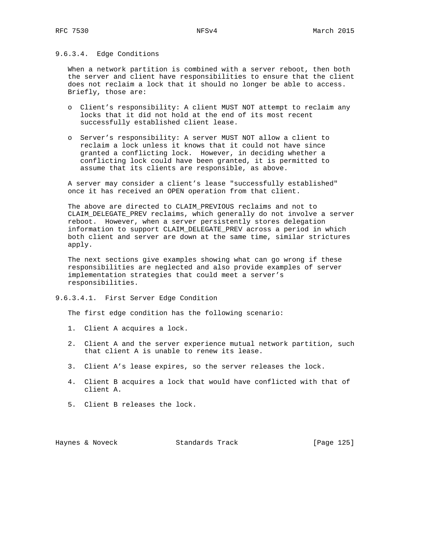# 9.6.3.4. Edge Conditions

 When a network partition is combined with a server reboot, then both the server and client have responsibilities to ensure that the client does not reclaim a lock that it should no longer be able to access. Briefly, those are:

- o Client's responsibility: A client MUST NOT attempt to reclaim any locks that it did not hold at the end of its most recent successfully established client lease.
- o Server's responsibility: A server MUST NOT allow a client to reclaim a lock unless it knows that it could not have since granted a conflicting lock. However, in deciding whether a conflicting lock could have been granted, it is permitted to assume that its clients are responsible, as above.

 A server may consider a client's lease "successfully established" once it has received an OPEN operation from that client.

 The above are directed to CLAIM\_PREVIOUS reclaims and not to CLAIM\_DELEGATE\_PREV reclaims, which generally do not involve a server reboot. However, when a server persistently stores delegation information to support CLAIM\_DELEGATE\_PREV across a period in which both client and server are down at the same time, similar strictures apply.

 The next sections give examples showing what can go wrong if these responsibilities are neglected and also provide examples of server implementation strategies that could meet a server's responsibilities.

9.6.3.4.1. First Server Edge Condition

The first edge condition has the following scenario:

- 1. Client A acquires a lock.
- 2. Client A and the server experience mutual network partition, such that client A is unable to renew its lease.
- 3. Client A's lease expires, so the server releases the lock.
- 4. Client B acquires a lock that would have conflicted with that of client A.
- 5. Client B releases the lock.

Haynes & Noveck Standards Track [Page 125]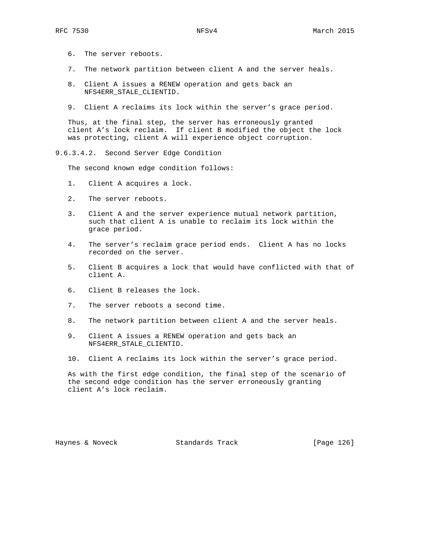- 6. The server reboots.
- 7. The network partition between client A and the server heals.
- 8. Client A issues a RENEW operation and gets back an NFS4ERR\_STALE\_CLIENTID.
- 9. Client A reclaims its lock within the server's grace period.

 Thus, at the final step, the server has erroneously granted client A's lock reclaim. If client B modified the object the lock was protecting, client A will experience object corruption.

9.6.3.4.2. Second Server Edge Condition

The second known edge condition follows:

- 1. Client A acquires a lock.
- 2. The server reboots.
- 3. Client A and the server experience mutual network partition, such that client A is unable to reclaim its lock within the grace period.
- 4. The server's reclaim grace period ends. Client A has no locks recorded on the server.
- 5. Client B acquires a lock that would have conflicted with that of client A.
- 6. Client B releases the lock.
- 7. The server reboots a second time.
- 8. The network partition between client A and the server heals.
- 9. Client A issues a RENEW operation and gets back an NFS4ERR\_STALE\_CLIENTID.
- 10. Client A reclaims its lock within the server's grace period.

 As with the first edge condition, the final step of the scenario of the second edge condition has the server erroneously granting client A's lock reclaim.

Haynes & Noveck Standards Track [Page 126]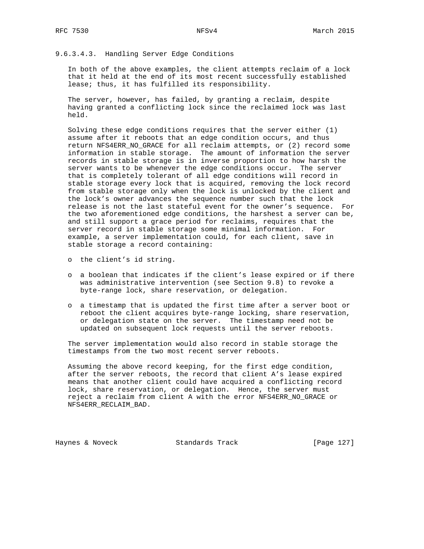# 9.6.3.4.3. Handling Server Edge Conditions

 In both of the above examples, the client attempts reclaim of a lock that it held at the end of its most recent successfully established lease; thus, it has fulfilled its responsibility.

 The server, however, has failed, by granting a reclaim, despite having granted a conflicting lock since the reclaimed lock was last held.

 Solving these edge conditions requires that the server either (1) assume after it reboots that an edge condition occurs, and thus return NFS4ERR\_NO\_GRACE for all reclaim attempts, or (2) record some information in stable storage. The amount of information the server records in stable storage is in inverse proportion to how harsh the server wants to be whenever the edge conditions occur. The server that is completely tolerant of all edge conditions will record in stable storage every lock that is acquired, removing the lock record from stable storage only when the lock is unlocked by the client and the lock's owner advances the sequence number such that the lock release is not the last stateful event for the owner's sequence. For the two aforementioned edge conditions, the harshest a server can be, and still support a grace period for reclaims, requires that the server record in stable storage some minimal information. For example, a server implementation could, for each client, save in stable storage a record containing:

- o the client's id string.
- o a boolean that indicates if the client's lease expired or if there was administrative intervention (see Section 9.8) to revoke a byte-range lock, share reservation, or delegation.
- o a timestamp that is updated the first time after a server boot or reboot the client acquires byte-range locking, share reservation, or delegation state on the server. The timestamp need not be updated on subsequent lock requests until the server reboots.

 The server implementation would also record in stable storage the timestamps from the two most recent server reboots.

 Assuming the above record keeping, for the first edge condition, after the server reboots, the record that client A's lease expired means that another client could have acquired a conflicting record lock, share reservation, or delegation. Hence, the server must reject a reclaim from client A with the error NFS4ERR\_NO\_GRACE or NFS4ERR\_RECLAIM\_BAD.

Haynes & Noveck Standards Track [Page 127]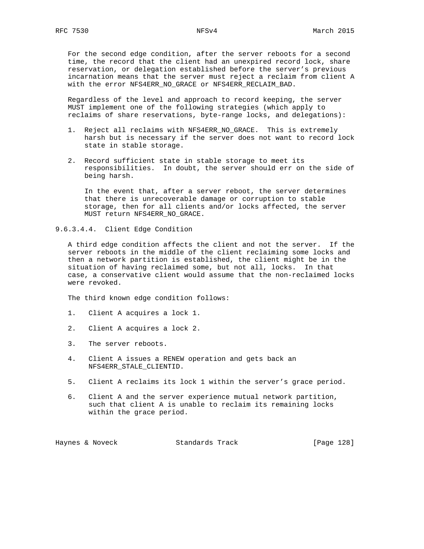For the second edge condition, after the server reboots for a second time, the record that the client had an unexpired record lock, share reservation, or delegation established before the server's previous incarnation means that the server must reject a reclaim from client A with the error NFS4ERR\_NO\_GRACE or NFS4ERR\_RECLAIM\_BAD.

 Regardless of the level and approach to record keeping, the server MUST implement one of the following strategies (which apply to reclaims of share reservations, byte-range locks, and delegations):

- 1. Reject all reclaims with NFS4ERR\_NO\_GRACE. This is extremely harsh but is necessary if the server does not want to record lock state in stable storage.
- 2. Record sufficient state in stable storage to meet its responsibilities. In doubt, the server should err on the side of being harsh.

 In the event that, after a server reboot, the server determines that there is unrecoverable damage or corruption to stable storage, then for all clients and/or locks affected, the server MUST return NFS4ERR NO GRACE.

9.6.3.4.4. Client Edge Condition

 A third edge condition affects the client and not the server. If the server reboots in the middle of the client reclaiming some locks and then a network partition is established, the client might be in the situation of having reclaimed some, but not all, locks. In that case, a conservative client would assume that the non-reclaimed locks were revoked.

The third known edge condition follows:

- 1. Client A acquires a lock 1.
- 2. Client A acquires a lock 2.
- 3. The server reboots.
- 4. Client A issues a RENEW operation and gets back an NFS4ERR\_STALE\_CLIENTID.
- 5. Client A reclaims its lock 1 within the server's grace period.
- 6. Client A and the server experience mutual network partition, such that client A is unable to reclaim its remaining locks within the grace period.

Haynes & Noveck Standards Track [Page 128]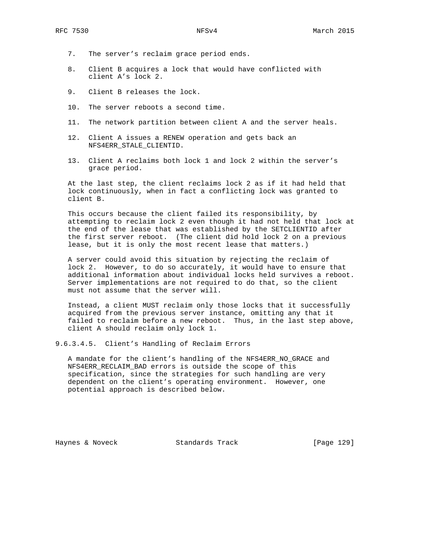- 7. The server's reclaim grace period ends.
- 8. Client B acquires a lock that would have conflicted with client A's lock 2.
- 9. Client B releases the lock.
- 10. The server reboots a second time.
- 11. The network partition between client A and the server heals.
- 12. Client A issues a RENEW operation and gets back an NFS4ERR\_STALE\_CLIENTID.
- 13. Client A reclaims both lock 1 and lock 2 within the server's grace period.

 At the last step, the client reclaims lock 2 as if it had held that lock continuously, when in fact a conflicting lock was granted to client B.

 This occurs because the client failed its responsibility, by attempting to reclaim lock 2 even though it had not held that lock at the end of the lease that was established by the SETCLIENTID after the first server reboot. (The client did hold lock 2 on a previous lease, but it is only the most recent lease that matters.)

 A server could avoid this situation by rejecting the reclaim of lock 2. However, to do so accurately, it would have to ensure that additional information about individual locks held survives a reboot. Server implementations are not required to do that, so the client must not assume that the server will.

 Instead, a client MUST reclaim only those locks that it successfully acquired from the previous server instance, omitting any that it failed to reclaim before a new reboot. Thus, in the last step above, client A should reclaim only lock 1.

9.6.3.4.5. Client's Handling of Reclaim Errors

 A mandate for the client's handling of the NFS4ERR\_NO\_GRACE and NFS4ERR\_RECLAIM\_BAD errors is outside the scope of this specification, since the strategies for such handling are very dependent on the client's operating environment. However, one potential approach is described below.

Haynes & Noveck Standards Track [Page 129]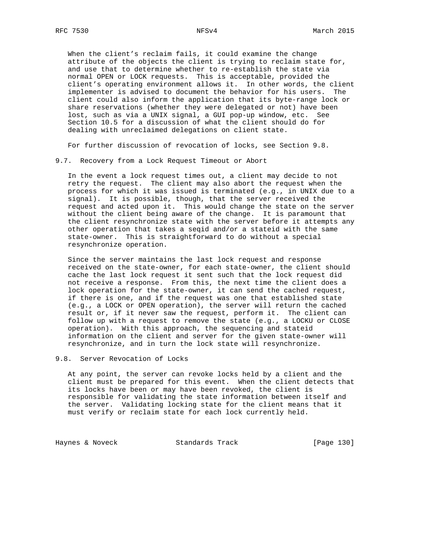When the client's reclaim fails, it could examine the change attribute of the objects the client is trying to reclaim state for, and use that to determine whether to re-establish the state via normal OPEN or LOCK requests. This is acceptable, provided the client's operating environment allows it. In other words, the client implementer is advised to document the behavior for his users. The client could also inform the application that its byte-range lock or share reservations (whether they were delegated or not) have been lost, such as via a UNIX signal, a GUI pop-up window, etc. See Section 10.5 for a discussion of what the client should do for dealing with unreclaimed delegations on client state.

For further discussion of revocation of locks, see Section 9.8.

9.7. Recovery from a Lock Request Timeout or Abort

 In the event a lock request times out, a client may decide to not retry the request. The client may also abort the request when the process for which it was issued is terminated (e.g., in UNIX due to a signal). It is possible, though, that the server received the request and acted upon it. This would change the state on the server without the client being aware of the change. It is paramount that the client resynchronize state with the server before it attempts any other operation that takes a seqid and/or a stateid with the same state-owner. This is straightforward to do without a special resynchronize operation.

 Since the server maintains the last lock request and response received on the state-owner, for each state-owner, the client should cache the last lock request it sent such that the lock request did not receive a response. From this, the next time the client does a lock operation for the state-owner, it can send the cached request, if there is one, and if the request was one that established state (e.g., a LOCK or OPEN operation), the server will return the cached result or, if it never saw the request, perform it. The client can follow up with a request to remove the state (e.g., a LOCKU or CLOSE operation). With this approach, the sequencing and stateid information on the client and server for the given state-owner will resynchronize, and in turn the lock state will resynchronize.

## 9.8. Server Revocation of Locks

 At any point, the server can revoke locks held by a client and the client must be prepared for this event. When the client detects that its locks have been or may have been revoked, the client is responsible for validating the state information between itself and the server. Validating locking state for the client means that it must verify or reclaim state for each lock currently held.

Haynes & Noveck Standards Track [Page 130]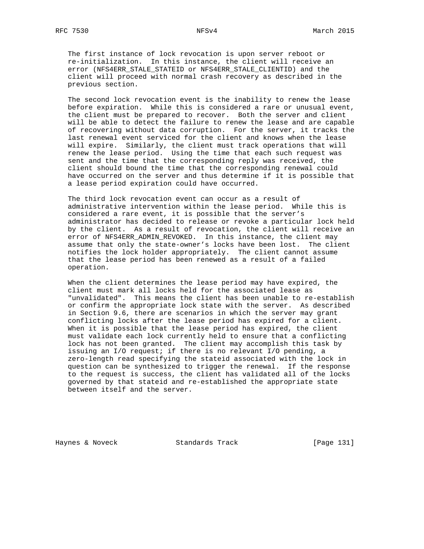The first instance of lock revocation is upon server reboot or re-initialization. In this instance, the client will receive an error (NFS4ERR\_STALE\_STATEID or NFS4ERR\_STALE\_CLIENTID) and the client will proceed with normal crash recovery as described in the previous section.

 The second lock revocation event is the inability to renew the lease before expiration. While this is considered a rare or unusual event, the client must be prepared to recover. Both the server and client will be able to detect the failure to renew the lease and are capable of recovering without data corruption. For the server, it tracks the last renewal event serviced for the client and knows when the lease will expire. Similarly, the client must track operations that will renew the lease period. Using the time that each such request was sent and the time that the corresponding reply was received, the client should bound the time that the corresponding renewal could have occurred on the server and thus determine if it is possible that a lease period expiration could have occurred.

 The third lock revocation event can occur as a result of administrative intervention within the lease period. While this is considered a rare event, it is possible that the server's administrator has decided to release or revoke a particular lock held by the client. As a result of revocation, the client will receive an error of NFS4ERR\_ADMIN\_REVOKED. In this instance, the client may assume that only the state-owner's locks have been lost. The client notifies the lock holder appropriately. The client cannot assume that the lease period has been renewed as a result of a failed operation.

 When the client determines the lease period may have expired, the client must mark all locks held for the associated lease as "unvalidated". This means the client has been unable to re-establish or confirm the appropriate lock state with the server. As described in Section 9.6, there are scenarios in which the server may grant conflicting locks after the lease period has expired for a client. When it is possible that the lease period has expired, the client must validate each lock currently held to ensure that a conflicting lock has not been granted. The client may accomplish this task by issuing an I/O request; if there is no relevant I/O pending, a zero-length read specifying the stateid associated with the lock in question can be synthesized to trigger the renewal. If the response to the request is success, the client has validated all of the locks governed by that stateid and re-established the appropriate state between itself and the server.

Haynes & Noveck Standards Track [Page 131]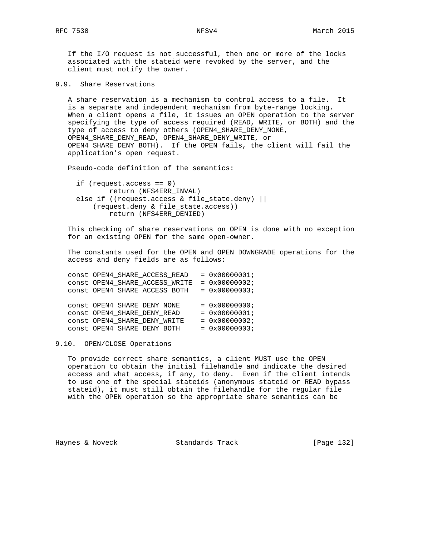If the I/O request is not successful, then one or more of the locks associated with the stateid were revoked by the server, and the client must notify the owner.

9.9. Share Reservations

 A share reservation is a mechanism to control access to a file. It is a separate and independent mechanism from byte-range locking. When a client opens a file, it issues an OPEN operation to the server specifying the type of access required (READ, WRITE, or BOTH) and the type of access to deny others (OPEN4\_SHARE\_DENY\_NONE, OPEN4\_SHARE\_DENY\_READ, OPEN4\_SHARE\_DENY\_WRITE, or OPEN4\_SHARE\_DENY\_BOTH). If the OPEN fails, the client will fail the application's open request.

Pseudo-code definition of the semantics:

 if (request.access == 0) return (NFS4ERR\_INVAL) else if ((request.access & file\_state.deny) || (request.deny & file\_state.access)) return (NFS4ERR\_DENIED)

 This checking of share reservations on OPEN is done with no exception for an existing OPEN for the same open-owner.

 The constants used for the OPEN and OPEN\_DOWNGRADE operations for the access and deny fields are as follows:

| $= 0x00000001;$        |
|------------------------|
| $= 0x00000002;$        |
| $= 0x00000003;$        |
|                        |
| $= 0 \times 00000000i$ |
| $= 0x00000001;$        |
| $= 0x00000002;$        |
| $= 0x00000003;$        |
|                        |

## 9.10. OPEN/CLOSE Operations

 To provide correct share semantics, a client MUST use the OPEN operation to obtain the initial filehandle and indicate the desired access and what access, if any, to deny. Even if the client intends to use one of the special stateids (anonymous stateid or READ bypass stateid), it must still obtain the filehandle for the regular file with the OPEN operation so the appropriate share semantics can be

Haynes & Noveck Standards Track [Page 132]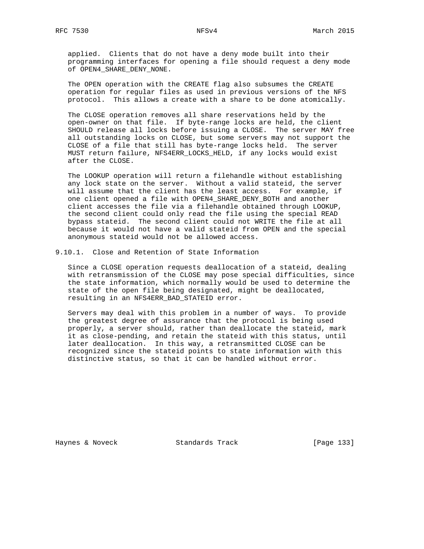applied. Clients that do not have a deny mode built into their programming interfaces for opening a file should request a deny mode of OPEN4\_SHARE\_DENY\_NONE.

 The OPEN operation with the CREATE flag also subsumes the CREATE operation for regular files as used in previous versions of the NFS protocol. This allows a create with a share to be done atomically.

 The CLOSE operation removes all share reservations held by the open-owner on that file. If byte-range locks are held, the client SHOULD release all locks before issuing a CLOSE. The server MAY free all outstanding locks on CLOSE, but some servers may not support the CLOSE of a file that still has byte-range locks held. The server MUST return failure, NFS4ERR\_LOCKS\_HELD, if any locks would exist after the CLOSE.

 The LOOKUP operation will return a filehandle without establishing any lock state on the server. Without a valid stateid, the server will assume that the client has the least access. For example, if one client opened a file with OPEN4\_SHARE\_DENY\_BOTH and another client accesses the file via a filehandle obtained through LOOKUP, the second client could only read the file using the special READ bypass stateid. The second client could not WRITE the file at all because it would not have a valid stateid from OPEN and the special anonymous stateid would not be allowed access.

9.10.1. Close and Retention of State Information

 Since a CLOSE operation requests deallocation of a stateid, dealing with retransmission of the CLOSE may pose special difficulties, since the state information, which normally would be used to determine the state of the open file being designated, might be deallocated, resulting in an NFS4ERR\_BAD\_STATEID error.

 Servers may deal with this problem in a number of ways. To provide the greatest degree of assurance that the protocol is being used properly, a server should, rather than deallocate the stateid, mark it as close-pending, and retain the stateid with this status, until later deallocation. In this way, a retransmitted CLOSE can be recognized since the stateid points to state information with this distinctive status, so that it can be handled without error.

Haynes & Noveck Standards Track [Page 133]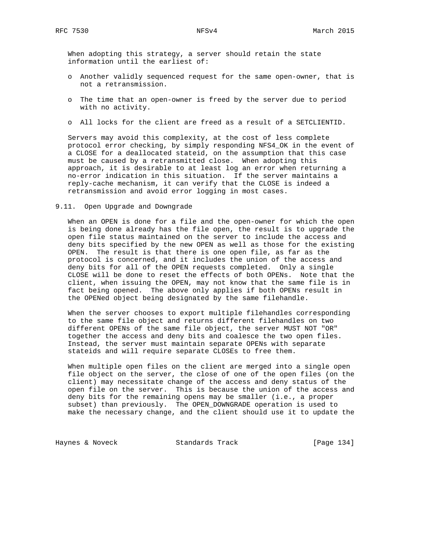When adopting this strategy, a server should retain the state information until the earliest of:

- o Another validly sequenced request for the same open-owner, that is not a retransmission.
- o The time that an open-owner is freed by the server due to period with no activity.
- o All locks for the client are freed as a result of a SETCLIENTID.

 Servers may avoid this complexity, at the cost of less complete protocol error checking, by simply responding NFS4\_OK in the event of a CLOSE for a deallocated stateid, on the assumption that this case must be caused by a retransmitted close. When adopting this approach, it is desirable to at least log an error when returning a no-error indication in this situation. If the server maintains a reply-cache mechanism, it can verify that the CLOSE is indeed a retransmission and avoid error logging in most cases.

9.11. Open Upgrade and Downgrade

 When an OPEN is done for a file and the open-owner for which the open is being done already has the file open, the result is to upgrade the open file status maintained on the server to include the access and deny bits specified by the new OPEN as well as those for the existing OPEN. The result is that there is one open file, as far as the protocol is concerned, and it includes the union of the access and deny bits for all of the OPEN requests completed. Only a single CLOSE will be done to reset the effects of both OPENs. Note that the client, when issuing the OPEN, may not know that the same file is in fact being opened. The above only applies if both OPENs result in the OPENed object being designated by the same filehandle.

 When the server chooses to export multiple filehandles corresponding to the same file object and returns different filehandles on two different OPENs of the same file object, the server MUST NOT "OR" together the access and deny bits and coalesce the two open files. Instead, the server must maintain separate OPENs with separate stateids and will require separate CLOSEs to free them.

 When multiple open files on the client are merged into a single open file object on the server, the close of one of the open files (on the client) may necessitate change of the access and deny status of the open file on the server. This is because the union of the access and deny bits for the remaining opens may be smaller (i.e., a proper subset) than previously. The OPEN\_DOWNGRADE operation is used to make the necessary change, and the client should use it to update the

Haynes & Noveck Standards Track [Page 134]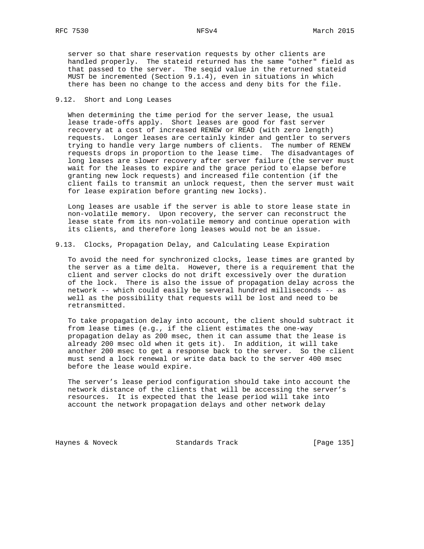server so that share reservation requests by other clients are handled properly. The stateid returned has the same "other" field as that passed to the server. The seqid value in the returned stateid MUST be incremented (Section 9.1.4), even in situations in which there has been no change to the access and deny bits for the file.

# 9.12. Short and Long Leases

 When determining the time period for the server lease, the usual lease trade-offs apply. Short leases are good for fast server recovery at a cost of increased RENEW or READ (with zero length) requests. Longer leases are certainly kinder and gentler to servers trying to handle very large numbers of clients. The number of RENEW requests drops in proportion to the lease time. The disadvantages of long leases are slower recovery after server failure (the server must wait for the leases to expire and the grace period to elapse before granting new lock requests) and increased file contention (if the client fails to transmit an unlock request, then the server must wait for lease expiration before granting new locks).

 Long leases are usable if the server is able to store lease state in non-volatile memory. Upon recovery, the server can reconstruct the lease state from its non-volatile memory and continue operation with its clients, and therefore long leases would not be an issue.

9.13. Clocks, Propagation Delay, and Calculating Lease Expiration

 To avoid the need for synchronized clocks, lease times are granted by the server as a time delta. However, there is a requirement that the client and server clocks do not drift excessively over the duration of the lock. There is also the issue of propagation delay across the network -- which could easily be several hundred milliseconds -- as well as the possibility that requests will be lost and need to be retransmitted.

 To take propagation delay into account, the client should subtract it from lease times (e.g., if the client estimates the one-way propagation delay as 200 msec, then it can assume that the lease is already 200 msec old when it gets it). In addition, it will take another 200 msec to get a response back to the server. So the client must send a lock renewal or write data back to the server 400 msec before the lease would expire.

 The server's lease period configuration should take into account the network distance of the clients that will be accessing the server's resources. It is expected that the lease period will take into account the network propagation delays and other network delay

Haynes & Noveck Standards Track [Page 135]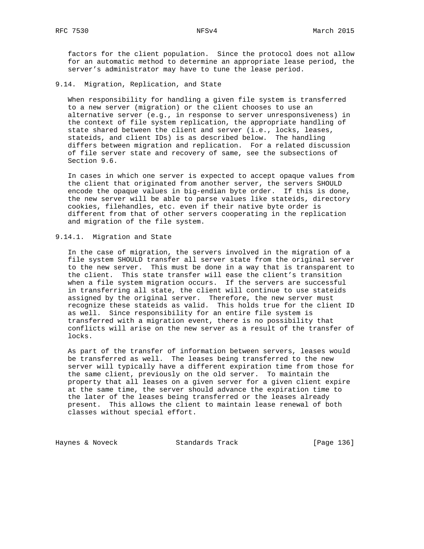factors for the client population. Since the protocol does not allow for an automatic method to determine an appropriate lease period, the server's administrator may have to tune the lease period.

# 9.14. Migration, Replication, and State

 When responsibility for handling a given file system is transferred to a new server (migration) or the client chooses to use an alternative server (e.g., in response to server unresponsiveness) in the context of file system replication, the appropriate handling of state shared between the client and server (i.e., locks, leases, stateids, and client IDs) is as described below. The handling differs between migration and replication. For a related discussion of file server state and recovery of same, see the subsections of Section 9.6.

 In cases in which one server is expected to accept opaque values from the client that originated from another server, the servers SHOULD encode the opaque values in big-endian byte order. If this is done, the new server will be able to parse values like stateids, directory cookies, filehandles, etc. even if their native byte order is different from that of other servers cooperating in the replication and migration of the file system.

## 9.14.1. Migration and State

 In the case of migration, the servers involved in the migration of a file system SHOULD transfer all server state from the original server to the new server. This must be done in a way that is transparent to the client. This state transfer will ease the client's transition when a file system migration occurs. If the servers are successful in transferring all state, the client will continue to use stateids assigned by the original server. Therefore, the new server must recognize these stateids as valid. This holds true for the client ID as well. Since responsibility for an entire file system is transferred with a migration event, there is no possibility that conflicts will arise on the new server as a result of the transfer of locks.

 As part of the transfer of information between servers, leases would be transferred as well. The leases being transferred to the new server will typically have a different expiration time from those for the same client, previously on the old server. To maintain the property that all leases on a given server for a given client expire at the same time, the server should advance the expiration time to the later of the leases being transferred or the leases already present. This allows the client to maintain lease renewal of both classes without special effort.

Haynes & Noveck Standards Track [Page 136]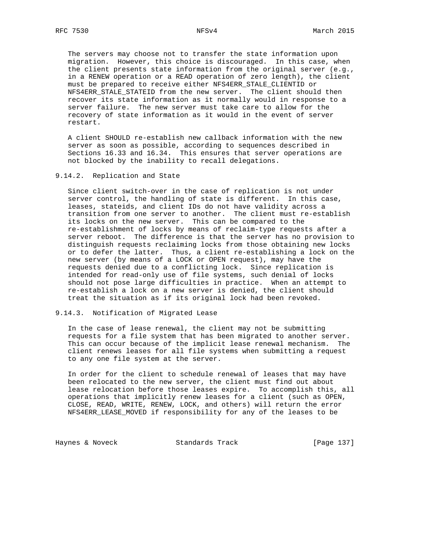The servers may choose not to transfer the state information upon migration. However, this choice is discouraged. In this case, when the client presents state information from the original server (e.g., in a RENEW operation or a READ operation of zero length), the client must be prepared to receive either NFS4ERR\_STALE\_CLIENTID or NFS4ERR\_STALE\_STATEID from the new server. The client should then recover its state information as it normally would in response to a server failure. The new server must take care to allow for the recovery of state information as it would in the event of server restart.

 A client SHOULD re-establish new callback information with the new server as soon as possible, according to sequences described in Sections 16.33 and 16.34. This ensures that server operations are not blocked by the inability to recall delegations.

9.14.2. Replication and State

 Since client switch-over in the case of replication is not under server control, the handling of state is different. In this case, leases, stateids, and client IDs do not have validity across a transition from one server to another. The client must re-establish its locks on the new server. This can be compared to the re-establishment of locks by means of reclaim-type requests after a server reboot. The difference is that the server has no provision to distinguish requests reclaiming locks from those obtaining new locks or to defer the latter. Thus, a client re-establishing a lock on the new server (by means of a LOCK or OPEN request), may have the requests denied due to a conflicting lock. Since replication is intended for read-only use of file systems, such denial of locks should not pose large difficulties in practice. When an attempt to re-establish a lock on a new server is denied, the client should treat the situation as if its original lock had been revoked.

9.14.3. Notification of Migrated Lease

 In the case of lease renewal, the client may not be submitting requests for a file system that has been migrated to another server. This can occur because of the implicit lease renewal mechanism. The client renews leases for all file systems when submitting a request to any one file system at the server.

 In order for the client to schedule renewal of leases that may have been relocated to the new server, the client must find out about lease relocation before those leases expire. To accomplish this, all operations that implicitly renew leases for a client (such as OPEN, CLOSE, READ, WRITE, RENEW, LOCK, and others) will return the error NFS4ERR\_LEASE\_MOVED if responsibility for any of the leases to be

Haynes & Noveck Standards Track [Page 137]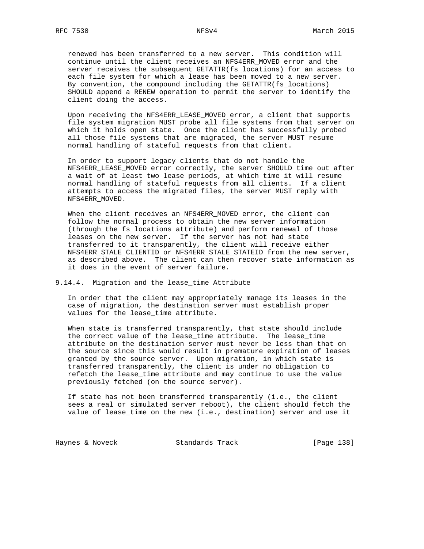renewed has been transferred to a new server. This condition will continue until the client receives an NFS4ERR\_MOVED error and the server receives the subsequent GETATTR(fs\_locations) for an access to each file system for which a lease has been moved to a new server. By convention, the compound including the GETATTR(fs\_locations) SHOULD append a RENEW operation to permit the server to identify the client doing the access.

 Upon receiving the NFS4ERR\_LEASE\_MOVED error, a client that supports file system migration MUST probe all file systems from that server on which it holds open state. Once the client has successfully probed all those file systems that are migrated, the server MUST resume normal handling of stateful requests from that client.

 In order to support legacy clients that do not handle the NFS4ERR\_LEASE\_MOVED error correctly, the server SHOULD time out after a wait of at least two lease periods, at which time it will resume normal handling of stateful requests from all clients. If a client attempts to access the migrated files, the server MUST reply with NFS4ERR\_MOVED.

When the client receives an NFS4ERR\_MOVED error, the client can follow the normal process to obtain the new server information (through the fs\_locations attribute) and perform renewal of those leases on the new server. If the server has not had state transferred to it transparently, the client will receive either NFS4ERR\_STALE\_CLIENTID or NFS4ERR\_STALE\_STATEID from the new server, as described above. The client can then recover state information as it does in the event of server failure.

## 9.14.4. Migration and the lease\_time Attribute

 In order that the client may appropriately manage its leases in the case of migration, the destination server must establish proper values for the lease\_time attribute.

 When state is transferred transparently, that state should include the correct value of the lease\_time attribute. The lease\_time attribute on the destination server must never be less than that on the source since this would result in premature expiration of leases granted by the source server. Upon migration, in which state is transferred transparently, the client is under no obligation to refetch the lease\_time attribute and may continue to use the value previously fetched (on the source server).

 If state has not been transferred transparently (i.e., the client sees a real or simulated server reboot), the client should fetch the value of lease\_time on the new (i.e., destination) server and use it

Haynes & Noveck Standards Track [Page 138]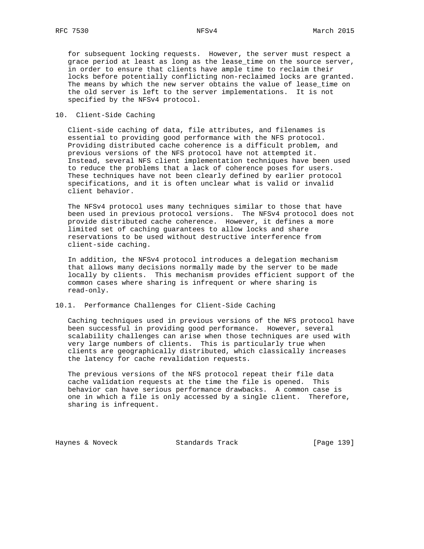for subsequent locking requests. However, the server must respect a grace period at least as long as the lease\_time on the source server, in order to ensure that clients have ample time to reclaim their locks before potentially conflicting non-reclaimed locks are granted. The means by which the new server obtains the value of lease\_time on the old server is left to the server implementations. It is not specified by the NFSv4 protocol.

# 10. Client-Side Caching

 Client-side caching of data, file attributes, and filenames is essential to providing good performance with the NFS protocol. Providing distributed cache coherence is a difficult problem, and previous versions of the NFS protocol have not attempted it. Instead, several NFS client implementation techniques have been used to reduce the problems that a lack of coherence poses for users. These techniques have not been clearly defined by earlier protocol specifications, and it is often unclear what is valid or invalid client behavior.

 The NFSv4 protocol uses many techniques similar to those that have been used in previous protocol versions. The NFSv4 protocol does not provide distributed cache coherence. However, it defines a more limited set of caching guarantees to allow locks and share reservations to be used without destructive interference from client-side caching.

 In addition, the NFSv4 protocol introduces a delegation mechanism that allows many decisions normally made by the server to be made locally by clients. This mechanism provides efficient support of the common cases where sharing is infrequent or where sharing is read-only.

# 10.1. Performance Challenges for Client-Side Caching

 Caching techniques used in previous versions of the NFS protocol have been successful in providing good performance. However, several scalability challenges can arise when those techniques are used with very large numbers of clients. This is particularly true when clients are geographically distributed, which classically increases the latency for cache revalidation requests.

 The previous versions of the NFS protocol repeat their file data cache validation requests at the time the file is opened. This behavior can have serious performance drawbacks. A common case is one in which a file is only accessed by a single client. Therefore, sharing is infrequent.

Haynes & Noveck Standards Track [Page 139]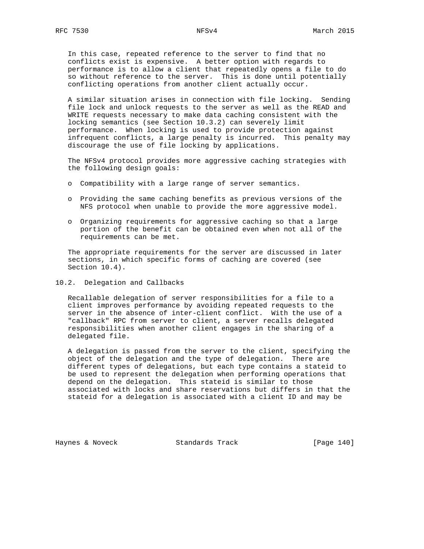In this case, repeated reference to the server to find that no conflicts exist is expensive. A better option with regards to performance is to allow a client that repeatedly opens a file to do so without reference to the server. This is done until potentially conflicting operations from another client actually occur.

 A similar situation arises in connection with file locking. Sending file lock and unlock requests to the server as well as the READ and WRITE requests necessary to make data caching consistent with the locking semantics (see Section 10.3.2) can severely limit performance. When locking is used to provide protection against infrequent conflicts, a large penalty is incurred. This penalty may discourage the use of file locking by applications.

 The NFSv4 protocol provides more aggressive caching strategies with the following design goals:

- o Compatibility with a large range of server semantics.
- o Providing the same caching benefits as previous versions of the NFS protocol when unable to provide the more aggressive model.
- o Organizing requirements for aggressive caching so that a large portion of the benefit can be obtained even when not all of the requirements can be met.

 The appropriate requirements for the server are discussed in later sections, in which specific forms of caching are covered (see Section 10.4).

10.2. Delegation and Callbacks

 Recallable delegation of server responsibilities for a file to a client improves performance by avoiding repeated requests to the server in the absence of inter-client conflict. With the use of a "callback" RPC from server to client, a server recalls delegated responsibilities when another client engages in the sharing of a delegated file.

 A delegation is passed from the server to the client, specifying the object of the delegation and the type of delegation. There are different types of delegations, but each type contains a stateid to be used to represent the delegation when performing operations that depend on the delegation. This stateid is similar to those associated with locks and share reservations but differs in that the stateid for a delegation is associated with a client ID and may be

Haynes & Noveck Standards Track [Page 140]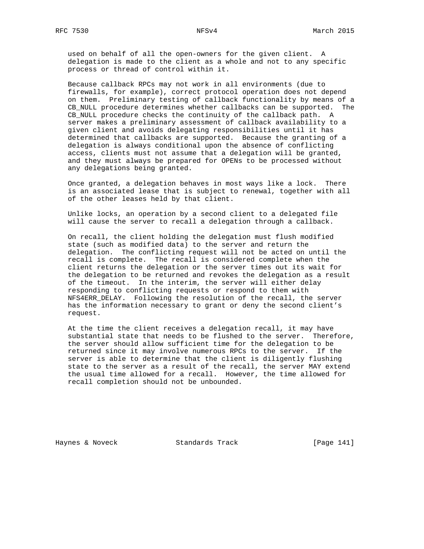used on behalf of all the open-owners for the given client. A delegation is made to the client as a whole and not to any specific process or thread of control within it.

 Because callback RPCs may not work in all environments (due to firewalls, for example), correct protocol operation does not depend on them. Preliminary testing of callback functionality by means of a CB\_NULL procedure determines whether callbacks can be supported. The CB\_NULL procedure checks the continuity of the callback path. A server makes a preliminary assessment of callback availability to a given client and avoids delegating responsibilities until it has determined that callbacks are supported. Because the granting of a delegation is always conditional upon the absence of conflicting access, clients must not assume that a delegation will be granted, and they must always be prepared for OPENs to be processed without any delegations being granted.

 Once granted, a delegation behaves in most ways like a lock. There is an associated lease that is subject to renewal, together with all of the other leases held by that client.

 Unlike locks, an operation by a second client to a delegated file will cause the server to recall a delegation through a callback.

 On recall, the client holding the delegation must flush modified state (such as modified data) to the server and return the delegation. The conflicting request will not be acted on until the recall is complete. The recall is considered complete when the client returns the delegation or the server times out its wait for the delegation to be returned and revokes the delegation as a result of the timeout. In the interim, the server will either delay responding to conflicting requests or respond to them with NFS4ERR\_DELAY. Following the resolution of the recall, the server has the information necessary to grant or deny the second client's request.

 At the time the client receives a delegation recall, it may have substantial state that needs to be flushed to the server. Therefore, the server should allow sufficient time for the delegation to be returned since it may involve numerous RPCs to the server. If the server is able to determine that the client is diligently flushing state to the server as a result of the recall, the server MAY extend the usual time allowed for a recall. However, the time allowed for recall completion should not be unbounded.

Haynes & Noveck Standards Track [Page 141]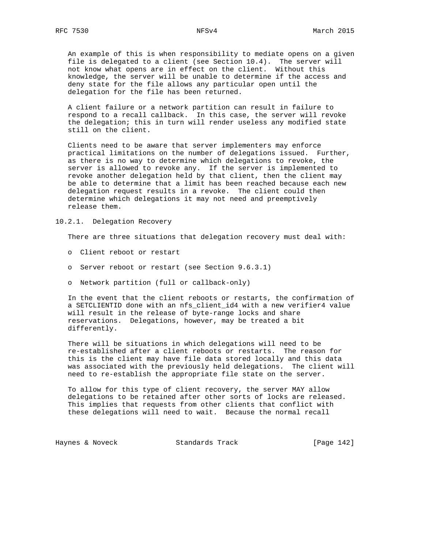An example of this is when responsibility to mediate opens on a given file is delegated to a client (see Section 10.4). The server will not know what opens are in effect on the client. Without this knowledge, the server will be unable to determine if the access and deny state for the file allows any particular open until the delegation for the file has been returned.

 A client failure or a network partition can result in failure to respond to a recall callback. In this case, the server will revoke the delegation; this in turn will render useless any modified state still on the client.

 Clients need to be aware that server implementers may enforce practical limitations on the number of delegations issued. Further, as there is no way to determine which delegations to revoke, the server is allowed to revoke any. If the server is implemented to revoke another delegation held by that client, then the client may be able to determine that a limit has been reached because each new delegation request results in a revoke. The client could then determine which delegations it may not need and preemptively release them.

10.2.1. Delegation Recovery

There are three situations that delegation recovery must deal with:

- o Client reboot or restart
- o Server reboot or restart (see Section 9.6.3.1)
- o Network partition (full or callback-only)

 In the event that the client reboots or restarts, the confirmation of a SETCLIENTID done with an nfs client id4 with a new verifier4 value will result in the release of byte-range locks and share reservations. Delegations, however, may be treated a bit differently.

 There will be situations in which delegations will need to be re-established after a client reboots or restarts. The reason for this is the client may have file data stored locally and this data was associated with the previously held delegations. The client will need to re-establish the appropriate file state on the server.

 To allow for this type of client recovery, the server MAY allow delegations to be retained after other sorts of locks are released. This implies that requests from other clients that conflict with these delegations will need to wait. Because the normal recall

Haynes & Noveck Standards Track [Page 142]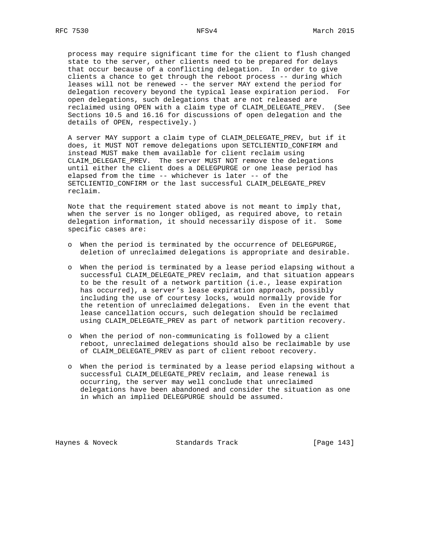process may require significant time for the client to flush changed state to the server, other clients need to be prepared for delays that occur because of a conflicting delegation. In order to give clients a chance to get through the reboot process -- during which leases will not be renewed -- the server MAY extend the period for delegation recovery beyond the typical lease expiration period. For open delegations, such delegations that are not released are reclaimed using OPEN with a claim type of CLAIM\_DELEGATE\_PREV. (See Sections 10.5 and 16.16 for discussions of open delegation and the details of OPEN, respectively.)

 A server MAY support a claim type of CLAIM\_DELEGATE\_PREV, but if it does, it MUST NOT remove delegations upon SETCLIENTID\_CONFIRM and instead MUST make them available for client reclaim using CLAIM\_DELEGATE\_PREV. The server MUST NOT remove the delegations until either the client does a DELEGPURGE or one lease period has elapsed from the time -- whichever is later -- of the SETCLIENTID\_CONFIRM or the last successful CLAIM\_DELEGATE\_PREV reclaim.

 Note that the requirement stated above is not meant to imply that, when the server is no longer obliged, as required above, to retain delegation information, it should necessarily dispose of it. Some specific cases are:

- o When the period is terminated by the occurrence of DELEGPURGE, deletion of unreclaimed delegations is appropriate and desirable.
- o When the period is terminated by a lease period elapsing without a successful CLAIM\_DELEGATE\_PREV reclaim, and that situation appears to be the result of a network partition (i.e., lease expiration has occurred), a server's lease expiration approach, possibly including the use of courtesy locks, would normally provide for the retention of unreclaimed delegations. Even in the event that lease cancellation occurs, such delegation should be reclaimed using CLAIM\_DELEGATE\_PREV as part of network partition recovery.
- o When the period of non-communicating is followed by a client reboot, unreclaimed delegations should also be reclaimable by use of CLAIM\_DELEGATE\_PREV as part of client reboot recovery.
- o When the period is terminated by a lease period elapsing without a successful CLAIM\_DELEGATE\_PREV reclaim, and lease renewal is occurring, the server may well conclude that unreclaimed delegations have been abandoned and consider the situation as one in which an implied DELEGPURGE should be assumed.

Haynes & Noveck Standards Track [Page 143]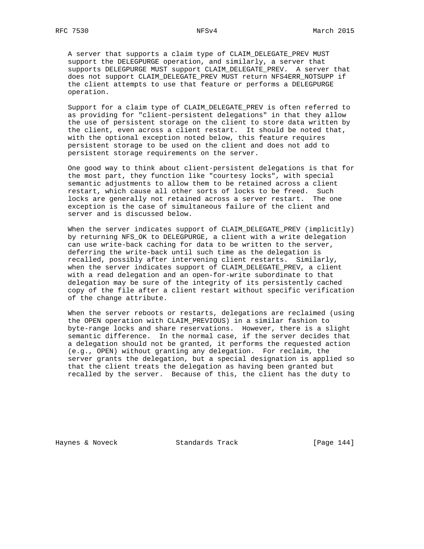A server that supports a claim type of CLAIM\_DELEGATE\_PREV MUST support the DELEGPURGE operation, and similarly, a server that supports DELEGPURGE MUST support CLAIM\_DELEGATE\_PREV. A server that does not support CLAIM\_DELEGATE\_PREV MUST return NFS4ERR\_NOTSUPP if the client attempts to use that feature or performs a DELEGPURGE operation.

 Support for a claim type of CLAIM\_DELEGATE\_PREV is often referred to as providing for "client-persistent delegations" in that they allow the use of persistent storage on the client to store data written by the client, even across a client restart. It should be noted that, with the optional exception noted below, this feature requires persistent storage to be used on the client and does not add to persistent storage requirements on the server.

 One good way to think about client-persistent delegations is that for the most part, they function like "courtesy locks", with special semantic adjustments to allow them to be retained across a client restart, which cause all other sorts of locks to be freed. Such locks are generally not retained across a server restart. The one exception is the case of simultaneous failure of the client and server and is discussed below.

 When the server indicates support of CLAIM\_DELEGATE\_PREV (implicitly) by returning NFS\_OK to DELEGPURGE, a client with a write delegation can use write-back caching for data to be written to the server, deferring the write-back until such time as the delegation is recalled, possibly after intervening client restarts. Similarly, when the server indicates support of CLAIM\_DELEGATE\_PREV, a client with a read delegation and an open-for-write subordinate to that delegation may be sure of the integrity of its persistently cached copy of the file after a client restart without specific verification of the change attribute.

 When the server reboots or restarts, delegations are reclaimed (using the OPEN operation with CLAIM\_PREVIOUS) in a similar fashion to byte-range locks and share reservations. However, there is a slight semantic difference. In the normal case, if the server decides that a delegation should not be granted, it performs the requested action (e.g., OPEN) without granting any delegation. For reclaim, the server grants the delegation, but a special designation is applied so that the client treats the delegation as having been granted but recalled by the server. Because of this, the client has the duty to

Haynes & Noveck Standards Track [Page 144]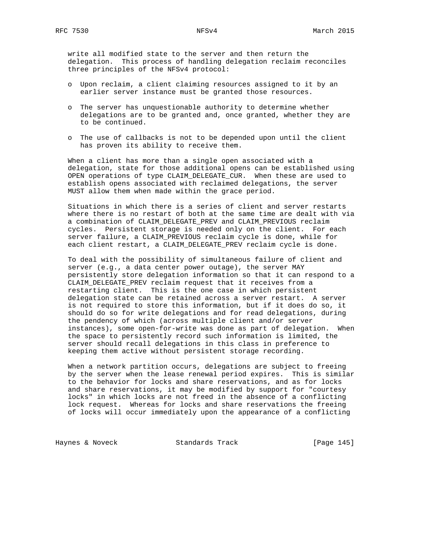write all modified state to the server and then return the delegation. This process of handling delegation reclaim reconciles three principles of the NFSv4 protocol:

- o Upon reclaim, a client claiming resources assigned to it by an earlier server instance must be granted those resources.
- o The server has unquestionable authority to determine whether delegations are to be granted and, once granted, whether they are to be continued.
- o The use of callbacks is not to be depended upon until the client has proven its ability to receive them.

 When a client has more than a single open associated with a delegation, state for those additional opens can be established using OPEN operations of type CLAIM\_DELEGATE\_CUR. When these are used to establish opens associated with reclaimed delegations, the server MUST allow them when made within the grace period.

 Situations in which there is a series of client and server restarts where there is no restart of both at the same time are dealt with via a combination of CLAIM\_DELEGATE\_PREV and CLAIM\_PREVIOUS reclaim cycles. Persistent storage is needed only on the client. For each server failure, a CLAIM\_PREVIOUS reclaim cycle is done, while for each client restart, a CLAIM\_DELEGATE\_PREV reclaim cycle is done.

 To deal with the possibility of simultaneous failure of client and server (e.g., a data center power outage), the server MAY persistently store delegation information so that it can respond to a CLAIM\_DELEGATE\_PREV reclaim request that it receives from a restarting client. This is the one case in which persistent delegation state can be retained across a server restart. A server is not required to store this information, but if it does do so, it should do so for write delegations and for read delegations, during the pendency of which (across multiple client and/or server instances), some open-for-write was done as part of delegation. When the space to persistently record such information is limited, the server should recall delegations in this class in preference to keeping them active without persistent storage recording.

 When a network partition occurs, delegations are subject to freeing by the server when the lease renewal period expires. This is similar to the behavior for locks and share reservations, and as for locks and share reservations, it may be modified by support for "courtesy locks" in which locks are not freed in the absence of a conflicting lock request. Whereas for locks and share reservations the freeing of locks will occur immediately upon the appearance of a conflicting

Haynes & Noveck Standards Track [Page 145]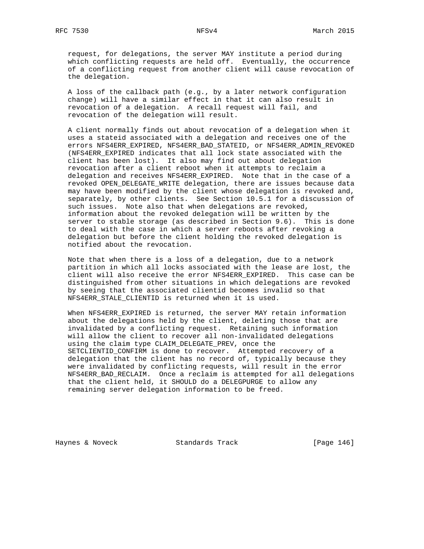request, for delegations, the server MAY institute a period during which conflicting requests are held off. Eventually, the occurrence of a conflicting request from another client will cause revocation of the delegation.

 A loss of the callback path (e.g., by a later network configuration change) will have a similar effect in that it can also result in revocation of a delegation. A recall request will fail, and revocation of the delegation will result.

 A client normally finds out about revocation of a delegation when it uses a stateid associated with a delegation and receives one of the errors NFS4ERR\_EXPIRED, NFS4ERR\_BAD\_STATEID, or NFS4ERR\_ADMIN\_REVOKED (NFS4ERR\_EXPIRED indicates that all lock state associated with the client has been lost). It also may find out about delegation revocation after a client reboot when it attempts to reclaim a delegation and receives NFS4ERR\_EXPIRED. Note that in the case of a revoked OPEN\_DELEGATE\_WRITE delegation, there are issues because data may have been modified by the client whose delegation is revoked and, separately, by other clients. See Section 10.5.1 for a discussion of such issues. Note also that when delegations are revoked, information about the revoked delegation will be written by the server to stable storage (as described in Section 9.6). This is done to deal with the case in which a server reboots after revoking a delegation but before the client holding the revoked delegation is notified about the revocation.

 Note that when there is a loss of a delegation, due to a network partition in which all locks associated with the lease are lost, the client will also receive the error NFS4ERR\_EXPIRED. This case can be distinguished from other situations in which delegations are revoked by seeing that the associated clientid becomes invalid so that NFS4ERR\_STALE\_CLIENTID is returned when it is used.

 When NFS4ERR\_EXPIRED is returned, the server MAY retain information about the delegations held by the client, deleting those that are invalidated by a conflicting request. Retaining such information will allow the client to recover all non-invalidated delegations using the claim type CLAIM\_DELEGATE\_PREV, once the SETCLIENTID\_CONFIRM is done to recover. Attempted recovery of a delegation that the client has no record of, typically because they were invalidated by conflicting requests, will result in the error NFS4ERR\_BAD\_RECLAIM. Once a reclaim is attempted for all delegations that the client held, it SHOULD do a DELEGPURGE to allow any remaining server delegation information to be freed.

Haynes & Noveck Standards Track [Page 146]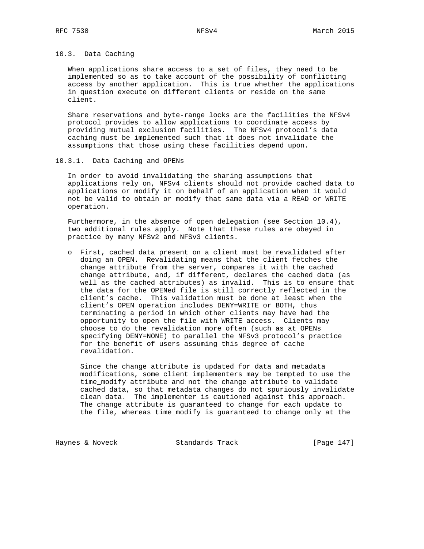### 10.3. Data Caching

 When applications share access to a set of files, they need to be implemented so as to take account of the possibility of conflicting access by another application. This is true whether the applications in question execute on different clients or reside on the same client.

 Share reservations and byte-range locks are the facilities the NFSv4 protocol provides to allow applications to coordinate access by providing mutual exclusion facilities. The NFSv4 protocol's data caching must be implemented such that it does not invalidate the assumptions that those using these facilities depend upon.

10.3.1. Data Caching and OPENs

 In order to avoid invalidating the sharing assumptions that applications rely on, NFSv4 clients should not provide cached data to applications or modify it on behalf of an application when it would not be valid to obtain or modify that same data via a READ or WRITE operation.

 Furthermore, in the absence of open delegation (see Section 10.4), two additional rules apply. Note that these rules are obeyed in practice by many NFSv2 and NFSv3 clients.

 o First, cached data present on a client must be revalidated after doing an OPEN. Revalidating means that the client fetches the change attribute from the server, compares it with the cached change attribute, and, if different, declares the cached data (as well as the cached attributes) as invalid. This is to ensure that the data for the OPENed file is still correctly reflected in the client's cache. This validation must be done at least when the client's OPEN operation includes DENY=WRITE or BOTH, thus terminating a period in which other clients may have had the opportunity to open the file with WRITE access. Clients may choose to do the revalidation more often (such as at OPENs specifying DENY=NONE) to parallel the NFSv3 protocol's practice for the benefit of users assuming this degree of cache revalidation.

 Since the change attribute is updated for data and metadata modifications, some client implementers may be tempted to use the time\_modify attribute and not the change attribute to validate cached data, so that metadata changes do not spuriously invalidate clean data. The implementer is cautioned against this approach. The change attribute is guaranteed to change for each update to the file, whereas time\_modify is guaranteed to change only at the

Haynes & Noveck Standards Track [Page 147]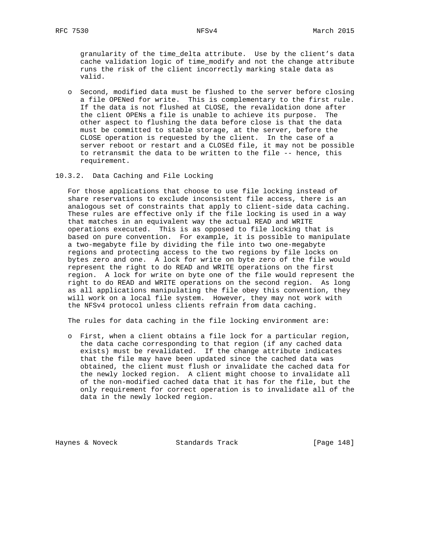granularity of the time\_delta attribute. Use by the client's data cache validation logic of time\_modify and not the change attribute runs the risk of the client incorrectly marking stale data as valid.

- o Second, modified data must be flushed to the server before closing a file OPENed for write. This is complementary to the first rule. If the data is not flushed at CLOSE, the revalidation done after the client OPENs a file is unable to achieve its purpose. The other aspect to flushing the data before close is that the data must be committed to stable storage, at the server, before the CLOSE operation is requested by the client. In the case of a server reboot or restart and a CLOSEd file, it may not be possible to retransmit the data to be written to the file -- hence, this requirement.
- 10.3.2. Data Caching and File Locking

 For those applications that choose to use file locking instead of share reservations to exclude inconsistent file access, there is an analogous set of constraints that apply to client-side data caching. These rules are effective only if the file locking is used in a way that matches in an equivalent way the actual READ and WRITE operations executed. This is as opposed to file locking that is based on pure convention. For example, it is possible to manipulate a two-megabyte file by dividing the file into two one-megabyte regions and protecting access to the two regions by file locks on bytes zero and one. A lock for write on byte zero of the file would represent the right to do READ and WRITE operations on the first region. A lock for write on byte one of the file would represent the right to do READ and WRITE operations on the second region. As long as all applications manipulating the file obey this convention, they will work on a local file system. However, they may not work with the NFSv4 protocol unless clients refrain from data caching.

The rules for data caching in the file locking environment are:

 o First, when a client obtains a file lock for a particular region, the data cache corresponding to that region (if any cached data exists) must be revalidated. If the change attribute indicates that the file may have been updated since the cached data was obtained, the client must flush or invalidate the cached data for the newly locked region. A client might choose to invalidate all of the non-modified cached data that it has for the file, but the only requirement for correct operation is to invalidate all of the data in the newly locked region.

Haynes & Noveck Standards Track [Page 148]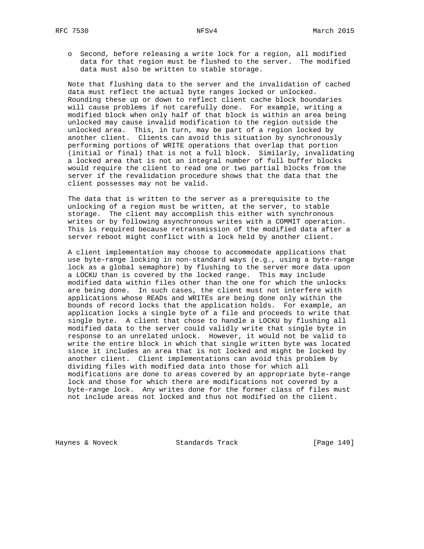o Second, before releasing a write lock for a region, all modified data for that region must be flushed to the server. The modified data must also be written to stable storage.

 Note that flushing data to the server and the invalidation of cached data must reflect the actual byte ranges locked or unlocked. Rounding these up or down to reflect client cache block boundaries will cause problems if not carefully done. For example, writing a modified block when only half of that block is within an area being unlocked may cause invalid modification to the region outside the unlocked area. This, in turn, may be part of a region locked by another client. Clients can avoid this situation by synchronously performing portions of WRITE operations that overlap that portion (initial or final) that is not a full block. Similarly, invalidating a locked area that is not an integral number of full buffer blocks would require the client to read one or two partial blocks from the server if the revalidation procedure shows that the data that the client possesses may not be valid.

 The data that is written to the server as a prerequisite to the unlocking of a region must be written, at the server, to stable storage. The client may accomplish this either with synchronous writes or by following asynchronous writes with a COMMIT operation. This is required because retransmission of the modified data after a server reboot might conflict with a lock held by another client.

 A client implementation may choose to accommodate applications that use byte-range locking in non-standard ways (e.g., using a byte-range lock as a global semaphore) by flushing to the server more data upon a LOCKU than is covered by the locked range. This may include modified data within files other than the one for which the unlocks are being done. In such cases, the client must not interfere with applications whose READs and WRITEs are being done only within the bounds of record locks that the application holds. For example, an application locks a single byte of a file and proceeds to write that single byte. A client that chose to handle a LOCKU by flushing all modified data to the server could validly write that single byte in response to an unrelated unlock. However, it would not be valid to write the entire block in which that single written byte was located since it includes an area that is not locked and might be locked by another client. Client implementations can avoid this problem by dividing files with modified data into those for which all modifications are done to areas covered by an appropriate byte-range lock and those for which there are modifications not covered by a byte-range lock. Any writes done for the former class of files must not include areas not locked and thus not modified on the client.

Haynes & Noveck Standards Track [Page 149]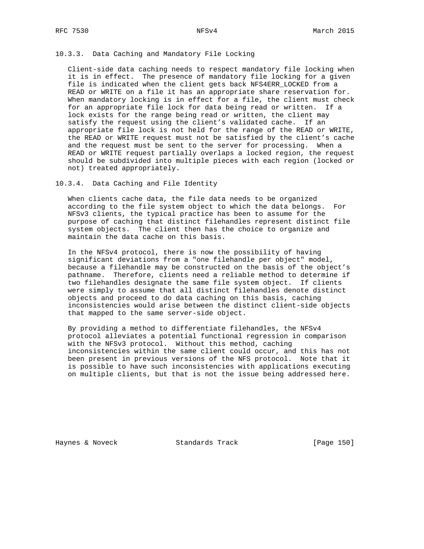10.3.3. Data Caching and Mandatory File Locking

 Client-side data caching needs to respect mandatory file locking when it is in effect. The presence of mandatory file locking for a given file is indicated when the client gets back NFS4ERR\_LOCKED from a READ or WRITE on a file it has an appropriate share reservation for. When mandatory locking is in effect for a file, the client must check for an appropriate file lock for data being read or written. If a lock exists for the range being read or written, the client may satisfy the request using the client's validated cache. If an appropriate file lock is not held for the range of the READ or WRITE, the READ or WRITE request must not be satisfied by the client's cache and the request must be sent to the server for processing. When a READ or WRITE request partially overlaps a locked region, the request should be subdivided into multiple pieces with each region (locked or not) treated appropriately.

10.3.4. Data Caching and File Identity

 When clients cache data, the file data needs to be organized according to the file system object to which the data belongs. For NFSv3 clients, the typical practice has been to assume for the purpose of caching that distinct filehandles represent distinct file system objects. The client then has the choice to organize and maintain the data cache on this basis.

 In the NFSv4 protocol, there is now the possibility of having significant deviations from a "one filehandle per object" model, because a filehandle may be constructed on the basis of the object's pathname. Therefore, clients need a reliable method to determine if two filehandles designate the same file system object. If clients were simply to assume that all distinct filehandles denote distinct objects and proceed to do data caching on this basis, caching inconsistencies would arise between the distinct client-side objects that mapped to the same server-side object.

 By providing a method to differentiate filehandles, the NFSv4 protocol alleviates a potential functional regression in comparison with the NFSv3 protocol. Without this method, caching inconsistencies within the same client could occur, and this has not been present in previous versions of the NFS protocol. Note that it is possible to have such inconsistencies with applications executing on multiple clients, but that is not the issue being addressed here.

Haynes & Noveck Standards Track [Page 150]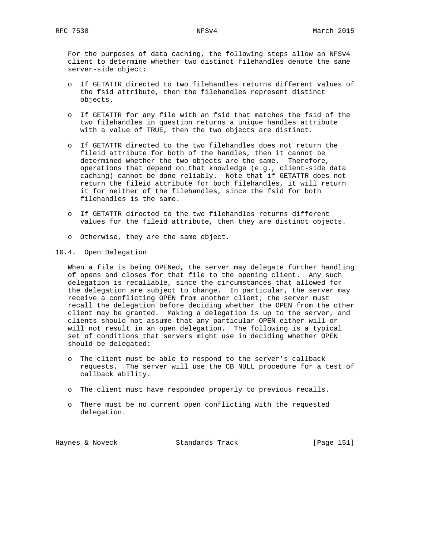For the purposes of data caching, the following steps allow an NFSv4 client to determine whether two distinct filehandles denote the same server-side object:

- o If GETATTR directed to two filehandles returns different values of the fsid attribute, then the filehandles represent distinct objects.
- o If GETATTR for any file with an fsid that matches the fsid of the two filehandles in question returns a unique\_handles attribute with a value of TRUE, then the two objects are distinct.
- o If GETATTR directed to the two filehandles does not return the fileid attribute for both of the handles, then it cannot be determined whether the two objects are the same. Therefore, operations that depend on that knowledge (e.g., client-side data caching) cannot be done reliably. Note that if GETATTR does not return the fileid attribute for both filehandles, it will return it for neither of the filehandles, since the fsid for both filehandles is the same.
- o If GETATTR directed to the two filehandles returns different values for the fileid attribute, then they are distinct objects.
- o Otherwise, they are the same object.
- 10.4. Open Delegation

 When a file is being OPENed, the server may delegate further handling of opens and closes for that file to the opening client. Any such delegation is recallable, since the circumstances that allowed for the delegation are subject to change. In particular, the server may receive a conflicting OPEN from another client; the server must recall the delegation before deciding whether the OPEN from the other client may be granted. Making a delegation is up to the server, and clients should not assume that any particular OPEN either will or will not result in an open delegation. The following is a typical set of conditions that servers might use in deciding whether OPEN should be delegated:

- o The client must be able to respond to the server's callback requests. The server will use the CB\_NULL procedure for a test of callback ability.
- o The client must have responded properly to previous recalls.
- o There must be no current open conflicting with the requested delegation.

Haynes & Noveck Standards Track [Page 151]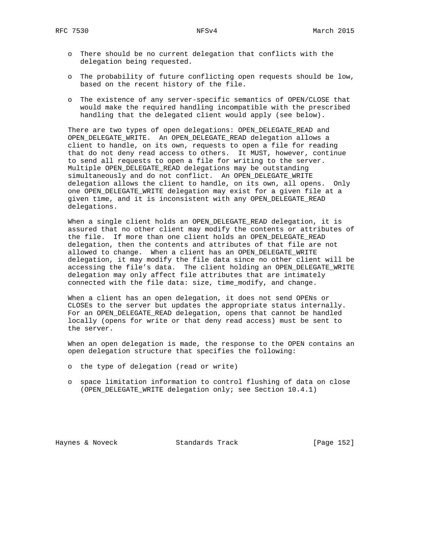- o There should be no current delegation that conflicts with the delegation being requested.
- o The probability of future conflicting open requests should be low, based on the recent history of the file.
- o The existence of any server-specific semantics of OPEN/CLOSE that would make the required handling incompatible with the prescribed handling that the delegated client would apply (see below).

 There are two types of open delegations: OPEN\_DELEGATE\_READ and OPEN\_DELEGATE\_WRITE. An OPEN\_DELEGATE\_READ delegation allows a client to handle, on its own, requests to open a file for reading that do not deny read access to others. It MUST, however, continue to send all requests to open a file for writing to the server. Multiple OPEN\_DELEGATE\_READ delegations may be outstanding simultaneously and do not conflict. An OPEN\_DELEGATE\_WRITE delegation allows the client to handle, on its own, all opens. Only one OPEN\_DELEGATE\_WRITE delegation may exist for a given file at a given time, and it is inconsistent with any OPEN\_DELEGATE\_READ delegations.

 When a single client holds an OPEN\_DELEGATE\_READ delegation, it is assured that no other client may modify the contents or attributes of the file. If more than one client holds an OPEN\_DELEGATE\_READ delegation, then the contents and attributes of that file are not allowed to change. When a client has an OPEN\_DELEGATE\_WRITE delegation, it may modify the file data since no other client will be accessing the file's data. The client holding an OPEN\_DELEGATE\_WRITE delegation may only affect file attributes that are intimately connected with the file data: size, time\_modify, and change.

 When a client has an open delegation, it does not send OPENs or CLOSEs to the server but updates the appropriate status internally. For an OPEN\_DELEGATE\_READ delegation, opens that cannot be handled locally (opens for write or that deny read access) must be sent to the server.

 When an open delegation is made, the response to the OPEN contains an open delegation structure that specifies the following:

- o the type of delegation (read or write)
- o space limitation information to control flushing of data on close (OPEN\_DELEGATE\_WRITE delegation only; see Section 10.4.1)

Haynes & Noveck Standards Track [Page 152]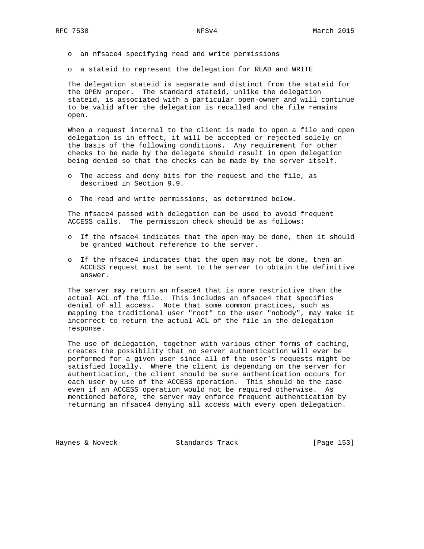- o an nfsace4 specifying read and write permissions
- o a stateid to represent the delegation for READ and WRITE

 The delegation stateid is separate and distinct from the stateid for the OPEN proper. The standard stateid, unlike the delegation stateid, is associated with a particular open-owner and will continue to be valid after the delegation is recalled and the file remains open.

 When a request internal to the client is made to open a file and open delegation is in effect, it will be accepted or rejected solely on the basis of the following conditions. Any requirement for other checks to be made by the delegate should result in open delegation being denied so that the checks can be made by the server itself.

- o The access and deny bits for the request and the file, as described in Section 9.9.
- o The read and write permissions, as determined below.

 The nfsace4 passed with delegation can be used to avoid frequent ACCESS calls. The permission check should be as follows:

- o If the nfsace4 indicates that the open may be done, then it should be granted without reference to the server.
- o If the nfsace4 indicates that the open may not be done, then an ACCESS request must be sent to the server to obtain the definitive answer.

 The server may return an nfsace4 that is more restrictive than the actual ACL of the file. This includes an nfsace4 that specifies denial of all access. Note that some common practices, such as mapping the traditional user "root" to the user "nobody", may make it incorrect to return the actual ACL of the file in the delegation response.

 The use of delegation, together with various other forms of caching, creates the possibility that no server authentication will ever be performed for a given user since all of the user's requests might be satisfied locally. Where the client is depending on the server for authentication, the client should be sure authentication occurs for each user by use of the ACCESS operation. This should be the case even if an ACCESS operation would not be required otherwise. As mentioned before, the server may enforce frequent authentication by returning an nfsace4 denying all access with every open delegation.

Haynes & Noveck Standards Track [Page 153]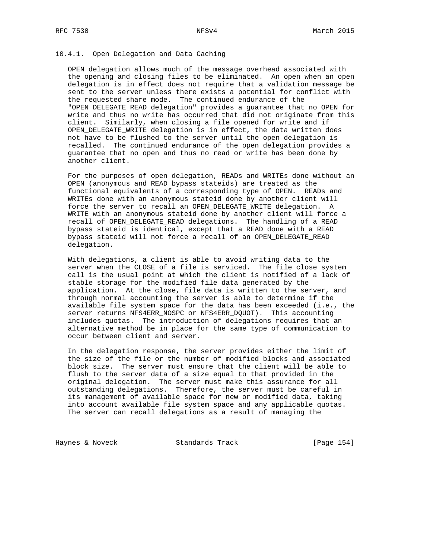### 10.4.1. Open Delegation and Data Caching

 OPEN delegation allows much of the message overhead associated with the opening and closing files to be eliminated. An open when an open delegation is in effect does not require that a validation message be sent to the server unless there exists a potential for conflict with the requested share mode. The continued endurance of the "OPEN\_DELEGATE\_READ delegation" provides a guarantee that no OPEN for write and thus no write has occurred that did not originate from this client. Similarly, when closing a file opened for write and if OPEN\_DELEGATE\_WRITE delegation is in effect, the data written does not have to be flushed to the server until the open delegation is recalled. The continued endurance of the open delegation provides a guarantee that no open and thus no read or write has been done by another client.

 For the purposes of open delegation, READs and WRITEs done without an OPEN (anonymous and READ bypass stateids) are treated as the functional equivalents of a corresponding type of OPEN. READs and WRITEs done with an anonymous stateid done by another client will force the server to recall an OPEN\_DELEGATE\_WRITE delegation. A WRITE with an anonymous stateid done by another client will force a recall of OPEN\_DELEGATE\_READ delegations. The handling of a READ bypass stateid is identical, except that a READ done with a READ bypass stateid will not force a recall of an OPEN\_DELEGATE\_READ delegation.

 With delegations, a client is able to avoid writing data to the server when the CLOSE of a file is serviced. The file close system call is the usual point at which the client is notified of a lack of stable storage for the modified file data generated by the application. At the close, file data is written to the server, and through normal accounting the server is able to determine if the available file system space for the data has been exceeded (i.e., the server returns NFS4ERR\_NOSPC or NFS4ERR\_DQUOT). This accounting includes quotas. The introduction of delegations requires that an alternative method be in place for the same type of communication to occur between client and server.

 In the delegation response, the server provides either the limit of the size of the file or the number of modified blocks and associated block size. The server must ensure that the client will be able to flush to the server data of a size equal to that provided in the original delegation. The server must make this assurance for all outstanding delegations. Therefore, the server must be careful in its management of available space for new or modified data, taking into account available file system space and any applicable quotas. The server can recall delegations as a result of managing the

Haynes & Noveck Standards Track [Page 154]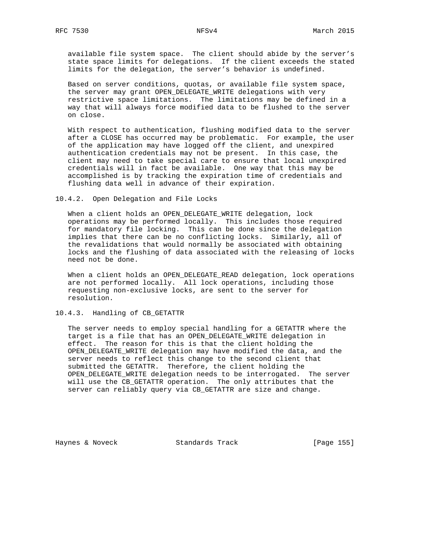available file system space. The client should abide by the server's state space limits for delegations. If the client exceeds the stated limits for the delegation, the server's behavior is undefined.

 Based on server conditions, quotas, or available file system space, the server may grant OPEN\_DELEGATE\_WRITE delegations with very restrictive space limitations. The limitations may be defined in a way that will always force modified data to be flushed to the server on close.

 With respect to authentication, flushing modified data to the server after a CLOSE has occurred may be problematic. For example, the user of the application may have logged off the client, and unexpired authentication credentials may not be present. In this case, the client may need to take special care to ensure that local unexpired credentials will in fact be available. One way that this may be accomplished is by tracking the expiration time of credentials and flushing data well in advance of their expiration.

10.4.2. Open Delegation and File Locks

 When a client holds an OPEN\_DELEGATE\_WRITE delegation, lock operations may be performed locally. This includes those required for mandatory file locking. This can be done since the delegation implies that there can be no conflicting locks. Similarly, all of the revalidations that would normally be associated with obtaining locks and the flushing of data associated with the releasing of locks need not be done.

 When a client holds an OPEN\_DELEGATE\_READ delegation, lock operations are not performed locally. All lock operations, including those requesting non-exclusive locks, are sent to the server for resolution.

10.4.3. Handling of CB\_GETATTR

 The server needs to employ special handling for a GETATTR where the target is a file that has an OPEN\_DELEGATE\_WRITE delegation in effect. The reason for this is that the client holding the OPEN\_DELEGATE\_WRITE delegation may have modified the data, and the server needs to reflect this change to the second client that submitted the GETATTR. Therefore, the client holding the OPEN\_DELEGATE\_WRITE delegation needs to be interrogated. The server will use the CB\_GETATTR operation. The only attributes that the server can reliably query via CB\_GETATTR are size and change.

Haynes & Noveck Standards Track [Page 155]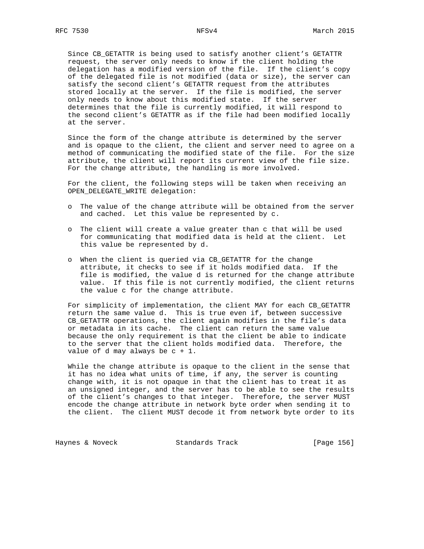Since CB\_GETATTR is being used to satisfy another client's GETATTR request, the server only needs to know if the client holding the delegation has a modified version of the file. If the client's copy of the delegated file is not modified (data or size), the server can satisfy the second client's GETATTR request from the attributes stored locally at the server. If the file is modified, the server only needs to know about this modified state. If the server determines that the file is currently modified, it will respond to the second client's GETATTR as if the file had been modified locally at the server.

 Since the form of the change attribute is determined by the server and is opaque to the client, the client and server need to agree on a method of communicating the modified state of the file. For the size attribute, the client will report its current view of the file size. For the change attribute, the handling is more involved.

 For the client, the following steps will be taken when receiving an OPEN\_DELEGATE\_WRITE delegation:

- o The value of the change attribute will be obtained from the server and cached. Let this value be represented by c.
- o The client will create a value greater than c that will be used for communicating that modified data is held at the client. Let this value be represented by d.
- o When the client is queried via CB\_GETATTR for the change attribute, it checks to see if it holds modified data. If the file is modified, the value d is returned for the change attribute value. If this file is not currently modified, the client returns the value c for the change attribute.

 For simplicity of implementation, the client MAY for each CB\_GETATTR return the same value d. This is true even if, between successive CB\_GETATTR operations, the client again modifies in the file's data or metadata in its cache. The client can return the same value because the only requirement is that the client be able to indicate to the server that the client holds modified data. Therefore, the value of d may always be c + 1.

 While the change attribute is opaque to the client in the sense that it has no idea what units of time, if any, the server is counting change with, it is not opaque in that the client has to treat it as an unsigned integer, and the server has to be able to see the results of the client's changes to that integer. Therefore, the server MUST encode the change attribute in network byte order when sending it to the client. The client MUST decode it from network byte order to its

Haynes & Noveck Standards Track [Page 156]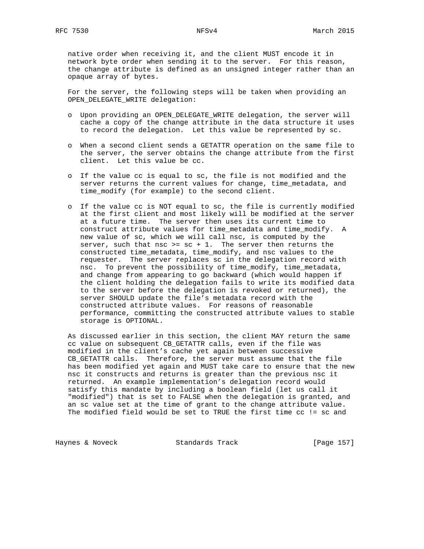native order when receiving it, and the client MUST encode it in network byte order when sending it to the server. For this reason, the change attribute is defined as an unsigned integer rather than an opaque array of bytes.

 For the server, the following steps will be taken when providing an OPEN\_DELEGATE\_WRITE delegation:

- o Upon providing an OPEN\_DELEGATE\_WRITE delegation, the server will cache a copy of the change attribute in the data structure it uses to record the delegation. Let this value be represented by sc.
- o When a second client sends a GETATTR operation on the same file to the server, the server obtains the change attribute from the first client. Let this value be cc.
- o If the value cc is equal to sc, the file is not modified and the server returns the current values for change, time\_metadata, and time\_modify (for example) to the second client.
- o If the value cc is NOT equal to sc, the file is currently modified at the first client and most likely will be modified at the server at a future time. The server then uses its current time to construct attribute values for time\_metadata and time\_modify. A new value of sc, which we will call nsc, is computed by the server, such that nsc >=  $sc + 1$ . The server then returns the constructed time\_metadata, time\_modify, and nsc values to the requester. The server replaces sc in the delegation record with nsc. To prevent the possibility of time\_modify, time\_metadata, and change from appearing to go backward (which would happen if the client holding the delegation fails to write its modified data to the server before the delegation is revoked or returned), the server SHOULD update the file's metadata record with the constructed attribute values. For reasons of reasonable performance, committing the constructed attribute values to stable storage is OPTIONAL.

 As discussed earlier in this section, the client MAY return the same cc value on subsequent CB\_GETATTR calls, even if the file was modified in the client's cache yet again between successive CB\_GETATTR calls. Therefore, the server must assume that the file has been modified yet again and MUST take care to ensure that the new nsc it constructs and returns is greater than the previous nsc it returned. An example implementation's delegation record would satisfy this mandate by including a boolean field (let us call it "modified") that is set to FALSE when the delegation is granted, and an sc value set at the time of grant to the change attribute value. The modified field would be set to TRUE the first time cc != sc and

Haynes & Noveck Standards Track [Page 157]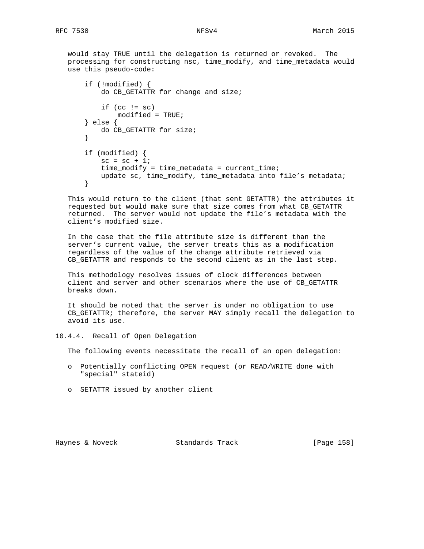would stay TRUE until the delegation is returned or revoked. The processing for constructing nsc, time\_modify, and time\_metadata would use this pseudo-code:

```
 if (!modified) {
    do CB_GETATTR for change and size;
   if (cc != sc) modified = TRUE;
} else {
   do CB_GETATTR for size;
}
if (modified) {
   sc = sc + 1;time modify = time metadata = current time;
   update sc, time_modify, time_metadata into file's metadata;
}
```
 This would return to the client (that sent GETATTR) the attributes it requested but would make sure that size comes from what CB\_GETATTR returned. The server would not update the file's metadata with the client's modified size.

 In the case that the file attribute size is different than the server's current value, the server treats this as a modification regardless of the value of the change attribute retrieved via CB\_GETATTR and responds to the second client as in the last step.

 This methodology resolves issues of clock differences between client and server and other scenarios where the use of CB\_GETATTR breaks down.

 It should be noted that the server is under no obligation to use CB\_GETATTR; therefore, the server MAY simply recall the delegation to avoid its use.

10.4.4. Recall of Open Delegation

The following events necessitate the recall of an open delegation:

- o Potentially conflicting OPEN request (or READ/WRITE done with "special" stateid)
- o SETATTR issued by another client

Haynes & Noveck Standards Track [Page 158]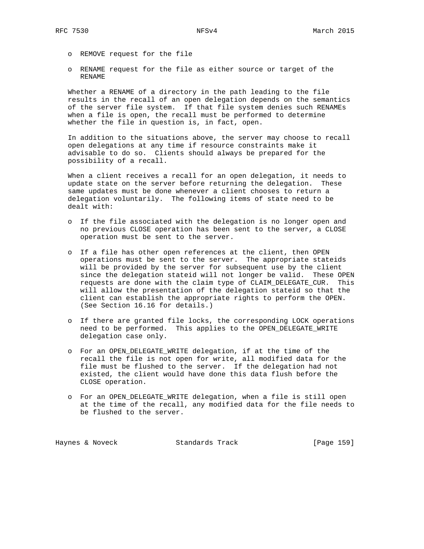- o REMOVE request for the file
- o RENAME request for the file as either source or target of the RENAME

 Whether a RENAME of a directory in the path leading to the file results in the recall of an open delegation depends on the semantics of the server file system. If that file system denies such RENAMEs when a file is open, the recall must be performed to determine whether the file in question is, in fact, open.

 In addition to the situations above, the server may choose to recall open delegations at any time if resource constraints make it advisable to do so. Clients should always be prepared for the possibility of a recall.

 When a client receives a recall for an open delegation, it needs to update state on the server before returning the delegation. These same updates must be done whenever a client chooses to return a delegation voluntarily. The following items of state need to be dealt with:

- o If the file associated with the delegation is no longer open and no previous CLOSE operation has been sent to the server, a CLOSE operation must be sent to the server.
- o If a file has other open references at the client, then OPEN operations must be sent to the server. The appropriate stateids will be provided by the server for subsequent use by the client since the delegation stateid will not longer be valid. These OPEN requests are done with the claim type of CLAIM\_DELEGATE\_CUR. This will allow the presentation of the delegation stateid so that the client can establish the appropriate rights to perform the OPEN. (See Section 16.16 for details.)
- o If there are granted file locks, the corresponding LOCK operations need to be performed. This applies to the OPEN\_DELEGATE\_WRITE delegation case only.
- o For an OPEN\_DELEGATE\_WRITE delegation, if at the time of the recall the file is not open for write, all modified data for the file must be flushed to the server. If the delegation had not existed, the client would have done this data flush before the CLOSE operation.
- o For an OPEN\_DELEGATE\_WRITE delegation, when a file is still open at the time of the recall, any modified data for the file needs to be flushed to the server.

Haynes & Noveck Standards Track [Page 159]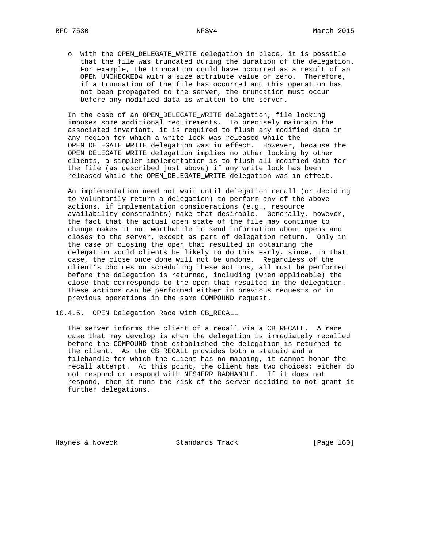o With the OPEN\_DELEGATE\_WRITE delegation in place, it is possible that the file was truncated during the duration of the delegation. For example, the truncation could have occurred as a result of an OPEN UNCHECKED4 with a size attribute value of zero. Therefore, if a truncation of the file has occurred and this operation has not been propagated to the server, the truncation must occur before any modified data is written to the server.

 In the case of an OPEN\_DELEGATE\_WRITE delegation, file locking imposes some additional requirements. To precisely maintain the associated invariant, it is required to flush any modified data in any region for which a write lock was released while the OPEN DELEGATE WRITE delegation was in effect. However, because the OPEN\_DELEGATE\_WRITE delegation implies no other locking by other clients, a simpler implementation is to flush all modified data for the file (as described just above) if any write lock has been released while the OPEN\_DELEGATE\_WRITE delegation was in effect.

 An implementation need not wait until delegation recall (or deciding to voluntarily return a delegation) to perform any of the above actions, if implementation considerations (e.g., resource availability constraints) make that desirable. Generally, however, the fact that the actual open state of the file may continue to change makes it not worthwhile to send information about opens and closes to the server, except as part of delegation return. Only in the case of closing the open that resulted in obtaining the delegation would clients be likely to do this early, since, in that case, the close once done will not be undone. Regardless of the client's choices on scheduling these actions, all must be performed before the delegation is returned, including (when applicable) the close that corresponds to the open that resulted in the delegation. These actions can be performed either in previous requests or in previous operations in the same COMPOUND request.

10.4.5. OPEN Delegation Race with CB\_RECALL

 The server informs the client of a recall via a CB\_RECALL. A race case that may develop is when the delegation is immediately recalled before the COMPOUND that established the delegation is returned to the client. As the CB\_RECALL provides both a stateid and a filehandle for which the client has no mapping, it cannot honor the recall attempt. At this point, the client has two choices: either do not respond or respond with NFS4ERR\_BADHANDLE. If it does not respond, then it runs the risk of the server deciding to not grant it further delegations.

Haynes & Noveck Standards Track [Page 160]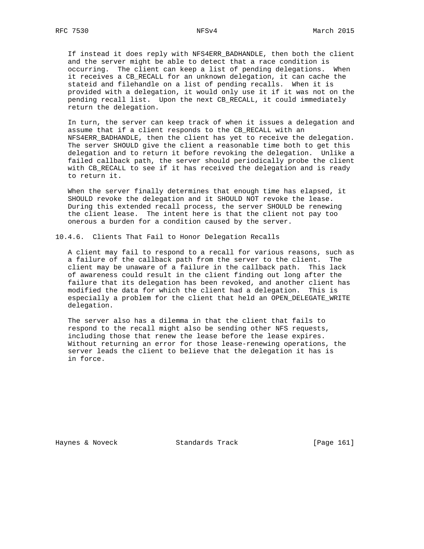If instead it does reply with NFS4ERR\_BADHANDLE, then both the client and the server might be able to detect that a race condition is occurring. The client can keep a list of pending delegations. When it receives a CB\_RECALL for an unknown delegation, it can cache the stateid and filehandle on a list of pending recalls. When it is provided with a delegation, it would only use it if it was not on the pending recall list. Upon the next CB\_RECALL, it could immediately return the delegation.

 In turn, the server can keep track of when it issues a delegation and assume that if a client responds to the CB\_RECALL with an NFS4ERR\_BADHANDLE, then the client has yet to receive the delegation. The server SHOULD give the client a reasonable time both to get this delegation and to return it before revoking the delegation. Unlike a failed callback path, the server should periodically probe the client with CB\_RECALL to see if it has received the delegation and is ready to return it.

 When the server finally determines that enough time has elapsed, it SHOULD revoke the delegation and it SHOULD NOT revoke the lease. During this extended recall process, the server SHOULD be renewing the client lease. The intent here is that the client not pay too onerous a burden for a condition caused by the server.

10.4.6. Clients That Fail to Honor Delegation Recalls

 A client may fail to respond to a recall for various reasons, such as a failure of the callback path from the server to the client. The client may be unaware of a failure in the callback path. This lack of awareness could result in the client finding out long after the failure that its delegation has been revoked, and another client has modified the data for which the client had a delegation. This is especially a problem for the client that held an OPEN\_DELEGATE\_WRITE delegation.

 The server also has a dilemma in that the client that fails to respond to the recall might also be sending other NFS requests, including those that renew the lease before the lease expires. Without returning an error for those lease-renewing operations, the server leads the client to believe that the delegation it has is in force.

Haynes & Noveck Standards Track [Page 161]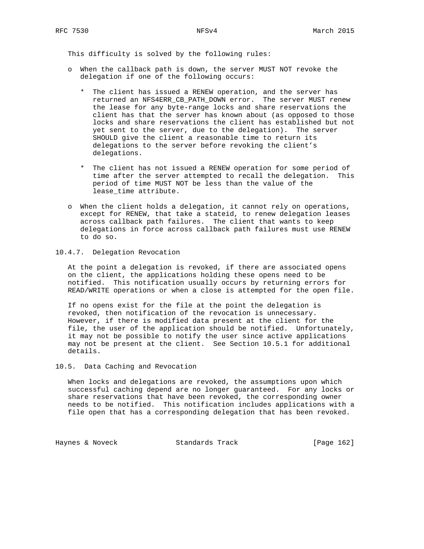This difficulty is solved by the following rules:

- o When the callback path is down, the server MUST NOT revoke the delegation if one of the following occurs:
	- \* The client has issued a RENEW operation, and the server has returned an NFS4ERR\_CB\_PATH\_DOWN error. The server MUST renew the lease for any byte-range locks and share reservations the client has that the server has known about (as opposed to those locks and share reservations the client has established but not yet sent to the server, due to the delegation). The server SHOULD give the client a reasonable time to return its delegations to the server before revoking the client's delegations.
	- \* The client has not issued a RENEW operation for some period of time after the server attempted to recall the delegation. This period of time MUST NOT be less than the value of the lease\_time attribute.
- o When the client holds a delegation, it cannot rely on operations, except for RENEW, that take a stateid, to renew delegation leases across callback path failures. The client that wants to keep delegations in force across callback path failures must use RENEW to do so.

## 10.4.7. Delegation Revocation

 At the point a delegation is revoked, if there are associated opens on the client, the applications holding these opens need to be notified. This notification usually occurs by returning errors for READ/WRITE operations or when a close is attempted for the open file.

 If no opens exist for the file at the point the delegation is revoked, then notification of the revocation is unnecessary. However, if there is modified data present at the client for the file, the user of the application should be notified. Unfortunately, it may not be possible to notify the user since active applications may not be present at the client. See Section 10.5.1 for additional details.

### 10.5. Data Caching and Revocation

 When locks and delegations are revoked, the assumptions upon which successful caching depend are no longer guaranteed. For any locks or share reservations that have been revoked, the corresponding owner needs to be notified. This notification includes applications with a file open that has a corresponding delegation that has been revoked.

Haynes & Noveck Standards Track [Page 162]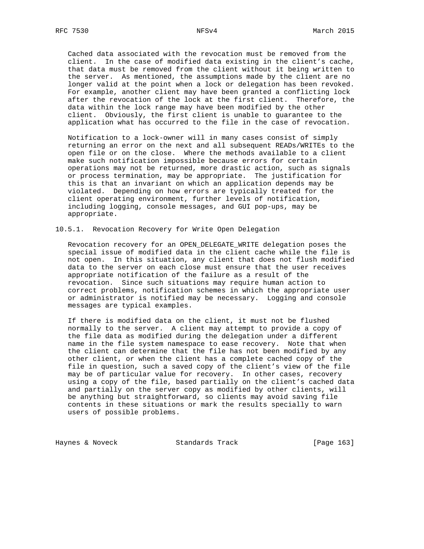Cached data associated with the revocation must be removed from the client. In the case of modified data existing in the client's cache, that data must be removed from the client without it being written to the server. As mentioned, the assumptions made by the client are no longer valid at the point when a lock or delegation has been revoked. For example, another client may have been granted a conflicting lock after the revocation of the lock at the first client. Therefore, the data within the lock range may have been modified by the other client. Obviously, the first client is unable to guarantee to the application what has occurred to the file in the case of revocation.

 Notification to a lock-owner will in many cases consist of simply returning an error on the next and all subsequent READs/WRITEs to the open file or on the close. Where the methods available to a client make such notification impossible because errors for certain operations may not be returned, more drastic action, such as signals or process termination, may be appropriate. The justification for this is that an invariant on which an application depends may be violated. Depending on how errors are typically treated for the client operating environment, further levels of notification, including logging, console messages, and GUI pop-ups, may be appropriate.

10.5.1. Revocation Recovery for Write Open Delegation

 Revocation recovery for an OPEN\_DELEGATE\_WRITE delegation poses the special issue of modified data in the client cache while the file is not open. In this situation, any client that does not flush modified data to the server on each close must ensure that the user receives appropriate notification of the failure as a result of the revocation. Since such situations may require human action to correct problems, notification schemes in which the appropriate user or administrator is notified may be necessary. Logging and console messages are typical examples.

 If there is modified data on the client, it must not be flushed normally to the server. A client may attempt to provide a copy of the file data as modified during the delegation under a different name in the file system namespace to ease recovery. Note that when the client can determine that the file has not been modified by any other client, or when the client has a complete cached copy of the file in question, such a saved copy of the client's view of the file may be of particular value for recovery. In other cases, recovery using a copy of the file, based partially on the client's cached data and partially on the server copy as modified by other clients, will be anything but straightforward, so clients may avoid saving file contents in these situations or mark the results specially to warn users of possible problems.

Haynes & Noveck Standards Track [Page 163]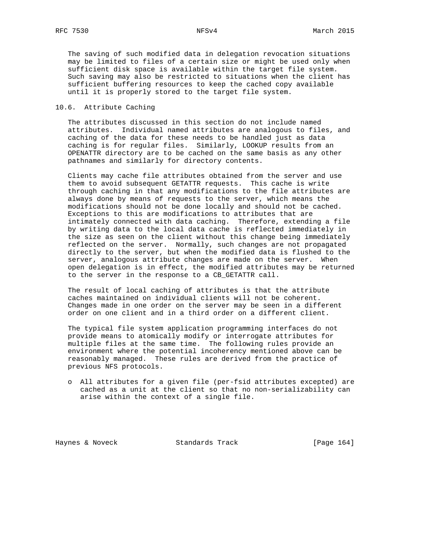The saving of such modified data in delegation revocation situations may be limited to files of a certain size or might be used only when sufficient disk space is available within the target file system. Such saving may also be restricted to situations when the client has sufficient buffering resources to keep the cached copy available until it is properly stored to the target file system.

### 10.6. Attribute Caching

 The attributes discussed in this section do not include named attributes. Individual named attributes are analogous to files, and caching of the data for these needs to be handled just as data caching is for regular files. Similarly, LOOKUP results from an OPENATTR directory are to be cached on the same basis as any other pathnames and similarly for directory contents.

 Clients may cache file attributes obtained from the server and use them to avoid subsequent GETATTR requests. This cache is write through caching in that any modifications to the file attributes are always done by means of requests to the server, which means the modifications should not be done locally and should not be cached. Exceptions to this are modifications to attributes that are intimately connected with data caching. Therefore, extending a file by writing data to the local data cache is reflected immediately in the size as seen on the client without this change being immediately reflected on the server. Normally, such changes are not propagated directly to the server, but when the modified data is flushed to the server, analogous attribute changes are made on the server. When open delegation is in effect, the modified attributes may be returned to the server in the response to a CB\_GETATTR call.

 The result of local caching of attributes is that the attribute caches maintained on individual clients will not be coherent. Changes made in one order on the server may be seen in a different order on one client and in a third order on a different client.

 The typical file system application programming interfaces do not provide means to atomically modify or interrogate attributes for multiple files at the same time. The following rules provide an environment where the potential incoherency mentioned above can be reasonably managed. These rules are derived from the practice of previous NFS protocols.

 o All attributes for a given file (per-fsid attributes excepted) are cached as a unit at the client so that no non-serializability can arise within the context of a single file.

Haynes & Noveck Standards Track [Page 164]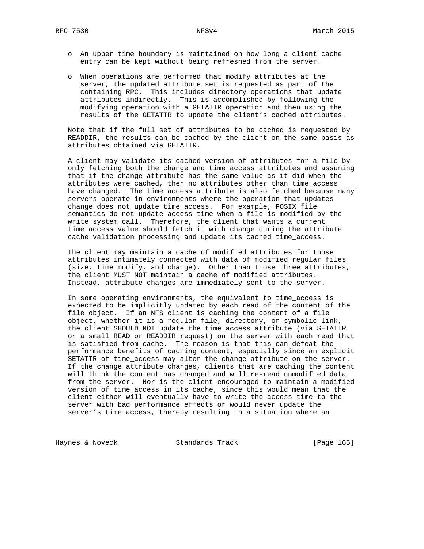- o An upper time boundary is maintained on how long a client cache entry can be kept without being refreshed from the server.
- o When operations are performed that modify attributes at the server, the updated attribute set is requested as part of the containing RPC. This includes directory operations that update attributes indirectly. This is accomplished by following the modifying operation with a GETATTR operation and then using the results of the GETATTR to update the client's cached attributes.

 Note that if the full set of attributes to be cached is requested by READDIR, the results can be cached by the client on the same basis as attributes obtained via GETATTR.

 A client may validate its cached version of attributes for a file by only fetching both the change and time\_access attributes and assuming that if the change attribute has the same value as it did when the attributes were cached, then no attributes other than time\_access have changed. The time\_access attribute is also fetched because many servers operate in environments where the operation that updates change does not update time\_access. For example, POSIX file semantics do not update access time when a file is modified by the write system call. Therefore, the client that wants a current time\_access value should fetch it with change during the attribute cache validation processing and update its cached time\_access.

 The client may maintain a cache of modified attributes for those attributes intimately connected with data of modified regular files (size, time\_modify, and change). Other than those three attributes, the client MUST NOT maintain a cache of modified attributes. Instead, attribute changes are immediately sent to the server.

 In some operating environments, the equivalent to time\_access is expected to be implicitly updated by each read of the content of the file object. If an NFS client is caching the content of a file object, whether it is a regular file, directory, or symbolic link, the client SHOULD NOT update the time\_access attribute (via SETATTR or a small READ or READDIR request) on the server with each read that is satisfied from cache. The reason is that this can defeat the performance benefits of caching content, especially since an explicit SETATTR of time\_access may alter the change attribute on the server. If the change attribute changes, clients that are caching the content will think the content has changed and will re-read unmodified data from the server. Nor is the client encouraged to maintain a modified version of time\_access in its cache, since this would mean that the client either will eventually have to write the access time to the server with bad performance effects or would never update the server's time\_access, thereby resulting in a situation where an

Haynes & Noveck Standards Track [Page 165]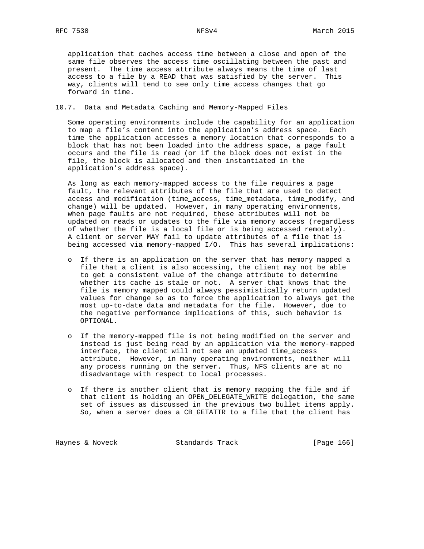application that caches access time between a close and open of the same file observes the access time oscillating between the past and present. The time\_access attribute always means the time of last access to a file by a READ that was satisfied by the server. This way, clients will tend to see only time\_access changes that go forward in time.

10.7. Data and Metadata Caching and Memory-Mapped Files

 Some operating environments include the capability for an application to map a file's content into the application's address space. Each time the application accesses a memory location that corresponds to a block that has not been loaded into the address space, a page fault occurs and the file is read (or if the block does not exist in the file, the block is allocated and then instantiated in the application's address space).

 As long as each memory-mapped access to the file requires a page fault, the relevant attributes of the file that are used to detect access and modification (time\_access, time\_metadata, time\_modify, and change) will be updated. However, in many operating environments, when page faults are not required, these attributes will not be updated on reads or updates to the file via memory access (regardless of whether the file is a local file or is being accessed remotely). A client or server MAY fail to update attributes of a file that is being accessed via memory-mapped I/O. This has several implications:

- o If there is an application on the server that has memory mapped a file that a client is also accessing, the client may not be able to get a consistent value of the change attribute to determine whether its cache is stale or not. A server that knows that the file is memory mapped could always pessimistically return updated values for change so as to force the application to always get the most up-to-date data and metadata for the file. However, due to the negative performance implications of this, such behavior is OPTIONAL.
- o If the memory-mapped file is not being modified on the server and instead is just being read by an application via the memory-mapped interface, the client will not see an updated time\_access attribute. However, in many operating environments, neither will any process running on the server. Thus, NFS clients are at no disadvantage with respect to local processes.
- o If there is another client that is memory mapping the file and if that client is holding an OPEN DELEGATE WRITE delegation, the same set of issues as discussed in the previous two bullet items apply. So, when a server does a CB\_GETATTR to a file that the client has

Haynes & Noveck Standards Track [Page 166]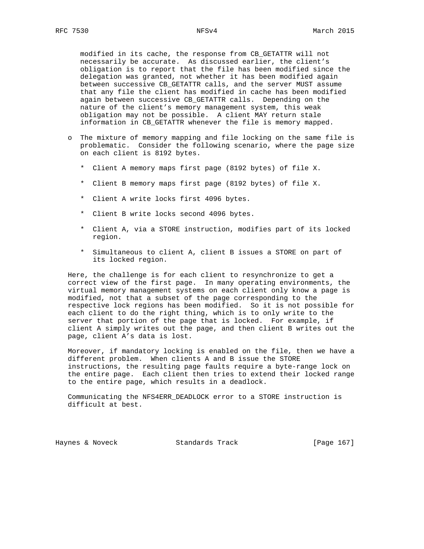modified in its cache, the response from CB\_GETATTR will not necessarily be accurate. As discussed earlier, the client's obligation is to report that the file has been modified since the delegation was granted, not whether it has been modified again between successive CB\_GETATTR calls, and the server MUST assume that any file the client has modified in cache has been modified again between successive CB\_GETATTR calls. Depending on the nature of the client's memory management system, this weak obligation may not be possible. A client MAY return stale information in CB\_GETATTR whenever the file is memory mapped.

- o The mixture of memory mapping and file locking on the same file is problematic. Consider the following scenario, where the page size on each client is 8192 bytes.
	- \* Client A memory maps first page (8192 bytes) of file X.
	- \* Client B memory maps first page (8192 bytes) of file X.
	- \* Client A write locks first 4096 bytes.
	- \* Client B write locks second 4096 bytes.
	- \* Client A, via a STORE instruction, modifies part of its locked region.
	- \* Simultaneous to client A, client B issues a STORE on part of its locked region.

 Here, the challenge is for each client to resynchronize to get a correct view of the first page. In many operating environments, the virtual memory management systems on each client only know a page is modified, not that a subset of the page corresponding to the respective lock regions has been modified. So it is not possible for each client to do the right thing, which is to only write to the server that portion of the page that is locked. For example, if client A simply writes out the page, and then client B writes out the page, client A's data is lost.

 Moreover, if mandatory locking is enabled on the file, then we have a different problem. When clients A and B issue the STORE instructions, the resulting page faults require a byte-range lock on the entire page. Each client then tries to extend their locked range to the entire page, which results in a deadlock.

 Communicating the NFS4ERR\_DEADLOCK error to a STORE instruction is difficult at best.

Haynes & Noveck Standards Track [Page 167]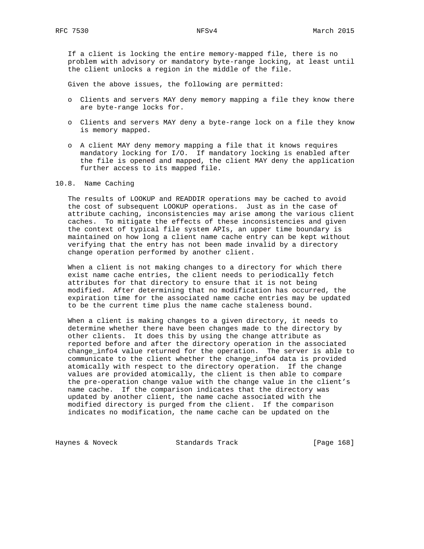If a client is locking the entire memory-mapped file, there is no problem with advisory or mandatory byte-range locking, at least until the client unlocks a region in the middle of the file.

Given the above issues, the following are permitted:

- o Clients and servers MAY deny memory mapping a file they know there are byte-range locks for.
- o Clients and servers MAY deny a byte-range lock on a file they know is memory mapped.
- o A client MAY deny memory mapping a file that it knows requires mandatory locking for I/O. If mandatory locking is enabled after the file is opened and mapped, the client MAY deny the application further access to its mapped file.

#### 10.8. Name Caching

 The results of LOOKUP and READDIR operations may be cached to avoid the cost of subsequent LOOKUP operations. Just as in the case of attribute caching, inconsistencies may arise among the various client caches. To mitigate the effects of these inconsistencies and given the context of typical file system APIs, an upper time boundary is maintained on how long a client name cache entry can be kept without verifying that the entry has not been made invalid by a directory change operation performed by another client.

 When a client is not making changes to a directory for which there exist name cache entries, the client needs to periodically fetch attributes for that directory to ensure that it is not being modified. After determining that no modification has occurred, the expiration time for the associated name cache entries may be updated to be the current time plus the name cache staleness bound.

 When a client is making changes to a given directory, it needs to determine whether there have been changes made to the directory by other clients. It does this by using the change attribute as reported before and after the directory operation in the associated change\_info4 value returned for the operation. The server is able to communicate to the client whether the change\_info4 data is provided atomically with respect to the directory operation. If the change values are provided atomically, the client is then able to compare the pre-operation change value with the change value in the client's name cache. If the comparison indicates that the directory was updated by another client, the name cache associated with the modified directory is purged from the client. If the comparison indicates no modification, the name cache can be updated on the

Haynes & Noveck Standards Track [Page 168]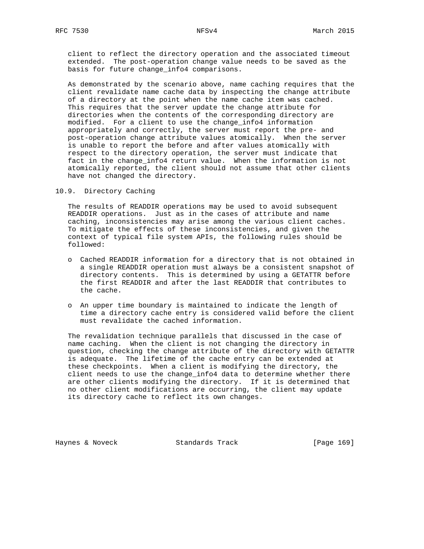client to reflect the directory operation and the associated timeout extended. The post-operation change value needs to be saved as the basis for future change\_info4 comparisons.

 As demonstrated by the scenario above, name caching requires that the client revalidate name cache data by inspecting the change attribute of a directory at the point when the name cache item was cached. This requires that the server update the change attribute for directories when the contents of the corresponding directory are modified. For a client to use the change\_info4 information appropriately and correctly, the server must report the pre- and post-operation change attribute values atomically. When the server is unable to report the before and after values atomically with respect to the directory operation, the server must indicate that fact in the change\_info4 return value. When the information is not atomically reported, the client should not assume that other clients have not changed the directory.

### 10.9. Directory Caching

 The results of READDIR operations may be used to avoid subsequent READDIR operations. Just as in the cases of attribute and name caching, inconsistencies may arise among the various client caches. To mitigate the effects of these inconsistencies, and given the context of typical file system APIs, the following rules should be followed:

- o Cached READDIR information for a directory that is not obtained in a single READDIR operation must always be a consistent snapshot of directory contents. This is determined by using a GETATTR before the first READDIR and after the last READDIR that contributes to the cache.
- o An upper time boundary is maintained to indicate the length of time a directory cache entry is considered valid before the client must revalidate the cached information.

 The revalidation technique parallels that discussed in the case of name caching. When the client is not changing the directory in question, checking the change attribute of the directory with GETATTR is adequate. The lifetime of the cache entry can be extended at these checkpoints. When a client is modifying the directory, the client needs to use the change\_info4 data to determine whether there are other clients modifying the directory. If it is determined that no other client modifications are occurring, the client may update its directory cache to reflect its own changes.

Haynes & Noveck Standards Track [Page 169]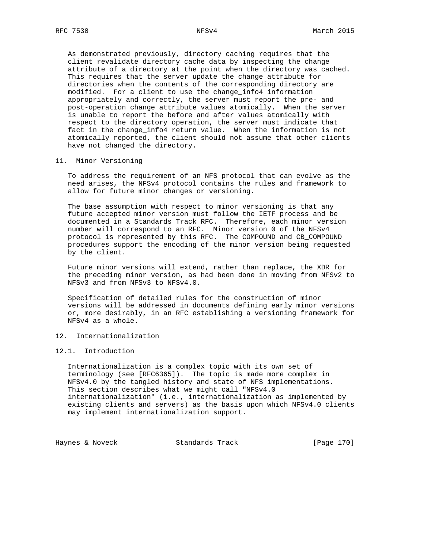As demonstrated previously, directory caching requires that the client revalidate directory cache data by inspecting the change attribute of a directory at the point when the directory was cached. This requires that the server update the change attribute for directories when the contents of the corresponding directory are modified. For a client to use the change\_info4 information appropriately and correctly, the server must report the pre- and post-operation change attribute values atomically. When the server is unable to report the before and after values atomically with respect to the directory operation, the server must indicate that fact in the change\_info4 return value. When the information is not atomically reported, the client should not assume that other clients have not changed the directory.

#### 11. Minor Versioning

 To address the requirement of an NFS protocol that can evolve as the need arises, the NFSv4 protocol contains the rules and framework to allow for future minor changes or versioning.

 The base assumption with respect to minor versioning is that any future accepted minor version must follow the IETF process and be documented in a Standards Track RFC. Therefore, each minor version number will correspond to an RFC. Minor version 0 of the NFSv4 protocol is represented by this RFC. The COMPOUND and CB\_COMPOUND procedures support the encoding of the minor version being requested by the client.

 Future minor versions will extend, rather than replace, the XDR for the preceding minor version, as had been done in moving from NFSv2 to NFSv3 and from NFSv3 to NFSv4.0.

 Specification of detailed rules for the construction of minor versions will be addressed in documents defining early minor versions or, more desirably, in an RFC establishing a versioning framework for NFSv4 as a whole.

### 12. Internationalization

### 12.1. Introduction

 Internationalization is a complex topic with its own set of terminology (see [RFC6365]). The topic is made more complex in NFSv4.0 by the tangled history and state of NFS implementations. This section describes what we might call "NFSv4.0 internationalization" (i.e., internationalization as implemented by existing clients and servers) as the basis upon which NFSv4.0 clients may implement internationalization support.

Haynes & Noveck Standards Track [Page 170]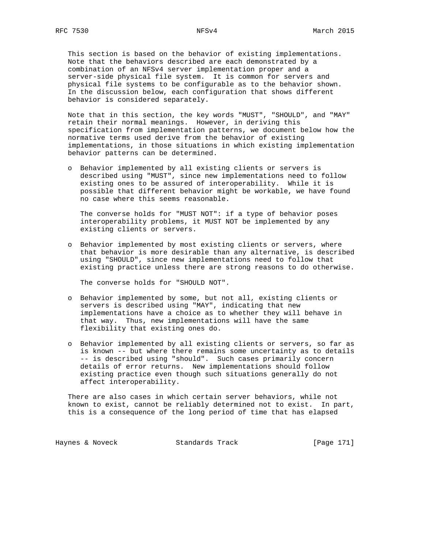This section is based on the behavior of existing implementations. Note that the behaviors described are each demonstrated by a combination of an NFSv4 server implementation proper and a server-side physical file system. It is common for servers and physical file systems to be configurable as to the behavior shown. In the discussion below, each configuration that shows different behavior is considered separately.

 Note that in this section, the key words "MUST", "SHOULD", and "MAY" retain their normal meanings. However, in deriving this specification from implementation patterns, we document below how the normative terms used derive from the behavior of existing implementations, in those situations in which existing implementation behavior patterns can be determined.

 o Behavior implemented by all existing clients or servers is described using "MUST", since new implementations need to follow existing ones to be assured of interoperability. While it is possible that different behavior might be workable, we have found no case where this seems reasonable.

 The converse holds for "MUST NOT": if a type of behavior poses interoperability problems, it MUST NOT be implemented by any existing clients or servers.

 o Behavior implemented by most existing clients or servers, where that behavior is more desirable than any alternative, is described using "SHOULD", since new implementations need to follow that existing practice unless there are strong reasons to do otherwise.

The converse holds for "SHOULD NOT".

- o Behavior implemented by some, but not all, existing clients or servers is described using "MAY", indicating that new implementations have a choice as to whether they will behave in that way. Thus, new implementations will have the same flexibility that existing ones do.
- o Behavior implemented by all existing clients or servers, so far as is known -- but where there remains some uncertainty as to details -- is described using "should". Such cases primarily concern details of error returns. New implementations should follow existing practice even though such situations generally do not affect interoperability.

 There are also cases in which certain server behaviors, while not known to exist, cannot be reliably determined not to exist. In part, this is a consequence of the long period of time that has elapsed

Haynes & Noveck Standards Track [Page 171]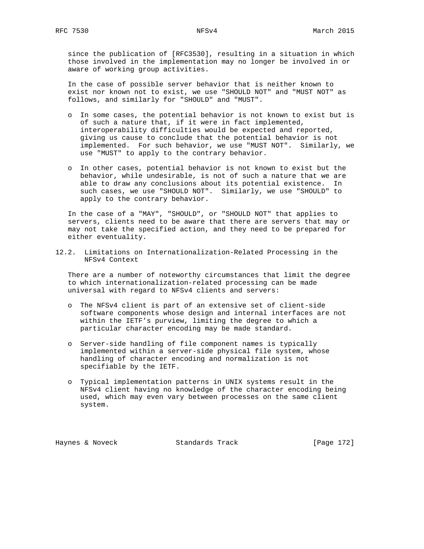since the publication of [RFC3530], resulting in a situation in which those involved in the implementation may no longer be involved in or aware of working group activities.

 In the case of possible server behavior that is neither known to exist nor known not to exist, we use "SHOULD NOT" and "MUST NOT" as follows, and similarly for "SHOULD" and "MUST".

- o In some cases, the potential behavior is not known to exist but is of such a nature that, if it were in fact implemented, interoperability difficulties would be expected and reported, giving us cause to conclude that the potential behavior is not implemented. For such behavior, we use "MUST NOT". Similarly, we use "MUST" to apply to the contrary behavior.
- o In other cases, potential behavior is not known to exist but the behavior, while undesirable, is not of such a nature that we are able to draw any conclusions about its potential existence. In such cases, we use "SHOULD NOT". Similarly, we use "SHOULD" to apply to the contrary behavior.

 In the case of a "MAY", "SHOULD", or "SHOULD NOT" that applies to servers, clients need to be aware that there are servers that may or may not take the specified action, and they need to be prepared for either eventuality.

12.2. Limitations on Internationalization-Related Processing in the NFSv4 Context

 There are a number of noteworthy circumstances that limit the degree to which internationalization-related processing can be made universal with regard to NFSv4 clients and servers:

- o The NFSv4 client is part of an extensive set of client-side software components whose design and internal interfaces are not within the IETF's purview, limiting the degree to which a particular character encoding may be made standard.
- o Server-side handling of file component names is typically implemented within a server-side physical file system, whose handling of character encoding and normalization is not specifiable by the IETF.
- o Typical implementation patterns in UNIX systems result in the NFSv4 client having no knowledge of the character encoding being used, which may even vary between processes on the same client system.

Haynes & Noveck Standards Track [Page 172]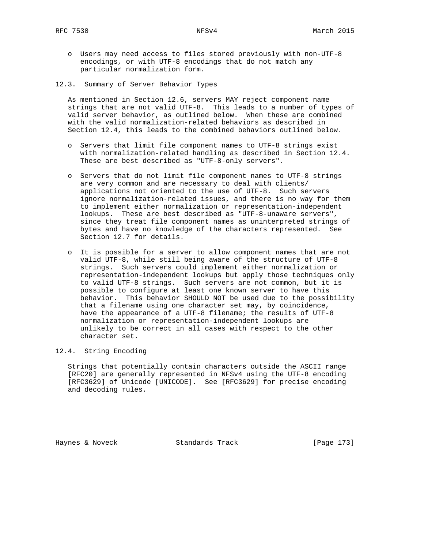- o Users may need access to files stored previously with non-UTF-8 encodings, or with UTF-8 encodings that do not match any particular normalization form.
- 12.3. Summary of Server Behavior Types

 As mentioned in Section 12.6, servers MAY reject component name strings that are not valid UTF-8. This leads to a number of types of valid server behavior, as outlined below. When these are combined with the valid normalization-related behaviors as described in Section 12.4, this leads to the combined behaviors outlined below.

- o Servers that limit file component names to UTF-8 strings exist with normalization-related handling as described in Section 12.4. These are best described as "UTF-8-only servers".
- o Servers that do not limit file component names to UTF-8 strings are very common and are necessary to deal with clients/ applications not oriented to the use of UTF-8. Such servers ignore normalization-related issues, and there is no way for them to implement either normalization or representation-independent lookups. These are best described as "UTF-8-unaware servers", since they treat file component names as uninterpreted strings of bytes and have no knowledge of the characters represented. See Section 12.7 for details.
- o It is possible for a server to allow component names that are not valid UTF-8, while still being aware of the structure of UTF-8 strings. Such servers could implement either normalization or representation-independent lookups but apply those techniques only to valid UTF-8 strings. Such servers are not common, but it is possible to configure at least one known server to have this behavior. This behavior SHOULD NOT be used due to the possibility that a filename using one character set may, by coincidence, have the appearance of a UTF-8 filename; the results of UTF-8 normalization or representation-independent lookups are unlikely to be correct in all cases with respect to the other character set.

### 12.4. String Encoding

 Strings that potentially contain characters outside the ASCII range [RFC20] are generally represented in NFSv4 using the UTF-8 encoding [RFC3629] of Unicode [UNICODE]. See [RFC3629] for precise encoding and decoding rules.

Haynes & Noveck Standards Track [Page 173]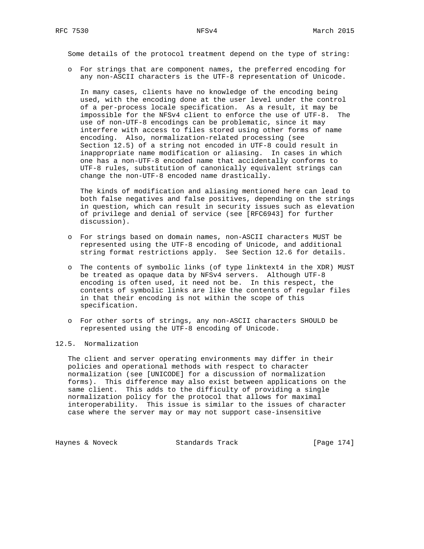Some details of the protocol treatment depend on the type of string:

 o For strings that are component names, the preferred encoding for any non-ASCII characters is the UTF-8 representation of Unicode.

 In many cases, clients have no knowledge of the encoding being used, with the encoding done at the user level under the control of a per-process locale specification. As a result, it may be impossible for the NFSv4 client to enforce the use of UTF-8. The use of non-UTF-8 encodings can be problematic, since it may interfere with access to files stored using other forms of name encoding. Also, normalization-related processing (see Section 12.5) of a string not encoded in UTF-8 could result in inappropriate name modification or aliasing. In cases in which one has a non-UTF-8 encoded name that accidentally conforms to UTF-8 rules, substitution of canonically equivalent strings can change the non-UTF-8 encoded name drastically.

 The kinds of modification and aliasing mentioned here can lead to both false negatives and false positives, depending on the strings in question, which can result in security issues such as elevation of privilege and denial of service (see [RFC6943] for further discussion).

- o For strings based on domain names, non-ASCII characters MUST be represented using the UTF-8 encoding of Unicode, and additional string format restrictions apply. See Section 12.6 for details.
- o The contents of symbolic links (of type linktext4 in the XDR) MUST be treated as opaque data by NFSv4 servers. Although UTF-8 encoding is often used, it need not be. In this respect, the contents of symbolic links are like the contents of regular files in that their encoding is not within the scope of this specification.
- o For other sorts of strings, any non-ASCII characters SHOULD be represented using the UTF-8 encoding of Unicode.

### 12.5. Normalization

 The client and server operating environments may differ in their policies and operational methods with respect to character normalization (see [UNICODE] for a discussion of normalization forms). This difference may also exist between applications on the same client. This adds to the difficulty of providing a single normalization policy for the protocol that allows for maximal interoperability. This issue is similar to the issues of character case where the server may or may not support case-insensitive

Haynes & Noveck Standards Track [Page 174]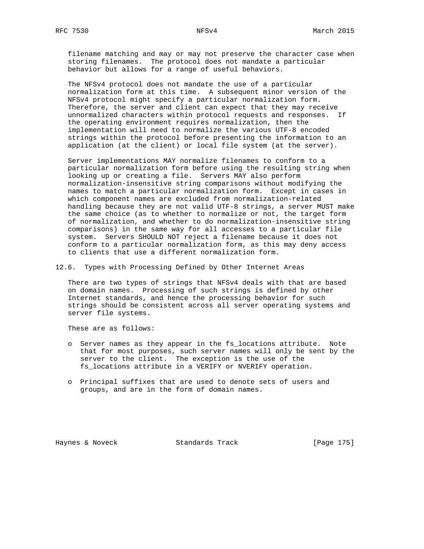filename matching and may or may not preserve the character case when storing filenames. The protocol does not mandate a particular behavior but allows for a range of useful behaviors.

 The NFSv4 protocol does not mandate the use of a particular normalization form at this time. A subsequent minor version of the NFSv4 protocol might specify a particular normalization form. Therefore, the server and client can expect that they may receive unnormalized characters within protocol requests and responses. If the operating environment requires normalization, then the implementation will need to normalize the various UTF-8 encoded strings within the protocol before presenting the information to an application (at the client) or local file system (at the server).

 Server implementations MAY normalize filenames to conform to a particular normalization form before using the resulting string when looking up or creating a file. Servers MAY also perform normalization-insensitive string comparisons without modifying the names to match a particular normalization form. Except in cases in which component names are excluded from normalization-related handling because they are not valid UTF-8 strings, a server MUST make the same choice (as to whether to normalize or not, the target form of normalization, and whether to do normalization-insensitive string comparisons) in the same way for all accesses to a particular file system. Servers SHOULD NOT reject a filename because it does not conform to a particular normalization form, as this may deny access to clients that use a different normalization form.

12.6. Types with Processing Defined by Other Internet Areas

 There are two types of strings that NFSv4 deals with that are based on domain names. Processing of such strings is defined by other Internet standards, and hence the processing behavior for such strings should be consistent across all server operating systems and server file systems.

These are as follows:

- o Server names as they appear in the fs\_locations attribute. Note that for most purposes, such server names will only be sent by the server to the client. The exception is the use of the fs\_locations attribute in a VERIFY or NVERIFY operation.
- o Principal suffixes that are used to denote sets of users and groups, and are in the form of domain names.

Haynes & Noveck Standards Track [Page 175]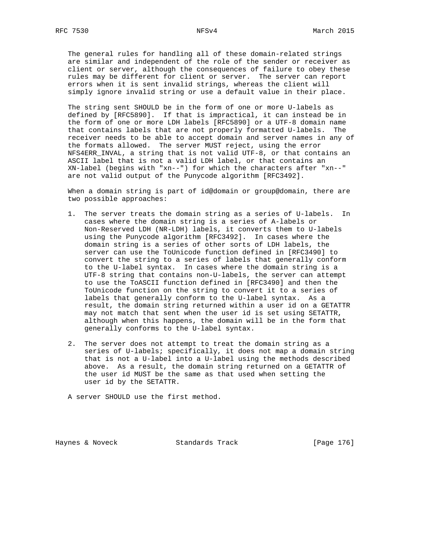The general rules for handling all of these domain-related strings are similar and independent of the role of the sender or receiver as client or server, although the consequences of failure to obey these rules may be different for client or server. The server can report errors when it is sent invalid strings, whereas the client will simply ignore invalid string or use a default value in their place.

 The string sent SHOULD be in the form of one or more U-labels as defined by [RFC5890]. If that is impractical, it can instead be in the form of one or more LDH labels [RFC5890] or a UTF-8 domain name that contains labels that are not properly formatted U-labels. The receiver needs to be able to accept domain and server names in any of the formats allowed. The server MUST reject, using the error NFS4ERR\_INVAL, a string that is not valid UTF-8, or that contains an ASCII label that is not a valid LDH label, or that contains an XN-label (begins with "xn--") for which the characters after "xn--" are not valid output of the Punycode algorithm [RFC3492].

 When a domain string is part of id@domain or group@domain, there are two possible approaches:

- 1. The server treats the domain string as a series of U-labels. In cases where the domain string is a series of A-labels or Non-Reserved LDH (NR-LDH) labels, it converts them to U-labels using the Punycode algorithm [RFC3492]. In cases where the domain string is a series of other sorts of LDH labels, the server can use the ToUnicode function defined in [RFC3490] to convert the string to a series of labels that generally conform to the U-label syntax. In cases where the domain string is a UTF-8 string that contains non-U-labels, the server can attempt to use the ToASCII function defined in [RFC3490] and then the ToUnicode function on the string to convert it to a series of labels that generally conform to the U-label syntax. As a result, the domain string returned within a user id on a GETATTR may not match that sent when the user id is set using SETATTR, although when this happens, the domain will be in the form that generally conforms to the U-label syntax.
- 2. The server does not attempt to treat the domain string as a series of U-labels; specifically, it does not map a domain string that is not a U-label into a U-label using the methods described above. As a result, the domain string returned on a GETATTR of the user id MUST be the same as that used when setting the user id by the SETATTR.

A server SHOULD use the first method.

Haynes & Noveck Standards Track [Page 176]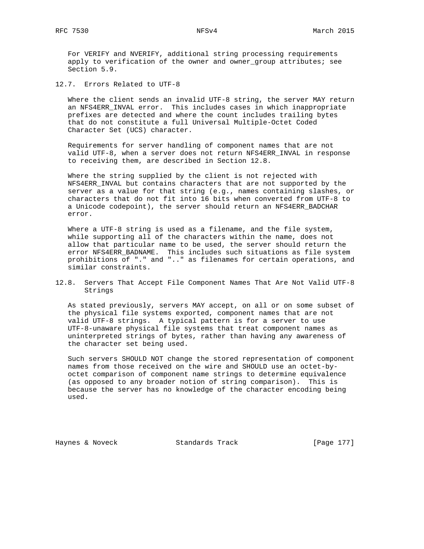For VERIFY and NVERIFY, additional string processing requirements apply to verification of the owner and owner\_group attributes; see Section 5.9.

12.7. Errors Related to UTF-8

 Where the client sends an invalid UTF-8 string, the server MAY return an NFS4ERR\_INVAL error. This includes cases in which inappropriate prefixes are detected and where the count includes trailing bytes that do not constitute a full Universal Multiple-Octet Coded Character Set (UCS) character.

 Requirements for server handling of component names that are not valid UTF-8, when a server does not return NFS4ERR\_INVAL in response to receiving them, are described in Section 12.8.

 Where the string supplied by the client is not rejected with NFS4ERR\_INVAL but contains characters that are not supported by the server as a value for that string (e.g., names containing slashes, or characters that do not fit into 16 bits when converted from UTF-8 to a Unicode codepoint), the server should return an NFS4ERR\_BADCHAR error.

Where a UTF-8 string is used as a filename, and the file system, while supporting all of the characters within the name, does not allow that particular name to be used, the server should return the error NFS4ERR\_BADNAME. This includes such situations as file system prohibitions of "." and ".." as filenames for certain operations, and similar constraints.

12.8. Servers That Accept File Component Names That Are Not Valid UTF-8 Strings

 As stated previously, servers MAY accept, on all or on some subset of the physical file systems exported, component names that are not valid UTF-8 strings. A typical pattern is for a server to use UTF-8-unaware physical file systems that treat component names as uninterpreted strings of bytes, rather than having any awareness of the character set being used.

 Such servers SHOULD NOT change the stored representation of component names from those received on the wire and SHOULD use an octet-by octet comparison of component name strings to determine equivalence (as opposed to any broader notion of string comparison). This is because the server has no knowledge of the character encoding being used.

Haynes & Noveck Standards Track [Page 177]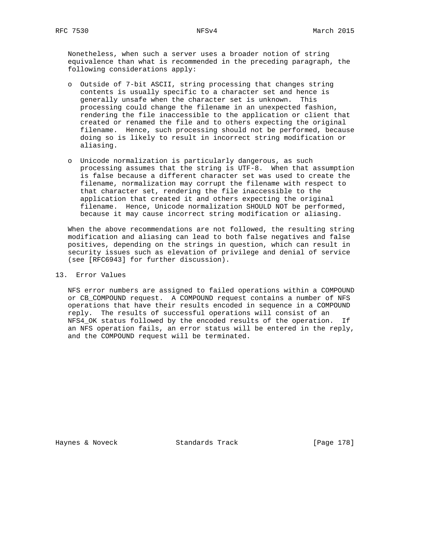Nonetheless, when such a server uses a broader notion of string equivalence than what is recommended in the preceding paragraph, the following considerations apply:

- o Outside of 7-bit ASCII, string processing that changes string contents is usually specific to a character set and hence is generally unsafe when the character set is unknown. This processing could change the filename in an unexpected fashion, rendering the file inaccessible to the application or client that created or renamed the file and to others expecting the original filename. Hence, such processing should not be performed, because doing so is likely to result in incorrect string modification or aliasing.
- o Unicode normalization is particularly dangerous, as such processing assumes that the string is UTF-8. When that assumption is false because a different character set was used to create the filename, normalization may corrupt the filename with respect to that character set, rendering the file inaccessible to the application that created it and others expecting the original filename. Hence, Unicode normalization SHOULD NOT be performed, because it may cause incorrect string modification or aliasing.

 When the above recommendations are not followed, the resulting string modification and aliasing can lead to both false negatives and false positives, depending on the strings in question, which can result in security issues such as elevation of privilege and denial of service (see [RFC6943] for further discussion).

#### 13. Error Values

 NFS error numbers are assigned to failed operations within a COMPOUND or CB\_COMPOUND request. A COMPOUND request contains a number of NFS operations that have their results encoded in sequence in a COMPOUND reply. The results of successful operations will consist of an NFS4\_OK status followed by the encoded results of the operation. If an NFS operation fails, an error status will be entered in the reply, and the COMPOUND request will be terminated.

Haynes & Noveck Standards Track [Page 178]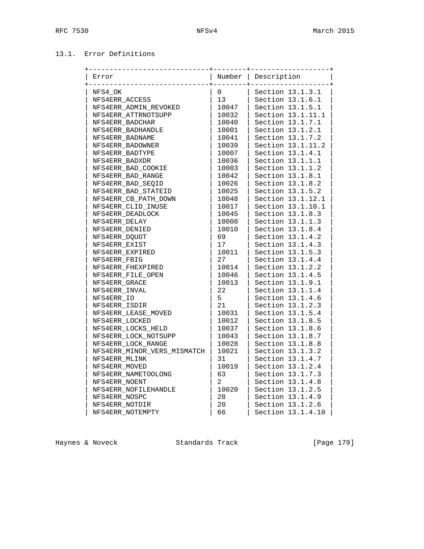# 13.1. Error Definitions

| Error                       | Number         | Description       |
|-----------------------------|----------------|-------------------|
| NFS4 OK                     | 0              | Section 13.1.3.1  |
| NFS4ERR ACCESS              | 13             | Section 13.1.6.1  |
| NFS4ERR_ADMIN_REVOKED       | 10047          | Section 13.1.5.1  |
| NFS4ERR_ATTRNOTSUPP         | 10032          | Section 13.1.11.1 |
| NFS4ERR BADCHAR             | 10040          | Section 13.1.7.1  |
| NFS4ERR BADHANDLE           | 10001          | Section 13.1.2.1  |
| NFS4ERR_BADNAME             | 10041          | Section 13.1.7.2  |
| NFS4ERR BADOWNER            | 10039          | Section 13.1.11.2 |
| NFS4ERR BADTYPE             | 10007          | Section 13.1.4.1  |
| NFS4ERR BADXDR              | 10036          | Section 13.1.1.1  |
| NFS4ERR_BAD_COOKIE          | 10003          | Section 13.1.1.2  |
| NFS4ERR BAD RANGE           | 10042          | Section 13.1.8.1  |
| NFS4ERR BAD SEQID           | 10026          | Section 13.1.8.2  |
| NFS4ERR BAD STATEID         | 10025          | Section 13.1.5.2  |
| NFS4ERR_CB_PATH_DOWN        | 10048          | Section 13.1.12.1 |
| NFS4ERR CLID INUSE          | 10017          | Section 13.1.10.1 |
| NFS4ERR DEADLOCK            | 10045          | Section 13.1.8.3  |
| NFS4ERR DELAY               | 10008          | Section 13.1.1.3  |
| NFS4ERR DENIED              | 10010          | Section 13.1.8.4  |
| NFS4ERR DOUOT               | 69             | Section 13.1.4.2  |
| NFS4ERR EXIST               | 17             | Section 13.1.4.3  |
| NFS4ERR EXPIRED             | 10011          | Section 13.1.5.3  |
| NFS4ERR FBIG                | 27             | Section 13.1.4.4  |
| NFS4ERR FHEXPIRED           | 10014          | Section 13.1.2.2  |
| NFS4ERR_FILE_OPEN           | 10046          | Section 13.1.4.5  |
| NFS4ERR GRACE               | 10013          | Section 13.1.9.1  |
| NFS4ERR INVAL               | 22             | Section 13.1.1.4  |
| NFS4ERR IO                  | 5              | Section 13.1.4.6  |
| NFS4ERR ISDIR               | 21             | Section 13.1.2.3  |
| NFS4ERR_LEASE_MOVED         | 10031          | Section 13.1.5.4  |
| NFS4ERR LOCKED              | 10012          | Section 13.1.8.5  |
| NFS4ERR LOCKS HELD          | 10037          | Section 13.1.8.6  |
| NFS4ERR LOCK NOTSUPP        | 10043          | Section 13.1.8.7  |
| NFS4ERR_LOCK_RANGE          | 10028          | Section 13.1.8.8  |
| NFS4ERR_MINOR_VERS_MISMATCH | 10021          | Section 13.1.3.2  |
| NFS4ERR MLINK               | 31             | Section 13.1.4.7  |
| NFS4ERR MOVED               | 10019          | Section 13.1.2.4  |
| NFS4ERR_NAMETOOLONG         | 63             | Section 13.1.7.3  |
| NFS4ERR NOENT               | $\overline{2}$ | Section 13.1.4.8  |
| NFS4ERR NOFILEHANDLE        | 10020          | Section 13.1.2.5  |
| NFS4ERR NOSPC               | 28             | Section 13.1.4.9  |
| NFS4ERR NOTDIR              | 20             | Section 13.1.2.6  |
| NFS4ERR NOTEMPTY            | 66             | Section 13.1.4.10 |

Haynes & Noveck Standards Track [Page 179]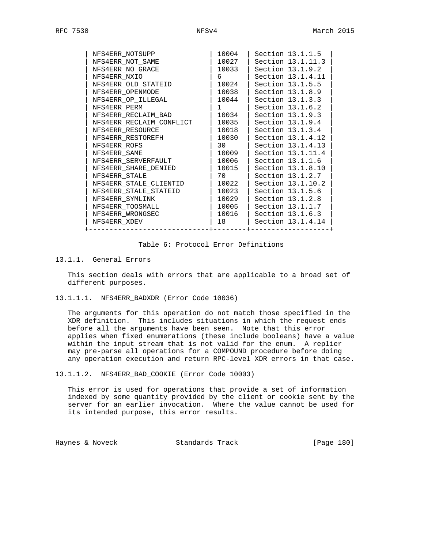| NFS4ERR NOTSUPP          | 10004            | Section 13.1.1.5  |
|--------------------------|------------------|-------------------|
| NFS4ERR NOT SAME         | 10027            | Section 13.1.11.3 |
| NFS4ERR NO GRACE         | 10033            | Section 13.1.9.2  |
| NFS4ERR_NXIO             | 6                | Section 13.1.4.11 |
| NFS4ERR OLD STATEID      | 10024            | Section 13.1.5.5  |
| NFS4ERR OPENMODE         | 10038            | Section 13.1.8.9  |
| NFS4ERR OP ILLEGAL       | 10044            | Section 13.1.3.3  |
| NFS4ERR PERM             | $1 \quad \cdots$ | Section 13.1.6.2  |
| NFS4ERR RECLAIM BAD      | 10034            | Section 13.1.9.3  |
| NFS4ERR RECLAIM CONFLICT | 10035            | Section 13.1.9.4  |
| NFS4ERR RESOURCE         | 10018            | Section 13.1.3.4  |
| NFS4ERR RESTOREFH        | 10030            | Section 13.1.4.12 |
| NFS4ERR ROFS             | 30               | Section 13.1.4.13 |
| NFS4ERR SAME             | 10009            | Section 13.1.11.4 |
| NFS4ERR SERVERFAULT      | 10006            | Section 13.1.1.6  |
| NFS4ERR SHARE DENIED     | l 10015          | Section 13.1.8.10 |
| NFS4ERR STALE            | 70 —             | Section 13.1.2.7  |
| NFS4ERR STALE CLIENTID   | 10022            | Section 13.1.10.2 |
| NFS4ERR STALE STATEID    | 10023            | Section 13.1.5.6  |
| NFS4ERR SYMLINK          | 10029            | Section 13.1.2.8  |
| NFS4ERR TOOSMALL         | 10005            | Section 13.1.1.7  |
| NFS4ERR WRONGSEC         | 10016            | Section 13.1.6.3  |
| NFS4ERR XDEV             | 18               | Section 13.1.4.14 |
|                          |                  |                   |

#### Table 6: Protocol Error Definitions

### 13.1.1. General Errors

 This section deals with errors that are applicable to a broad set of different purposes.

13.1.1.1. NFS4ERR\_BADXDR (Error Code 10036)

 The arguments for this operation do not match those specified in the XDR definition. This includes situations in which the request ends before all the arguments have been seen. Note that this error applies when fixed enumerations (these include booleans) have a value within the input stream that is not valid for the enum. A replier may pre-parse all operations for a COMPOUND procedure before doing any operation execution and return RPC-level XDR errors in that case.

13.1.1.2. NFS4ERR\_BAD\_COOKIE (Error Code 10003)

 This error is used for operations that provide a set of information indexed by some quantity provided by the client or cookie sent by the server for an earlier invocation. Where the value cannot be used for its intended purpose, this error results.

Haynes & Noveck Standards Track [Page 180]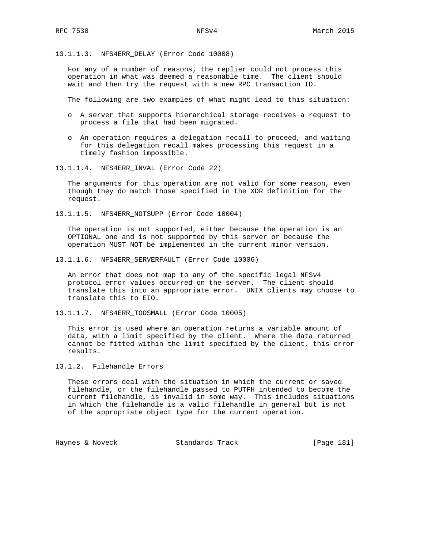13.1.1.3. NFS4ERR\_DELAY (Error Code 10008)

 For any of a number of reasons, the replier could not process this operation in what was deemed a reasonable time. The client should wait and then try the request with a new RPC transaction ID.

The following are two examples of what might lead to this situation:

- o A server that supports hierarchical storage receives a request to process a file that had been migrated.
- o An operation requires a delegation recall to proceed, and waiting for this delegation recall makes processing this request in a timely fashion impossible.
- 13.1.1.4. NFS4ERR\_INVAL (Error Code 22)

 The arguments for this operation are not valid for some reason, even though they do match those specified in the XDR definition for the request.

13.1.1.5. NFS4ERR\_NOTSUPP (Error Code 10004)

 The operation is not supported, either because the operation is an OPTIONAL one and is not supported by this server or because the operation MUST NOT be implemented in the current minor version.

13.1.1.6. NFS4ERR\_SERVERFAULT (Error Code 10006)

 An error that does not map to any of the specific legal NFSv4 protocol error values occurred on the server. The client should translate this into an appropriate error. UNIX clients may choose to translate this to EIO.

13.1.1.7. NFS4ERR\_TOOSMALL (Error Code 10005)

 This error is used where an operation returns a variable amount of data, with a limit specified by the client. Where the data returned cannot be fitted within the limit specified by the client, this error results.

13.1.2. Filehandle Errors

 These errors deal with the situation in which the current or saved filehandle, or the filehandle passed to PUTFH intended to become the current filehandle, is invalid in some way. This includes situations in which the filehandle is a valid filehandle in general but is not of the appropriate object type for the current operation.

Haynes & Noveck Standards Track [Page 181]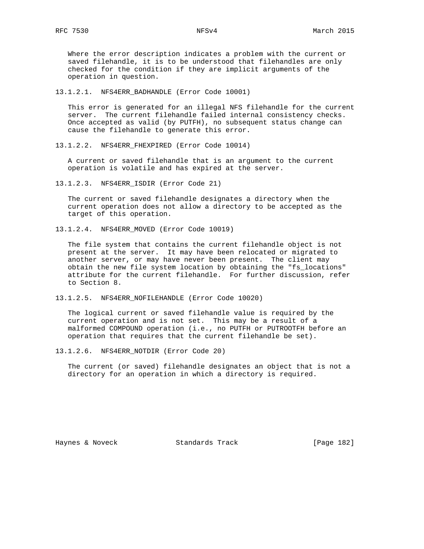Where the error description indicates a problem with the current or saved filehandle, it is to be understood that filehandles are only checked for the condition if they are implicit arguments of the operation in question.

13.1.2.1. NFS4ERR\_BADHANDLE (Error Code 10001)

 This error is generated for an illegal NFS filehandle for the current server. The current filehandle failed internal consistency checks. Once accepted as valid (by PUTFH), no subsequent status change can cause the filehandle to generate this error.

13.1.2.2. NFS4ERR\_FHEXPIRED (Error Code 10014)

 A current or saved filehandle that is an argument to the current operation is volatile and has expired at the server.

13.1.2.3. NFS4ERR\_ISDIR (Error Code 21)

 The current or saved filehandle designates a directory when the current operation does not allow a directory to be accepted as the target of this operation.

13.1.2.4. NFS4ERR\_MOVED (Error Code 10019)

 The file system that contains the current filehandle object is not present at the server. It may have been relocated or migrated to another server, or may have never been present. The client may obtain the new file system location by obtaining the "fs\_locations" attribute for the current filehandle. For further discussion, refer to Section 8.

13.1.2.5. NFS4ERR\_NOFILEHANDLE (Error Code 10020)

 The logical current or saved filehandle value is required by the current operation and is not set. This may be a result of a malformed COMPOUND operation (i.e., no PUTFH or PUTROOTFH before an operation that requires that the current filehandle be set).

13.1.2.6. NFS4ERR\_NOTDIR (Error Code 20)

 The current (or saved) filehandle designates an object that is not a directory for an operation in which a directory is required.

Haynes & Noveck Standards Track [Page 182]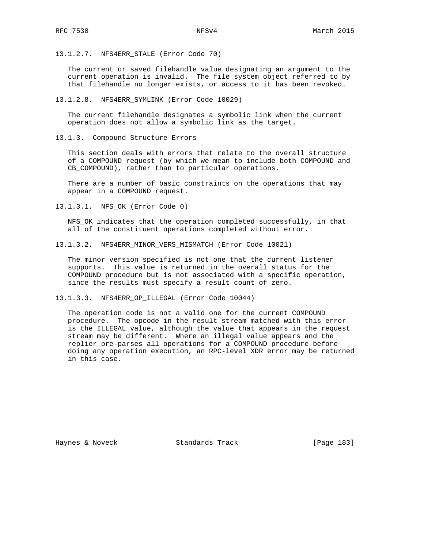13.1.2.7. NFS4ERR\_STALE (Error Code 70)

 The current or saved filehandle value designating an argument to the current operation is invalid. The file system object referred to by that filehandle no longer exists, or access to it has been revoked.

13.1.2.8. NFS4ERR\_SYMLINK (Error Code 10029)

 The current filehandle designates a symbolic link when the current operation does not allow a symbolic link as the target.

13.1.3. Compound Structure Errors

 This section deals with errors that relate to the overall structure of a COMPOUND request (by which we mean to include both COMPOUND and CB COMPOUND), rather than to particular operations.

 There are a number of basic constraints on the operations that may appear in a COMPOUND request.

13.1.3.1. NFS\_OK (Error Code 0)

 NFS\_OK indicates that the operation completed successfully, in that all of the constituent operations completed without error.

13.1.3.2. NFS4ERR\_MINOR\_VERS\_MISMATCH (Error Code 10021)

 The minor version specified is not one that the current listener supports. This value is returned in the overall status for the COMPOUND procedure but is not associated with a specific operation, since the results must specify a result count of zero.

13.1.3.3. NFS4ERR\_OP\_ILLEGAL (Error Code 10044)

 The operation code is not a valid one for the current COMPOUND procedure. The opcode in the result stream matched with this error is the ILLEGAL value, although the value that appears in the request stream may be different. Where an illegal value appears and the replier pre-parses all operations for a COMPOUND procedure before doing any operation execution, an RPC-level XDR error may be returned in this case.

Haynes & Noveck Standards Track [Page 183]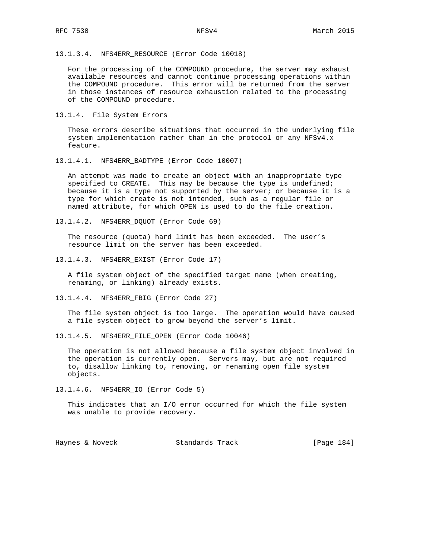13.1.3.4. NFS4ERR\_RESOURCE (Error Code 10018)

 For the processing of the COMPOUND procedure, the server may exhaust available resources and cannot continue processing operations within the COMPOUND procedure. This error will be returned from the server in those instances of resource exhaustion related to the processing of the COMPOUND procedure.

13.1.4. File System Errors

 These errors describe situations that occurred in the underlying file system implementation rather than in the protocol or any NFSv4.x feature.

13.1.4.1. NFS4ERR\_BADTYPE (Error Code 10007)

 An attempt was made to create an object with an inappropriate type specified to CREATE. This may be because the type is undefined; because it is a type not supported by the server; or because it is a type for which create is not intended, such as a regular file or named attribute, for which OPEN is used to do the file creation.

13.1.4.2. NFS4ERR\_DQUOT (Error Code 69)

 The resource (quota) hard limit has been exceeded. The user's resource limit on the server has been exceeded.

13.1.4.3. NFS4ERR\_EXIST (Error Code 17)

 A file system object of the specified target name (when creating, renaming, or linking) already exists.

13.1.4.4. NFS4ERR\_FBIG (Error Code 27)

 The file system object is too large. The operation would have caused a file system object to grow beyond the server's limit.

13.1.4.5. NFS4ERR\_FILE\_OPEN (Error Code 10046)

 The operation is not allowed because a file system object involved in the operation is currently open. Servers may, but are not required to, disallow linking to, removing, or renaming open file system objects.

13.1.4.6. NFS4ERR\_IO (Error Code 5)

 This indicates that an I/O error occurred for which the file system was unable to provide recovery.

Haynes & Noveck Standards Track [Page 184]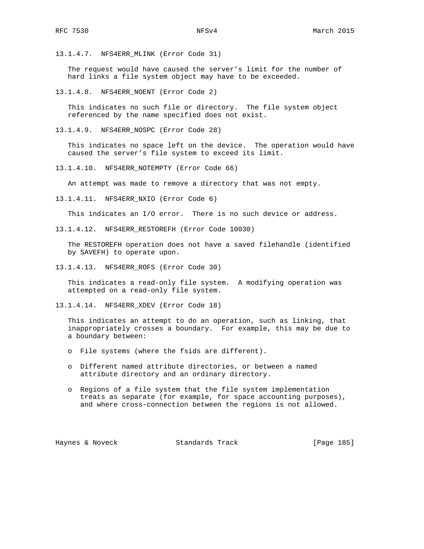13.1.4.7. NFS4ERR\_MLINK (Error Code 31)

 The request would have caused the server's limit for the number of hard links a file system object may have to be exceeded.

13.1.4.8. NFS4ERR\_NOENT (Error Code 2)

 This indicates no such file or directory. The file system object referenced by the name specified does not exist.

13.1.4.9. NFS4ERR\_NOSPC (Error Code 28)

 This indicates no space left on the device. The operation would have caused the server's file system to exceed its limit.

13.1.4.10. NFS4ERR\_NOTEMPTY (Error Code 66)

An attempt was made to remove a directory that was not empty.

13.1.4.11. NFS4ERR\_NXIO (Error Code 6)

This indicates an I/O error. There is no such device or address.

13.1.4.12. NFS4ERR\_RESTOREFH (Error Code 10030)

 The RESTOREFH operation does not have a saved filehandle (identified by SAVEFH) to operate upon.

13.1.4.13. NFS4ERR\_ROFS (Error Code 30)

 This indicates a read-only file system. A modifying operation was attempted on a read-only file system.

13.1.4.14. NFS4ERR\_XDEV (Error Code 18)

 This indicates an attempt to do an operation, such as linking, that inappropriately crosses a boundary. For example, this may be due to a boundary between:

o File systems (where the fsids are different).

- o Different named attribute directories, or between a named attribute directory and an ordinary directory.
- o Regions of a file system that the file system implementation treats as separate (for example, for space accounting purposes), and where cross-connection between the regions is not allowed.

Haynes & Noveck Standards Track [Page 185]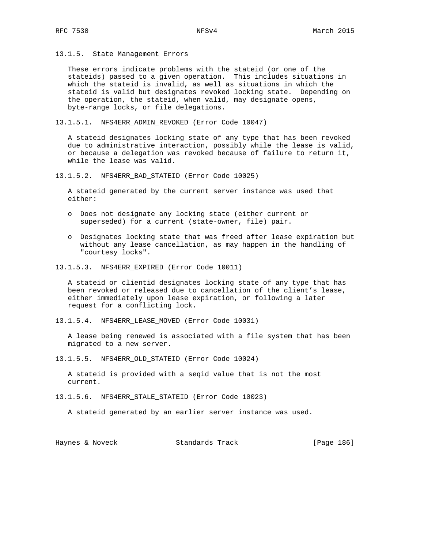13.1.5. State Management Errors

 These errors indicate problems with the stateid (or one of the stateids) passed to a given operation. This includes situations in which the stateid is invalid, as well as situations in which the stateid is valid but designates revoked locking state. Depending on the operation, the stateid, when valid, may designate opens, byte-range locks, or file delegations.

13.1.5.1. NFS4ERR\_ADMIN\_REVOKED (Error Code 10047)

 A stateid designates locking state of any type that has been revoked due to administrative interaction, possibly while the lease is valid, or because a delegation was revoked because of failure to return it, while the lease was valid.

13.1.5.2. NFS4ERR\_BAD\_STATEID (Error Code 10025)

 A stateid generated by the current server instance was used that either:

- o Does not designate any locking state (either current or superseded) for a current (state-owner, file) pair.
- o Designates locking state that was freed after lease expiration but without any lease cancellation, as may happen in the handling of "courtesy locks".
- 13.1.5.3. NFS4ERR\_EXPIRED (Error Code 10011)

 A stateid or clientid designates locking state of any type that has been revoked or released due to cancellation of the client's lease, either immediately upon lease expiration, or following a later request for a conflicting lock.

13.1.5.4. NFS4ERR\_LEASE\_MOVED (Error Code 10031)

 A lease being renewed is associated with a file system that has been migrated to a new server.

13.1.5.5. NFS4ERR\_OLD\_STATEID (Error Code 10024)

 A stateid is provided with a seqid value that is not the most current.

13.1.5.6. NFS4ERR\_STALE\_STATEID (Error Code 10023)

A stateid generated by an earlier server instance was used.

Haynes & Noveck Standards Track [Page 186]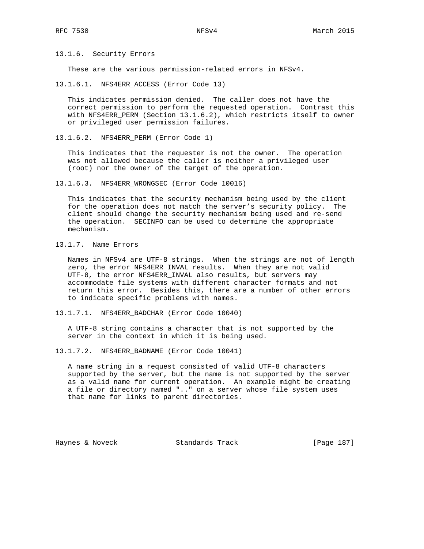13.1.6. Security Errors

These are the various permission-related errors in NFSv4.

13.1.6.1. NFS4ERR\_ACCESS (Error Code 13)

 This indicates permission denied. The caller does not have the correct permission to perform the requested operation. Contrast this with NFS4ERR\_PERM (Section 13.1.6.2), which restricts itself to owner or privileged user permission failures.

13.1.6.2. NFS4ERR\_PERM (Error Code 1)

 This indicates that the requester is not the owner. The operation was not allowed because the caller is neither a privileged user (root) nor the owner of the target of the operation.

13.1.6.3. NFS4ERR\_WRONGSEC (Error Code 10016)

 This indicates that the security mechanism being used by the client for the operation does not match the server's security policy. The client should change the security mechanism being used and re-send the operation. SECINFO can be used to determine the appropriate mechanism.

13.1.7. Name Errors

 Names in NFSv4 are UTF-8 strings. When the strings are not of length zero, the error NFS4ERR\_INVAL results. When they are not valid UTF-8, the error NFS4ERR\_INVAL also results, but servers may accommodate file systems with different character formats and not return this error. Besides this, there are a number of other errors to indicate specific problems with names.

13.1.7.1. NFS4ERR\_BADCHAR (Error Code 10040)

 A UTF-8 string contains a character that is not supported by the server in the context in which it is being used.

13.1.7.2. NFS4ERR\_BADNAME (Error Code 10041)

 A name string in a request consisted of valid UTF-8 characters supported by the server, but the name is not supported by the server as a valid name for current operation. An example might be creating a file or directory named ".." on a server whose file system uses that name for links to parent directories.

Haynes & Noveck Standards Track [Page 187]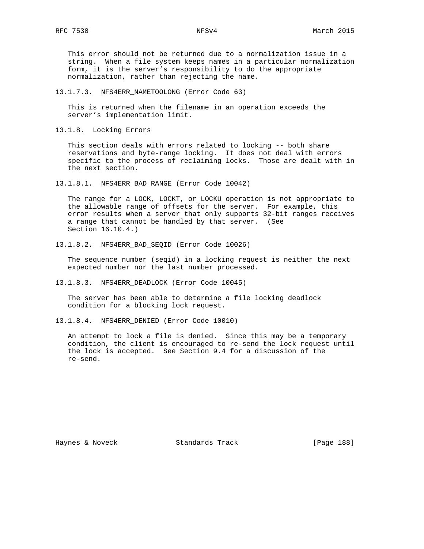This error should not be returned due to a normalization issue in a string. When a file system keeps names in a particular normalization form, it is the server's responsibility to do the appropriate normalization, rather than rejecting the name.

13.1.7.3. NFS4ERR\_NAMETOOLONG (Error Code 63)

 This is returned when the filename in an operation exceeds the server's implementation limit.

13.1.8. Locking Errors

 This section deals with errors related to locking -- both share reservations and byte-range locking. It does not deal with errors specific to the process of reclaiming locks. Those are dealt with in the next section.

13.1.8.1. NFS4ERR\_BAD\_RANGE (Error Code 10042)

 The range for a LOCK, LOCKT, or LOCKU operation is not appropriate to the allowable range of offsets for the server. For example, this error results when a server that only supports 32-bit ranges receives a range that cannot be handled by that server. (See Section 16.10.4.)

13.1.8.2. NFS4ERR\_BAD\_SEQID (Error Code 10026)

 The sequence number (seqid) in a locking request is neither the next expected number nor the last number processed.

13.1.8.3. NFS4ERR\_DEADLOCK (Error Code 10045)

 The server has been able to determine a file locking deadlock condition for a blocking lock request.

13.1.8.4. NFS4ERR\_DENIED (Error Code 10010)

 An attempt to lock a file is denied. Since this may be a temporary condition, the client is encouraged to re-send the lock request until the lock is accepted. See Section 9.4 for a discussion of the re-send.

Haynes & Noveck Standards Track [Page 188]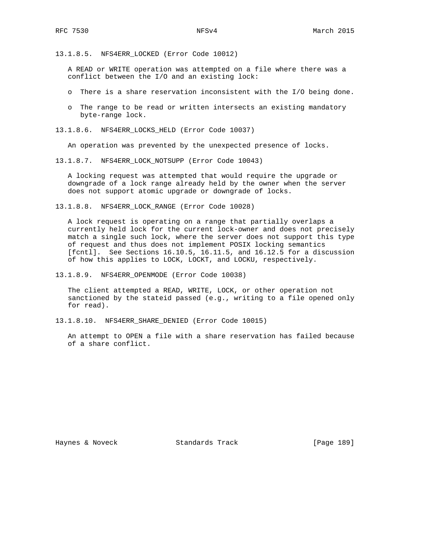13.1.8.5. NFS4ERR\_LOCKED (Error Code 10012)

 A READ or WRITE operation was attempted on a file where there was a conflict between the I/O and an existing lock:

- o There is a share reservation inconsistent with the I/O being done.
- o The range to be read or written intersects an existing mandatory byte-range lock.

13.1.8.6. NFS4ERR\_LOCKS\_HELD (Error Code 10037)

An operation was prevented by the unexpected presence of locks.

13.1.8.7. NFS4ERR\_LOCK\_NOTSUPP (Error Code 10043)

 A locking request was attempted that would require the upgrade or downgrade of a lock range already held by the owner when the server does not support atomic upgrade or downgrade of locks.

13.1.8.8. NFS4ERR\_LOCK\_RANGE (Error Code 10028)

 A lock request is operating on a range that partially overlaps a currently held lock for the current lock-owner and does not precisely match a single such lock, where the server does not support this type of request and thus does not implement POSIX locking semantics [fcntl]. See Sections 16.10.5, 16.11.5, and 16.12.5 for a discussion of how this applies to LOCK, LOCKT, and LOCKU, respectively.

13.1.8.9. NFS4ERR\_OPENMODE (Error Code 10038)

 The client attempted a READ, WRITE, LOCK, or other operation not sanctioned by the stateid passed (e.g., writing to a file opened only for read).

13.1.8.10. NFS4ERR\_SHARE\_DENIED (Error Code 10015)

 An attempt to OPEN a file with a share reservation has failed because of a share conflict.

Haynes & Noveck Standards Track [Page 189]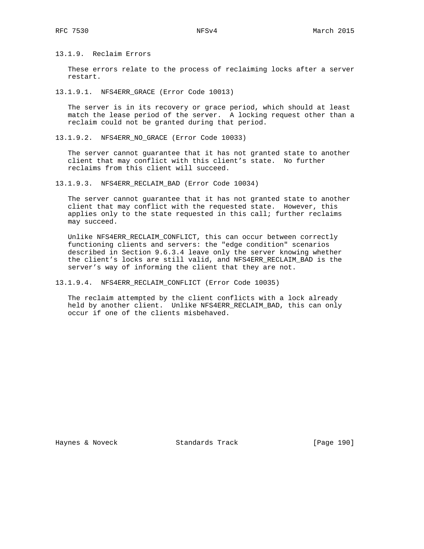13.1.9. Reclaim Errors

 These errors relate to the process of reclaiming locks after a server restart.

13.1.9.1. NFS4ERR\_GRACE (Error Code 10013)

 The server is in its recovery or grace period, which should at least match the lease period of the server. A locking request other than a reclaim could not be granted during that period.

13.1.9.2. NFS4ERR\_NO\_GRACE (Error Code 10033)

 The server cannot guarantee that it has not granted state to another client that may conflict with this client's state. No further reclaims from this client will succeed.

13.1.9.3. NFS4ERR\_RECLAIM\_BAD (Error Code 10034)

 The server cannot guarantee that it has not granted state to another client that may conflict with the requested state. However, this applies only to the state requested in this call; further reclaims may succeed.

 Unlike NFS4ERR\_RECLAIM\_CONFLICT, this can occur between correctly functioning clients and servers: the "edge condition" scenarios described in Section 9.6.3.4 leave only the server knowing whether the client's locks are still valid, and NFS4ERR\_RECLAIM\_BAD is the server's way of informing the client that they are not.

13.1.9.4. NFS4ERR\_RECLAIM\_CONFLICT (Error Code 10035)

 The reclaim attempted by the client conflicts with a lock already held by another client. Unlike NFS4ERR\_RECLAIM\_BAD, this can only occur if one of the clients misbehaved.

Haynes & Noveck Standards Track [Page 190]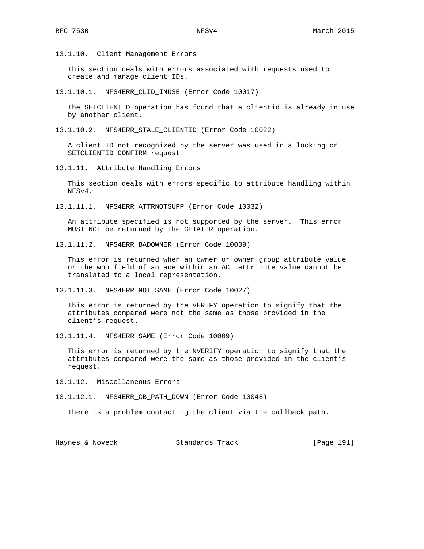13.1.10. Client Management Errors

 This section deals with errors associated with requests used to create and manage client IDs.

13.1.10.1. NFS4ERR\_CLID\_INUSE (Error Code 10017)

 The SETCLIENTID operation has found that a clientid is already in use by another client.

13.1.10.2. NFS4ERR\_STALE\_CLIENTID (Error Code 10022)

 A client ID not recognized by the server was used in a locking or SETCLIENTID\_CONFIRM request.

13.1.11. Attribute Handling Errors

 This section deals with errors specific to attribute handling within NFSv4.

13.1.11.1. NFS4ERR\_ATTRNOTSUPP (Error Code 10032)

 An attribute specified is not supported by the server. This error MUST NOT be returned by the GETATTR operation.

13.1.11.2. NFS4ERR\_BADOWNER (Error Code 10039)

This error is returned when an owner or owner group attribute value or the who field of an ace within an ACL attribute value cannot be translated to a local representation.

13.1.11.3. NFS4ERR\_NOT\_SAME (Error Code 10027)

 This error is returned by the VERIFY operation to signify that the attributes compared were not the same as those provided in the client's request.

13.1.11.4. NFS4ERR\_SAME (Error Code 10009)

 This error is returned by the NVERIFY operation to signify that the attributes compared were the same as those provided in the client's request.

13.1.12. Miscellaneous Errors

13.1.12.1. NFS4ERR\_CB\_PATH\_DOWN (Error Code 10048)

There is a problem contacting the client via the callback path.

Haynes & Noveck Standards Track [Page 191]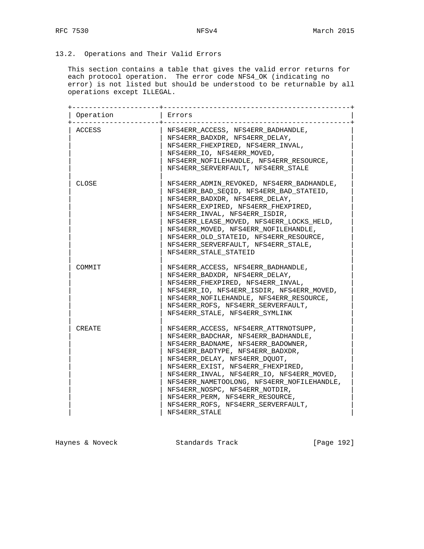# 13.2. Operations and Their Valid Errors

 This section contains a table that gives the valid error returns for each protocol operation. The error code NFS4\_OK (indicating no error) is not listed but should be understood to be returnable by all operations except ILLEGAL.

| Operation | Errors                                     |
|-----------|--------------------------------------------|
| ACCESS    | NFS4ERR ACCESS, NFS4ERR BADHANDLE,         |
|           | NFS4ERR BADXDR, NFS4ERR DELAY,             |
|           | NFS4ERR FHEXPIRED, NFS4ERR INVAL,          |
|           | NFS4ERR_IO, NFS4ERR_MOVED,                 |
|           | NFS4ERR NOFILEHANDLE, NFS4ERR RESOURCE,    |
|           | NFS4ERR SERVERFAULT, NFS4ERR STALE         |
|           |                                            |
| CLOSE     | NFS4ERR ADMIN REVOKED, NFS4ERR BADHANDLE,  |
|           | NFS4ERR_BAD_SEQID, NFS4ERR_BAD_STATEID,    |
|           | NFS4ERR BADXDR, NFS4ERR DELAY,             |
|           | NFS4ERR EXPIRED, NFS4ERR FHEXPIRED,        |
|           | NFS4ERR INVAL, NFS4ERR ISDIR,              |
|           | NFS4ERR LEASE MOVED, NFS4ERR LOCKS HELD,   |
|           | NFS4ERR MOVED, NFS4ERR NOFILEHANDLE,       |
|           | NFS4ERR_OLD_STATEID, NFS4ERR_RESOURCE,     |
|           | NFS4ERR_SERVERFAULT, NFS4ERR_STALE,        |
|           | NFS4ERR STALE STATEID                      |
|           |                                            |
| COMMIT    | NFS4ERR ACCESS, NFS4ERR BADHANDLE,         |
|           | NFS4ERR BADXDR, NFS4ERR DELAY,             |
|           | NFS4ERR_FHEXPIRED, NFS4ERR_INVAL,          |
|           | NFS4ERR IO, NFS4ERR ISDIR, NFS4ERR MOVED,  |
|           | NFS4ERR NOFILEHANDLE, NFS4ERR RESOURCE,    |
|           | NFS4ERR ROFS, NFS4ERR SERVERFAULT,         |
|           | NFS4ERR STALE, NFS4ERR SYMLINK             |
|           |                                            |
| CREATE    | NFS4ERR_ACCESS, NFS4ERR_ATTRNOTSUPP,       |
|           | NFS4ERR BADCHAR, NFS4ERR BADHANDLE,        |
|           | NFS4ERR BADNAME, NFS4ERR BADOWNER,         |
|           | NFS4ERR BADTYPE, NFS4ERR BADXDR,           |
|           | NFS4ERR_DELAY, NFS4ERR_DQUOT,              |
|           | NFS4ERR EXIST, NFS4ERR FHEXPIRED,          |
|           | NFS4ERR INVAL, NFS4ERR IO, NFS4ERR MOVED,  |
|           | NFS4ERR NAMETOOLONG, NFS4ERR NOFILEHANDLE, |
|           | NFS4ERR NOSPC, NFS4ERR NOTDIR,             |
|           | NFS4ERR PERM, NFS4ERR RESOURCE,            |
|           | NFS4ERR_ROFS, NFS4ERR_SERVERFAULT,         |
|           | NFS4ERR STALE                              |

Haynes & Noveck Standards Track [Page 192]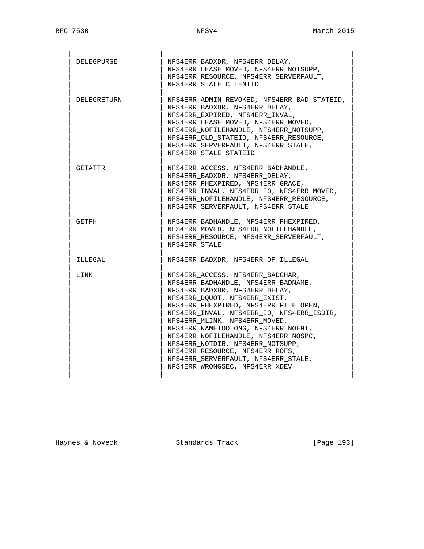| DELEGPURGE  | NFS4ERR_BADXDR, NFS4ERR_DELAY,<br>NFS4ERR LEASE MOVED, NFS4ERR NOTSUPP,<br>NFS4ERR RESOURCE, NFS4ERR SERVERFAULT,<br>NFS4ERR STALE CLIENTID                                                                                                                                                                                                                                                                                                                                                      |
|-------------|--------------------------------------------------------------------------------------------------------------------------------------------------------------------------------------------------------------------------------------------------------------------------------------------------------------------------------------------------------------------------------------------------------------------------------------------------------------------------------------------------|
| DELEGRETURN | NFS4ERR_ADMIN_REVOKED, NFS4ERR_BAD_STATEID,<br>NFS4ERR BADXDR, NFS4ERR DELAY,<br>NFS4ERR EXPIRED, NFS4ERR INVAL,<br>NFS4ERR_LEASE_MOVED, NFS4ERR_MOVED,<br>NFS4ERR_NOFILEHANDLE, NFS4ERR_NOTSUPP,<br>NFS4ERR OLD STATEID, NFS4ERR RESOURCE,<br>NFS4ERR SERVERFAULT, NFS4ERR STALE,<br>NFS4ERR STALE STATEID                                                                                                                                                                                      |
| GETATTR     | NFS4ERR ACCESS, NFS4ERR BADHANDLE,<br>NFS4ERR_BADXDR, NFS4ERR_DELAY,<br>NFS4ERR FHEXPIRED, NFS4ERR GRACE,<br>NFS4ERR_INVAL, NFS4ERR_IO, NFS4ERR_MOVED,<br>NFS4ERR NOFILEHANDLE, NFS4ERR RESOURCE,<br>NFS4ERR SERVERFAULT, NFS4ERR STALE                                                                                                                                                                                                                                                          |
| GETFH       | NFS4ERR BADHANDLE, NFS4ERR FHEXPIRED,<br>NFS4ERR MOVED, NFS4ERR NOFILEHANDLE,<br>NFS4ERR RESOURCE, NFS4ERR SERVERFAULT,<br>NFS4ERR STALE                                                                                                                                                                                                                                                                                                                                                         |
| ILLEGAL     | NFS4ERR BADXDR, NFS4ERR OP ILLEGAL                                                                                                                                                                                                                                                                                                                                                                                                                                                               |
| LINK        | NFS4ERR_ACCESS, NFS4ERR_BADCHAR,<br>NFS4ERR_BADHANDLE, NFS4ERR_BADNAME,<br>NFS4ERR BADXDR, NFS4ERR DELAY,<br>NFS4ERR DQUOT, NFS4ERR EXIST,<br>NFS4ERR FHEXPIRED, NFS4ERR FILE OPEN,<br>NFS4ERR INVAL, NFS4ERR IO, NFS4ERR ISDIR,<br>NFS4ERR MLINK, NFS4ERR MOVED,<br>NFS4ERR NAMETOOLONG, NFS4ERR NOENT,<br>NFS4ERR_NOFILEHANDLE, NFS4ERR_NOSPC,<br>NFS4ERR_NOTDIR, NFS4ERR_NOTSUPP,<br>NFS4ERR RESOURCE, NFS4ERR ROFS,<br>NFS4ERR SERVERFAULT, NFS4ERR STALE,<br>NFS4ERR WRONGSEC, NFS4ERR XDEV |

Haynes & Noveck and Standards Track Track [Page 193]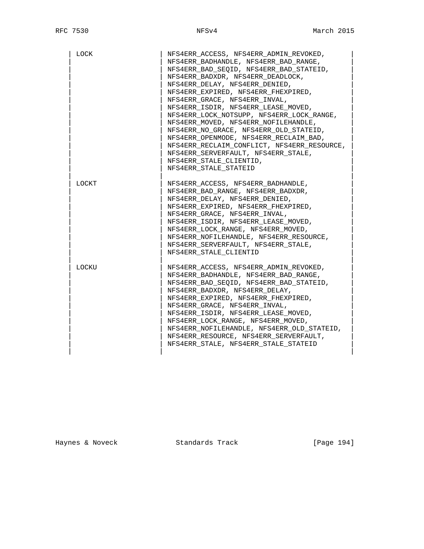| LOCK  | NFS4ERR_ACCESS, NFS4ERR_ADMIN_REVOKED,<br>NFS4ERR BADHANDLE, NFS4ERR BAD RANGE,<br>NFS4ERR BAD SEOID, NFS4ERR BAD STATEID,<br>NFS4ERR BADXDR, NFS4ERR DEADLOCK,<br>NFS4ERR_DELAY, NFS4ERR_DENIED,<br>NFS4ERR EXPIRED, NFS4ERR FHEXPIRED,<br>NFS4ERR GRACE, NFS4ERR INVAL,<br>NFS4ERR ISDIR, NFS4ERR LEASE MOVED,<br>NFS4ERR LOCK NOTSUPP, NFS4ERR LOCK RANGE,<br>NFS4ERR MOVED, NFS4ERR NOFILEHANDLE,<br>NFS4ERR_NO_GRACE, NFS4ERR_OLD_STATEID,<br>NFS4ERR_OPENMODE, NFS4ERR_RECLAIM_BAD,<br>NFS4ERR_RECLAIM_CONFLICT, NFS4ERR RESOURCE,<br>NFS4ERR SERVERFAULT, NFS4ERR STALE,<br>NFS4ERR STALE CLIENTID,<br>NFS4ERR STALE STATEID |
|-------|-------------------------------------------------------------------------------------------------------------------------------------------------------------------------------------------------------------------------------------------------------------------------------------------------------------------------------------------------------------------------------------------------------------------------------------------------------------------------------------------------------------------------------------------------------------------------------------------------------------------------------------|
| LOCKT | NFS4ERR ACCESS, NFS4ERR BADHANDLE,<br>NFS4ERR_BAD_RANGE, NFS4ERR_BADXDR,<br>NFS4ERR DELAY, NFS4ERR DENIED,<br>NFS4ERR EXPIRED, NFS4ERR FHEXPIRED,<br>NFS4ERR GRACE, NFS4ERR INVAL,<br>NFS4ERR ISDIR, NFS4ERR LEASE MOVED,<br>NFS4ERR_LOCK_RANGE, NFS4ERR_MOVED,<br>NFS4ERR NOFILEHANDLE, NFS4ERR RESOURCE,<br>NFS4ERR_SERVERFAULT, NFS4ERR_STALE,<br>NFS4ERR STALE CLIENTID                                                                                                                                                                                                                                                         |
| LOCKU | NFS4ERR ACCESS, NFS4ERR ADMIN REVOKED,<br>NFS4ERR BADHANDLE, NFS4ERR BAD RANGE,<br>NFS4ERR BAD SEQID, NFS4ERR BAD STATEID,<br>NFS4ERR BADXDR, NFS4ERR DELAY,<br>NFS4ERR EXPIRED, NFS4ERR FHEXPIRED,<br>NFS4ERR GRACE, NFS4ERR INVAL,<br>NFS4ERR ISDIR, NFS4ERR LEASE MOVED,<br>NFS4ERR_LOCK_RANGE, NFS4ERR_MOVED,<br>NFS4ERR NOFILEHANDLE, NFS4ERR OLD STATEID,<br>NFS4ERR_RESOURCE, NFS4ERR_SERVERFAULT,<br>NFS4ERR STALE, NFS4ERR STALE STATEID                                                                                                                                                                                   |

Haynes & Noveck Standards Track [Page 194]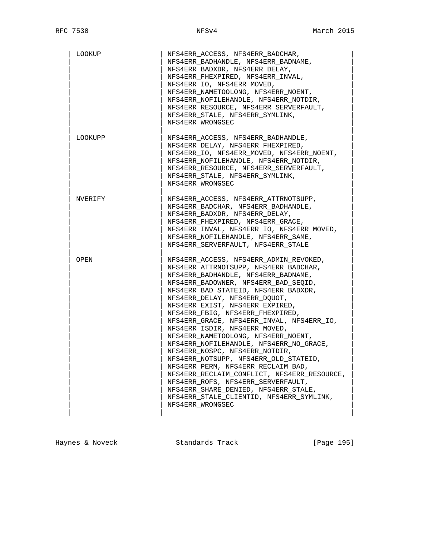| LOOKUP  | NFS4ERR ACCESS, NFS4ERR BADCHAR,<br>NFS4ERR_BADHANDLE, NFS4ERR_BADNAME,<br>NFS4ERR BADXDR, NFS4ERR DELAY,<br>NFS4ERR FHEXPIRED, NFS4ERR INVAL,<br>NFS4ERR IO, NFS4ERR MOVED,<br>NFS4ERR NAMETOOLONG, NFS4ERR NOENT,<br>NFS4ERR NOFILEHANDLE, NFS4ERR NOTDIR,<br>NFS4ERR_RESOURCE, NFS4ERR_SERVERFAULT,<br>NFS4ERR_STALE, NFS4ERR_SYMLINK,<br>NFS4ERR WRONGSEC                                                                                                                                                                                                                                                                                                                                                                                                                                |
|---------|----------------------------------------------------------------------------------------------------------------------------------------------------------------------------------------------------------------------------------------------------------------------------------------------------------------------------------------------------------------------------------------------------------------------------------------------------------------------------------------------------------------------------------------------------------------------------------------------------------------------------------------------------------------------------------------------------------------------------------------------------------------------------------------------|
| LOOKUPP | NFS4ERR ACCESS, NFS4ERR BADHANDLE,<br>NFS4ERR DELAY, NFS4ERR FHEXPIRED,<br>NFS4ERR IO, NFS4ERR MOVED, NFS4ERR NOENT,<br>NFS4ERR_NOFILEHANDLE, NFS4ERR_NOTDIR,<br>NFS4ERR RESOURCE, NFS4ERR SERVERFAULT,<br>NFS4ERR STALE, NFS4ERR SYMLINK,<br>NFS4ERR WRONGSEC                                                                                                                                                                                                                                                                                                                                                                                                                                                                                                                               |
| NVERIFY | NFS4ERR ACCESS, NFS4ERR ATTRNOTSUPP,<br>NFS4ERR BADCHAR, NFS4ERR BADHANDLE,<br>NFS4ERR BADXDR, NFS4ERR DELAY,<br>NFS4ERR FHEXPIRED, NFS4ERR GRACE,<br>NFS4ERR INVAL, NFS4ERR IO, NFS4ERR MOVED,<br>NFS4ERR_NOFILEHANDLE, NFS4ERR_SAME,<br>NFS4ERR_SERVERFAULT, NFS4ERR_STALE                                                                                                                                                                                                                                                                                                                                                                                                                                                                                                                 |
| OPEN    | NFS4ERR ACCESS, NFS4ERR ADMIN REVOKED,<br>NFS4ERR ATTRNOTSUPP, NFS4ERR BADCHAR,<br>NFS4ERR_BADHANDLE, NFS4ERR_BADNAME,<br>NFS4ERR_BADOWNER, NFS4ERR_BAD_SEQID,<br>NFS4ERR BAD STATEID, NFS4ERR BADXDR,<br>NFS4ERR_DELAY, NFS4ERR_DQUOT,<br>NFS4ERR EXIST, NFS4ERR EXPIRED,<br>NFS4ERR_FBIG, NFS4ERR_FHEXPIRED,<br>NFS4ERR GRACE, NFS4ERR INVAL, NFS4ERR IO,<br>NFS4ERR ISDIR, NFS4ERR MOVED,<br>NFS4ERR NAMETOOLONG, NFS4ERR NOENT,<br>NFS4ERR_NOFILEHANDLE, NFS4ERR_NO_GRACE,<br>NFS4ERR NOSPC, NFS4ERR NOTDIR,<br>NFS4ERR_NOTSUPP, NFS4ERR_OLD_STATEID,<br>NFS4ERR_PERM, NFS4ERR_RECLAIM_BAD,<br>NFS4ERR RECLAIM CONFLICT, NFS4ERR RESOURCE,<br>NFS4ERR_ROFS, NFS4ERR_SERVERFAULT,<br>NFS4ERR_SHARE_DENIED, NFS4ERR_STALE,<br>NFS4ERR STALE CLIENTID, NFS4ERR SYMLINK,<br>NFS4ERR WRONGSEC |

Haynes & Noveck and Standards Track Track [Page 195]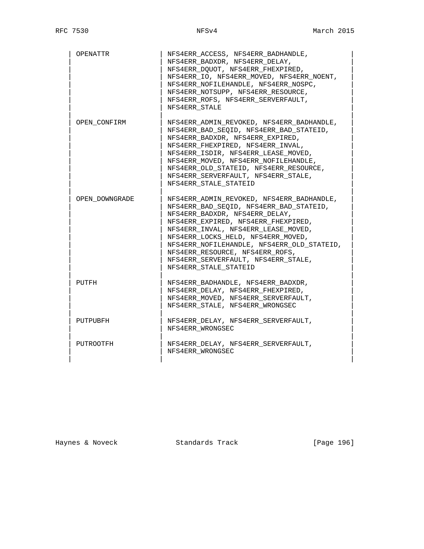| OPENATTR       | NFS4ERR_ACCESS, NFS4ERR_BADHANDLE,<br>NFS4ERR_BADXDR, NFS4ERR_DELAY,<br>NFS4ERR DQUOT, NFS4ERR FHEXPIRED,<br>NFS4ERR_IO, NFS4ERR_MOVED, NFS4ERR_NOENT,<br>NFS4ERR NOFILEHANDLE, NFS4ERR NOSPC,<br>NFS4ERR NOTSUPP, NFS4ERR RESOURCE,<br>NFS4ERR ROFS, NFS4ERR SERVERFAULT,<br>NFS4ERR STALE                                                                                                 |
|----------------|---------------------------------------------------------------------------------------------------------------------------------------------------------------------------------------------------------------------------------------------------------------------------------------------------------------------------------------------------------------------------------------------|
| OPEN CONFIRM   | NFS4ERR ADMIN REVOKED, NFS4ERR BADHANDLE,<br>NFS4ERR_BAD_SEQID, NFS4ERR_BAD_STATEID,<br>NFS4ERR BADXDR, NFS4ERR EXPIRED,<br>NFS4ERR FHEXPIRED, NFS4ERR INVAL,<br>NFS4ERR_ISDIR, NFS4ERR_LEASE_MOVED,<br>NFS4ERR MOVED, NFS4ERR NOFILEHANDLE,<br>NFS4ERR_OLD_STATEID, NFS4ERR_RESOURCE,<br>NFS4ERR SERVERFAULT, NFS4ERR STALE,<br>NFS4ERR STALE STATEID                                      |
| OPEN DOWNGRADE | NFS4ERR ADMIN REVOKED, NFS4ERR BADHANDLE,<br>NFS4ERR BAD SEOID, NFS4ERR BAD STATEID,<br>NFS4ERR_BADXDR, NFS4ERR_DELAY,<br>NFS4ERR EXPIRED, NFS4ERR FHEXPIRED,<br>NFS4ERR INVAL, NFS4ERR LEASE MOVED,<br>NFS4ERR LOCKS HELD, NFS4ERR MOVED,<br>NFS4ERR NOFILEHANDLE, NFS4ERR OLD STATEID,<br>NFS4ERR RESOURCE, NFS4ERR ROFS,<br>NFS4ERR_SERVERFAULT, NFS4ERR_STALE,<br>NFS4ERR STALE STATEID |
| PUTFH          | NFS4ERR BADHANDLE, NFS4ERR BADXDR,<br>NFS4ERR DELAY, NFS4ERR FHEXPIRED,<br>NFS4ERR MOVED, NFS4ERR SERVERFAULT,<br>NFS4ERR STALE, NFS4ERR WRONGSEC                                                                                                                                                                                                                                           |
| PUTPUBFH       | NFS4ERR DELAY, NFS4ERR SERVERFAULT,<br>NFS4ERR WRONGSEC                                                                                                                                                                                                                                                                                                                                     |
| PUTROOTFH      | NFS4ERR DELAY, NFS4ERR SERVERFAULT,<br>NFS4ERR WRONGSEC                                                                                                                                                                                                                                                                                                                                     |

Haynes & Noveck Standards Track [Page 196]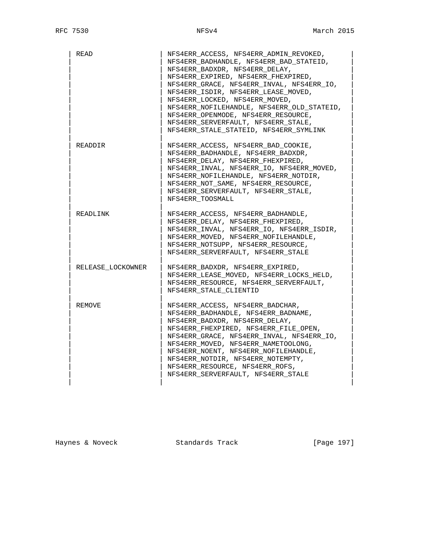| READ              | NFS4ERR ACCESS, NFS4ERR ADMIN REVOKED,<br>NFS4ERR_BADHANDLE, NFS4ERR_BAD_STATEID,<br>NFS4ERR_BADXDR, NFS4ERR_DELAY,<br>NFS4ERR_EXPIRED, NFS4ERR_FHEXPIRED,<br>NFS4ERR_GRACE, NFS4ERR_INVAL, NFS4ERR_IO,<br>NFS4ERR ISDIR, NFS4ERR LEASE MOVED,<br>NFS4ERR LOCKED, NFS4ERR MOVED,<br>NFS4ERR NOFILEHANDLE, NFS4ERR OLD STATEID,<br>NFS4ERR OPENMODE, NFS4ERR RESOURCE,<br>NFS4ERR_SERVERFAULT, NFS4ERR_STALE,<br>NFS4ERR STALE STATEID, NFS4ERR SYMLINK |
|-------------------|--------------------------------------------------------------------------------------------------------------------------------------------------------------------------------------------------------------------------------------------------------------------------------------------------------------------------------------------------------------------------------------------------------------------------------------------------------|
| READDIR           | NFS4ERR_ACCESS, NFS4ERR_BAD_COOKIE,<br>NFS4ERR BADHANDLE, NFS4ERR BADXDR,<br>NFS4ERR DELAY, NFS4ERR FHEXPIRED,<br>NFS4ERR INVAL, NFS4ERR IO, NFS4ERR MOVED,<br>NFS4ERR NOFILEHANDLE, NFS4ERR NOTDIR,<br>NFS4ERR_NOT_SAME, NFS4ERR_RESOURCE,<br>NFS4ERR SERVERFAULT, NFS4ERR STALE,<br>NFS4ERR TOOSMALL                                                                                                                                                 |
| READLINK          | NFS4ERR ACCESS, NFS4ERR BADHANDLE,<br>NFS4ERR_DELAY, NFS4ERR_FHEXPIRED,<br>NFS4ERR_INVAL, NFS4ERR_IO, NFS4ERR_ISDIR,<br>NFS4ERR_MOVED, NFS4ERR_NOFILEHANDLE,<br>NFS4ERR NOTSUPP, NFS4ERR RESOURCE,<br>NFS4ERR SERVERFAULT, NFS4ERR STALE                                                                                                                                                                                                               |
| RELEASE LOCKOWNER | NFS4ERR BADXDR, NFS4ERR EXPIRED,<br>NFS4ERR LEASE MOVED, NFS4ERR LOCKS HELD,<br>NFS4ERR RESOURCE, NFS4ERR SERVERFAULT,<br>NFS4ERR STALE CLIENTID                                                                                                                                                                                                                                                                                                       |
| REMOVE            | NFS4ERR ACCESS, NFS4ERR BADCHAR,<br>NFS4ERR_BADHANDLE, NFS4ERR_BADNAME,<br>NFS4ERR BADXDR, NFS4ERR DELAY,<br>NFS4ERR FHEXPIRED, NFS4ERR FILE OPEN,<br>NFS4ERR GRACE, NFS4ERR INVAL, NFS4ERR IO,<br>NFS4ERR MOVED, NFS4ERR NAMETOOLONG,<br>NFS4ERR NOENT, NFS4ERR NOFILEHANDLE,<br>NFS4ERR NOTDIR, NFS4ERR NOTEMPTY,<br>NFS4ERR_RESOURCE, NFS4ERR_ROFS,<br>NFS4ERR SERVERFAULT, NFS4ERR STALE                                                           |

Haynes & Noveck **Standards Track** [Page 197]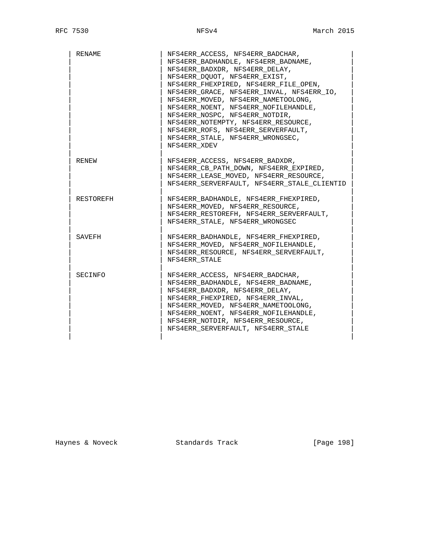| RENAME    | NFS4ERR ACCESS, NFS4ERR BADCHAR,<br>NFS4ERR BADHANDLE, NFS4ERR BADNAME,<br>NFS4ERR BADXDR, NFS4ERR DELAY,<br>NFS4ERR DQUOT, NFS4ERR EXIST,<br>NFS4ERR_FHEXPIRED, NFS4ERR_FILE_OPEN,<br>NFS4ERR GRACE, NFS4ERR INVAL, NFS4ERR IO,<br>NFS4ERR_MOVED, NFS4ERR_NAMETOOLONG,<br>NFS4ERR NOENT, NFS4ERR NOFILEHANDLE,<br>NFS4ERR NOSPC, NFS4ERR_NOTDIR,<br>NFS4ERR NOTEMPTY, NFS4ERR RESOURCE,<br>NFS4ERR ROFS, NFS4ERR SERVERFAULT, |
|-----------|--------------------------------------------------------------------------------------------------------------------------------------------------------------------------------------------------------------------------------------------------------------------------------------------------------------------------------------------------------------------------------------------------------------------------------|
|           | NFS4ERR_STALE, NFS4ERR_WRONGSEC,<br>NFS4ERR XDEV                                                                                                                                                                                                                                                                                                                                                                               |
| RENEW     | NFS4ERR ACCESS, NFS4ERR BADXDR,<br>NFS4ERR CB PATH DOWN, NFS4ERR EXPIRED,<br>NFS4ERR LEASE MOVED, NFS4ERR RESOURCE,<br>NFS4ERR SERVERFAULT, NFS4ERR STALE CLIENTID                                                                                                                                                                                                                                                             |
| RESTOREFH | NFS4ERR BADHANDLE, NFS4ERR FHEXPIRED,<br>NFS4ERR MOVED, NFS4ERR RESOURCE,<br>NFS4ERR RESTOREFH, NFS4ERR SERVERFAULT,<br>NFS4ERR STALE, NFS4ERR WRONGSEC                                                                                                                                                                                                                                                                        |
| SAVEFH    | NFS4ERR BADHANDLE, NFS4ERR FHEXPIRED,<br>NFS4ERR MOVED, NFS4ERR NOFILEHANDLE,<br>NFS4ERR RESOURCE, NFS4ERR SERVERFAULT,<br>NFS4ERR STALE                                                                                                                                                                                                                                                                                       |
| SECINFO   | NFS4ERR ACCESS, NFS4ERR BADCHAR,<br>NFS4ERR BADHANDLE, NFS4ERR BADNAME,<br>NFS4ERR BADXDR, NFS4ERR DELAY,<br>NFS4ERR_FHEXPIRED, NFS4ERR_INVAL,<br>NFS4ERR_MOVED, NFS4ERR_NAMETOOLONG,<br>NFS4ERR_NOENT, NFS4ERR_NOFILEHANDLE,<br>NFS4ERR NOTDIR, NFS4ERR RESOURCE,<br>NFS4ERR_SERVERFAULT, NFS4ERR STALE                                                                                                                       |

Haynes & Noveck Standards Track [Page 198]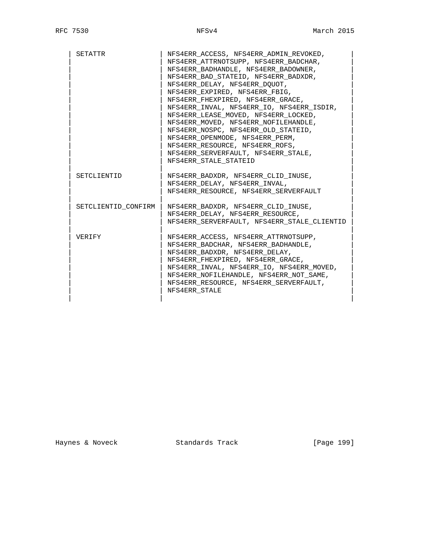| SETATTR             | NFS4ERR ACCESS, NFS4ERR_ADMIN_REVOKED,      |
|---------------------|---------------------------------------------|
|                     | NFS4ERR ATTRNOTSUPP, NFS4ERR BADCHAR,       |
|                     | NFS4ERR BADHANDLE, NFS4ERR BADOWNER,        |
|                     | NFS4ERR_BAD_STATEID, NFS4ERR_BADXDR,        |
|                     | NFS4ERR DELAY, NFS4ERR DOUOT,               |
|                     | NFS4ERR EXPIRED, NFS4ERR FBIG,              |
|                     | NFS4ERR FHEXPIRED, NFS4ERR GRACE,           |
|                     | NFS4ERR INVAL, NFS4ERR IO, NFS4ERR ISDIR,   |
|                     | NFS4ERR LEASE MOVED, NFS4ERR LOCKED,        |
|                     | NFS4ERR MOVED, NFS4ERR NOFILEHANDLE,        |
|                     | NFS4ERR NOSPC, NFS4ERR_OLD_STATEID,         |
|                     | NFS4ERR OPENMODE, NFS4ERR PERM,             |
|                     | NFS4ERR RESOURCE, NFS4ERR ROFS,             |
|                     | NFS4ERR SERVERFAULT, NFS4ERR STALE,         |
|                     | NFS4ERR STALE STATEID                       |
|                     |                                             |
| SETCLIENTID         | NFS4ERR BADXDR, NFS4ERR CLID INUSE,         |
|                     | NFS4ERR DELAY, NFS4ERR INVAL,               |
|                     | NFS4ERR RESOURCE, NFS4ERR SERVERFAULT       |
|                     |                                             |
| SETCLIENTID CONFIRM | NFS4ERR BADXDR, NFS4ERR CLID INUSE,         |
|                     | NFS4ERR DELAY, NFS4ERR RESOURCE,            |
|                     | NFS4ERR SERVERFAULT, NFS4ERR STALE CLIENTID |
|                     |                                             |
| <b>VERTFY</b>       | NFS4ERR ACCESS, NFS4ERR ATTRNOTSUPP,        |
|                     | NFS4ERR BADCHAR, NFS4ERR BADHANDLE,         |
|                     | NFS4ERR BADXDR, NFS4ERR DELAY,              |
|                     | NFS4ERR FHEXPIRED, NFS4ERR GRACE,           |
|                     | NFS4ERR_INVAL, NFS4ERR_IO, NFS4ERR_MOVED,   |
|                     | NFS4ERR NOFILEHANDLE, NFS4ERR NOT SAME,     |
|                     | NFS4ERR RESOURCE, NFS4ERR SERVERFAULT,      |
|                     | NFS4ERR STALE                               |
|                     |                                             |

Haynes & Noveck and Standards Track Form (Page 199)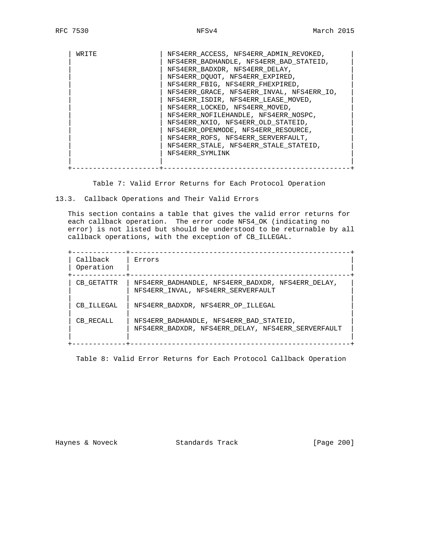| WR TTE | NFS4ERR_ACCESS, NFS4ERR_ADMIN_REVOKED,    |
|--------|-------------------------------------------|
|        | NFS4ERR_BADHANDLE, NFS4ERR_BAD_STATEID,   |
|        | NFS4ERR BADXDR, NFS4ERR DELAY,            |
|        | NFS4ERR_DQUOT, NFS4ERR_EXPIRED,           |
|        | NFS4ERR FBIG, NFS4ERR FHEXPIRED,          |
|        | NFS4ERR GRACE, NFS4ERR INVAL, NFS4ERR IO, |
|        | NFS4ERR ISDIR, NFS4ERR_LEASE_MOVED,       |
|        | NFS4ERR_LOCKED, NFS4ERR_MOVED,            |
|        | NFS4ERR NOFILEHANDLE, NFS4ERR NOSPC,      |
|        | NFS4ERR NXIO, NFS4ERR OLD STATEID,        |
|        | NFS4ERR OPENMODE, NFS4ERR RESOURCE,       |
|        | NFS4ERR ROFS, NFS4ERR SERVERFAULT,        |
|        | NFS4ERR STALE, NFS4ERR STALE STATEID,     |
|        | NFS4ERR SYMLINK                           |
|        |                                           |
|        |                                           |

Table 7: Valid Error Returns for Each Protocol Operation

13.3. Callback Operations and Their Valid Errors

 This section contains a table that gives the valid error returns for each callback operation. The error code NFS4\_OK (indicating no error) is not listed but should be understood to be returnable by all callback operations, with the exception of CB\_ILLEGAL.

| Callback<br>Operation | Errors                                                                                        |
|-----------------------|-----------------------------------------------------------------------------------------------|
| CB GETATTR            | NFS4ERR BADHANDLE, NFS4ERR BADXDR, NFS4ERR DELAY,<br>NFS4ERR INVAL, NFS4ERR SERVERFAULT       |
| CB ILLEGAL            | NFS4ERR BADXDR, NFS4ERR_OP_ILLEGAL                                                            |
| CB RECALL             | NFS4ERR_BADHANDLE, NFS4ERR_BAD_STATEID,<br>NFS4ERR_BADXDR, NFS4ERR_DELAY, NFS4ERR SERVERFAULT |

Table 8: Valid Error Returns for Each Protocol Callback Operation

Haynes & Noveck Standards Track [Page 200]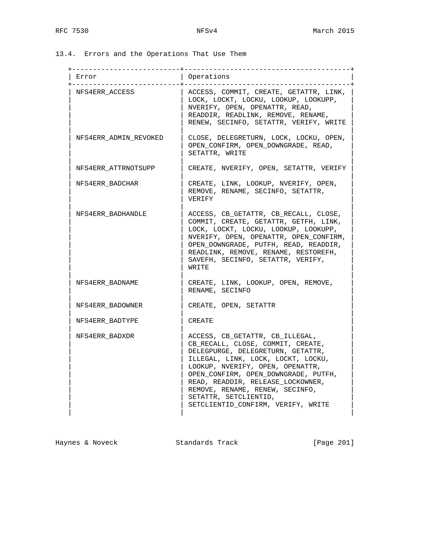13.4. Errors and the Operations That Use Them

| Error                 | Operations                                                                                                                                                                                                                                                                                                                                                         |
|-----------------------|--------------------------------------------------------------------------------------------------------------------------------------------------------------------------------------------------------------------------------------------------------------------------------------------------------------------------------------------------------------------|
| NFS4ERR ACCESS        | ACCESS, COMMIT, CREATE, GETATTR, LINK,<br>LOCK, LOCKT, LOCKU, LOOKUP, LOOKUPP,<br>NVERIFY, OPEN, OPENATTR, READ,<br>READDIR, READLINK, REMOVE, RENAME,<br>RENEW, SECINFO, SETATTR, VERIFY, WRITE                                                                                                                                                                   |
| NFS4ERR ADMIN REVOKED | CLOSE, DELEGRETURN, LOCK, LOCKU, OPEN,<br>OPEN CONFIRM, OPEN DOWNGRADE, READ,<br>SETATTR, WRITE                                                                                                                                                                                                                                                                    |
| NFS4ERR ATTRNOTSUPP   | CREATE, NVERIFY, OPEN, SETATTR, VERIFY                                                                                                                                                                                                                                                                                                                             |
| NFS4ERR BADCHAR       | CREATE, LINK, LOOKUP, NVERIFY, OPEN,<br>REMOVE, RENAME, SECINFO, SETATTR,<br>VERIFY                                                                                                                                                                                                                                                                                |
| NFS4ERR BADHANDLE     | ACCESS, CB_GETATTR, CB_RECALL, CLOSE,<br>COMMIT, CREATE, GETATTR, GETFH, LINK,<br>LOCK, LOCKT, LOCKU, LOOKUP, LOOKUPP,<br>NVERIFY, OPEN, OPENATTR, OPEN_CONFIRM,<br>OPEN DOWNGRADE, PUTFH, READ, READDIR,<br>READLINK, REMOVE, RENAME, RESTOREFH,<br>SAVEFH, SECINFO, SETATTR, VERIFY,<br>WRITE                                                                    |
| NFS4ERR BADNAME       | CREATE, LINK, LOOKUP, OPEN, REMOVE,<br>RENAME, SECINFO                                                                                                                                                                                                                                                                                                             |
| NFS4ERR BADOWNER      | CREATE, OPEN, SETATTR                                                                                                                                                                                                                                                                                                                                              |
| NFS4ERR BADTYPE       | CREATE                                                                                                                                                                                                                                                                                                                                                             |
| NFS4ERR BADXDR        | ACCESS, CB GETATTR, CB ILLEGAL,<br>CB_RECALL, CLOSE, COMMIT, CREATE,<br>DELEGPURGE, DELEGRETURN, GETATTR,<br>ILLEGAL, LINK, LOCK, LOCKT, LOCKU,<br>LOOKUP, NVERIFY, OPEN, OPENATTR,<br>OPEN_CONFIRM, OPEN_DOWNGRADE, PUTFH,<br>READ, READDIR, RELEASE LOCKOWNER,<br>REMOVE, RENAME, RENEW, SECINFO,<br>SETATTR, SETCLIENTID,<br>SETCLIENTID_CONFIRM, VERIFY, WRITE |

Haynes & Noveck and Standards Track [Page 201]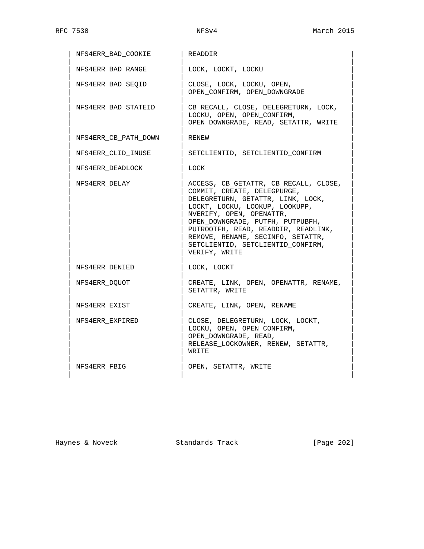| NFS4ERR_BAD_COOKIE   | READDIR                                                                                                                                                                                                                                                                                                                                       |
|----------------------|-----------------------------------------------------------------------------------------------------------------------------------------------------------------------------------------------------------------------------------------------------------------------------------------------------------------------------------------------|
| NFS4ERR BAD RANGE    | LOCK, LOCKT, LOCKU                                                                                                                                                                                                                                                                                                                            |
| NFS4ERR BAD SEOID    | CLOSE, LOCK, LOCKU, OPEN,<br>OPEN_CONFIRM, OPEN_DOWNGRADE                                                                                                                                                                                                                                                                                     |
| NFS4ERR BAD STATEID  | CB RECALL, CLOSE, DELEGRETURN, LOCK,<br>LOCKU, OPEN, OPEN CONFIRM,<br>OPEN_DOWNGRADE, READ, SETATTR, WRITE                                                                                                                                                                                                                                    |
| NFS4ERR CB PATH DOWN | RENEW                                                                                                                                                                                                                                                                                                                                         |
| NFS4ERR CLID INUSE   | SETCLIENTID, SETCLIENTID CONFIRM                                                                                                                                                                                                                                                                                                              |
| NFS4ERR DEADLOCK     | LOCK                                                                                                                                                                                                                                                                                                                                          |
| NFS4ERR DELAY        | ACCESS, CB_GETATTR, CB_RECALL, CLOSE,<br>COMMIT, CREATE, DELEGPURGE,<br>DELEGRETURN, GETATTR, LINK, LOCK,<br>LOCKT, LOCKU, LOOKUP, LOOKUPP,<br>NVERIFY, OPEN, OPENATTR,<br>OPEN_DOWNGRADE, PUTFH, PUTPUBFH,<br>PUTROOTFH, READ, READDIR, READLINK,<br>REMOVE, RENAME, SECINFO, SETATTR,<br>SETCLIENTID, SETCLIENTID CONFIRM,<br>VERIFY, WRITE |
| NFS4ERR DENIED       | LOCK, LOCKT                                                                                                                                                                                                                                                                                                                                   |
| NFS4ERR DOUOT        | CREATE, LINK, OPEN, OPENATTR, RENAME,<br>SETATTR, WRITE                                                                                                                                                                                                                                                                                       |
| NFS4ERR EXIST        | CREATE, LINK, OPEN, RENAME                                                                                                                                                                                                                                                                                                                    |
| NFS4ERR EXPIRED      | CLOSE, DELEGRETURN, LOCK, LOCKT,<br>LOCKU, OPEN, OPEN CONFIRM,<br>OPEN DOWNGRADE, READ,<br>RELEASE LOCKOWNER, RENEW, SETATTR,<br>WRITE                                                                                                                                                                                                        |
| NFS4ERR FBIG         | OPEN, SETATTR, WRITE                                                                                                                                                                                                                                                                                                                          |

Haynes & Noveck **Standards Track** [Page 202]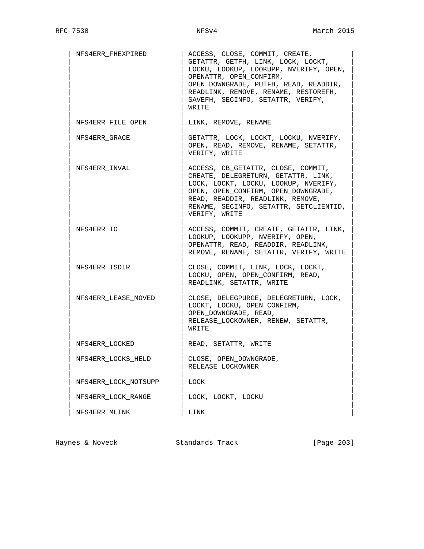| NFS4ERR FHEXPIRED    | ACCESS, CLOSE, COMMIT, CREATE,<br>GETATTR, GETFH, LINK, LOCK, LOCKT,<br>LOCKU, LOOKUP, LOOKUPP, NVERIFY, OPEN,<br>OPENATTR, OPEN_CONFIRM,<br>OPEN DOWNGRADE, PUTFH, READ, READDIR,<br>READLINK, REMOVE, RENAME, RESTOREFH,<br>SAVEFH, SECINFO, SETATTR, VERIFY,<br>WRITE |
|----------------------|--------------------------------------------------------------------------------------------------------------------------------------------------------------------------------------------------------------------------------------------------------------------------|
| NFS4ERR FILE OPEN    | LINK, REMOVE, RENAME                                                                                                                                                                                                                                                     |
| NFS4ERR GRACE        | GETATTR, LOCK, LOCKT, LOCKU, NVERIFY,<br>OPEN, READ, REMOVE, RENAME, SETATTR,<br>VERIFY, WRITE                                                                                                                                                                           |
| NFS4ERR INVAL        | ACCESS, CB GETATTR, CLOSE, COMMIT,<br>CREATE, DELEGRETURN, GETATTR, LINK,<br>LOCK, LOCKT, LOCKU, LOOKUP, NVERIFY,<br>OPEN, OPEN CONFIRM, OPEN DOWNGRADE,<br>READ, READDIR, READLINK, REMOVE,<br>RENAME, SECINFO, SETATTR, SETCLIENTID,<br>VERIFY, WRITE                  |
| NFS4ERR IO           | ACCESS, COMMIT, CREATE, GETATTR, LINK,<br>LOOKUP, LOOKUPP, NVERIFY, OPEN,<br>OPENATTR, READ, READDIR, READLINK,<br>REMOVE, RENAME, SETATTR, VERIFY, WRITE                                                                                                                |
| NFS4ERR ISDIR        | CLOSE, COMMIT, LINK, LOCK, LOCKT,<br>LOCKU, OPEN, OPEN CONFIRM, READ,<br>READLINK, SETATTR, WRITE                                                                                                                                                                        |
| NFS4ERR LEASE MOVED  | CLOSE, DELEGPURGE, DELEGRETURN, LOCK,<br>LOCKT, LOCKU, OPEN CONFIRM,<br>OPEN DOWNGRADE, READ,<br>RELEASE LOCKOWNER, RENEW, SETATTR,<br>WRITE                                                                                                                             |
| NFS4ERR LOCKED       | READ, SETATTR, WRITE                                                                                                                                                                                                                                                     |
| NFS4ERR_LOCKS_HELD   | CLOSE, OPEN_DOWNGRADE<br>RELEASE_LOCKOWNER                                                                                                                                                                                                                               |
| NFS4ERR_LOCK_NOTSUPP | LOCK                                                                                                                                                                                                                                                                     |
| NFS4ERR LOCK RANGE   | LOCK, LOCKT, LOCKU                                                                                                                                                                                                                                                       |
| NFS4ERR MLINK        | LINK                                                                                                                                                                                                                                                                     |

Haynes & Noveck Standards Track [Page 203]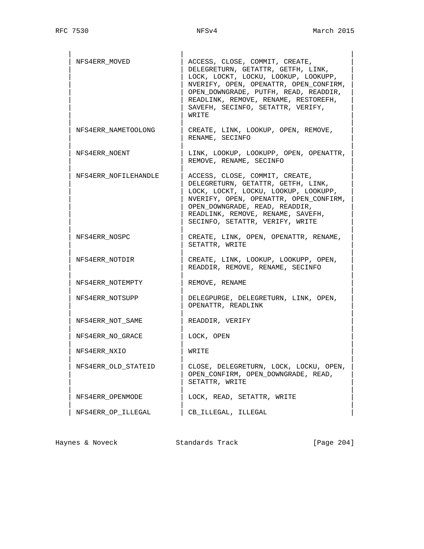| NFS4ERR MOVED        | ACCESS, CLOSE, COMMIT, CREATE,<br>DELEGRETURN, GETATTR, GETFH, LINK,<br>LOCK, LOCKT, LOCKU, LOOKUP, LOOKUPP,<br>NVERIFY, OPEN, OPENATTR, OPEN CONFIRM,<br>OPEN_DOWNGRADE, PUTFH, READ, READDIR,<br>READLINK, REMOVE, RENAME, RESTOREFH,<br>SAVEFH, SECINFO, SETATTR, VERIFY,<br>WRITE |
|----------------------|---------------------------------------------------------------------------------------------------------------------------------------------------------------------------------------------------------------------------------------------------------------------------------------|
| NFS4ERR NAMETOOLONG  | CREATE, LINK, LOOKUP, OPEN, REMOVE,<br>RENAME, SECINFO                                                                                                                                                                                                                                |
| NFS4ERR NOENT        | LINK, LOOKUP, LOOKUPP, OPEN, OPENATTR,<br>REMOVE, RENAME, SECINFO                                                                                                                                                                                                                     |
| NFS4ERR NOFILEHANDLE | ACCESS, CLOSE, COMMIT, CREATE,<br>DELEGRETURN, GETATTR, GETFH, LINK,<br>LOCK, LOCKT, LOCKU, LOOKUP, LOOKUPP,<br>NVERIFY, OPEN, OPENATTR, OPEN CONFIRM,<br>OPEN DOWNGRADE, READ, READDIR,<br>READLINK, REMOVE, RENAME, SAVEFH,<br>SECINFO, SETATTR, VERIFY, WRITE                      |
| NFS4ERR NOSPC        | CREATE, LINK, OPEN, OPENATTR, RENAME,<br>SETATTR, WRITE                                                                                                                                                                                                                               |
| NFS4ERR NOTDIR       | CREATE, LINK, LOOKUP, LOOKUPP, OPEN,<br>READDIR, REMOVE, RENAME, SECINFO                                                                                                                                                                                                              |
| NFS4ERR NOTEMPTY     | REMOVE, RENAME                                                                                                                                                                                                                                                                        |
| NFS4ERR NOTSUPP      | DELEGPURGE, DELEGRETURN, LINK, OPEN,<br>OPENATTR, READLINK                                                                                                                                                                                                                            |
| NFS4ERR NOT SAME     | READDIR, VERIFY                                                                                                                                                                                                                                                                       |
| NFS4ERR NO GRACE     | LOCK, OPEN                                                                                                                                                                                                                                                                            |
| NFS4ERR NXIO         | WRITE                                                                                                                                                                                                                                                                                 |
| NFS4ERR_OLD_STATEID  | CLOSE, DELEGRETURN, LOCK, LOCKU, OPEN,<br>OPEN_CONFIRM, OPEN_DOWNGRADE, READ,<br>SETATTR, WRITE                                                                                                                                                                                       |
| NFS4ERR OPENMODE     | LOCK, READ, SETATTR, WRITE                                                                                                                                                                                                                                                            |
| NFS4ERR_OP_ILLEGAL   | CB ILLEGAL, ILLEGAL                                                                                                                                                                                                                                                                   |

Haynes & Noveck Standards Track [Page 204]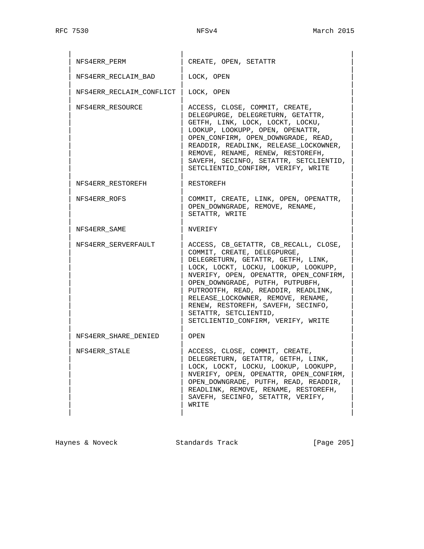| NFS4ERR PERM             | CREATE, OPEN, SETATTR                                                                                                                                                                                                                                                                                                                                                                                              |
|--------------------------|--------------------------------------------------------------------------------------------------------------------------------------------------------------------------------------------------------------------------------------------------------------------------------------------------------------------------------------------------------------------------------------------------------------------|
| NFS4ERR RECLAIM BAD      | LOCK, OPEN                                                                                                                                                                                                                                                                                                                                                                                                         |
| NFS4ERR RECLAIM CONFLICT | LOCK, OPEN                                                                                                                                                                                                                                                                                                                                                                                                         |
| NFS4ERR RESOURCE         | ACCESS, CLOSE, COMMIT, CREATE,<br>DELEGPURGE, DELEGRETURN, GETATTR,<br>GETFH, LINK, LOCK, LOCKT, LOCKU,<br>LOOKUP, LOOKUPP, OPEN, OPENATTR,<br>OPEN_CONFIRM, OPEN_DOWNGRADE, READ,<br>READDIR, READLINK, RELEASE_LOCKOWNER,<br>REMOVE, RENAME, RENEW, RESTOREFH,<br>SAVEFH, SECINFO, SETATTR, SETCLIENTID,<br>SETCLIENTID CONFIRM, VERIFY, WRITE                                                                   |
| NFS4ERR RESTOREFH        | RESTOREFH                                                                                                                                                                                                                                                                                                                                                                                                          |
| NFS4ERR ROFS             | COMMIT, CREATE, LINK, OPEN, OPENATTR,<br>OPEN DOWNGRADE, REMOVE, RENAME,<br>SETATTR, WRITE                                                                                                                                                                                                                                                                                                                         |
| NFS4ERR SAME             | NVERIFY                                                                                                                                                                                                                                                                                                                                                                                                            |
| NFS4ERR SERVERFAULT      | ACCESS, CB GETATTR, CB RECALL, CLOSE,<br>COMMIT, CREATE, DELEGPURGE,<br>DELEGRETURN, GETATTR, GETFH, LINK,<br>LOCK, LOCKT, LOCKU, LOOKUP, LOOKUPP,<br>NVERIFY, OPEN, OPENATTR, OPEN CONFIRM,<br>OPEN_DOWNGRADE, PUTFH, PUTPUBFH,<br>PUTROOTFH, READ, READDIR, READLINK,<br>RELEASE LOCKOWNER, REMOVE, RENAME,<br>RENEW, RESTOREFH, SAVEFH, SECINFO,<br>SETATTR, SETCLIENTID,<br>SETCLIENTID CONFIRM, VERIFY, WRITE |
| NFS4ERR SHARE DENIED     | OPEN                                                                                                                                                                                                                                                                                                                                                                                                               |
| NFS4ERR STALE            | ACCESS, CLOSE, COMMIT, CREATE,<br>DELEGRETURN, GETATTR, GETFH, LINK,<br>LOCK, LOCKT, LOCKU, LOOKUP, LOOKUPP,<br>NVERIFY, OPEN, OPENATTR, OPEN_CONFIRM,<br>OPEN DOWNGRADE, PUTFH, READ, READDIR,<br>READLINK, REMOVE, RENAME, RESTOREFH,<br>SAVEFH, SECINFO, SETATTR, VERIFY,<br>WRITE                                                                                                                              |

Haynes & Noveck Standards Track [Page 205]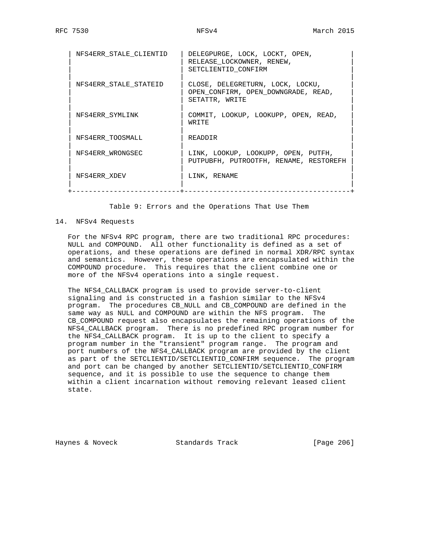| NFS4ERR STALE CLIENTID | DELEGPURGE, LOCK, LOCKT, OPEN,<br>RELEASE LOCKOWNER, RENEW,<br>SETCLIENTID CONFIRM        |
|------------------------|-------------------------------------------------------------------------------------------|
| NFS4ERR STALE STATEID  | CLOSE, DELEGRETURN, LOCK, LOCKU,<br>OPEN CONFIRM, OPEN DOWNGRADE, READ,<br>SETATTR, WRITE |
| NFS4ERR SYMLINK        | COMMIT, LOOKUP, LOOKUPP, OPEN, READ,<br>WR TTE                                            |
| NFS4ERR TOOSMALL       | READDIR                                                                                   |
| NFS4ERR WRONGSEC       | LINK, LOOKUP, LOOKUPP, OPEN, PUTFH,<br>PUTPUBFH, PUTROOTFH, RENAME, RESTOREFH             |
| NFS4ERR XDEV           | LINK, RENAME                                                                              |

Table 9: Errors and the Operations That Use Them

# 14. NFSv4 Requests

 For the NFSv4 RPC program, there are two traditional RPC procedures: NULL and COMPOUND. All other functionality is defined as a set of operations, and these operations are defined in normal XDR/RPC syntax and semantics. However, these operations are encapsulated within the COMPOUND procedure. This requires that the client combine one or more of the NFSv4 operations into a single request.

 The NFS4\_CALLBACK program is used to provide server-to-client signaling and is constructed in a fashion similar to the NFSv4 program. The procedures CB\_NULL and CB\_COMPOUND are defined in the same way as NULL and COMPOUND are within the NFS program. The CB\_COMPOUND request also encapsulates the remaining operations of the NFS4\_CALLBACK program. There is no predefined RPC program number for the NFS4\_CALLBACK program. It is up to the client to specify a program number in the "transient" program range. The program and port numbers of the NFS4\_CALLBACK program are provided by the client as part of the SETCLIENTID/SETCLIENTID\_CONFIRM sequence. The program and port can be changed by another SETCLIENTID/SETCLIENTID\_CONFIRM sequence, and it is possible to use the sequence to change them within a client incarnation without removing relevant leased client state.

Haynes & Noveck Standards Track [Page 206]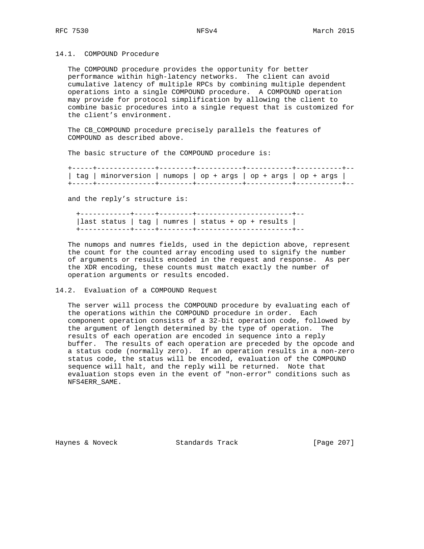### 14.1. COMPOUND Procedure

 The COMPOUND procedure provides the opportunity for better performance within high-latency networks. The client can avoid cumulative latency of multiple RPCs by combining multiple dependent operations into a single COMPOUND procedure. A COMPOUND operation may provide for protocol simplification by allowing the client to combine basic procedures into a single request that is customized for the client's environment.

 The CB\_COMPOUND procedure precisely parallels the features of COMPOUND as described above.

The basic structure of the COMPOUND procedure is:

| tag   minorversion   numops   op + args   op + args   op + args |  |  |
|-----------------------------------------------------------------|--|--|
|                                                                 |  |  |

and the reply's structure is:

 +------------+-----+--------+-----------------------+-- |last status | tag | numres | status + op + results | +------------+-----+--------+-----------------------+--

 The numops and numres fields, used in the depiction above, represent the count for the counted array encoding used to signify the number of arguments or results encoded in the request and response. As per the XDR encoding, these counts must match exactly the number of operation arguments or results encoded.

# 14.2. Evaluation of a COMPOUND Request

 The server will process the COMPOUND procedure by evaluating each of the operations within the COMPOUND procedure in order. Each component operation consists of a 32-bit operation code, followed by the argument of length determined by the type of operation. The results of each operation are encoded in sequence into a reply buffer. The results of each operation are preceded by the opcode and a status code (normally zero). If an operation results in a non-zero status code, the status will be encoded, evaluation of the COMPOUND sequence will halt, and the reply will be returned. Note that evaluation stops even in the event of "non-error" conditions such as NFS4ERR\_SAME.

Haynes & Noveck Standards Track [Page 207]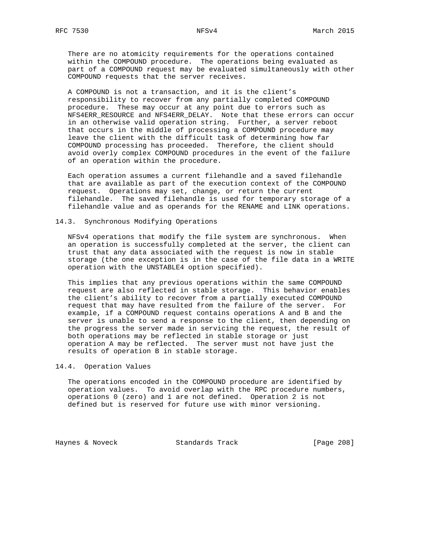There are no atomicity requirements for the operations contained within the COMPOUND procedure. The operations being evaluated as part of a COMPOUND request may be evaluated simultaneously with other COMPOUND requests that the server receives.

 A COMPOUND is not a transaction, and it is the client's responsibility to recover from any partially completed COMPOUND procedure. These may occur at any point due to errors such as NFS4ERR\_RESOURCE and NFS4ERR\_DELAY. Note that these errors can occur in an otherwise valid operation string. Further, a server reboot that occurs in the middle of processing a COMPOUND procedure may leave the client with the difficult task of determining how far COMPOUND processing has proceeded. Therefore, the client should avoid overly complex COMPOUND procedures in the event of the failure of an operation within the procedure.

 Each operation assumes a current filehandle and a saved filehandle that are available as part of the execution context of the COMPOUND request. Operations may set, change, or return the current filehandle. The saved filehandle is used for temporary storage of a filehandle value and as operands for the RENAME and LINK operations.

### 14.3. Synchronous Modifying Operations

 NFSv4 operations that modify the file system are synchronous. When an operation is successfully completed at the server, the client can trust that any data associated with the request is now in stable storage (the one exception is in the case of the file data in a WRITE operation with the UNSTABLE4 option specified).

 This implies that any previous operations within the same COMPOUND request are also reflected in stable storage. This behavior enables the client's ability to recover from a partially executed COMPOUND request that may have resulted from the failure of the server. For example, if a COMPOUND request contains operations A and B and the server is unable to send a response to the client, then depending on the progress the server made in servicing the request, the result of both operations may be reflected in stable storage or just operation A may be reflected. The server must not have just the results of operation B in stable storage.

# 14.4. Operation Values

 The operations encoded in the COMPOUND procedure are identified by operation values. To avoid overlap with the RPC procedure numbers, operations 0 (zero) and 1 are not defined. Operation 2 is not defined but is reserved for future use with minor versioning.

Haynes & Noveck Standards Track [Page 208]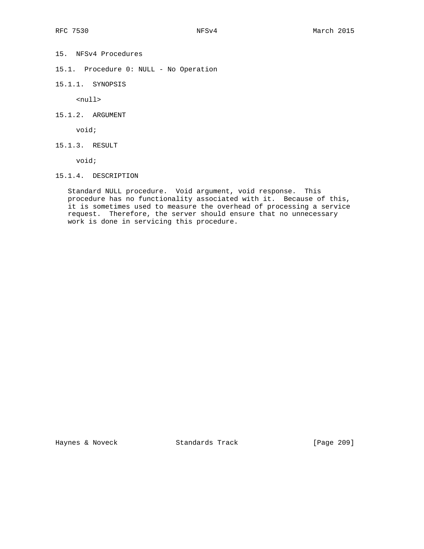- 15. NFSv4 Procedures
- 15.1. Procedure 0: NULL No Operation
- 15.1.1. SYNOPSIS

<null>

15.1.2. ARGUMENT

void;

15.1.3. RESULT

void;

15.1.4. DESCRIPTION

 Standard NULL procedure. Void argument, void response. This procedure has no functionality associated with it. Because of this, it is sometimes used to measure the overhead of processing a service request. Therefore, the server should ensure that no unnecessary work is done in servicing this procedure.

Haynes & Noveck Standards Track [Page 209]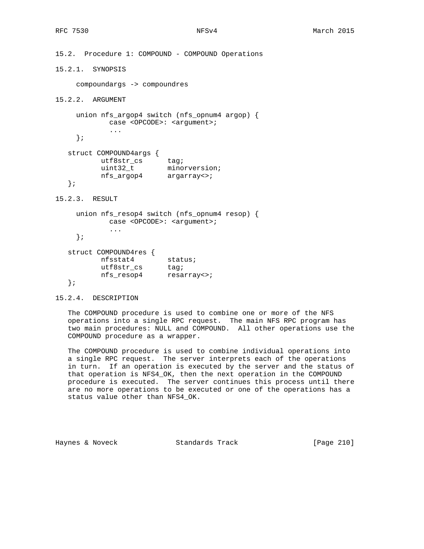15.2. Procedure 1: COMPOUND - COMPOUND Operations 15.2.1. SYNOPSIS compoundargs -> compoundres 15.2.2. ARGUMENT union nfs\_argop4 switch (nfs\_opnum4 argop) { case <OPCODE>: <argument>; ... }; struct COMPOUND4args { utf8str\_cs tag; uint32\_t minorversion; nfs\_argop4 argarray<>; }; 15.2.3. RESULT union nfs\_resop4 switch (nfs\_opnum4 resop) { case <OPCODE>: <argument>; ... }; struct COMPOUND4res { nfsstat4 status; utf8str\_cs tag; nfs\_resop4 resarray<>; }; 15.2.4. DESCRIPTION

 The COMPOUND procedure is used to combine one or more of the NFS operations into a single RPC request. The main NFS RPC program has two main procedures: NULL and COMPOUND. All other operations use the COMPOUND procedure as a wrapper.

 The COMPOUND procedure is used to combine individual operations into a single RPC request. The server interprets each of the operations in turn. If an operation is executed by the server and the status of that operation is NFS4\_OK, then the next operation in the COMPOUND procedure is executed. The server continues this process until there are no more operations to be executed or one of the operations has a status value other than NFS4\_OK.

Haynes & Noveck Standards Track [Page 210]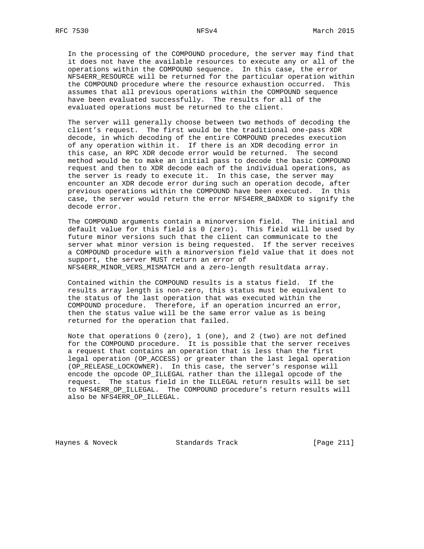In the processing of the COMPOUND procedure, the server may find that it does not have the available resources to execute any or all of the operations within the COMPOUND sequence. In this case, the error NFS4ERR\_RESOURCE will be returned for the particular operation within the COMPOUND procedure where the resource exhaustion occurred. This assumes that all previous operations within the COMPOUND sequence have been evaluated successfully. The results for all of the evaluated operations must be returned to the client.

 The server will generally choose between two methods of decoding the client's request. The first would be the traditional one-pass XDR decode, in which decoding of the entire COMPOUND precedes execution of any operation within it. If there is an XDR decoding error in this case, an RPC XDR decode error would be returned. The second method would be to make an initial pass to decode the basic COMPOUND request and then to XDR decode each of the individual operations, as the server is ready to execute it. In this case, the server may encounter an XDR decode error during such an operation decode, after previous operations within the COMPOUND have been executed. In this case, the server would return the error NFS4ERR\_BADXDR to signify the decode error.

 The COMPOUND arguments contain a minorversion field. The initial and default value for this field is 0 (zero). This field will be used by future minor versions such that the client can communicate to the server what minor version is being requested. If the server receives a COMPOUND procedure with a minorversion field value that it does not support, the server MUST return an error of NFS4ERR\_MINOR\_VERS\_MISMATCH and a zero-length resultdata array.

 Contained within the COMPOUND results is a status field. If the results array length is non-zero, this status must be equivalent to the status of the last operation that was executed within the COMPOUND procedure. Therefore, if an operation incurred an error, then the status value will be the same error value as is being returned for the operation that failed.

Note that operations  $0$  (zero),  $1$  (one), and  $2$  (two) are not defined for the COMPOUND procedure. It is possible that the server receives a request that contains an operation that is less than the first legal operation (OP\_ACCESS) or greater than the last legal operation (OP\_RELEASE\_LOCKOWNER). In this case, the server's response will encode the opcode OP\_ILLEGAL rather than the illegal opcode of the request. The status field in the ILLEGAL return results will be set to NFS4ERR\_OP\_ILLEGAL. The COMPOUND procedure's return results will also be NFS4ERR OP ILLEGAL.

Haynes & Noveck Standards Track [Page 211]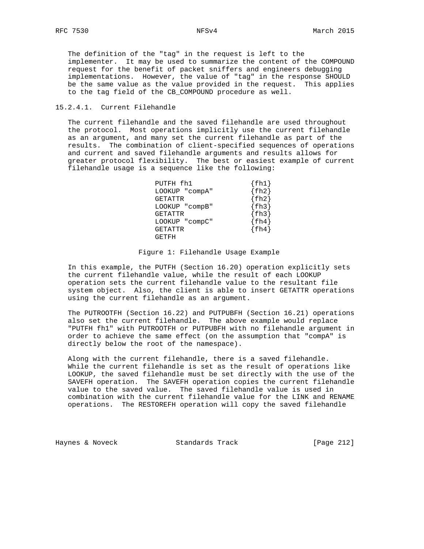The definition of the "tag" in the request is left to the implementer. It may be used to summarize the content of the COMPOUND request for the benefit of packet sniffers and engineers debugging implementations. However, the value of "tag" in the response SHOULD be the same value as the value provided in the request. This applies to the tag field of the CB\_COMPOUND procedure as well.

## 15.2.4.1. Current Filehandle

 The current filehandle and the saved filehandle are used throughout the protocol. Most operations implicitly use the current filehandle as an argument, and many set the current filehandle as part of the results. The combination of client-specified sequences of operations and current and saved filehandle arguments and results allows for greater protocol flexibility. The best or easiest example of current filehandle usage is a sequence like the following:

| PUTFH fh1      | fh1       |
|----------------|-----------|
| LOOKUP "compA" | fh2       |
| GETATTR        | $\{fh2\}$ |
| LOOKUP "compB" | fh3       |
| GETATTR        | fh3       |
| LOOKUP "compC" | fh4       |
| GETATTR        | $\{fh4\}$ |
| GETFH          |           |

### Figure 1: Filehandle Usage Example

 In this example, the PUTFH (Section 16.20) operation explicitly sets the current filehandle value, while the result of each LOOKUP operation sets the current filehandle value to the resultant file system object. Also, the client is able to insert GETATTR operations using the current filehandle as an argument.

 The PUTROOTFH (Section 16.22) and PUTPUBFH (Section 16.21) operations also set the current filehandle. The above example would replace "PUTFH fh1" with PUTROOTFH or PUTPUBFH with no filehandle argument in order to achieve the same effect (on the assumption that "compA" is directly below the root of the namespace).

 Along with the current filehandle, there is a saved filehandle. While the current filehandle is set as the result of operations like LOOKUP, the saved filehandle must be set directly with the use of the SAVEFH operation. The SAVEFH operation copies the current filehandle value to the saved value. The saved filehandle value is used in combination with the current filehandle value for the LINK and RENAME operations. The RESTOREFH operation will copy the saved filehandle

Haynes & Noveck Standards Track [Page 212]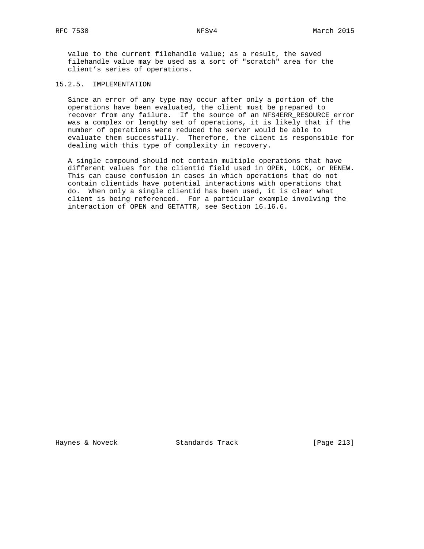value to the current filehandle value; as a result, the saved filehandle value may be used as a sort of "scratch" area for the client's series of operations.

# 15.2.5. IMPLEMENTATION

 Since an error of any type may occur after only a portion of the operations have been evaluated, the client must be prepared to recover from any failure. If the source of an NFS4ERR\_RESOURCE error was a complex or lengthy set of operations, it is likely that if the number of operations were reduced the server would be able to evaluate them successfully. Therefore, the client is responsible for dealing with this type of complexity in recovery.

 A single compound should not contain multiple operations that have different values for the clientid field used in OPEN, LOCK, or RENEW. This can cause confusion in cases in which operations that do not contain clientids have potential interactions with operations that do. When only a single clientid has been used, it is clear what client is being referenced. For a particular example involving the interaction of OPEN and GETATTR, see Section 16.16.6.

Haynes & Noveck Standards Track [Page 213]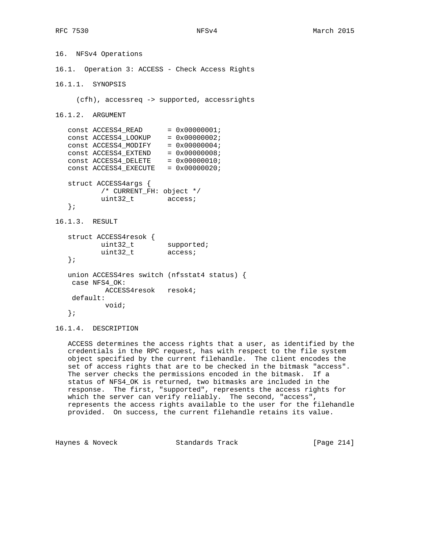```
16. NFSv4 Operations
16.1. Operation 3: ACCESS - Check Access Rights
16.1.1. SYNOPSIS
     (cfh), accessreq -> supported, accessrights
16.1.2. ARGUMENT
  const ACCESS4_READ = 0x00000001;
  const ACCESS4_LOOKUP = 0x00000002;
const ACCESS4_MODIFY = 0x00000004;
const ACCESS4EXTEND = 0x00000008;
const ACCESS4DELETE = 0x00000010;
const ACCESS4EXECUTE = 0x00000020;
   struct ACCESS4args {
          /* CURRENT_FH: object */
          uint32_t access;
   };
16.1.3. RESULT
   struct ACCESS4resok {
uint32_t supported;
uint32_t access;
   };
   union ACCESS4res switch (nfsstat4 status) {
    case NFS4_OK:
           ACCESS4resok resok4;
    default:
           void;
   };
```
16.1.4. DESCRIPTION

 ACCESS determines the access rights that a user, as identified by the credentials in the RPC request, has with respect to the file system object specified by the current filehandle. The client encodes the set of access rights that are to be checked in the bitmask "access". The server checks the permissions encoded in the bitmask. If a status of NFS4\_OK is returned, two bitmasks are included in the response. The first, "supported", represents the access rights for which the server can verify reliably. The second, "access", represents the access rights available to the user for the filehandle provided. On success, the current filehandle retains its value.

Haynes & Noveck Standards Track [Page 214]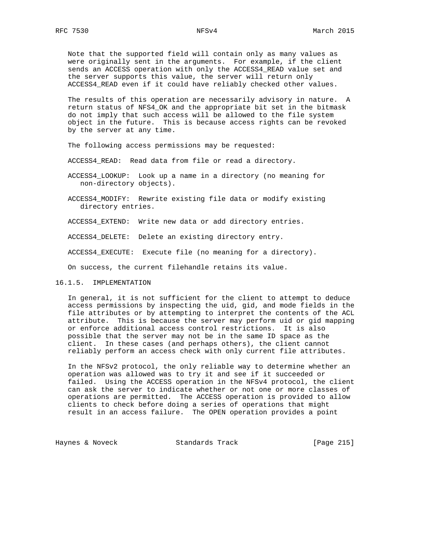Note that the supported field will contain only as many values as were originally sent in the arguments. For example, if the client sends an ACCESS operation with only the ACCESS4\_READ value set and the server supports this value, the server will return only ACCESS4\_READ even if it could have reliably checked other values.

 The results of this operation are necessarily advisory in nature. A return status of NFS4\_OK and the appropriate bit set in the bitmask do not imply that such access will be allowed to the file system object in the future. This is because access rights can be revoked by the server at any time.

The following access permissions may be requested:

ACCESS4\_READ: Read data from file or read a directory.

 ACCESS4\_LOOKUP: Look up a name in a directory (no meaning for non-directory objects).

 ACCESS4\_MODIFY: Rewrite existing file data or modify existing directory entries.

ACCESS4\_EXTEND: Write new data or add directory entries.

ACCESS4\_DELETE: Delete an existing directory entry.

ACCESS4\_EXECUTE: Execute file (no meaning for a directory).

On success, the current filehandle retains its value.

16.1.5. IMPLEMENTATION

 In general, it is not sufficient for the client to attempt to deduce access permissions by inspecting the uid, gid, and mode fields in the file attributes or by attempting to interpret the contents of the ACL attribute. This is because the server may perform uid or gid mapping or enforce additional access control restrictions. It is also possible that the server may not be in the same ID space as the client. In these cases (and perhaps others), the client cannot reliably perform an access check with only current file attributes.

 In the NFSv2 protocol, the only reliable way to determine whether an operation was allowed was to try it and see if it succeeded or failed. Using the ACCESS operation in the NFSv4 protocol, the client can ask the server to indicate whether or not one or more classes of operations are permitted. The ACCESS operation is provided to allow clients to check before doing a series of operations that might result in an access failure. The OPEN operation provides a point

Haynes & Noveck Standards Track [Page 215]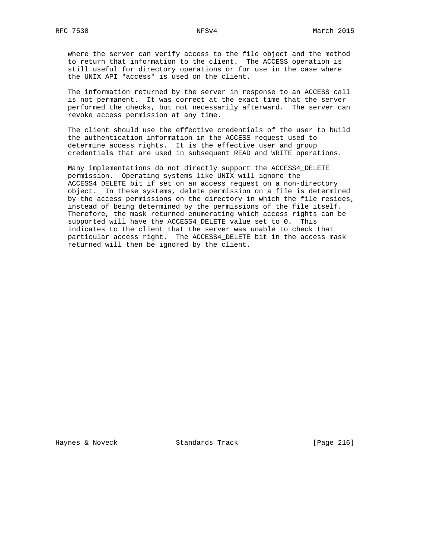where the server can verify access to the file object and the method to return that information to the client. The ACCESS operation is still useful for directory operations or for use in the case where the UNIX API "access" is used on the client.

 The information returned by the server in response to an ACCESS call is not permanent. It was correct at the exact time that the server performed the checks, but not necessarily afterward. The server can revoke access permission at any time.

 The client should use the effective credentials of the user to build the authentication information in the ACCESS request used to determine access rights. It is the effective user and group credentials that are used in subsequent READ and WRITE operations.

 Many implementations do not directly support the ACCESS4\_DELETE permission. Operating systems like UNIX will ignore the ACCESS4\_DELETE bit if set on an access request on a non-directory object. In these systems, delete permission on a file is determined by the access permissions on the directory in which the file resides, instead of being determined by the permissions of the file itself. Therefore, the mask returned enumerating which access rights can be supported will have the ACCESS4\_DELETE value set to 0. This indicates to the client that the server was unable to check that particular access right. The ACCESS4\_DELETE bit in the access mask returned will then be ignored by the client.

Haynes & Noveck Standards Track [Page 216]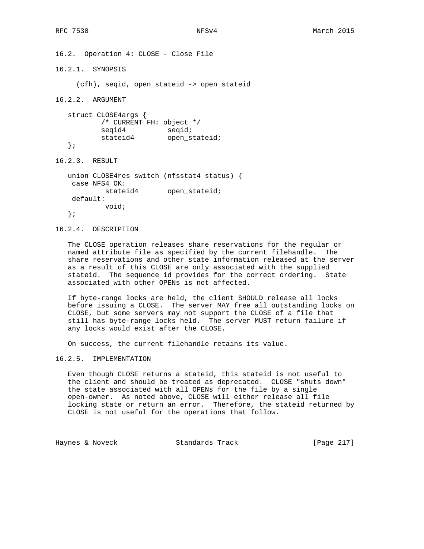16.2. Operation 4: CLOSE - Close File 16.2.1. SYNOPSIS (cfh), seqid, open\_stateid -> open\_stateid

16.2.2. ARGUMENT

 struct CLOSE4args { /\* CURRENT\_FH: object \*/ seqid4 seqid; stateid4 open\_stateid; };

16.2.3. RESULT

 union CLOSE4res switch (nfsstat4 status) { case NFS4\_OK: stateid4 open\_stateid; default: void; };

# 16.2.4. DESCRIPTION

 The CLOSE operation releases share reservations for the regular or named attribute file as specified by the current filehandle. The share reservations and other state information released at the server as a result of this CLOSE are only associated with the supplied stateid. The sequence id provides for the correct ordering. State associated with other OPENs is not affected.

 If byte-range locks are held, the client SHOULD release all locks before issuing a CLOSE. The server MAY free all outstanding locks on CLOSE, but some servers may not support the CLOSE of a file that still has byte-range locks held. The server MUST return failure if any locks would exist after the CLOSE.

On success, the current filehandle retains its value.

16.2.5. IMPLEMENTATION

 Even though CLOSE returns a stateid, this stateid is not useful to the client and should be treated as deprecated. CLOSE "shuts down" the state associated with all OPENs for the file by a single open-owner. As noted above, CLOSE will either release all file locking state or return an error. Therefore, the stateid returned by CLOSE is not useful for the operations that follow.

Haynes & Noveck Standards Track [Page 217]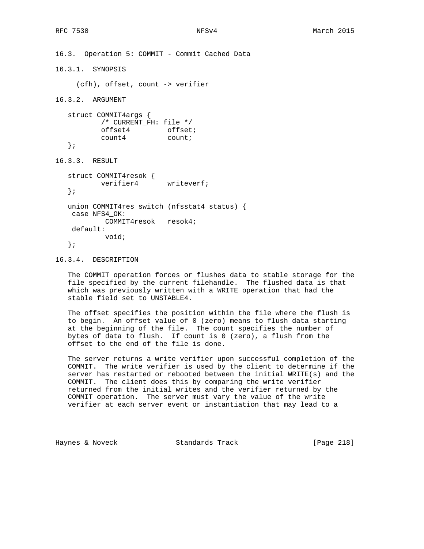```
16.3. Operation 5: COMMIT - Commit Cached Data
16.3.1. SYNOPSIS
     (cfh), offset, count -> verifier
16.3.2. ARGUMENT
   struct COMMIT4args {
          /* CURRENT_FH: file */
offset4 offset;
count4 count;
   };
16.3.3. RESULT
   struct COMMIT4resok {
         verifier4 writeverf;
   };
   union COMMIT4res switch (nfsstat4 status) {
    case NFS4_OK:
           COMMIT4resok resok4;
    default:
           void;
   };
```
16.3.4. DESCRIPTION

 The COMMIT operation forces or flushes data to stable storage for the file specified by the current filehandle. The flushed data is that which was previously written with a WRITE operation that had the stable field set to UNSTABLE4.

 The offset specifies the position within the file where the flush is to begin. An offset value of 0 (zero) means to flush data starting at the beginning of the file. The count specifies the number of bytes of data to flush. If count is 0 (zero), a flush from the offset to the end of the file is done.

 The server returns a write verifier upon successful completion of the COMMIT. The write verifier is used by the client to determine if the server has restarted or rebooted between the initial WRITE(s) and the COMMIT. The client does this by comparing the write verifier returned from the initial writes and the verifier returned by the COMMIT operation. The server must vary the value of the write verifier at each server event or instantiation that may lead to a

Haynes & Noveck Standards Track [Page 218]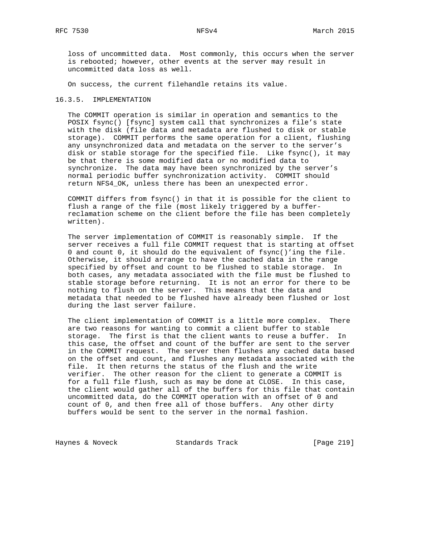loss of uncommitted data. Most commonly, this occurs when the server is rebooted; however, other events at the server may result in uncommitted data loss as well.

On success, the current filehandle retains its value.

## 16.3.5. IMPLEMENTATION

 The COMMIT operation is similar in operation and semantics to the POSIX fsync() [fsync] system call that synchronizes a file's state with the disk (file data and metadata are flushed to disk or stable storage). COMMIT performs the same operation for a client, flushing any unsynchronized data and metadata on the server to the server's disk or stable storage for the specified file. Like fsync(), it may be that there is some modified data or no modified data to synchronize. The data may have been synchronized by the server's normal periodic buffer synchronization activity. COMMIT should return NFS4\_OK, unless there has been an unexpected error.

 COMMIT differs from fsync() in that it is possible for the client to flush a range of the file (most likely triggered by a buffer reclamation scheme on the client before the file has been completely written).

 The server implementation of COMMIT is reasonably simple. If the server receives a full file COMMIT request that is starting at offset 0 and count 0, it should do the equivalent of fsync()'ing the file. Otherwise, it should arrange to have the cached data in the range specified by offset and count to be flushed to stable storage. In both cases, any metadata associated with the file must be flushed to stable storage before returning. It is not an error for there to be nothing to flush on the server. This means that the data and metadata that needed to be flushed have already been flushed or lost during the last server failure.

 The client implementation of COMMIT is a little more complex. There are two reasons for wanting to commit a client buffer to stable storage. The first is that the client wants to reuse a buffer. In this case, the offset and count of the buffer are sent to the server in the COMMIT request. The server then flushes any cached data based on the offset and count, and flushes any metadata associated with the file. It then returns the status of the flush and the write verifier. The other reason for the client to generate a COMMIT is for a full file flush, such as may be done at CLOSE. In this case, the client would gather all of the buffers for this file that contain uncommitted data, do the COMMIT operation with an offset of 0 and count of 0, and then free all of those buffers. Any other dirty buffers would be sent to the server in the normal fashion.

Haynes & Noveck Standards Track [Page 219]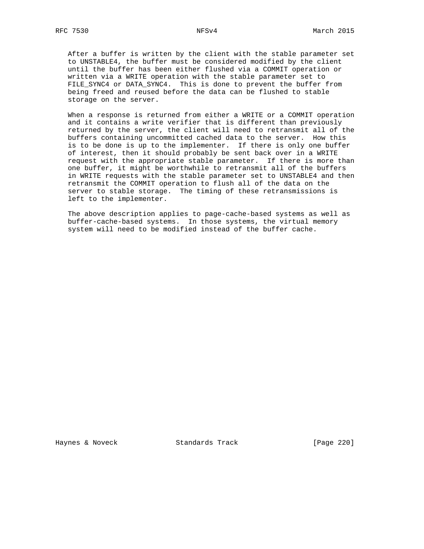After a buffer is written by the client with the stable parameter set to UNSTABLE4, the buffer must be considered modified by the client until the buffer has been either flushed via a COMMIT operation or written via a WRITE operation with the stable parameter set to FILE\_SYNC4 or DATA\_SYNC4. This is done to prevent the buffer from being freed and reused before the data can be flushed to stable storage on the server.

 When a response is returned from either a WRITE or a COMMIT operation and it contains a write verifier that is different than previously returned by the server, the client will need to retransmit all of the buffers containing uncommitted cached data to the server. How this is to be done is up to the implementer. If there is only one buffer of interest, then it should probably be sent back over in a WRITE request with the appropriate stable parameter. If there is more than one buffer, it might be worthwhile to retransmit all of the buffers in WRITE requests with the stable parameter set to UNSTABLE4 and then retransmit the COMMIT operation to flush all of the data on the server to stable storage. The timing of these retransmissions is left to the implementer.

 The above description applies to page-cache-based systems as well as buffer-cache-based systems. In those systems, the virtual memory system will need to be modified instead of the buffer cache.

Haynes & Noveck Standards Track [Page 220]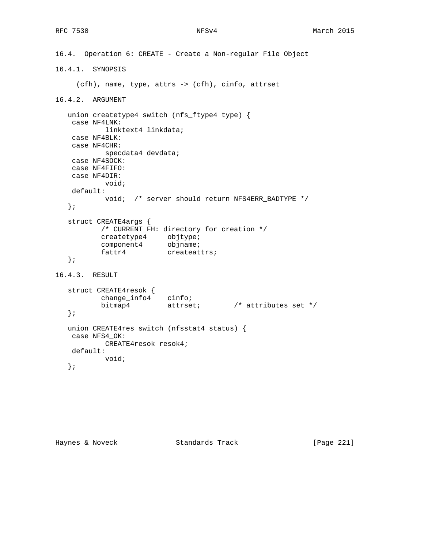```
16.4. Operation 6: CREATE - Create a Non-regular File Object
16.4.1. SYNOPSIS
     (cfh), name, type, attrs -> (cfh), cinfo, attrset
16.4.2. ARGUMENT
   union createtype4 switch (nfs_ftype4 type) {
    case NF4LNK:
           linktext4 linkdata;
    case NF4BLK:
    case NF4CHR:
         specdata4 devdata;
    case NF4SOCK:
    case NF4FIFO:
    case NF4DIR:
          void;
    default:
           void; /* server should return NFS4ERR_BADTYPE */
   };
   struct CREATE4args {
           /* CURRENT_FH: directory for creation */
createtype4 objtype;
component4 objname;
fattr4 createattrs;
   };
16.4.3. RESULT
   struct CREATE4resok {
change_info4 cinfo;
bitmap4 attrset; \rightarrow attributes set */
   };
   union CREATE4res switch (nfsstat4 status) {
    case NFS4_OK:
          CREATE4resok resok4;
    default:
           void;
   };
```
Haynes & Noveck Standards Track [Page 221]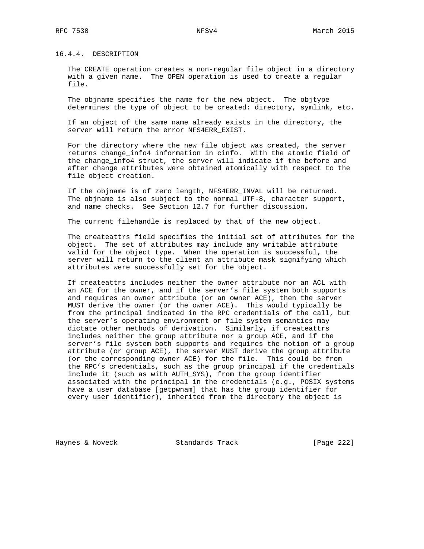16.4.4. DESCRIPTION

 The CREATE operation creates a non-regular file object in a directory with a given name. The OPEN operation is used to create a regular file.

 The objname specifies the name for the new object. The objtype determines the type of object to be created: directory, symlink, etc.

 If an object of the same name already exists in the directory, the server will return the error NFS4ERR\_EXIST.

 For the directory where the new file object was created, the server returns change\_info4 information in cinfo. With the atomic field of the change\_info4 struct, the server will indicate if the before and after change attributes were obtained atomically with respect to the file object creation.

 If the objname is of zero length, NFS4ERR\_INVAL will be returned. The objname is also subject to the normal UTF-8, character support, and name checks. See Section 12.7 for further discussion.

The current filehandle is replaced by that of the new object.

 The createattrs field specifies the initial set of attributes for the object. The set of attributes may include any writable attribute valid for the object type. When the operation is successful, the server will return to the client an attribute mask signifying which attributes were successfully set for the object.

 If createattrs includes neither the owner attribute nor an ACL with an ACE for the owner, and if the server's file system both supports and requires an owner attribute (or an owner ACE), then the server MUST derive the owner (or the owner ACE). This would typically be from the principal indicated in the RPC credentials of the call, but the server's operating environment or file system semantics may dictate other methods of derivation. Similarly, if createattrs includes neither the group attribute nor a group ACE, and if the server's file system both supports and requires the notion of a group attribute (or group ACE), the server MUST derive the group attribute (or the corresponding owner ACE) for the file. This could be from the RPC's credentials, such as the group principal if the credentials include it (such as with AUTH\_SYS), from the group identifier associated with the principal in the credentials (e.g., POSIX systems have a user database [getpwnam] that has the group identifier for every user identifier), inherited from the directory the object is

Haynes & Noveck Standards Track [Page 222]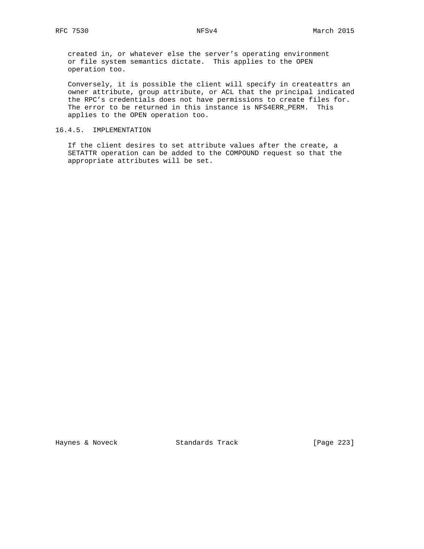created in, or whatever else the server's operating environment or file system semantics dictate. This applies to the OPEN operation too.

 Conversely, it is possible the client will specify in createattrs an owner attribute, group attribute, or ACL that the principal indicated the RPC's credentials does not have permissions to create files for. The error to be returned in this instance is NFS4ERR\_PERM. This applies to the OPEN operation too.

# 16.4.5. IMPLEMENTATION

 If the client desires to set attribute values after the create, a SETATTR operation can be added to the COMPOUND request so that the appropriate attributes will be set.

Haynes & Noveck Standards Track [Page 223]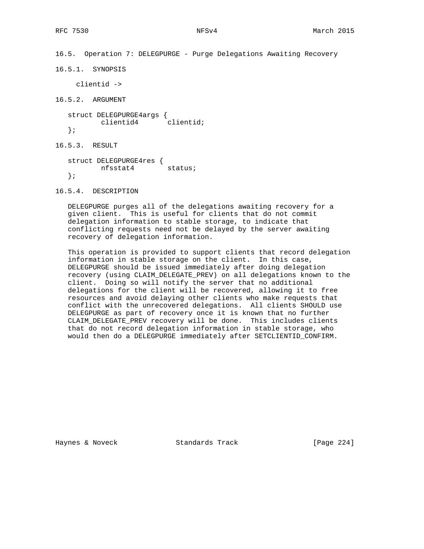```
16.5.1. SYNOPSIS
     clientid ->
16.5.2. ARGUMENT
   struct DELEGPURGE4args {
          clientid4 clientid;
   };
16.5.3. RESULT
   struct DELEGPURGE4res {
         nfsstat4 status;
```
16.5. Operation 7: DELEGPURGE - Purge Delegations Awaiting Recovery

16.5.4. DESCRIPTION

};

 DELEGPURGE purges all of the delegations awaiting recovery for a given client. This is useful for clients that do not commit delegation information to stable storage, to indicate that conflicting requests need not be delayed by the server awaiting recovery of delegation information.

 This operation is provided to support clients that record delegation information in stable storage on the client. In this case, DELEGPURGE should be issued immediately after doing delegation recovery (using CLAIM\_DELEGATE\_PREV) on all delegations known to the client. Doing so will notify the server that no additional delegations for the client will be recovered, allowing it to free resources and avoid delaying other clients who make requests that conflict with the unrecovered delegations. All clients SHOULD use DELEGPURGE as part of recovery once it is known that no further CLAIM\_DELEGATE\_PREV recovery will be done. This includes clients that do not record delegation information in stable storage, who would then do a DELEGPURGE immediately after SETCLIENTID\_CONFIRM.

Haynes & Noveck Standards Track [Page 224]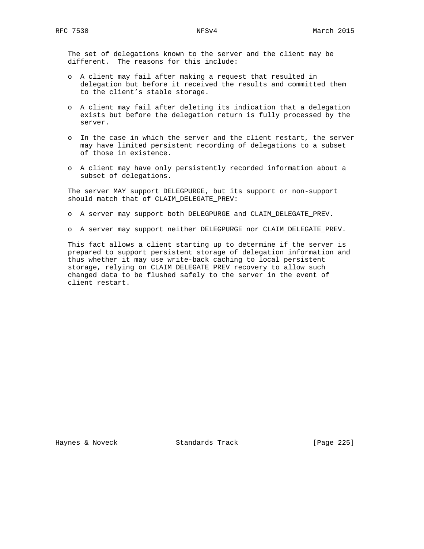The set of delegations known to the server and the client may be different. The reasons for this include:

- o A client may fail after making a request that resulted in delegation but before it received the results and committed them to the client's stable storage.
- o A client may fail after deleting its indication that a delegation exists but before the delegation return is fully processed by the server.
- o In the case in which the server and the client restart, the server may have limited persistent recording of delegations to a subset of those in existence.
- o A client may have only persistently recorded information about a subset of delegations.

 The server MAY support DELEGPURGE, but its support or non-support should match that of CLAIM\_DELEGATE\_PREV:

- o A server may support both DELEGPURGE and CLAIM\_DELEGATE\_PREV.
- o A server may support neither DELEGPURGE nor CLAIM\_DELEGATE\_PREV.

 This fact allows a client starting up to determine if the server is prepared to support persistent storage of delegation information and thus whether it may use write-back caching to local persistent storage, relying on CLAIM\_DELEGATE\_PREV recovery to allow such changed data to be flushed safely to the server in the event of client restart.

Haynes & Noveck Standards Track [Page 225]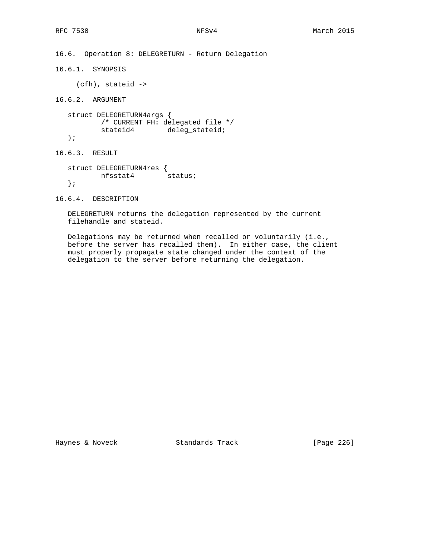16.6. Operation 8: DELEGRETURN - Return Delegation

16.6.1. SYNOPSIS

(cfh), stateid ->

16.6.2. ARGUMENT

 struct DELEGRETURN4args { /\* CURRENT\_FH: delegated file \*/ stateid4 deleg\_stateid; };

16.6.3. RESULT

 struct DELEGRETURN4res { nfsstat4 status; };

16.6.4. DESCRIPTION

 DELEGRETURN returns the delegation represented by the current filehandle and stateid.

 Delegations may be returned when recalled or voluntarily (i.e., before the server has recalled them). In either case, the client must properly propagate state changed under the context of the delegation to the server before returning the delegation.

Haynes & Noveck Standards Track [Page 226]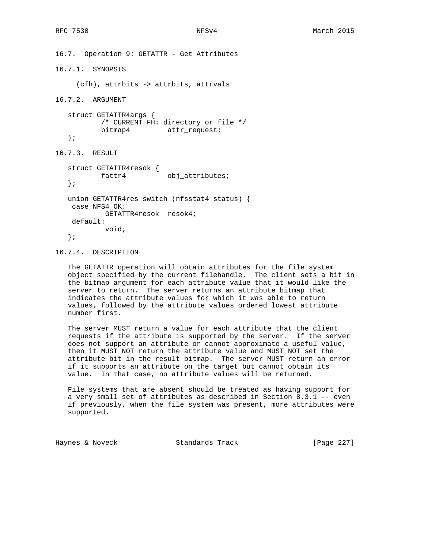16.7. Operation 9: GETATTR - Get Attributes

16.7.1. SYNOPSIS

(cfh), attrbits -> attrbits, attrvals

16.7.2. ARGUMENT

 struct GETATTR4args { /\* CURRENT\_FH: directory or file \*/ bitmap4 attr\_request; };

16.7.3. RESULT

```
 struct GETATTR4resok {
                         obj_attributes;
 };
 union GETATTR4res switch (nfsstat4 status) {
 case NFS4_OK:
          GETATTR4resok resok4;
 default:
          void;
 };
```
16.7.4. DESCRIPTION

 The GETATTR operation will obtain attributes for the file system object specified by the current filehandle. The client sets a bit in the bitmap argument for each attribute value that it would like the server to return. The server returns an attribute bitmap that indicates the attribute values for which it was able to return values, followed by the attribute values ordered lowest attribute number first.

 The server MUST return a value for each attribute that the client requests if the attribute is supported by the server. If the server does not support an attribute or cannot approximate a useful value, then it MUST NOT return the attribute value and MUST NOT set the attribute bit in the result bitmap. The server MUST return an error if it supports an attribute on the target but cannot obtain its value. In that case, no attribute values will be returned.

 File systems that are absent should be treated as having support for a very small set of attributes as described in Section 8.3.1 -- even if previously, when the file system was present, more attributes were supported.

Haynes & Noveck Standards Track [Page 227]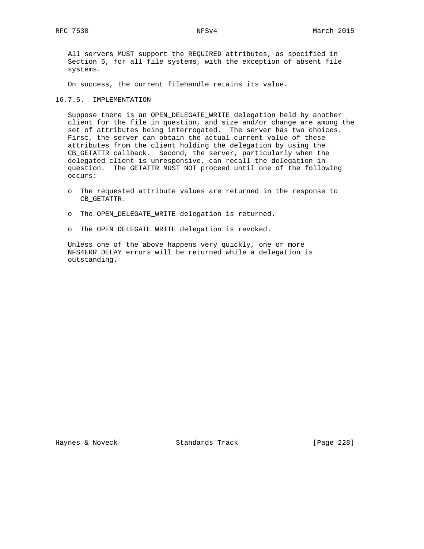All servers MUST support the REQUIRED attributes, as specified in Section 5, for all file systems, with the exception of absent file systems.

On success, the current filehandle retains its value.

## 16.7.5. IMPLEMENTATION

 Suppose there is an OPEN\_DELEGATE\_WRITE delegation held by another client for the file in question, and size and/or change are among the set of attributes being interrogated. The server has two choices. First, the server can obtain the actual current value of these attributes from the client holding the delegation by using the CB\_GETATTR callback. Second, the server, particularly when the delegated client is unresponsive, can recall the delegation in question. The GETATTR MUST NOT proceed until one of the following occurs:

- o The requested attribute values are returned in the response to CB\_GETATTR.
- o The OPEN\_DELEGATE\_WRITE delegation is returned.
- o The OPEN\_DELEGATE\_WRITE delegation is revoked.

 Unless one of the above happens very quickly, one or more NFS4ERR\_DELAY errors will be returned while a delegation is outstanding.

Haynes & Noveck Standards Track [Page 228]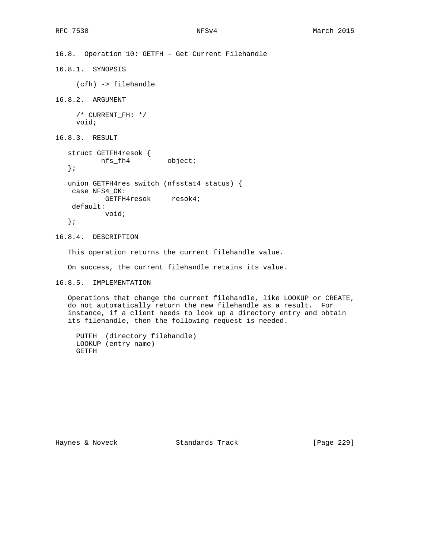16.8. Operation 10: GETFH - Get Current Filehandle 16.8.1. SYNOPSIS (cfh) -> filehandle 16.8.2. ARGUMENT /\* CURRENT\_FH: \*/ void; 16.8.3. RESULT struct GETFH4resok { GETFHILESON<br>
nfs\_fh4 object; }; union GETFH4res switch (nfsstat4 status) { case NFS4\_OK: GETFH4resok resok4; default: void; };

16.8.4. DESCRIPTION

This operation returns the current filehandle value.

On success, the current filehandle retains its value.

16.8.5. IMPLEMENTATION

 Operations that change the current filehandle, like LOOKUP or CREATE, do not automatically return the new filehandle as a result. For instance, if a client needs to look up a directory entry and obtain its filehandle, then the following request is needed.

```
 PUTFH (directory filehandle)
 LOOKUP (entry name)
 GETFH
```
Haynes & Noveck Standards Track [Page 229]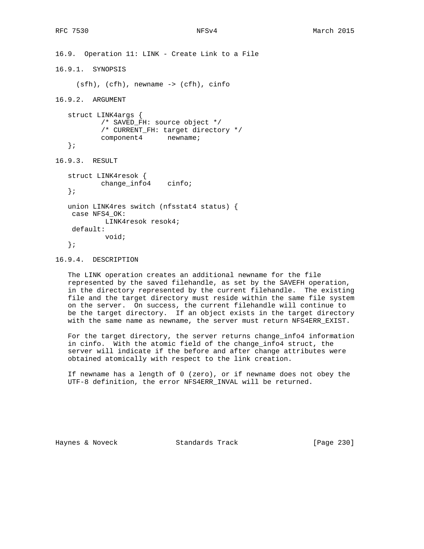```
16.9. Operation 11: LINK - Create Link to a File
16.9.1. SYNOPSIS
      (sfh), (cfh), newname -> (cfh), cinfo
16.9.2. ARGUMENT
   struct LINK4args {
           /* SAVED_FH: source object */
           /* CURRENT_FH: target directory */
           component4 newname;
    };
16.9.3. RESULT
   struct LINK4resok {
          change_info4 cinfo;
    };
   union LINK4res switch (nfsstat4 status) {
    case NFS4_OK:
            LINK4resok resok4;
    default:
            void;
    };
```
16.9.4. DESCRIPTION

 The LINK operation creates an additional newname for the file represented by the saved filehandle, as set by the SAVEFH operation, in the directory represented by the current filehandle. The existing file and the target directory must reside within the same file system on the server. On success, the current filehandle will continue to be the target directory. If an object exists in the target directory with the same name as newname, the server must return NFS4ERR\_EXIST.

 For the target directory, the server returns change\_info4 information in cinfo. With the atomic field of the change\_info4 struct, the server will indicate if the before and after change attributes were obtained atomically with respect to the link creation.

 If newname has a length of 0 (zero), or if newname does not obey the UTF-8 definition, the error NFS4ERR\_INVAL will be returned.

Haynes & Noveck Standards Track [Page 230]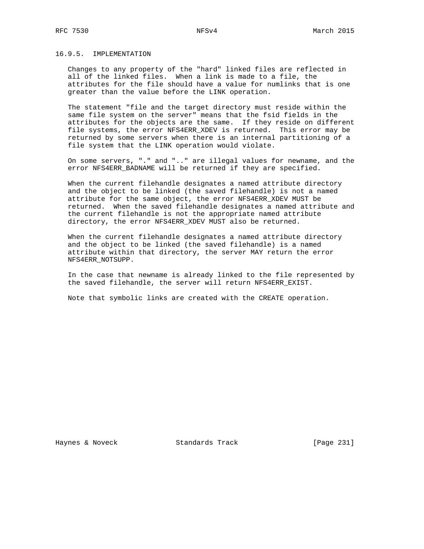## 16.9.5. IMPLEMENTATION

 Changes to any property of the "hard" linked files are reflected in all of the linked files. When a link is made to a file, the attributes for the file should have a value for numlinks that is one greater than the value before the LINK operation.

 The statement "file and the target directory must reside within the same file system on the server" means that the fsid fields in the attributes for the objects are the same. If they reside on different file systems, the error NFS4ERR\_XDEV is returned. This error may be returned by some servers when there is an internal partitioning of a file system that the LINK operation would violate.

 On some servers, "." and ".." are illegal values for newname, and the error NFS4ERR\_BADNAME will be returned if they are specified.

 When the current filehandle designates a named attribute directory and the object to be linked (the saved filehandle) is not a named attribute for the same object, the error NFS4ERR\_XDEV MUST be returned. When the saved filehandle designates a named attribute and the current filehandle is not the appropriate named attribute directory, the error NFS4ERR\_XDEV MUST also be returned.

 When the current filehandle designates a named attribute directory and the object to be linked (the saved filehandle) is a named attribute within that directory, the server MAY return the error NFS4ERR\_NOTSUPP.

 In the case that newname is already linked to the file represented by the saved filehandle, the server will return NFS4ERR\_EXIST.

Note that symbolic links are created with the CREATE operation.

Haynes & Noveck Standards Track [Page 231]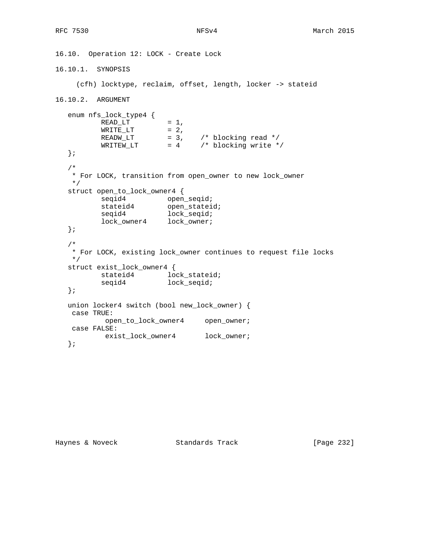```
16.10. Operation 12: LOCK - Create Lock
16.10.1. SYNOPSIS
     (cfh) locktype, reclaim, offset, length, locker -> stateid
16.10.2. ARGUMENT
   enum nfs_lock_type4 {
READ_LT = 1,
\texttt{WRITE\_LT} \qquad \qquad = \; 2 \;,READW_LT = 3, /* blocking read */WRITEW_LIT = 4 /* blocking write */
   };
   /*
    * For LOCK, transition from open_owner to new lock_owner
    */
   struct open_to_lock_owner4 {
seqid4 open_seqid;
stateid4 open_stateid;
seqid4 lock_seqid;
 lock_owner4 lock_owner;
   };
   /*
    * For LOCK, existing lock_owner continues to request file locks
    */
   struct exist_lock_owner4 {
         stateid4 lock_stateid;
          seqid4 lock_seqid;
   };
   union locker4 switch (bool new_lock_owner) {
    case TRUE:
          open_to_lock_owner4 open_owner;
    case FALSE:
          exist_lock_owner4 lock_owner;
   };
```
Haynes & Noveck Standards Track [Page 232]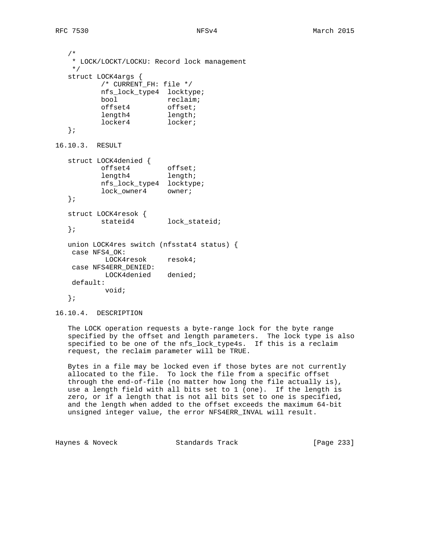/\* \* LOCK/LOCKT/LOCKU: Record lock management \*/ struct LOCK4args { /\* CURRENT\_FH: file \*/ nfs\_lock\_type4 locktype; bool reclaim; offset4 offset; length4 length; locker4 locker; }; 16.10.3. RESULT struct LOCK4denied { offset4 offset; length4 length; nfs\_lock\_type4 locktype; lock\_owner4 owner; }; struct LOCK4resok { stateid4 lock\_stateid; }; union LOCK4res switch (nfsstat4 status) { case NFS4\_OK: LOCK4resok resok4; case NFS4ERR\_DENIED: LOCK4denied denied; default: void; };

16.10.4. DESCRIPTION

 The LOCK operation requests a byte-range lock for the byte range specified by the offset and length parameters. The lock type is also specified to be one of the nfs\_lock\_type4s. If this is a reclaim request, the reclaim parameter will be TRUE.

 Bytes in a file may be locked even if those bytes are not currently allocated to the file. To lock the file from a specific offset through the end-of-file (no matter how long the file actually is), use a length field with all bits set to 1 (one). If the length is zero, or if a length that is not all bits set to one is specified, and the length when added to the offset exceeds the maximum 64-bit unsigned integer value, the error NFS4ERR\_INVAL will result.

Haynes & Noveck Standards Track [Page 233]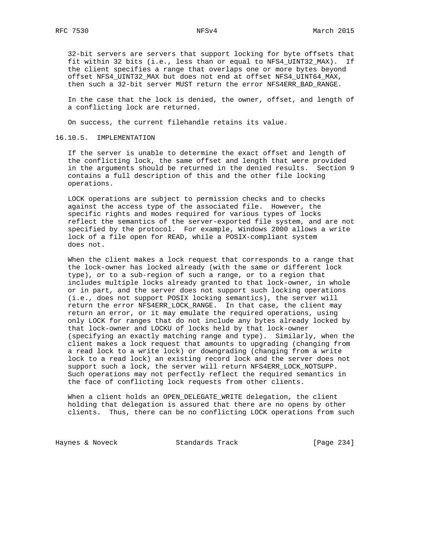32-bit servers are servers that support locking for byte offsets that fit within 32 bits (i.e., less than or equal to NFS4\_UINT32\_MAX). If the client specifies a range that overlaps one or more bytes beyond offset NFS4\_UINT32\_MAX but does not end at offset NFS4\_UINT64\_MAX, then such a 32-bit server MUST return the error NFS4ERR\_BAD\_RANGE.

 In the case that the lock is denied, the owner, offset, and length of a conflicting lock are returned.

On success, the current filehandle retains its value.

## 16.10.5. IMPLEMENTATION

 If the server is unable to determine the exact offset and length of the conflicting lock, the same offset and length that were provided in the arguments should be returned in the denied results. Section 9 contains a full description of this and the other file locking operations.

 LOCK operations are subject to permission checks and to checks against the access type of the associated file. However, the specific rights and modes required for various types of locks reflect the semantics of the server-exported file system, and are not specified by the protocol. For example, Windows 2000 allows a write lock of a file open for READ, while a POSIX-compliant system does not.

 When the client makes a lock request that corresponds to a range that the lock-owner has locked already (with the same or different lock type), or to a sub-region of such a range, or to a region that includes multiple locks already granted to that lock-owner, in whole or in part, and the server does not support such locking operations (i.e., does not support POSIX locking semantics), the server will return the error NFS4ERR LOCK RANGE. In that case, the client may return an error, or it may emulate the required operations, using only LOCK for ranges that do not include any bytes already locked by that lock-owner and LOCKU of locks held by that lock-owner (specifying an exactly matching range and type). Similarly, when the client makes a lock request that amounts to upgrading (changing from a read lock to a write lock) or downgrading (changing from a write lock to a read lock) an existing record lock and the server does not support such a lock, the server will return NFS4ERR\_LOCK\_NOTSUPP. Such operations may not perfectly reflect the required semantics in the face of conflicting lock requests from other clients.

 When a client holds an OPEN\_DELEGATE\_WRITE delegation, the client holding that delegation is assured that there are no opens by other clients. Thus, there can be no conflicting LOCK operations from such

Haynes & Noveck Standards Track [Page 234]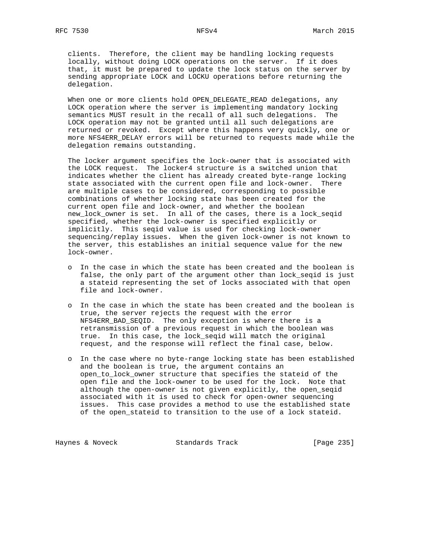clients. Therefore, the client may be handling locking requests locally, without doing LOCK operations on the server. If it does that, it must be prepared to update the lock status on the server by sending appropriate LOCK and LOCKU operations before returning the delegation.

 When one or more clients hold OPEN\_DELEGATE\_READ delegations, any LOCK operation where the server is implementing mandatory locking semantics MUST result in the recall of all such delegations. The LOCK operation may not be granted until all such delegations are returned or revoked. Except where this happens very quickly, one or more NFS4ERR\_DELAY errors will be returned to requests made while the delegation remains outstanding.

 The locker argument specifies the lock-owner that is associated with the LOCK request. The locker4 structure is a switched union that indicates whether the client has already created byte-range locking state associated with the current open file and lock-owner. There are multiple cases to be considered, corresponding to possible combinations of whether locking state has been created for the current open file and lock-owner, and whether the boolean new\_lock\_owner is set. In all of the cases, there is a lock\_seqid specified, whether the lock-owner is specified explicitly or implicitly. This seqid value is used for checking lock-owner sequencing/replay issues. When the given lock-owner is not known to the server, this establishes an initial sequence value for the new lock-owner.

- o In the case in which the state has been created and the boolean is false, the only part of the argument other than lock\_seqid is just a stateid representing the set of locks associated with that open file and lock-owner.
- o In the case in which the state has been created and the boolean is true, the server rejects the request with the error NFS4ERR\_BAD\_SEQID. The only exception is where there is a retransmission of a previous request in which the boolean was true. In this case, the lock\_seqid will match the original request, and the response will reflect the final case, below.
- o In the case where no byte-range locking state has been established and the boolean is true, the argument contains an open\_to\_lock\_owner structure that specifies the stateid of the open file and the lock-owner to be used for the lock. Note that although the open-owner is not given explicitly, the open\_seqid associated with it is used to check for open-owner sequencing issues. This case provides a method to use the established state of the open\_stateid to transition to the use of a lock stateid.

Haynes & Noveck Standards Track [Page 235]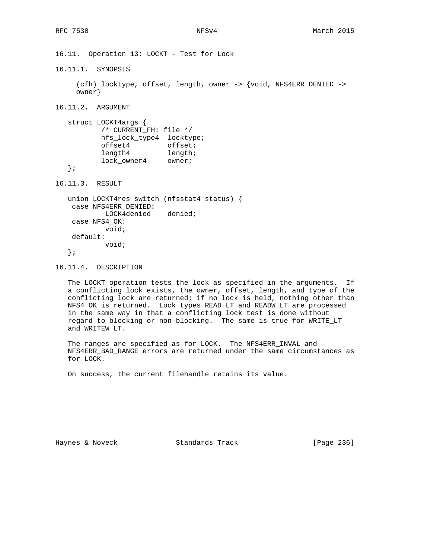16.11. Operation 13: LOCKT - Test for Lock

16.11.1. SYNOPSIS

 (cfh) locktype, offset, length, owner -> {void, NFS4ERR\_DENIED -> owner}

16.11.2. ARGUMENT

 struct LOCKT4args { /\* CURRENT\_FH: file \*/ nfs\_lock\_type4 locktype; offset4 offset; length4 length; lock\_owner4 owner; };

16.11.3. RESULT

 union LOCKT4res switch (nfsstat4 status) { case NFS4ERR\_DENIED: LOCK4denied denied; case NFS4\_OK: void; default: void; };

16.11.4. DESCRIPTION

 The LOCKT operation tests the lock as specified in the arguments. If a conflicting lock exists, the owner, offset, length, and type of the conflicting lock are returned; if no lock is held, nothing other than NFS4\_OK is returned. Lock types READ\_LT and READW\_LT are processed in the same way in that a conflicting lock test is done without regard to blocking or non-blocking. The same is true for WRITE\_LT and WRITEW\_LT.

 The ranges are specified as for LOCK. The NFS4ERR\_INVAL and NFS4ERR\_BAD\_RANGE errors are returned under the same circumstances as for LOCK.

On success, the current filehandle retains its value.

Haynes & Noveck Standards Track [Page 236]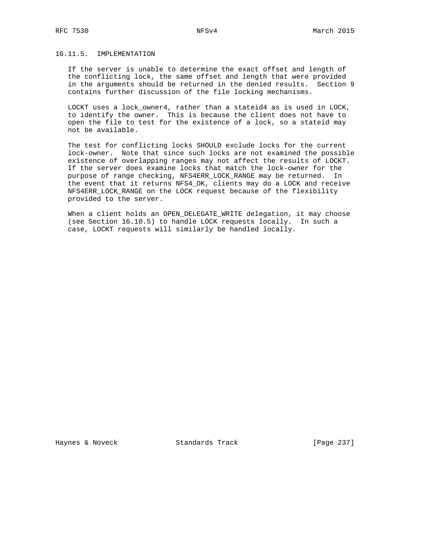# 16.11.5. IMPLEMENTATION

 If the server is unable to determine the exact offset and length of the conflicting lock, the same offset and length that were provided in the arguments should be returned in the denied results. Section 9 contains further discussion of the file locking mechanisms.

 LOCKT uses a lock\_owner4, rather than a stateid4 as is used in LOCK, to identify the owner. This is because the client does not have to open the file to test for the existence of a lock, so a stateid may not be available.

 The test for conflicting locks SHOULD exclude locks for the current lock-owner. Note that since such locks are not examined the possible existence of overlapping ranges may not affect the results of LOCKT. If the server does examine locks that match the lock-owner for the purpose of range checking, NFS4ERR\_LOCK\_RANGE may be returned. In the event that it returns NFS4\_OK, clients may do a LOCK and receive NFS4ERR\_LOCK\_RANGE on the LOCK request because of the flexibility provided to the server.

 When a client holds an OPEN\_DELEGATE\_WRITE delegation, it may choose (see Section 16.10.5) to handle LOCK requests locally. In such a case, LOCKT requests will similarly be handled locally.

Haynes & Noveck Standards Track [Page 237]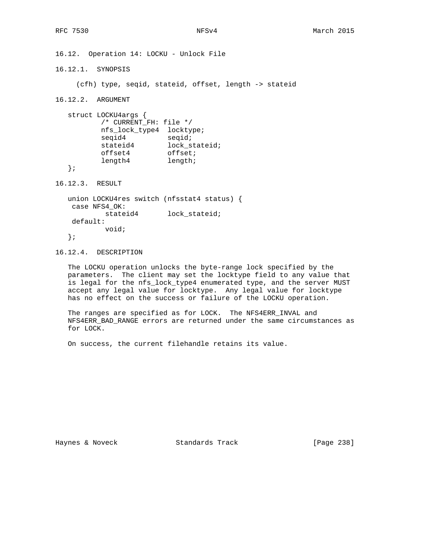16.12. Operation 14: LOCKU - Unlock File

16.12.1. SYNOPSIS

(cfh) type, seqid, stateid, offset, length -> stateid

16.12.2. ARGUMENT

 struct LOCKU4args { /\* CURRENT\_FH: file \*/ nfs\_lock\_type4 locktype; seqid4 seqid; stateid4 lock\_stateid; offset4 offset; length4 length;

};

16.12.3. RESULT

```
 union LOCKU4res switch (nfsstat4 status) {
 case NFS4_OK:
         stateid4 lock_stateid;
 default:
         void;
```
};

16.12.4. DESCRIPTION

 The LOCKU operation unlocks the byte-range lock specified by the parameters. The client may set the locktype field to any value that is legal for the nfs\_lock\_type4 enumerated type, and the server MUST accept any legal value for locktype. Any legal value for locktype has no effect on the success or failure of the LOCKU operation.

 The ranges are specified as for LOCK. The NFS4ERR\_INVAL and NFS4ERR\_BAD\_RANGE errors are returned under the same circumstances as for LOCK.

On success, the current filehandle retains its value.

Haynes & Noveck Standards Track [Page 238]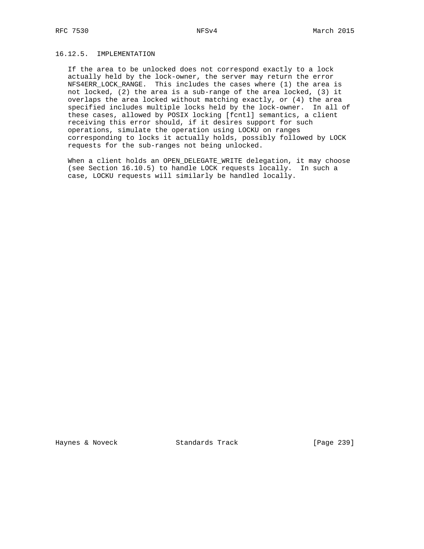# 16.12.5. IMPLEMENTATION

 If the area to be unlocked does not correspond exactly to a lock actually held by the lock-owner, the server may return the error NFS4ERR\_LOCK\_RANGE. This includes the cases where (1) the area is not locked, (2) the area is a sub-range of the area locked, (3) it overlaps the area locked without matching exactly, or (4) the area specified includes multiple locks held by the lock-owner. In all of these cases, allowed by POSIX locking [fcntl] semantics, a client receiving this error should, if it desires support for such operations, simulate the operation using LOCKU on ranges corresponding to locks it actually holds, possibly followed by LOCK requests for the sub-ranges not being unlocked.

When a client holds an OPEN\_DELEGATE\_WRITE delegation, it may choose (see Section 16.10.5) to handle LOCK requests locally. In such a case, LOCKU requests will similarly be handled locally.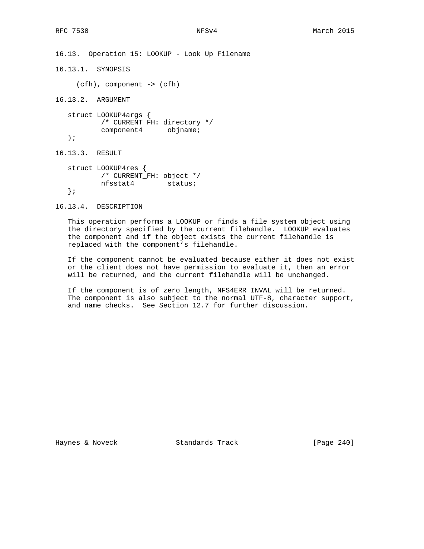16.13. Operation 15: LOOKUP - Look Up Filename

16.13.1. SYNOPSIS

(cfh), component -> (cfh)

16.13.2. ARGUMENT

 struct LOOKUP4args { /\* CURRENT\_FH: directory \*/ component4 objname;

};

16.13.3. RESULT

 struct LOOKUP4res { /\* CURRENT\_FH: object \*/ nfsstat4 status; };

16.13.4. DESCRIPTION

 This operation performs a LOOKUP or finds a file system object using the directory specified by the current filehandle. LOOKUP evaluates the component and if the object exists the current filehandle is replaced with the component's filehandle.

 If the component cannot be evaluated because either it does not exist or the client does not have permission to evaluate it, then an error will be returned, and the current filehandle will be unchanged.

 If the component is of zero length, NFS4ERR\_INVAL will be returned. The component is also subject to the normal UTF-8, character support, and name checks. See Section 12.7 for further discussion.

Haynes & Noveck Standards Track [Page 240]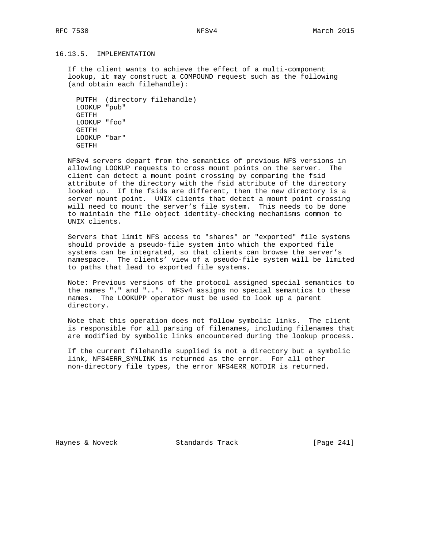# 16.13.5. IMPLEMENTATION

 If the client wants to achieve the effect of a multi-component lookup, it may construct a COMPOUND request such as the following (and obtain each filehandle):

 PUTFH (directory filehandle) LOOKUP "pub" GETFH LOOKUP "foo" GETFH LOOKUP "bar" GETFH

 NFSv4 servers depart from the semantics of previous NFS versions in allowing LOOKUP requests to cross mount points on the server. The client can detect a mount point crossing by comparing the fsid attribute of the directory with the fsid attribute of the directory looked up. If the fsids are different, then the new directory is a server mount point. UNIX clients that detect a mount point crossing will need to mount the server's file system. This needs to be done to maintain the file object identity-checking mechanisms common to UNIX clients.

 Servers that limit NFS access to "shares" or "exported" file systems should provide a pseudo-file system into which the exported file systems can be integrated, so that clients can browse the server's namespace. The clients' view of a pseudo-file system will be limited to paths that lead to exported file systems.

 Note: Previous versions of the protocol assigned special semantics to the names "." and "..". NFSv4 assigns no special semantics to these names. The LOOKUPP operator must be used to look up a parent directory.

 Note that this operation does not follow symbolic links. The client is responsible for all parsing of filenames, including filenames that are modified by symbolic links encountered during the lookup process.

 If the current filehandle supplied is not a directory but a symbolic link, NFS4ERR\_SYMLINK is returned as the error. For all other non-directory file types, the error NFS4ERR\_NOTDIR is returned.

Haynes & Noveck Standards Track [Page 241]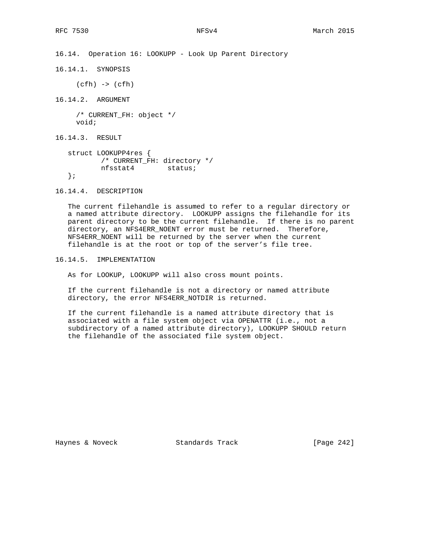16.14. Operation 16: LOOKUPP - Look Up Parent Directory

16.14.1. SYNOPSIS

(cfh) -> (cfh)

16.14.2. ARGUMENT

 /\* CURRENT\_FH: object \*/ void;

16.14.3. RESULT

```
 struct LOOKUPP4res {
        /* CURRENT_FH: directory */
        nfsstat4 status;
 };
```
16.14.4. DESCRIPTION

 The current filehandle is assumed to refer to a regular directory or a named attribute directory. LOOKUPP assigns the filehandle for its parent directory to be the current filehandle. If there is no parent directory, an NFS4ERR\_NOENT error must be returned. Therefore, NFS4ERR\_NOENT will be returned by the server when the current filehandle is at the root or top of the server's file tree.

16.14.5. IMPLEMENTATION

As for LOOKUP, LOOKUPP will also cross mount points.

 If the current filehandle is not a directory or named attribute directory, the error NFS4ERR\_NOTDIR is returned.

 If the current filehandle is a named attribute directory that is associated with a file system object via OPENATTR (i.e., not a subdirectory of a named attribute directory), LOOKUPP SHOULD return the filehandle of the associated file system object.

Haynes & Noveck Standards Track [Page 242]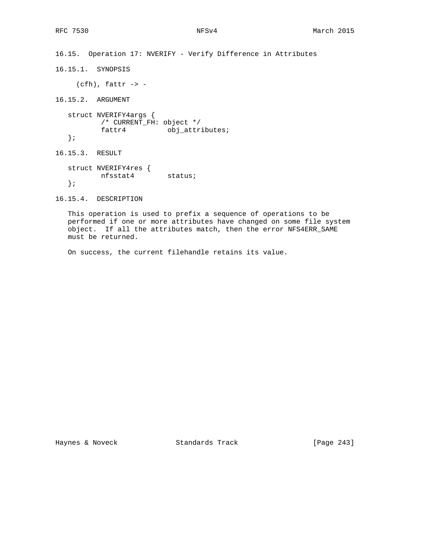16.15. Operation 17: NVERIFY - Verify Difference in Attributes

16.15.1. SYNOPSIS

 $(cfh)$ , fattr -> -

16.15.2. ARGUMENT

 struct NVERIFY4args { /\* CURRENT\_FH: object \*/ fattr4 obj\_attributes; };

16.15.3. RESULT

 struct NVERIFY4res { nfsstat4 status; };

16.15.4. DESCRIPTION

 This operation is used to prefix a sequence of operations to be performed if one or more attributes have changed on some file system object. If all the attributes match, then the error NFS4ERR\_SAME must be returned.

On success, the current filehandle retains its value.

Haynes & Noveck Standards Track [Page 243]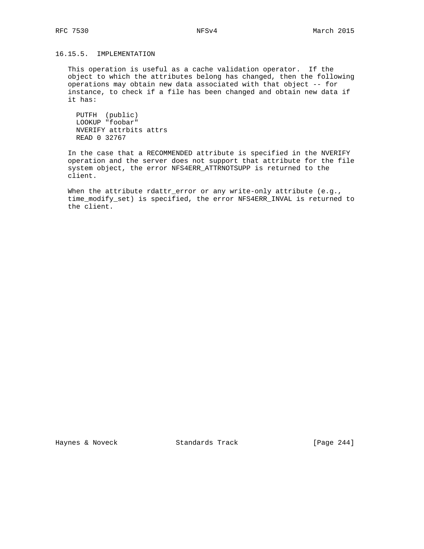# 16.15.5. IMPLEMENTATION

 This operation is useful as a cache validation operator. If the object to which the attributes belong has changed, then the following operations may obtain new data associated with that object -- for instance, to check if a file has been changed and obtain new data if it has:

 PUTFH (public) LOOKUP "foobar" NVERIFY attrbits attrs READ 0 32767

 In the case that a RECOMMENDED attribute is specified in the NVERIFY operation and the server does not support that attribute for the file system object, the error NFS4ERR\_ATTRNOTSUPP is returned to the client.

When the attribute rdattr\_error or any write-only attribute (e.g., time\_modify\_set) is specified, the error NFS4ERR\_INVAL is returned to the client.

Haynes & Noveck Standards Track [Page 244]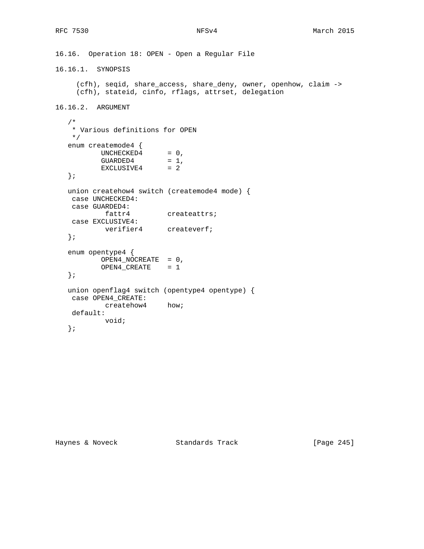```
16.16. Operation 18: OPEN - Open a Regular File
16.16.1. SYNOPSIS
     (cfh), seqid, share_access, share_deny, owner, openhow, claim ->
     (cfh), stateid, cinfo, rflags, attrset, delegation
16.16.2. ARGUMENT
   /*
    * Various definitions for OPEN
    */
   enum createmode4 {
UNCHECKED4 = 0,
GUARDED4 = 1,
EXCLUSIVE4 = 2
   };
   union createhow4 switch (createmode4 mode) {
    case UNCHECKED4:
    case GUARDED4:
          fattr4 createattrs;
    case EXCLUSIVE4:
         verifier4 createverf;
   };
   enum opentype4 {
          OPEN4_NOCREATE = 0,
           OPEN4_CREATE = 1
   };
   union openflag4 switch (opentype4 opentype) {
    case OPEN4_CREATE:
           createhow4 how;
    default:
           void;
   };
```
Haynes & Noveck Standards Track [Page 245]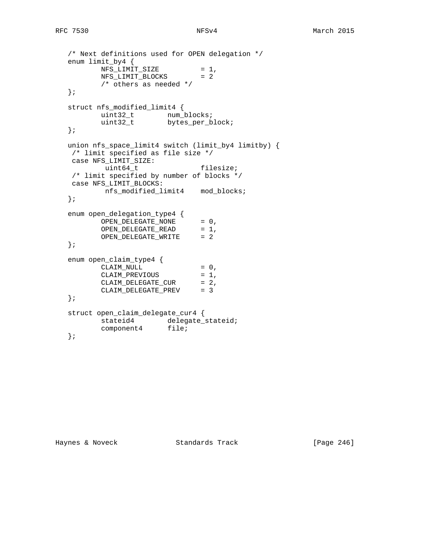```
 /* Next definitions used for OPEN delegation */
   enum limit_by4 {
NFS_LIMIT_SIZE = 1,
NFS_LIMIT_BLOCKS = 2
         /* others as needed */
   };
   struct nfs_modified_limit4 {
uint32_t num_blocks;
uint32_t bytes_per_block;
   };
  union nfs_space_limit4 switch (limit_by4 limitby) {<br>/* limit specified as file size */
 /* limit specified as file size */
 case NFS_LIMIT_SIZE:
uint64_t filesize;
   /* limit specified by number of blocks */
   case NFS_LIMIT_BLOCKS:
         nfs_modified_limit4 mod_blocks;
   };
   enum open_delegation_type4 {
OPEN_DELEGATE_NONE = 0,
OPEN_DELEGATE_READ = 1,
OPEN_DELEGATE_WRITE = 2
   };
   enum open_claim_type4 {
CLAIM_NULL = 0,
CLAIM_PREVIOUS = 1,
CLAIM_DELEGATE_CUR = 2,
 CLAIM_DELEGATE_PREV = 3
   };
   struct open_claim_delegate_cur4 {
        stateid4 delegate_stateid;
         component4 file;
   };
```
Haynes & Noveck Standards Track [Page 246]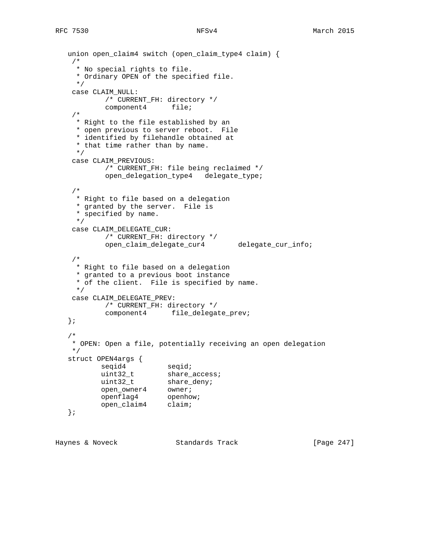```
 union open_claim4 switch (open_claim_type4 claim) {
    /*
     * No special rights to file.
     * Ordinary OPEN of the specified file.
     */
    case CLAIM_NULL:
          /* CURRENT_FH: directory */
           component4 file;
    /*
     * Right to the file established by an
     * open previous to server reboot. File
     * identified by filehandle obtained at
     * that time rather than by name.
     */
    case CLAIM_PREVIOUS:
          /* CURRENT_FH: file being reclaimed */
           open_delegation_type4 delegate_type;
    /*
     * Right to file based on a delegation
     * granted by the server. File is
     * specified by name.
     */
    case CLAIM_DELEGATE_CUR:
           /* CURRENT_FH: directory */
           open_claim_delegate_cur4 delegate_cur_info;
    /*
     * Right to file based on a delegation
     * granted to a previous boot instance
     * of the client. File is specified by name.
     */
    case CLAIM_DELEGATE_PREV:
           /* CURRENT_FH: directory */
           component4 file_delegate_prev;
   };
   /*
    * OPEN: Open a file, potentially receiving an open delegation
    */
   struct OPEN4args {
seqid4 seqid;
uint32_t share_access;
uint32_t share_deny;
open_owner4 owner;
openflag4 openhow;
open_claim4 claim;
   };
```
Haynes & Noveck Standards Track [Page 247]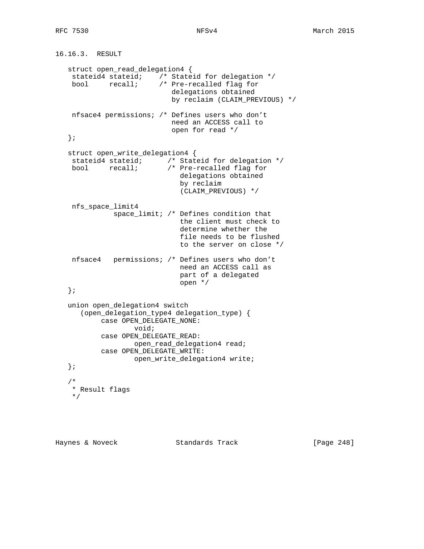```
16.16.3. RESULT
    struct open_read_delegation4 {
     stateid4 stateid; /* Stateid for delegation */
    bool recall; /* Pre-recalled flag for
                             delegations obtained
                             by reclaim (CLAIM_PREVIOUS) */
     nfsace4 permissions; /* Defines users who don't
                             need an ACCESS call to
                             open for read */
    };
    struct open_write_delegation4 {
     stateid4 stateid; /* Stateid for delegation */
     bool recall; /* Pre-recalled flag for
                               delegations obtained
                               by reclaim
                               (CLAIM_PREVIOUS) */
     nfs_space_limit4
               space_limit; /* Defines condition that
                               the client must check to
                               determine whether the
                               file needs to be flushed
                               to the server on close */
     nfsace4 permissions; /* Defines users who don't
                               need an ACCESS call as
                               part of a delegated
                               open */
    };
   union open_delegation4 switch
       (open_delegation_type4 delegation_type) {
            case OPEN_DELEGATE_NONE:
                    void;
            case OPEN_DELEGATE_READ:
                   open_read_delegation4 read;
            case OPEN_DELEGATE_WRITE:
                    open_write_delegation4 write;
    };
 /*
    * Result flags
    */
```
Haynes & Noveck Standards Track [Page 248]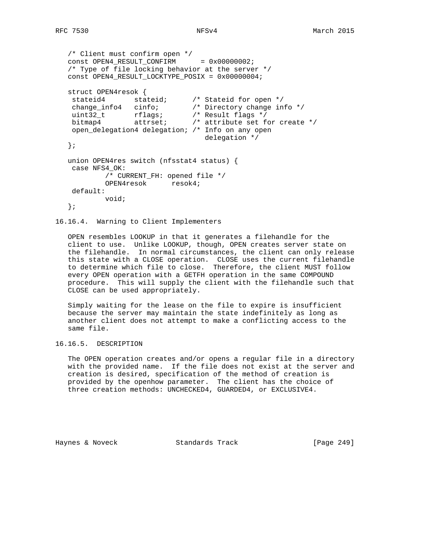```
 /* Client must confirm open */
  const OPEN4_RESULT_CONFIRM = 0x00000002;
   /* Type of file locking behavior at the server */
   const OPEN4_RESULT_LOCKTYPE_POSIX = 0x00000004;
   struct OPEN4resok {
 stateid4 stateid; /* Stateid for open */
 change_info4 cinfo; /* Directory change info */
 uint32_t rflags; /* Result flags */
 bitmap4 attrset; /* attribute set for create */
    open_delegation4 delegation; /* Info on any open
                                delegation */
   };
   union OPEN4res switch (nfsstat4 status) {
    case NFS4_OK:
           /* CURRENT_FH: opened file */
           OPEN4resok resok4;
    default:
           void;
   };
```
16.16.4. Warning to Client Implementers

 OPEN resembles LOOKUP in that it generates a filehandle for the client to use. Unlike LOOKUP, though, OPEN creates server state on the filehandle. In normal circumstances, the client can only release this state with a CLOSE operation. CLOSE uses the current filehandle to determine which file to close. Therefore, the client MUST follow every OPEN operation with a GETFH operation in the same COMPOUND procedure. This will supply the client with the filehandle such that CLOSE can be used appropriately.

 Simply waiting for the lease on the file to expire is insufficient because the server may maintain the state indefinitely as long as another client does not attempt to make a conflicting access to the same file.

16.16.5. DESCRIPTION

 The OPEN operation creates and/or opens a regular file in a directory with the provided name. If the file does not exist at the server and creation is desired, specification of the method of creation is provided by the openhow parameter. The client has the choice of three creation methods: UNCHECKED4, GUARDED4, or EXCLUSIVE4.

Haynes & Noveck Standards Track [Page 249]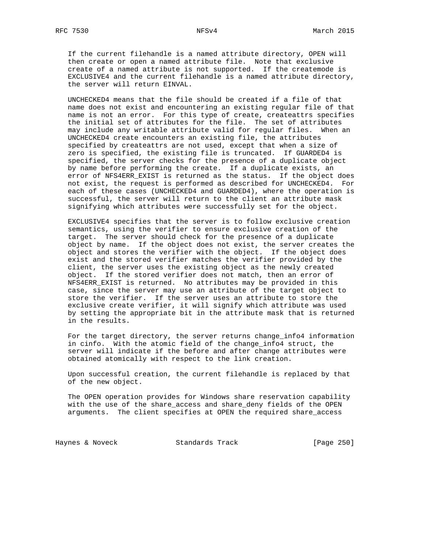If the current filehandle is a named attribute directory, OPEN will then create or open a named attribute file. Note that exclusive create of a named attribute is not supported. If the createmode is EXCLUSIVE4 and the current filehandle is a named attribute directory, the server will return EINVAL.

 UNCHECKED4 means that the file should be created if a file of that name does not exist and encountering an existing regular file of that name is not an error. For this type of create, createattrs specifies the initial set of attributes for the file. The set of attributes may include any writable attribute valid for regular files. When an UNCHECKED4 create encounters an existing file, the attributes specified by createattrs are not used, except that when a size of zero is specified, the existing file is truncated. If GUARDED4 is specified, the server checks for the presence of a duplicate object by name before performing the create. If a duplicate exists, an error of NFS4ERR\_EXIST is returned as the status. If the object does not exist, the request is performed as described for UNCHECKED4. For each of these cases (UNCHECKED4 and GUARDED4), where the operation is successful, the server will return to the client an attribute mask signifying which attributes were successfully set for the object.

 EXCLUSIVE4 specifies that the server is to follow exclusive creation semantics, using the verifier to ensure exclusive creation of the target. The server should check for the presence of a duplicate object by name. If the object does not exist, the server creates the object and stores the verifier with the object. If the object does exist and the stored verifier matches the verifier provided by the client, the server uses the existing object as the newly created object. If the stored verifier does not match, then an error of NFS4ERR\_EXIST is returned. No attributes may be provided in this case, since the server may use an attribute of the target object to store the verifier. If the server uses an attribute to store the exclusive create verifier, it will signify which attribute was used by setting the appropriate bit in the attribute mask that is returned in the results.

 For the target directory, the server returns change\_info4 information in cinfo. With the atomic field of the change\_info4 struct, the server will indicate if the before and after change attributes were obtained atomically with respect to the link creation.

 Upon successful creation, the current filehandle is replaced by that of the new object.

 The OPEN operation provides for Windows share reservation capability with the use of the share\_access and share\_deny fields of the OPEN arguments. The client specifies at OPEN the required share\_access

Haynes & Noveck Standards Track [Page 250]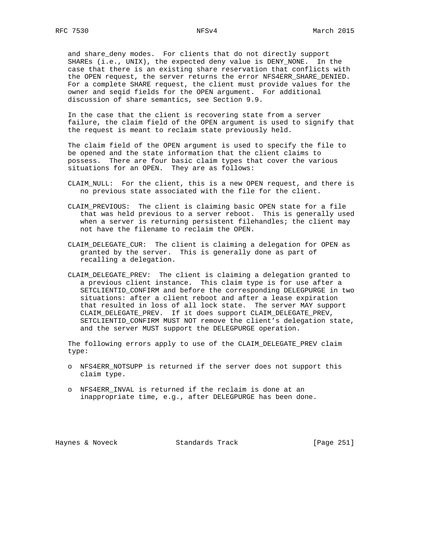and share\_deny modes. For clients that do not directly support SHAREs (i.e., UNIX), the expected deny value is DENY\_NONE. In the case that there is an existing share reservation that conflicts with the OPEN request, the server returns the error NFS4ERR\_SHARE\_DENIED. For a complete SHARE request, the client must provide values for the owner and seqid fields for the OPEN argument. For additional discussion of share semantics, see Section 9.9.

 In the case that the client is recovering state from a server failure, the claim field of the OPEN argument is used to signify that the request is meant to reclaim state previously held.

 The claim field of the OPEN argument is used to specify the file to be opened and the state information that the client claims to possess. There are four basic claim types that cover the various situations for an OPEN. They are as follows:

- CLAIM\_NULL: For the client, this is a new OPEN request, and there is no previous state associated with the file for the client.
- CLAIM\_PREVIOUS: The client is claiming basic OPEN state for a file that was held previous to a server reboot. This is generally used when a server is returning persistent filehandles; the client may not have the filename to reclaim the OPEN.
- CLAIM\_DELEGATE\_CUR: The client is claiming a delegation for OPEN as granted by the server. This is generally done as part of recalling a delegation.
- CLAIM\_DELEGATE\_PREV: The client is claiming a delegation granted to a previous client instance. This claim type is for use after a SETCLIENTID\_CONFIRM and before the corresponding DELEGPURGE in two situations: after a client reboot and after a lease expiration that resulted in loss of all lock state. The server MAY support CLAIM\_DELEGATE\_PREV. If it does support CLAIM\_DELEGATE\_PREV, SETCLIENTID\_CONFIRM MUST NOT remove the client's delegation state, and the server MUST support the DELEGPURGE operation.

 The following errors apply to use of the CLAIM\_DELEGATE\_PREV claim type:

- o NFS4ERR\_NOTSUPP is returned if the server does not support this claim type.
- o NFS4ERR\_INVAL is returned if the reclaim is done at an inappropriate time, e.g., after DELEGPURGE has been done.

Haynes & Noveck Standards Track [Page 251]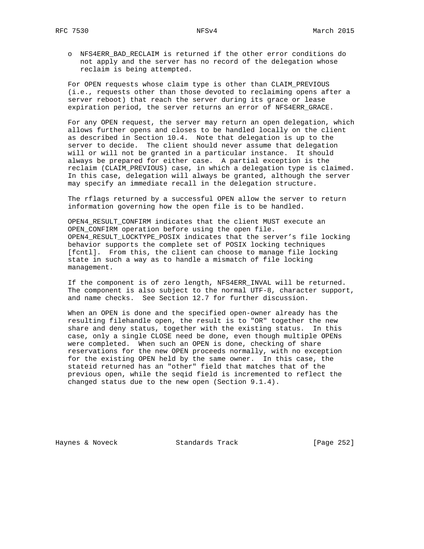o NFS4ERR\_BAD\_RECLAIM is returned if the other error conditions do not apply and the server has no record of the delegation whose reclaim is being attempted.

 For OPEN requests whose claim type is other than CLAIM\_PREVIOUS (i.e., requests other than those devoted to reclaiming opens after a server reboot) that reach the server during its grace or lease expiration period, the server returns an error of NFS4ERR\_GRACE.

 For any OPEN request, the server may return an open delegation, which allows further opens and closes to be handled locally on the client as described in Section 10.4. Note that delegation is up to the server to decide. The client should never assume that delegation will or will not be granted in a particular instance. It should always be prepared for either case. A partial exception is the reclaim (CLAIM\_PREVIOUS) case, in which a delegation type is claimed. In this case, delegation will always be granted, although the server may specify an immediate recall in the delegation structure.

 The rflags returned by a successful OPEN allow the server to return information governing how the open file is to be handled.

 OPEN4\_RESULT\_CONFIRM indicates that the client MUST execute an OPEN\_CONFIRM operation before using the open file. OPEN4\_RESULT\_LOCKTYPE\_POSIX indicates that the server's file locking behavior supports the complete set of POSIX locking techniques [fcntl]. From this, the client can choose to manage file locking state in such a way as to handle a mismatch of file locking management.

 If the component is of zero length, NFS4ERR\_INVAL will be returned. The component is also subject to the normal UTF-8, character support, and name checks. See Section 12.7 for further discussion.

 When an OPEN is done and the specified open-owner already has the resulting filehandle open, the result is to "OR" together the new share and deny status, together with the existing status. In this case, only a single CLOSE need be done, even though multiple OPENs were completed. When such an OPEN is done, checking of share reservations for the new OPEN proceeds normally, with no exception for the existing OPEN held by the same owner. In this case, the stateid returned has an "other" field that matches that of the previous open, while the seqid field is incremented to reflect the changed status due to the new open (Section 9.1.4).

Haynes & Noveck Standards Track [Page 252]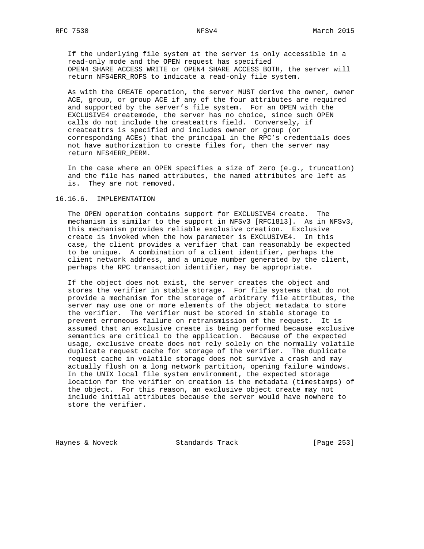If the underlying file system at the server is only accessible in a read-only mode and the OPEN request has specified OPEN4\_SHARE\_ACCESS\_WRITE or OPEN4\_SHARE\_ACCESS\_BOTH, the server will return NFS4ERR\_ROFS to indicate a read-only file system.

 As with the CREATE operation, the server MUST derive the owner, owner ACE, group, or group ACE if any of the four attributes are required and supported by the server's file system. For an OPEN with the EXCLUSIVE4 createmode, the server has no choice, since such OPEN calls do not include the createattrs field. Conversely, if createattrs is specified and includes owner or group (or corresponding ACEs) that the principal in the RPC's credentials does not have authorization to create files for, then the server may return NFS4ERR\_PERM.

 In the case where an OPEN specifies a size of zero (e.g., truncation) and the file has named attributes, the named attributes are left as is. They are not removed.

#### 16.16.6. IMPLEMENTATION

 The OPEN operation contains support for EXCLUSIVE4 create. The mechanism is similar to the support in NFSv3 [RFC1813]. As in NFSv3, this mechanism provides reliable exclusive creation. Exclusive create is invoked when the how parameter is EXCLUSIVE4. In this case, the client provides a verifier that can reasonably be expected to be unique. A combination of a client identifier, perhaps the client network address, and a unique number generated by the client, perhaps the RPC transaction identifier, may be appropriate.

 If the object does not exist, the server creates the object and stores the verifier in stable storage. For file systems that do not provide a mechanism for the storage of arbitrary file attributes, the server may use one or more elements of the object metadata to store the verifier. The verifier must be stored in stable storage to prevent erroneous failure on retransmission of the request. It is assumed that an exclusive create is being performed because exclusive semantics are critical to the application. Because of the expected usage, exclusive create does not rely solely on the normally volatile duplicate request cache for storage of the verifier. The duplicate request cache in volatile storage does not survive a crash and may actually flush on a long network partition, opening failure windows. In the UNIX local file system environment, the expected storage location for the verifier on creation is the metadata (timestamps) of the object. For this reason, an exclusive object create may not include initial attributes because the server would have nowhere to store the verifier.

Haynes & Noveck Standards Track [Page 253]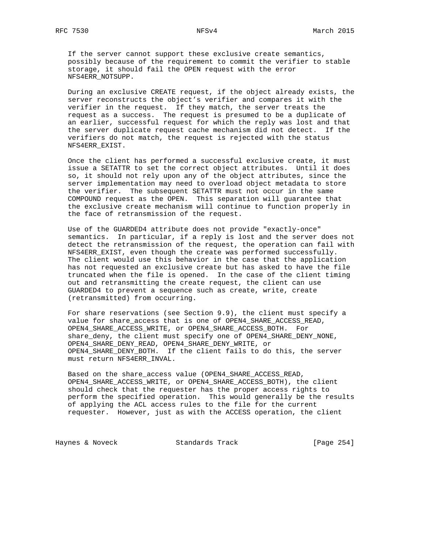If the server cannot support these exclusive create semantics, possibly because of the requirement to commit the verifier to stable storage, it should fail the OPEN request with the error NFS4ERR\_NOTSUPP.

 During an exclusive CREATE request, if the object already exists, the server reconstructs the object's verifier and compares it with the verifier in the request. If they match, the server treats the request as a success. The request is presumed to be a duplicate of an earlier, successful request for which the reply was lost and that the server duplicate request cache mechanism did not detect. If the verifiers do not match, the request is rejected with the status NFS4ERR\_EXIST.

 Once the client has performed a successful exclusive create, it must issue a SETATTR to set the correct object attributes. Until it does so, it should not rely upon any of the object attributes, since the server implementation may need to overload object metadata to store the verifier. The subsequent SETATTR must not occur in the same COMPOUND request as the OPEN. This separation will guarantee that the exclusive create mechanism will continue to function properly in the face of retransmission of the request.

 Use of the GUARDED4 attribute does not provide "exactly-once" semantics. In particular, if a reply is lost and the server does not detect the retransmission of the request, the operation can fail with NFS4ERR\_EXIST, even though the create was performed successfully. The client would use this behavior in the case that the application has not requested an exclusive create but has asked to have the file truncated when the file is opened. In the case of the client timing out and retransmitting the create request, the client can use GUARDED4 to prevent a sequence such as create, write, create (retransmitted) from occurring.

 For share reservations (see Section 9.9), the client must specify a value for share\_access that is one of OPEN4\_SHARE\_ACCESS\_READ, OPEN4\_SHARE\_ACCESS\_WRITE, or OPEN4\_SHARE\_ACCESS\_BOTH. For share\_deny, the client must specify one of OPEN4\_SHARE\_DENY\_NONE, OPEN4\_SHARE\_DENY\_READ, OPEN4\_SHARE\_DENY\_WRITE, or OPEN4 SHARE DENY BOTH. If the client fails to do this, the server must return NFS4ERR\_INVAL.

 Based on the share\_access value (OPEN4\_SHARE\_ACCESS\_READ, OPEN4\_SHARE\_ACCESS\_WRITE, or OPEN4\_SHARE\_ACCESS\_BOTH), the client should check that the requester has the proper access rights to perform the specified operation. This would generally be the results of applying the ACL access rules to the file for the current requester. However, just as with the ACCESS operation, the client

Haynes & Noveck Standards Track [Page 254]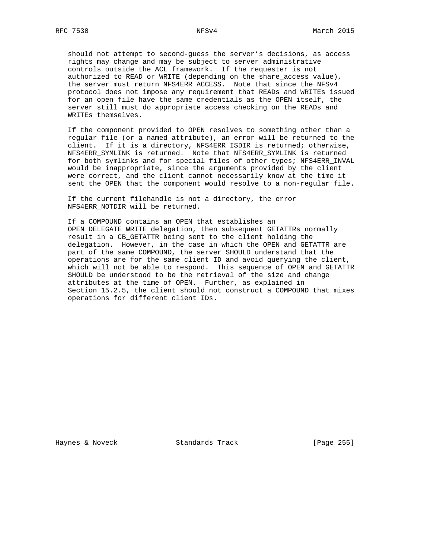should not attempt to second-guess the server's decisions, as access rights may change and may be subject to server administrative controls outside the ACL framework. If the requester is not authorized to READ or WRITE (depending on the share\_access value), the server must return NFS4ERR\_ACCESS. Note that since the NFSv4 protocol does not impose any requirement that READs and WRITEs issued for an open file have the same credentials as the OPEN itself, the server still must do appropriate access checking on the READs and WRITEs themselves.

 If the component provided to OPEN resolves to something other than a regular file (or a named attribute), an error will be returned to the client. If it is a directory, NFS4ERR\_ISDIR is returned; otherwise, NFS4ERR\_SYMLINK is returned. Note that NFS4ERR\_SYMLINK is returned for both symlinks and for special files of other types; NFS4ERR\_INVAL would be inappropriate, since the arguments provided by the client were correct, and the client cannot necessarily know at the time it sent the OPEN that the component would resolve to a non-regular file.

 If the current filehandle is not a directory, the error NFS4ERR\_NOTDIR will be returned.

 If a COMPOUND contains an OPEN that establishes an OPEN\_DELEGATE\_WRITE delegation, then subsequent GETATTRs normally result in a CB\_GETATTR being sent to the client holding the delegation. However, in the case in which the OPEN and GETATTR are part of the same COMPOUND, the server SHOULD understand that the operations are for the same client ID and avoid querying the client, which will not be able to respond. This sequence of OPEN and GETATTR SHOULD be understood to be the retrieval of the size and change attributes at the time of OPEN. Further, as explained in Section 15.2.5, the client should not construct a COMPOUND that mixes operations for different client IDs.

Haynes & Noveck Standards Track [Page 255]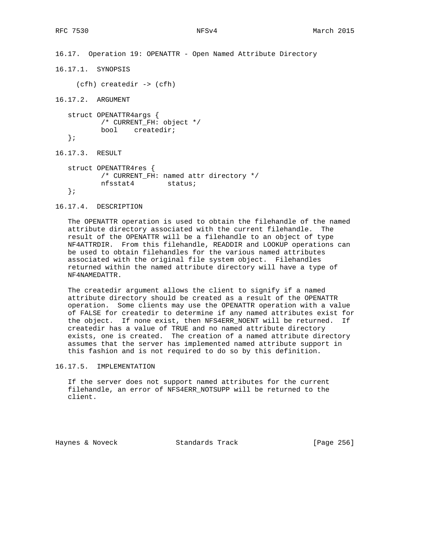16.17. Operation 19: OPENATTR - Open Named Attribute Directory

16.17.1. SYNOPSIS

(cfh) createdir -> (cfh)

16.17.2. ARGUMENT

```
 struct OPENATTR4args {
       /* CURRENT_FH: object */
       bool createdir;
 };
```
16.17.3. RESULT

```
 struct OPENATTR4res {
        /* CURRENT_FH: named attr directory */
        nfsstat4 status;
 };
```
# 16.17.4. DESCRIPTION

 The OPENATTR operation is used to obtain the filehandle of the named attribute directory associated with the current filehandle. The result of the OPENATTR will be a filehandle to an object of type NF4ATTRDIR. From this filehandle, READDIR and LOOKUP operations can be used to obtain filehandles for the various named attributes associated with the original file system object. Filehandles returned within the named attribute directory will have a type of NF4NAMEDATTR.

 The createdir argument allows the client to signify if a named attribute directory should be created as a result of the OPENATTR operation. Some clients may use the OPENATTR operation with a value of FALSE for createdir to determine if any named attributes exist for the object. If none exist, then NFS4ERR\_NOENT will be returned. If createdir has a value of TRUE and no named attribute directory exists, one is created. The creation of a named attribute directory assumes that the server has implemented named attribute support in this fashion and is not required to do so by this definition.

### 16.17.5. IMPLEMENTATION

 If the server does not support named attributes for the current filehandle, an error of NFS4ERR\_NOTSUPP will be returned to the client.

Haynes & Noveck Standards Track [Page 256]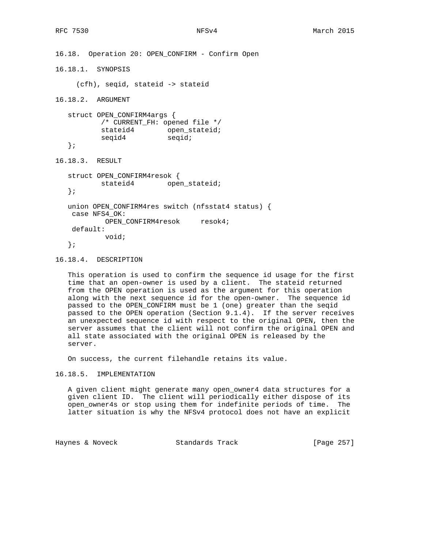```
16.18. Operation 20: OPEN_CONFIRM - Confirm Open
16.18.1. SYNOPSIS
     (cfh), seqid, stateid -> stateid
16.18.2. ARGUMENT
   struct OPEN_CONFIRM4args {
          /* CURRENT_FH: opened file */
stateid4 open_stateid;
seqid4 seqid;
   };
16.18.3. RESULT
   struct OPEN_CONFIRM4resok {
          stateid4 open_stateid;
   };
   union OPEN_CONFIRM4res switch (nfsstat4 status) {
    case NFS4_OK:
           OPEN_CONFIRM4resok resok4;
    default:
           void;
   };
```
16.18.4. DESCRIPTION

 This operation is used to confirm the sequence id usage for the first time that an open-owner is used by a client. The stateid returned from the OPEN operation is used as the argument for this operation along with the next sequence id for the open-owner. The sequence id passed to the OPEN\_CONFIRM must be 1 (one) greater than the seqid passed to the OPEN operation (Section 9.1.4). If the server receives an unexpected sequence id with respect to the original OPEN, then the server assumes that the client will not confirm the original OPEN and all state associated with the original OPEN is released by the server.

On success, the current filehandle retains its value.

16.18.5. IMPLEMENTATION

 A given client might generate many open\_owner4 data structures for a given client ID. The client will periodically either dispose of its open\_owner4s or stop using them for indefinite periods of time. The latter situation is why the NFSv4 protocol does not have an explicit

Haynes & Noveck Standards Track [Page 257]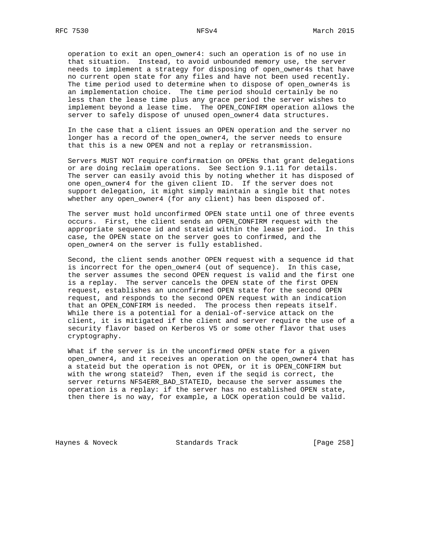operation to exit an open\_owner4: such an operation is of no use in that situation. Instead, to avoid unbounded memory use, the server needs to implement a strategy for disposing of open\_owner4s that have no current open state for any files and have not been used recently. The time period used to determine when to dispose of open\_owner4s is an implementation choice. The time period should certainly be no less than the lease time plus any grace period the server wishes to implement beyond a lease time. The OPEN\_CONFIRM operation allows the server to safely dispose of unused open\_owner4 data structures.

 In the case that a client issues an OPEN operation and the server no longer has a record of the open\_owner4, the server needs to ensure that this is a new OPEN and not a replay or retransmission.

 Servers MUST NOT require confirmation on OPENs that grant delegations or are doing reclaim operations. See Section 9.1.11 for details. The server can easily avoid this by noting whether it has disposed of one open\_owner4 for the given client ID. If the server does not support delegation, it might simply maintain a single bit that notes whether any open\_owner4 (for any client) has been disposed of.

 The server must hold unconfirmed OPEN state until one of three events occurs. First, the client sends an OPEN\_CONFIRM request with the appropriate sequence id and stateid within the lease period. In this case, the OPEN state on the server goes to confirmed, and the open\_owner4 on the server is fully established.

 Second, the client sends another OPEN request with a sequence id that is incorrect for the open\_owner4 (out of sequence). In this case, the server assumes the second OPEN request is valid and the first one is a replay. The server cancels the OPEN state of the first OPEN request, establishes an unconfirmed OPEN state for the second OPEN request, and responds to the second OPEN request with an indication that an OPEN\_CONFIRM is needed. The process then repeats itself. While there is a potential for a denial-of-service attack on the client, it is mitigated if the client and server require the use of a security flavor based on Kerberos V5 or some other flavor that uses cryptography.

What if the server is in the unconfirmed OPEN state for a given open\_owner4, and it receives an operation on the open\_owner4 that has a stateid but the operation is not OPEN, or it is OPEN\_CONFIRM but with the wrong stateid? Then, even if the seqid is correct, the server returns NFS4ERR\_BAD\_STATEID, because the server assumes the operation is a replay: if the server has no established OPEN state, then there is no way, for example, a LOCK operation could be valid.

Haynes & Noveck Standards Track [Page 258]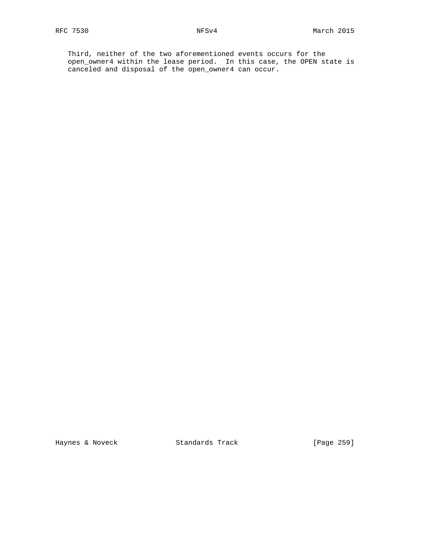Third, neither of the two aforementioned events occurs for the open\_owner4 within the lease period. In this case, the OPEN state is canceled and disposal of the open\_owner4 can occur.

Haynes & Noveck Standards Track [Page 259]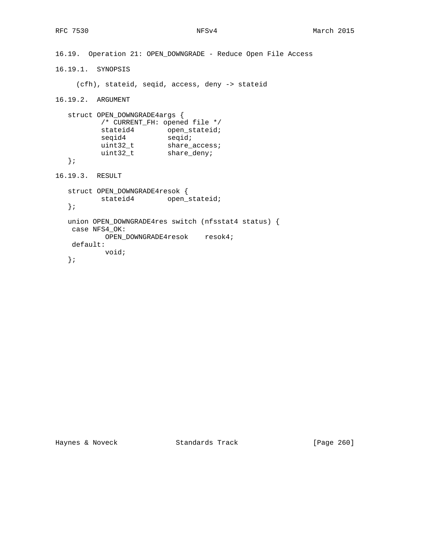```
16.19. Operation 21: OPEN_DOWNGRADE - Reduce Open File Access
16.19.1. SYNOPSIS
     (cfh), stateid, seqid, access, deny -> stateid
16.19.2. ARGUMENT
   struct OPEN_DOWNGRADE4args {
         /* CURRENT_FH: opened file */
stateid4 open_stateid;
seqid4 seqid;
uint32_t share_access;
uint32_t share_deny;
   };
16.19.3. RESULT
   struct OPEN_DOWNGRADE4resok {
         stateid4 open_stateid;
   };
   union OPEN_DOWNGRADE4res switch (nfsstat4 status) {
    case NFS4_OK:
           OPEN_DOWNGRADE4resok resok4;
    default:
           void;
   };
```
Haynes & Noveck Standards Track [Page 260]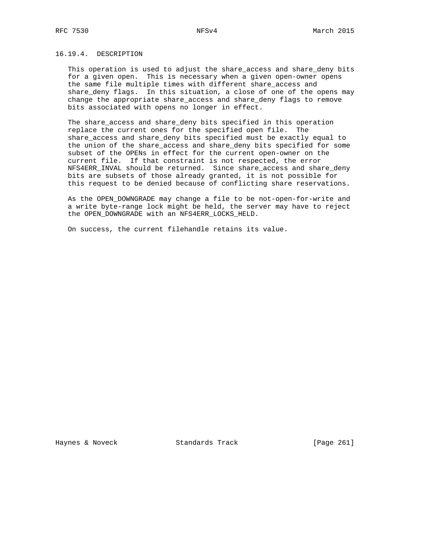# 16.19.4. DESCRIPTION

 This operation is used to adjust the share\_access and share\_deny bits for a given open. This is necessary when a given open-owner opens the same file multiple times with different share\_access and share\_deny flags. In this situation, a close of one of the opens may change the appropriate share\_access and share\_deny flags to remove bits associated with opens no longer in effect.

The share access and share deny bits specified in this operation replace the current ones for the specified open file. The share\_access and share\_deny bits specified must be exactly equal to the union of the share\_access and share\_deny bits specified for some subset of the OPENs in effect for the current open-owner on the current file. If that constraint is not respected, the error NFS4ERR\_INVAL should be returned. Since share\_access and share\_deny bits are subsets of those already granted, it is not possible for this request to be denied because of conflicting share reservations.

 As the OPEN\_DOWNGRADE may change a file to be not-open-for-write and a write byte-range lock might be held, the server may have to reject the OPEN\_DOWNGRADE with an NFS4ERR\_LOCKS\_HELD.

On success, the current filehandle retains its value.

Haynes & Noveck Standards Track [Page 261]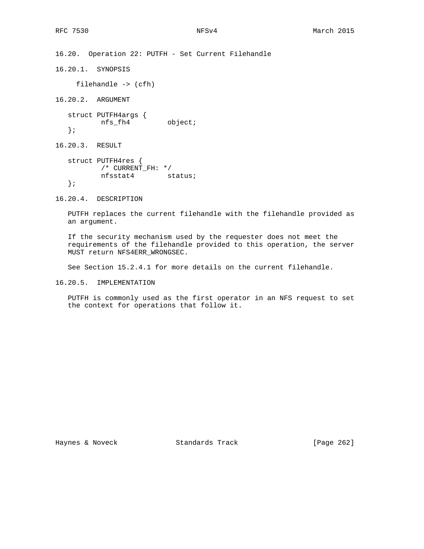16.20. Operation 22: PUTFH - Set Current Filehandle

16.20.1. SYNOPSIS

filehandle -> (cfh)

16.20.2. ARGUMENT

 struct PUTFH4args { nfs\_fh4 object; };

16.20.3. RESULT

 struct PUTFH4res { /\* CURRENT\_FH: \*/ nfsstat4 status; };

16.20.4. DESCRIPTION

 PUTFH replaces the current filehandle with the filehandle provided as an argument.

 If the security mechanism used by the requester does not meet the requirements of the filehandle provided to this operation, the server MUST return NFS4ERR\_WRONGSEC.

See Section 15.2.4.1 for more details on the current filehandle.

16.20.5. IMPLEMENTATION

 PUTFH is commonly used as the first operator in an NFS request to set the context for operations that follow it.

Haynes & Noveck Standards Track [Page 262]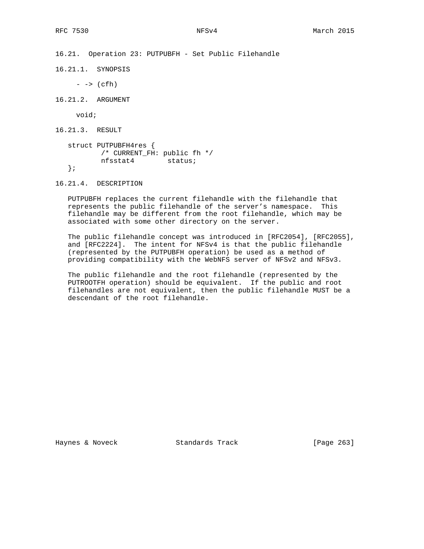16.21. Operation 23: PUTPUBFH - Set Public Filehandle

16.21.1. SYNOPSIS

 $\rightarrow$  (cfh)

16.21.2. ARGUMENT

void;

16.21.3. RESULT

```
 struct PUTPUBFH4res {
   /* CURRENT_FH: public fh */
       nfsstat4 status;
 };
```
16.21.4. DESCRIPTION

 PUTPUBFH replaces the current filehandle with the filehandle that represents the public filehandle of the server's namespace. This filehandle may be different from the root filehandle, which may be associated with some other directory on the server.

 The public filehandle concept was introduced in [RFC2054], [RFC2055], and [RFC2224]. The intent for NFSv4 is that the public filehandle (represented by the PUTPUBFH operation) be used as a method of providing compatibility with the WebNFS server of NFSv2 and NFSv3.

 The public filehandle and the root filehandle (represented by the PUTROOTFH operation) should be equivalent. If the public and root filehandles are not equivalent, then the public filehandle MUST be a descendant of the root filehandle.

Haynes & Noveck Standards Track [Page 263]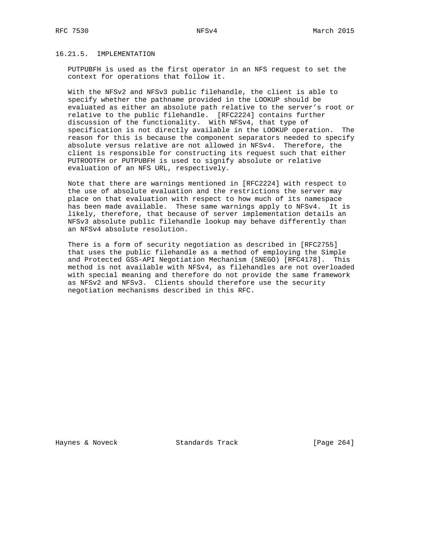# 16.21.5. IMPLEMENTATION

 PUTPUBFH is used as the first operator in an NFS request to set the context for operations that follow it.

 With the NFSv2 and NFSv3 public filehandle, the client is able to specify whether the pathname provided in the LOOKUP should be evaluated as either an absolute path relative to the server's root or relative to the public filehandle. [RFC2224] contains further discussion of the functionality. With NFSv4, that type of specification is not directly available in the LOOKUP operation. The reason for this is because the component separators needed to specify absolute versus relative are not allowed in NFSv4. Therefore, the client is responsible for constructing its request such that either PUTROOTFH or PUTPUBFH is used to signify absolute or relative evaluation of an NFS URL, respectively.

 Note that there are warnings mentioned in [RFC2224] with respect to the use of absolute evaluation and the restrictions the server may place on that evaluation with respect to how much of its namespace has been made available. These same warnings apply to NFSv4. It is likely, therefore, that because of server implementation details an NFSv3 absolute public filehandle lookup may behave differently than an NFSv4 absolute resolution.

 There is a form of security negotiation as described in [RFC2755] that uses the public filehandle as a method of employing the Simple and Protected GSS-API Negotiation Mechanism (SNEGO) [RFC4178]. This method is not available with NFSv4, as filehandles are not overloaded with special meaning and therefore do not provide the same framework as NFSv2 and NFSv3. Clients should therefore use the security negotiation mechanisms described in this RFC.

Haynes & Noveck Standards Track [Page 264]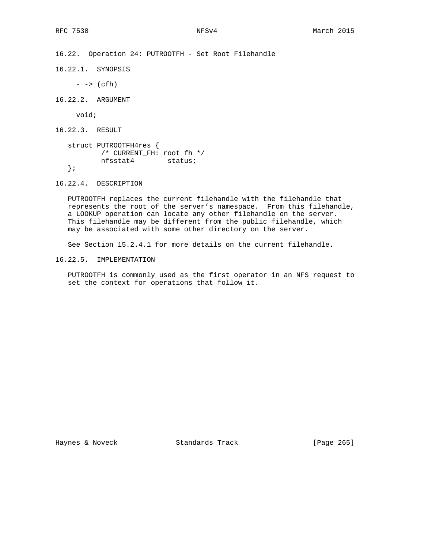16.22. Operation 24: PUTROOTFH - Set Root Filehandle

16.22.1. SYNOPSIS

 $\rightarrow$  (cfh)

16.22.2. ARGUMENT

void;

16.22.3. RESULT

```
 struct PUTROOTFH4res {
 /* CURRENT_FH: root fh */
 nfsstat4 status;
   };
```
16.22.4. DESCRIPTION

 PUTROOTFH replaces the current filehandle with the filehandle that represents the root of the server's namespace. From this filehandle, a LOOKUP operation can locate any other filehandle on the server. This filehandle may be different from the public filehandle, which may be associated with some other directory on the server.

See Section 15.2.4.1 for more details on the current filehandle.

16.22.5. IMPLEMENTATION

 PUTROOTFH is commonly used as the first operator in an NFS request to set the context for operations that follow it.

Haynes & Noveck Standards Track [Page 265]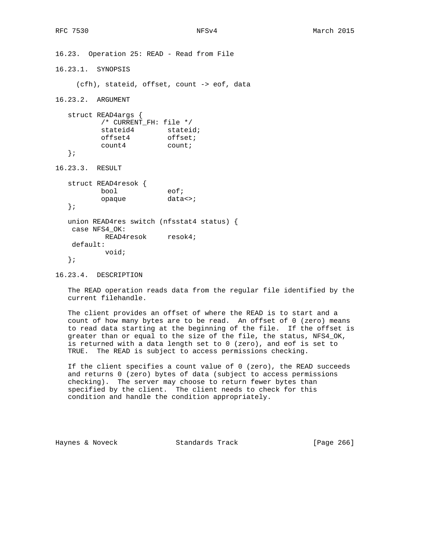```
16.23. Operation 25: READ - Read from File
16.23.1. SYNOPSIS
     (cfh), stateid, offset, count -> eof, data
16.23.2. ARGUMENT
   struct READ4args {
          /* CURRENT_FH: file */
stateid4 stateid;
offset4 offset;
         offset4 offset<br>count4 count;
   };
16.23.3. RESULT
   struct READ4resok {
          bool eof;
          opaque data<>;
   };
   union READ4res switch (nfsstat4 status) {
    case NFS4_OK:
           READ4resok resok4;
    default:
           void;
   };
```
16.23.4. DESCRIPTION

 The READ operation reads data from the regular file identified by the current filehandle.

 The client provides an offset of where the READ is to start and a count of how many bytes are to be read. An offset of 0 (zero) means to read data starting at the beginning of the file. If the offset is greater than or equal to the size of the file, the status, NFS4\_OK, is returned with a data length set to 0 (zero), and eof is set to TRUE. The READ is subject to access permissions checking.

 If the client specifies a count value of 0 (zero), the READ succeeds and returns 0 (zero) bytes of data (subject to access permissions checking). The server may choose to return fewer bytes than specified by the client. The client needs to check for this condition and handle the condition appropriately.

Haynes & Noveck Standards Track [Page 266]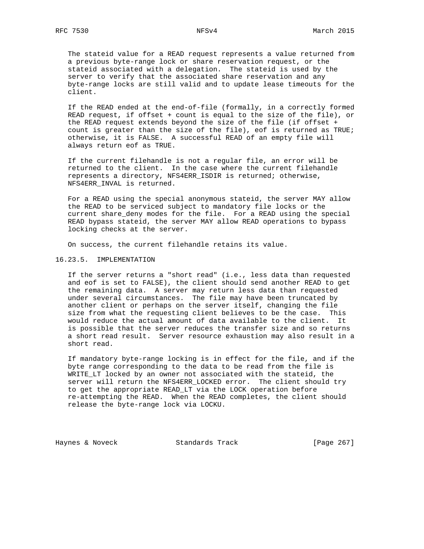The stateid value for a READ request represents a value returned from a previous byte-range lock or share reservation request, or the stateid associated with a delegation. The stateid is used by the server to verify that the associated share reservation and any byte-range locks are still valid and to update lease timeouts for the client.

 If the READ ended at the end-of-file (formally, in a correctly formed READ request, if offset + count is equal to the size of the file), or the READ request extends beyond the size of the file (if offset + count is greater than the size of the file), eof is returned as TRUE; otherwise, it is FALSE. A successful READ of an empty file will always return eof as TRUE.

 If the current filehandle is not a regular file, an error will be returned to the client. In the case where the current filehandle represents a directory, NFS4ERR\_ISDIR is returned; otherwise, NFS4ERR\_INVAL is returned.

 For a READ using the special anonymous stateid, the server MAY allow the READ to be serviced subject to mandatory file locks or the current share\_deny modes for the file. For a READ using the special READ bypass stateid, the server MAY allow READ operations to bypass locking checks at the server.

On success, the current filehandle retains its value.

#### 16.23.5. IMPLEMENTATION

 If the server returns a "short read" (i.e., less data than requested and eof is set to FALSE), the client should send another READ to get the remaining data. A server may return less data than requested under several circumstances. The file may have been truncated by another client or perhaps on the server itself, changing the file size from what the requesting client believes to be the case. This would reduce the actual amount of data available to the client. It is possible that the server reduces the transfer size and so returns a short read result. Server resource exhaustion may also result in a short read.

 If mandatory byte-range locking is in effect for the file, and if the byte range corresponding to the data to be read from the file is WRITE\_LT locked by an owner not associated with the stateid, the server will return the NFS4ERR\_LOCKED error. The client should try to get the appropriate READ\_LT via the LOCK operation before re-attempting the READ. When the READ completes, the client should release the byte-range lock via LOCKU.

Haynes & Noveck Standards Track [Page 267]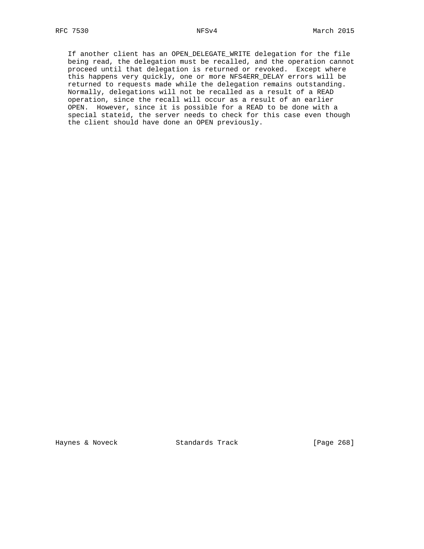If another client has an OPEN\_DELEGATE\_WRITE delegation for the file being read, the delegation must be recalled, and the operation cannot proceed until that delegation is returned or revoked. Except where this happens very quickly, one or more NFS4ERR\_DELAY errors will be returned to requests made while the delegation remains outstanding. Normally, delegations will not be recalled as a result of a READ operation, since the recall will occur as a result of an earlier OPEN. However, since it is possible for a READ to be done with a special stateid, the server needs to check for this case even though the client should have done an OPEN previously.

Haynes & Noveck Standards Track [Page 268]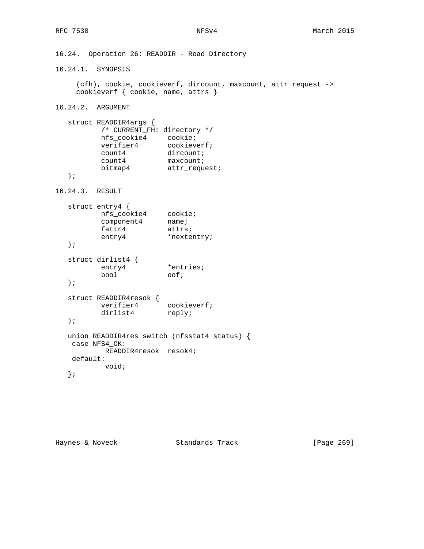```
16.24. Operation 26: READDIR - Read Directory
16.24.1. SYNOPSIS
    (cfh), cookie, cookieverf, dircount, maxcount, attr_request ->
    cookieverf { cookie, name, attrs }
16.24.2. ARGUMENT
   struct READDIR4args {
         /* CURRENT_FH: directory */
 nfs_cookie4 cookie;
verifier4 cookieverf;
count4 dircount;
count4 maxcount;
bitmap4 attr_request;
   };
16.24.3. RESULT
   struct entry4 {
 nfs_cookie4 cookie;
component4 name;
fattr4 attrs;
entry4 *nextentry;
   };
   struct dirlist4 {
entry4 *entries;
bool eof;
   };
   struct READDIR4resok {
verifier4 cookieverf;
dirlist4 reply;
   };
   union READDIR4res switch (nfsstat4 status) {
   case NFS4_OK:
         READDIR4resok resok4;
   default:
         void;
   };
```
Haynes & Noveck Standards Track [Page 269]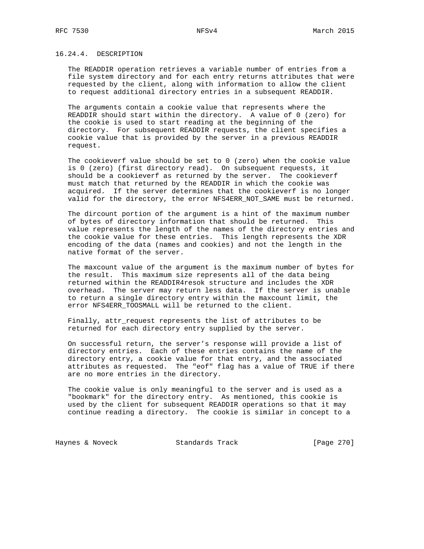# 16.24.4. DESCRIPTION

 The READDIR operation retrieves a variable number of entries from a file system directory and for each entry returns attributes that were requested by the client, along with information to allow the client to request additional directory entries in a subsequent READDIR.

 The arguments contain a cookie value that represents where the READDIR should start within the directory. A value of 0 (zero) for the cookie is used to start reading at the beginning of the directory. For subsequent READDIR requests, the client specifies a cookie value that is provided by the server in a previous READDIR request.

 The cookieverf value should be set to 0 (zero) when the cookie value is 0 (zero) (first directory read). On subsequent requests, it should be a cookieverf as returned by the server. The cookieverf must match that returned by the READDIR in which the cookie was acquired. If the server determines that the cookieverf is no longer valid for the directory, the error NFS4ERR\_NOT\_SAME must be returned.

 The dircount portion of the argument is a hint of the maximum number of bytes of directory information that should be returned. This value represents the length of the names of the directory entries and the cookie value for these entries. This length represents the XDR encoding of the data (names and cookies) and not the length in the native format of the server.

 The maxcount value of the argument is the maximum number of bytes for the result. This maximum size represents all of the data being returned within the READDIR4resok structure and includes the XDR overhead. The server may return less data. If the server is unable to return a single directory entry within the maxcount limit, the error NFS4ERR\_TOOSMALL will be returned to the client.

 Finally, attr\_request represents the list of attributes to be returned for each directory entry supplied by the server.

 On successful return, the server's response will provide a list of directory entries. Each of these entries contains the name of the directory entry, a cookie value for that entry, and the associated attributes as requested. The "eof" flag has a value of TRUE if there are no more entries in the directory.

 The cookie value is only meaningful to the server and is used as a "bookmark" for the directory entry. As mentioned, this cookie is used by the client for subsequent READDIR operations so that it may continue reading a directory. The cookie is similar in concept to a

Haynes & Noveck Standards Track [Page 270]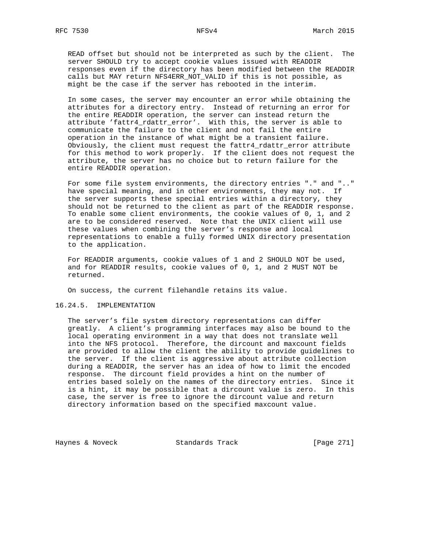READ offset but should not be interpreted as such by the client. The server SHOULD try to accept cookie values issued with READDIR responses even if the directory has been modified between the READDIR calls but MAY return NFS4ERR\_NOT\_VALID if this is not possible, as might be the case if the server has rebooted in the interim.

 In some cases, the server may encounter an error while obtaining the attributes for a directory entry. Instead of returning an error for the entire READDIR operation, the server can instead return the attribute 'fattr4\_rdattr\_error'. With this, the server is able to communicate the failure to the client and not fail the entire operation in the instance of what might be a transient failure. Obviously, the client must request the fattr4\_rdattr\_error attribute for this method to work properly. If the client does not request the attribute, the server has no choice but to return failure for the entire READDIR operation.

 For some file system environments, the directory entries "." and ".." have special meaning, and in other environments, they may not. If the server supports these special entries within a directory, they should not be returned to the client as part of the READDIR response. To enable some client environments, the cookie values of 0, 1, and 2 are to be considered reserved. Note that the UNIX client will use these values when combining the server's response and local representations to enable a fully formed UNIX directory presentation to the application.

 For READDIR arguments, cookie values of 1 and 2 SHOULD NOT be used, and for READDIR results, cookie values of 0, 1, and 2 MUST NOT be returned.

On success, the current filehandle retains its value.

### 16.24.5. IMPLEMENTATION

 The server's file system directory representations can differ greatly. A client's programming interfaces may also be bound to the local operating environment in a way that does not translate well into the NFS protocol. Therefore, the dircount and maxcount fields are provided to allow the client the ability to provide guidelines to the server. If the client is aggressive about attribute collection during a READDIR, the server has an idea of how to limit the encoded response. The dircount field provides a hint on the number of entries based solely on the names of the directory entries. Since it is a hint, it may be possible that a dircount value is zero. In this case, the server is free to ignore the dircount value and return directory information based on the specified maxcount value.

Haynes & Noveck Standards Track [Page 271]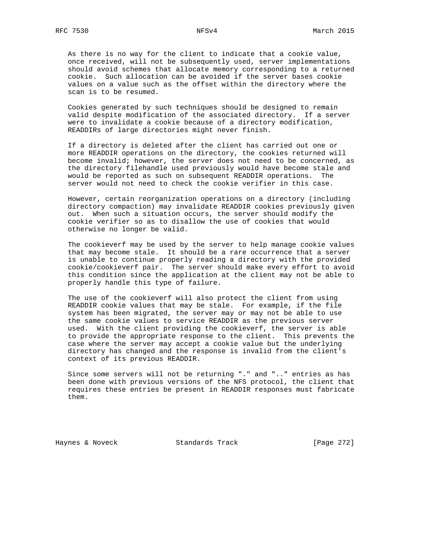As there is no way for the client to indicate that a cookie value, once received, will not be subsequently used, server implementations should avoid schemes that allocate memory corresponding to a returned cookie. Such allocation can be avoided if the server bases cookie values on a value such as the offset within the directory where the scan is to be resumed.

 Cookies generated by such techniques should be designed to remain valid despite modification of the associated directory. If a server were to invalidate a cookie because of a directory modification, READDIRs of large directories might never finish.

 If a directory is deleted after the client has carried out one or more READDIR operations on the directory, the cookies returned will become invalid; however, the server does not need to be concerned, as the directory filehandle used previously would have become stale and would be reported as such on subsequent READDIR operations. The server would not need to check the cookie verifier in this case.

 However, certain reorganization operations on a directory (including directory compaction) may invalidate READDIR cookies previously given out. When such a situation occurs, the server should modify the cookie verifier so as to disallow the use of cookies that would otherwise no longer be valid.

 The cookieverf may be used by the server to help manage cookie values that may become stale. It should be a rare occurrence that a server is unable to continue properly reading a directory with the provided cookie/cookieverf pair. The server should make every effort to avoid this condition since the application at the client may not be able to properly handle this type of failure.

 The use of the cookieverf will also protect the client from using READDIR cookie values that may be stale. For example, if the file system has been migrated, the server may or may not be able to use the same cookie values to service READDIR as the previous server used. With the client providing the cookieverf, the server is able to provide the appropriate response to the client. This prevents the case where the server may accept a cookie value but the underlying directory has changed and the response is invalid from the client's context of its previous READDIR.

 Since some servers will not be returning "." and ".." entries as has been done with previous versions of the NFS protocol, the client that requires these entries be present in READDIR responses must fabricate them.

Haynes & Noveck Standards Track [Page 272]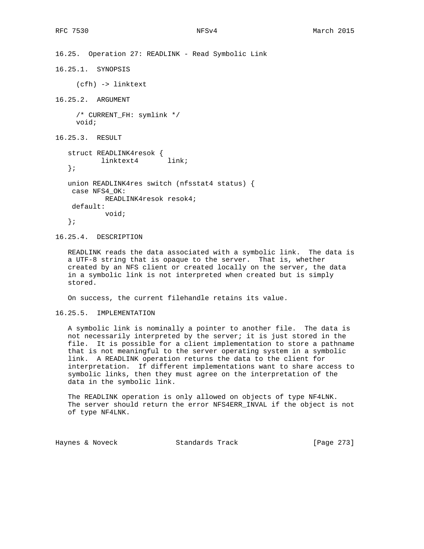16.25. Operation 27: READLINK - Read Symbolic Link 16.25.1. SYNOPSIS (cfh) -> linktext 16.25.2. ARGUMENT /\* CURRENT\_FH: symlink \*/ void; 16.25.3. RESULT struct READLINK4resok { linktext4 link; }; union READLINK4res switch (nfsstat4 status) { case NFS4\_OK: READLINK4resok resok4; default: void; };

16.25.4. DESCRIPTION

 READLINK reads the data associated with a symbolic link. The data is a UTF-8 string that is opaque to the server. That is, whether created by an NFS client or created locally on the server, the data in a symbolic link is not interpreted when created but is simply stored.

On success, the current filehandle retains its value.

16.25.5. IMPLEMENTATION

 A symbolic link is nominally a pointer to another file. The data is not necessarily interpreted by the server; it is just stored in the file. It is possible for a client implementation to store a pathname that is not meaningful to the server operating system in a symbolic link. A READLINK operation returns the data to the client for interpretation. If different implementations want to share access to symbolic links, then they must agree on the interpretation of the data in the symbolic link.

 The READLINK operation is only allowed on objects of type NF4LNK. The server should return the error NFS4ERR\_INVAL if the object is not of type NF4LNK.

Haynes & Noveck Standards Track [Page 273]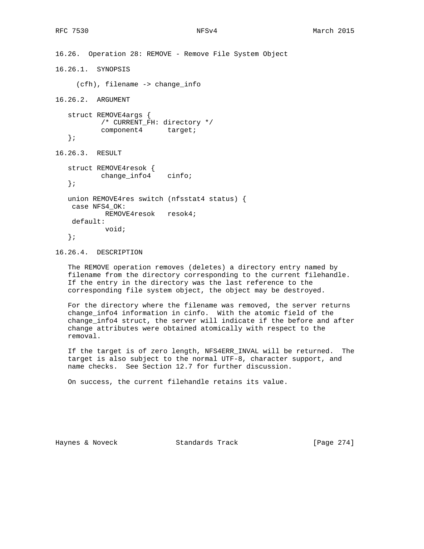```
16.26. Operation 28: REMOVE - Remove File System Object
16.26.1. SYNOPSIS
      (cfh), filename -> change_info
16.26.2. ARGUMENT
    struct REMOVE4args {
          /* CURRENT_FH: directory */
         component4 target;
    };
16.26.3. RESULT
   struct REMOVE4resok {
          change_info4 cinfo;
    };
   union REMOVE4res switch (nfsstat4 status) {
    case NFS4_OK:
            REMOVE4resok resok4;
    default:
            void;
    };
```
16.26.4. DESCRIPTION

 The REMOVE operation removes (deletes) a directory entry named by filename from the directory corresponding to the current filehandle. If the entry in the directory was the last reference to the corresponding file system object, the object may be destroyed.

 For the directory where the filename was removed, the server returns change\_info4 information in cinfo. With the atomic field of the change\_info4 struct, the server will indicate if the before and after change attributes were obtained atomically with respect to the removal.

 If the target is of zero length, NFS4ERR\_INVAL will be returned. The target is also subject to the normal UTF-8, character support, and name checks. See Section 12.7 for further discussion.

On success, the current filehandle retains its value.

Haynes & Noveck Standards Track [Page 274]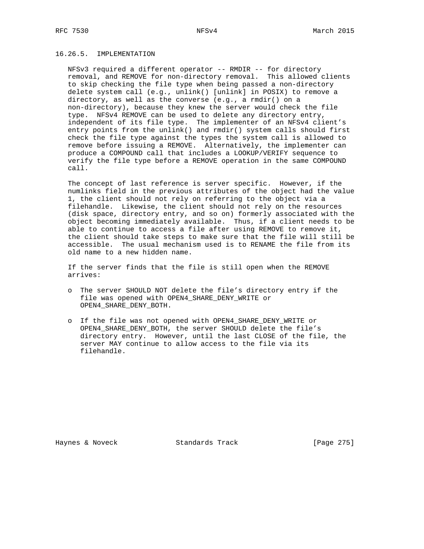# 16.26.5. IMPLEMENTATION

 NFSv3 required a different operator -- RMDIR -- for directory removal, and REMOVE for non-directory removal. This allowed clients to skip checking the file type when being passed a non-directory delete system call (e.g., unlink() [unlink] in POSIX) to remove a directory, as well as the converse (e.g., a rmdir() on a non-directory), because they knew the server would check the file type. NFSv4 REMOVE can be used to delete any directory entry, independent of its file type. The implementer of an NFSv4 client's entry points from the unlink() and rmdir() system calls should first check the file type against the types the system call is allowed to remove before issuing a REMOVE. Alternatively, the implementer can produce a COMPOUND call that includes a LOOKUP/VERIFY sequence to verify the file type before a REMOVE operation in the same COMPOUND call.

 The concept of last reference is server specific. However, if the numlinks field in the previous attributes of the object had the value 1, the client should not rely on referring to the object via a filehandle. Likewise, the client should not rely on the resources (disk space, directory entry, and so on) formerly associated with the object becoming immediately available. Thus, if a client needs to be able to continue to access a file after using REMOVE to remove it, the client should take steps to make sure that the file will still be accessible. The usual mechanism used is to RENAME the file from its old name to a new hidden name.

 If the server finds that the file is still open when the REMOVE arrives:

- o The server SHOULD NOT delete the file's directory entry if the file was opened with OPEN4\_SHARE\_DENY\_WRITE or OPEN4\_SHARE\_DENY\_BOTH.
- o If the file was not opened with OPEN4\_SHARE\_DENY\_WRITE or OPEN4\_SHARE\_DENY\_BOTH, the server SHOULD delete the file's directory entry. However, until the last CLOSE of the file, the server MAY continue to allow access to the file via its filehandle.

Haynes & Noveck Standards Track [Page 275]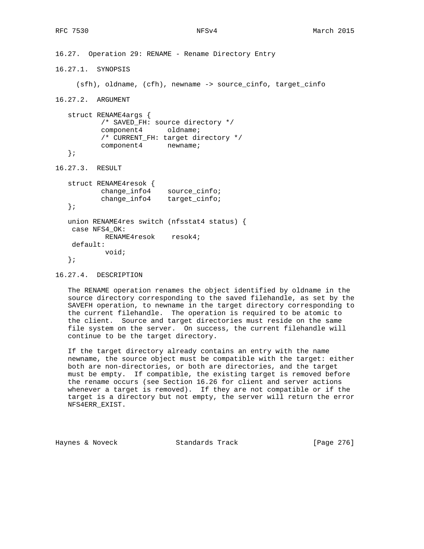```
16.27. Operation 29: RENAME - Rename Directory Entry
16.27.1. SYNOPSIS
     (sfh), oldname, (cfh), newname -> source_cinfo, target_cinfo
16.27.2. ARGUMENT
   struct RENAME4args {
           /* SAVED_FH: source directory */
           component4 oldname;
           /* CURRENT_FH: target directory */
           component4 newname;
   };
16.27.3. RESULT
   struct RENAME4resok {
 change_info4 source_cinfo;
 change_info4 target_cinfo;
   };
   union RENAME4res switch (nfsstat4 status) {
    case NFS4_OK:
            RENAME4resok resok4;
    default:
            void;
   };
```
16.27.4. DESCRIPTION

 The RENAME operation renames the object identified by oldname in the source directory corresponding to the saved filehandle, as set by the SAVEFH operation, to newname in the target directory corresponding to the current filehandle. The operation is required to be atomic to the client. Source and target directories must reside on the same file system on the server. On success, the current filehandle will continue to be the target directory.

 If the target directory already contains an entry with the name newname, the source object must be compatible with the target: either both are non-directories, or both are directories, and the target must be empty. If compatible, the existing target is removed before the rename occurs (see Section 16.26 for client and server actions whenever a target is removed). If they are not compatible or if the target is a directory but not empty, the server will return the error NFS4ERR\_EXIST.

Haynes & Noveck Standards Track [Page 276]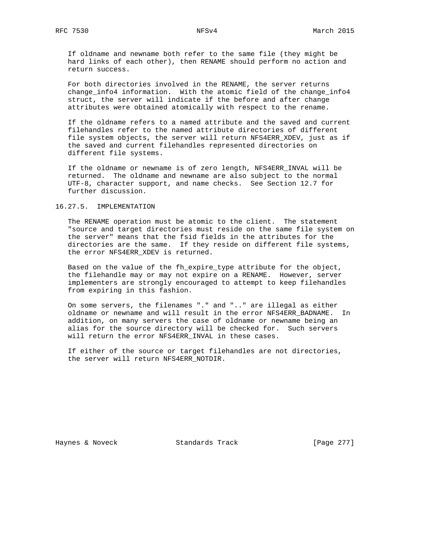If oldname and newname both refer to the same file (they might be hard links of each other), then RENAME should perform no action and return success.

 For both directories involved in the RENAME, the server returns change\_info4 information. With the atomic field of the change\_info4 struct, the server will indicate if the before and after change attributes were obtained atomically with respect to the rename.

 If the oldname refers to a named attribute and the saved and current filehandles refer to the named attribute directories of different file system objects, the server will return NFS4ERR\_XDEV, just as if the saved and current filehandles represented directories on different file systems.

 If the oldname or newname is of zero length, NFS4ERR\_INVAL will be returned. The oldname and newname are also subject to the normal UTF-8, character support, and name checks. See Section 12.7 for further discussion.

### 16.27.5. IMPLEMENTATION

 The RENAME operation must be atomic to the client. The statement "source and target directories must reside on the same file system on the server" means that the fsid fields in the attributes for the directories are the same. If they reside on different file systems, the error NFS4ERR\_XDEV is returned.

 Based on the value of the fh\_expire\_type attribute for the object, the filehandle may or may not expire on a RENAME. However, server implementers are strongly encouraged to attempt to keep filehandles from expiring in this fashion.

 On some servers, the filenames "." and ".." are illegal as either oldname or newname and will result in the error NFS4ERR\_BADNAME. In addition, on many servers the case of oldname or newname being an alias for the source directory will be checked for. Such servers will return the error NFS4ERR\_INVAL in these cases.

 If either of the source or target filehandles are not directories, the server will return NFS4ERR\_NOTDIR.

Haynes & Noveck Standards Track [Page 277]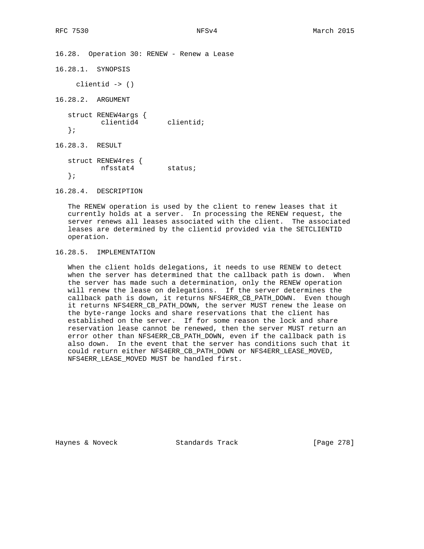16.28. Operation 30: RENEW - Renew a Lease

```
16.28.1. SYNOPSIS
     clientid -> ()
16.28.2. ARGUMENT
   struct RENEW4args {
          clientid4 clientid;
   };
16.28.3. RESULT
   struct RENEW4res {
         nfsstat4 status;
   };
```
16.28.4. DESCRIPTION

 The RENEW operation is used by the client to renew leases that it currently holds at a server. In processing the RENEW request, the server renews all leases associated with the client. The associated leases are determined by the clientid provided via the SETCLIENTID operation.

# 16.28.5. IMPLEMENTATION

 When the client holds delegations, it needs to use RENEW to detect when the server has determined that the callback path is down. When the server has made such a determination, only the RENEW operation will renew the lease on delegations. If the server determines the callback path is down, it returns NFS4ERR\_CB\_PATH\_DOWN. Even though it returns NFS4ERR\_CB\_PATH\_DOWN, the server MUST renew the lease on the byte-range locks and share reservations that the client has established on the server. If for some reason the lock and share reservation lease cannot be renewed, then the server MUST return an error other than NFS4ERR\_CB\_PATH\_DOWN, even if the callback path is also down. In the event that the server has conditions such that it could return either NFS4ERR\_CB\_PATH\_DOWN or NFS4ERR\_LEASE\_MOVED, NFS4ERR\_LEASE\_MOVED MUST be handled first.

Haynes & Noveck Standards Track [Page 278]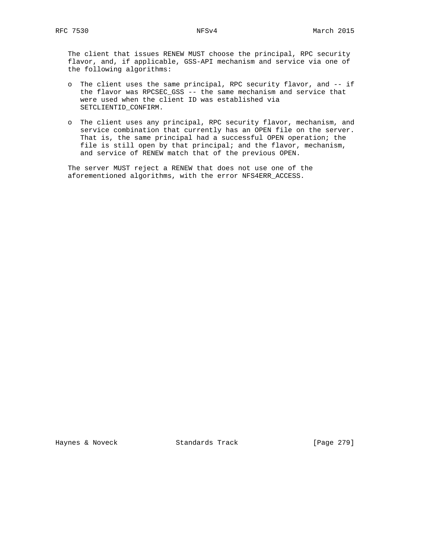The client that issues RENEW MUST choose the principal, RPC security flavor, and, if applicable, GSS-API mechanism and service via one of the following algorithms:

- o The client uses the same principal, RPC security flavor, and -- if the flavor was RPCSEC\_GSS -- the same mechanism and service that were used when the client ID was established via SETCLIENTID\_CONFIRM.
- o The client uses any principal, RPC security flavor, mechanism, and service combination that currently has an OPEN file on the server. That is, the same principal had a successful OPEN operation; the file is still open by that principal; and the flavor, mechanism, and service of RENEW match that of the previous OPEN.

 The server MUST reject a RENEW that does not use one of the aforementioned algorithms, with the error NFS4ERR\_ACCESS.

Haynes & Noveck Standards Track [Page 279]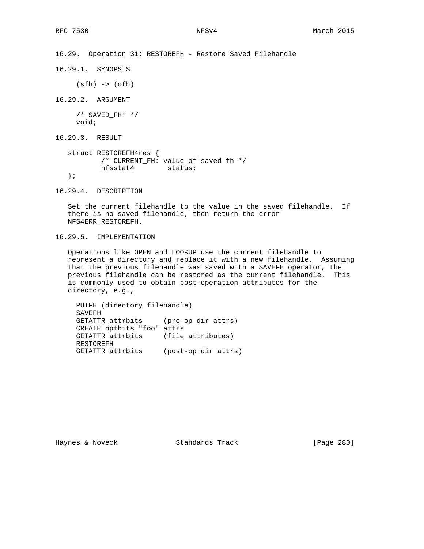```
16.29. Operation 31: RESTOREFH - Restore Saved Filehandle
```
16.29.1. SYNOPSIS

(sfh) -> (cfh)

16.29.2. ARGUMENT

 $/*$  SAVED FH: \*/ void;

16.29.3. RESULT

```
 struct RESTOREFH4res {
        /* CURRENT_FH: value of saved fh */
        nfsstat4 status;
 };
```
16.29.4. DESCRIPTION

 Set the current filehandle to the value in the saved filehandle. If there is no saved filehandle, then return the error NFS4ERR\_RESTOREFH.

16.29.5. IMPLEMENTATION

 Operations like OPEN and LOOKUP use the current filehandle to represent a directory and replace it with a new filehandle. Assuming that the previous filehandle was saved with a SAVEFH operator, the previous filehandle can be restored as the current filehandle. This is commonly used to obtain post-operation attributes for the directory, e.g.,

 PUTFH (directory filehandle) SAVEFH GETATTR attrbits (pre-op dir attrs) CREATE optbits "foo" attrs GETATTR attrbits (file attributes) RESTOREFH GETATTR attrbits (post-op dir attrs)

Haynes & Noveck Standards Track [Page 280]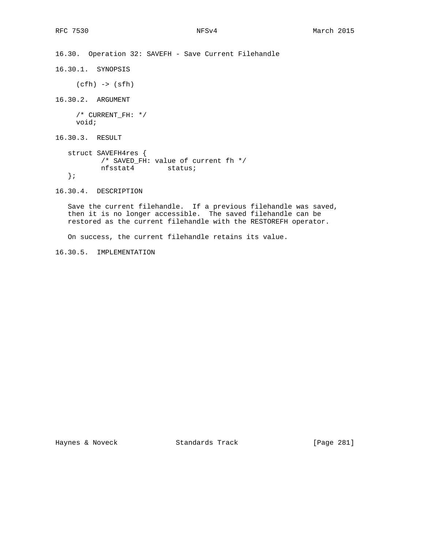16.30. Operation 32: SAVEFH - Save Current Filehandle 16.30.1. SYNOPSIS (cfh) -> (sfh) 16.30.2. ARGUMENT /\* CURRENT\_FH: \*/ void; 16.30.3. RESULT struct SAVEFH4res { /\* SAVED\_FH: value of current fh \*/ nfsstat4 status; }; 16.30.4. DESCRIPTION

 Save the current filehandle. If a previous filehandle was saved, then it is no longer accessible. The saved filehandle can be restored as the current filehandle with the RESTOREFH operator.

On success, the current filehandle retains its value.

16.30.5. IMPLEMENTATION

Haynes & Noveck Standards Track [Page 281]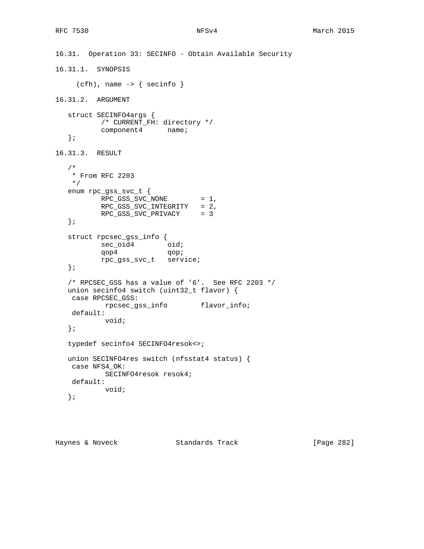```
16.31. Operation 33: SECINFO - Obtain Available Security
16.31.1. SYNOPSIS
    (cfh), name \rightarrow { secinfo }
16.31.2. ARGUMENT
   struct SECINFO4args {
          /* CURRENT_FH: directory */
          component4 name;
   };
16.31.3. RESULT
   /*
    * From RFC 2203
    */
   enum rpc_gss_svc_t {
          RPC_GSS_SVC_NONE = 1,
          RPC_GSS_SVC_INTEGRITY = 2,
           RPC_GSS_SVC_PRIVACY = 3
   };
   struct rpcsec_gss_info {
sec_oid4 oid;
qop4 qop;
           rpc_gss_svc_t service;
   };
   /* RPCSEC_GSS has a value of '6'. See RFC 2203 */
   union secinfo4 switch (uint32_t flavor) {
    case RPCSEC_GSS:
           rpcsec_gss_info flavor_info;
    default:
           void;
   };
   typedef secinfo4 SECINFO4resok<>;
   union SECINFO4res switch (nfsstat4 status) {
    case NFS4_OK:
           SECINFO4resok resok4;
    default:
           void;
   };
```
Haynes & Noveck Standards Track [Page 282]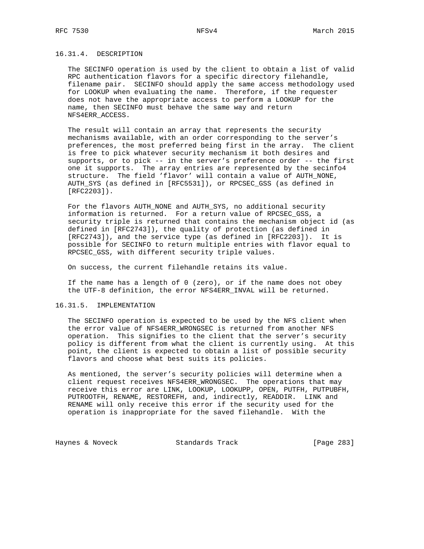## 16.31.4. DESCRIPTION

 The SECINFO operation is used by the client to obtain a list of valid RPC authentication flavors for a specific directory filehandle, filename pair. SECINFO should apply the same access methodology used for LOOKUP when evaluating the name. Therefore, if the requester does not have the appropriate access to perform a LOOKUP for the name, then SECINFO must behave the same way and return NFS4ERR\_ACCESS.

 The result will contain an array that represents the security mechanisms available, with an order corresponding to the server's preferences, the most preferred being first in the array. The client is free to pick whatever security mechanism it both desires and supports, or to pick -- in the server's preference order -- the first one it supports. The array entries are represented by the secinfo4 structure. The field 'flavor' will contain a value of AUTH\_NONE, AUTH\_SYS (as defined in [RFC5531]), or RPCSEC\_GSS (as defined in [RFC2203]).

 For the flavors AUTH\_NONE and AUTH\_SYS, no additional security information is returned. For a return value of RPCSEC\_GSS, a security triple is returned that contains the mechanism object id (as defined in [RFC2743]), the quality of protection (as defined in [RFC2743]), and the service type (as defined in [RFC2203]). It is possible for SECINFO to return multiple entries with flavor equal to RPCSEC\_GSS, with different security triple values.

On success, the current filehandle retains its value.

 If the name has a length of 0 (zero), or if the name does not obey the UTF-8 definition, the error NFS4ERR\_INVAL will be returned.

### 16.31.5. IMPLEMENTATION

 The SECINFO operation is expected to be used by the NFS client when the error value of NFS4ERR\_WRONGSEC is returned from another NFS operation. This signifies to the client that the server's security policy is different from what the client is currently using. At this point, the client is expected to obtain a list of possible security flavors and choose what best suits its policies.

 As mentioned, the server's security policies will determine when a client request receives NFS4ERR\_WRONGSEC. The operations that may receive this error are LINK, LOOKUP, LOOKUPP, OPEN, PUTFH, PUTPUBFH, PUTROOTFH, RENAME, RESTOREFH, and, indirectly, READDIR. LINK and RENAME will only receive this error if the security used for the operation is inappropriate for the saved filehandle. With the

Haynes & Noveck Standards Track [Page 283]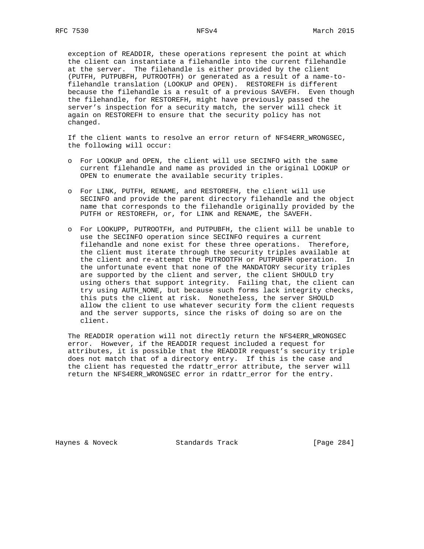exception of READDIR, these operations represent the point at which the client can instantiate a filehandle into the current filehandle at the server. The filehandle is either provided by the client (PUTFH, PUTPUBFH, PUTROOTFH) or generated as a result of a name-to filehandle translation (LOOKUP and OPEN). RESTOREFH is different because the filehandle is a result of a previous SAVEFH. Even though the filehandle, for RESTOREFH, might have previously passed the server's inspection for a security match, the server will check it again on RESTOREFH to ensure that the security policy has not changed.

 If the client wants to resolve an error return of NFS4ERR\_WRONGSEC, the following will occur:

- o For LOOKUP and OPEN, the client will use SECINFO with the same current filehandle and name as provided in the original LOOKUP or OPEN to enumerate the available security triples.
- o For LINK, PUTFH, RENAME, and RESTOREFH, the client will use SECINFO and provide the parent directory filehandle and the object name that corresponds to the filehandle originally provided by the PUTFH or RESTOREFH, or, for LINK and RENAME, the SAVEFH.
- o For LOOKUPP, PUTROOTFH, and PUTPUBFH, the client will be unable to use the SECINFO operation since SECINFO requires a current filehandle and none exist for these three operations. Therefore, the client must iterate through the security triples available at the client and re-attempt the PUTROOTFH or PUTPUBFH operation. In the unfortunate event that none of the MANDATORY security triples are supported by the client and server, the client SHOULD try using others that support integrity. Failing that, the client can try using AUTH\_NONE, but because such forms lack integrity checks, this puts the client at risk. Nonetheless, the server SHOULD allow the client to use whatever security form the client requests and the server supports, since the risks of doing so are on the client.

 The READDIR operation will not directly return the NFS4ERR\_WRONGSEC error. However, if the READDIR request included a request for attributes, it is possible that the READDIR request's security triple does not match that of a directory entry. If this is the case and the client has requested the rdattr\_error attribute, the server will return the NFS4ERR\_WRONGSEC error in rdattr\_error for the entry.

Haynes & Noveck Standards Track [Page 284]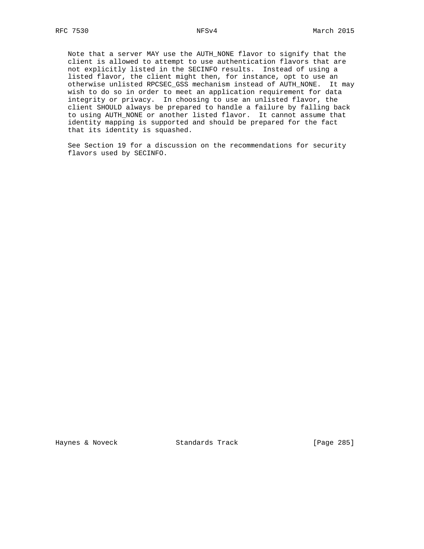Note that a server MAY use the AUTH\_NONE flavor to signify that the client is allowed to attempt to use authentication flavors that are not explicitly listed in the SECINFO results. Instead of using a listed flavor, the client might then, for instance, opt to use an otherwise unlisted RPCSEC\_GSS mechanism instead of AUTH\_NONE. It may wish to do so in order to meet an application requirement for data integrity or privacy. In choosing to use an unlisted flavor, the client SHOULD always be prepared to handle a failure by falling back to using AUTH\_NONE or another listed flavor. It cannot assume that identity mapping is supported and should be prepared for the fact that its identity is squashed.

 See Section 19 for a discussion on the recommendations for security flavors used by SECINFO.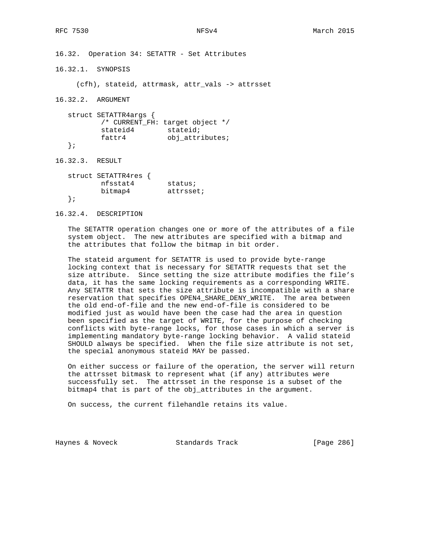16.32. Operation 34: SETATTR - Set Attributes

16.32.1. SYNOPSIS

(cfh), stateid, attrmask, attr\_vals -> attrsset

16.32.2. ARGUMENT

 struct SETATTR4args { /\* CURRENT\_FH: target object \*/ stateid4 stateid; fattr4 obj\_attributes; };

16.32.3. RESULT

| struct SETATTR4res { |           |
|----------------------|-----------|
| nfsstat4             | status;   |
| bitmap4              | attrsset; |
|                      |           |

16.32.4. DESCRIPTION

 The SETATTR operation changes one or more of the attributes of a file system object. The new attributes are specified with a bitmap and the attributes that follow the bitmap in bit order.

 The stateid argument for SETATTR is used to provide byte-range locking context that is necessary for SETATTR requests that set the size attribute. Since setting the size attribute modifies the file's data, it has the same locking requirements as a corresponding WRITE. Any SETATTR that sets the size attribute is incompatible with a share reservation that specifies OPEN4\_SHARE\_DENY\_WRITE. The area between the old end-of-file and the new end-of-file is considered to be modified just as would have been the case had the area in question been specified as the target of WRITE, for the purpose of checking conflicts with byte-range locks, for those cases in which a server is implementing mandatory byte-range locking behavior. A valid stateid SHOULD always be specified. When the file size attribute is not set, the special anonymous stateid MAY be passed.

 On either success or failure of the operation, the server will return the attrsset bitmask to represent what (if any) attributes were successfully set. The attrsset in the response is a subset of the bitmap4 that is part of the obj\_attributes in the argument.

On success, the current filehandle retains its value.

Haynes & Noveck Standards Track [Page 286]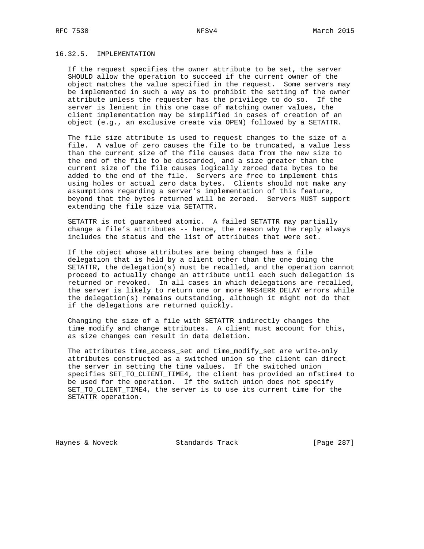# 16.32.5. IMPLEMENTATION

 If the request specifies the owner attribute to be set, the server SHOULD allow the operation to succeed if the current owner of the object matches the value specified in the request. Some servers may be implemented in such a way as to prohibit the setting of the owner attribute unless the requester has the privilege to do so. If the server is lenient in this one case of matching owner values, the client implementation may be simplified in cases of creation of an object (e.g., an exclusive create via OPEN) followed by a SETATTR.

 The file size attribute is used to request changes to the size of a file. A value of zero causes the file to be truncated, a value less than the current size of the file causes data from the new size to the end of the file to be discarded, and a size greater than the current size of the file causes logically zeroed data bytes to be added to the end of the file. Servers are free to implement this using holes or actual zero data bytes. Clients should not make any assumptions regarding a server's implementation of this feature, beyond that the bytes returned will be zeroed. Servers MUST support extending the file size via SETATTR.

 SETATTR is not guaranteed atomic. A failed SETATTR may partially change a file's attributes -- hence, the reason why the reply always includes the status and the list of attributes that were set.

 If the object whose attributes are being changed has a file delegation that is held by a client other than the one doing the SETATTR, the delegation(s) must be recalled, and the operation cannot proceed to actually change an attribute until each such delegation is returned or revoked. In all cases in which delegations are recalled, the server is likely to return one or more NFS4ERR\_DELAY errors while the delegation(s) remains outstanding, although it might not do that if the delegations are returned quickly.

 Changing the size of a file with SETATTR indirectly changes the time\_modify and change attributes. A client must account for this, as size changes can result in data deletion.

 The attributes time\_access\_set and time\_modify\_set are write-only attributes constructed as a switched union so the client can direct the server in setting the time values. If the switched union specifies SET\_TO\_CLIENT\_TIME4, the client has provided an nfstime4 to be used for the operation. If the switch union does not specify SET\_TO\_CLIENT\_TIME4, the server is to use its current time for the SETATTR operation.

Haynes & Noveck Standards Track [Page 287]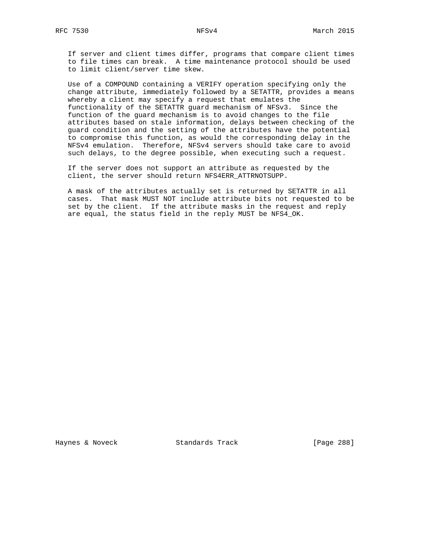If server and client times differ, programs that compare client times to file times can break. A time maintenance protocol should be used to limit client/server time skew.

 Use of a COMPOUND containing a VERIFY operation specifying only the change attribute, immediately followed by a SETATTR, provides a means whereby a client may specify a request that emulates the functionality of the SETATTR guard mechanism of NFSv3. Since the function of the guard mechanism is to avoid changes to the file attributes based on stale information, delays between checking of the guard condition and the setting of the attributes have the potential to compromise this function, as would the corresponding delay in the NFSv4 emulation. Therefore, NFSv4 servers should take care to avoid such delays, to the degree possible, when executing such a request.

 If the server does not support an attribute as requested by the client, the server should return NFS4ERR\_ATTRNOTSUPP.

 A mask of the attributes actually set is returned by SETATTR in all cases. That mask MUST NOT include attribute bits not requested to be set by the client. If the attribute masks in the request and reply are equal, the status field in the reply MUST be NFS4\_OK.

Haynes & Noveck Standards Track [Page 288]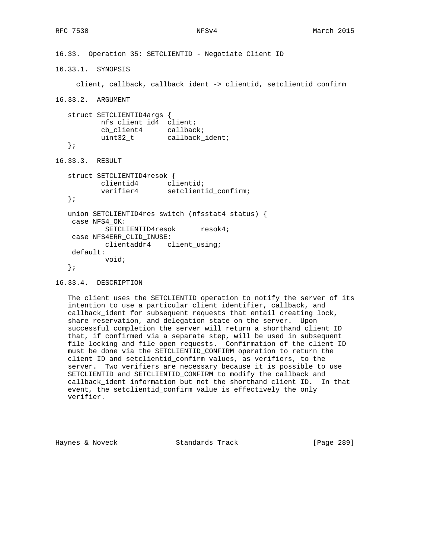```
16.33. Operation 35: SETCLIENTID - Negotiate Client ID
16.33.1. SYNOPSIS
     client, callback, callback_ident -> clientid, setclientid_confirm
16.33.2. ARGUMENT
   struct SETCLIENTID4args {
          nfs_client_id4 client;
 cb_client4 callback;
uint32_t callback_ident;
   };
16.33.3. RESULT
   struct SETCLIENTID4resok {
         clientid4 clientid;
          verifier4 setclientid_confirm;
   };
   union SETCLIENTID4res switch (nfsstat4 status) {
    case NFS4_OK:
          SETCLIENTID4resok resok4;
    case NFS4ERR_CLID_INUSE:
          clientaddr4 client_using;
    default:
           void;
   };
```

```
16.33.4. DESCRIPTION
```
 The client uses the SETCLIENTID operation to notify the server of its intention to use a particular client identifier, callback, and callback\_ident for subsequent requests that entail creating lock, share reservation, and delegation state on the server. Upon successful completion the server will return a shorthand client ID that, if confirmed via a separate step, will be used in subsequent file locking and file open requests. Confirmation of the client ID must be done via the SETCLIENTID\_CONFIRM operation to return the client ID and setclientid\_confirm values, as verifiers, to the server. Two verifiers are necessary because it is possible to use SETCLIENTID and SETCLIENTID\_CONFIRM to modify the callback and callback\_ident information but not the shorthand client ID. In that event, the setclientid\_confirm value is effectively the only verifier.

Haynes & Noveck Standards Track [Page 289]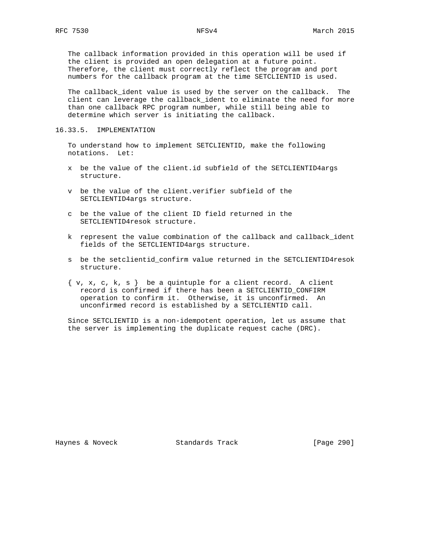The callback information provided in this operation will be used if the client is provided an open delegation at a future point. Therefore, the client must correctly reflect the program and port numbers for the callback program at the time SETCLIENTID is used.

 The callback\_ident value is used by the server on the callback. The client can leverage the callback\_ident to eliminate the need for more than one callback RPC program number, while still being able to determine which server is initiating the callback.

### 16.33.5. IMPLEMENTATION

 To understand how to implement SETCLIENTID, make the following notations. Let:

- x be the value of the client.id subfield of the SETCLIENTID4args structure.
- v be the value of the client.verifier subfield of the SETCLIENTID4args structure.
- c be the value of the client ID field returned in the SETCLIENTID4resok structure.
- k represent the value combination of the callback and callback\_ident fields of the SETCLIENTID4args structure.
- s be the setclientid\_confirm value returned in the SETCLIENTID4resok structure.
- $\{ v, x, c, k, s \}$  be a quintuple for a client record. A client record is confirmed if there has been a SETCLIENTID\_CONFIRM operation to confirm it. Otherwise, it is unconfirmed. An unconfirmed record is established by a SETCLIENTID call.

 Since SETCLIENTID is a non-idempotent operation, let us assume that the server is implementing the duplicate request cache (DRC).

Haynes & Noveck Standards Track [Page 290]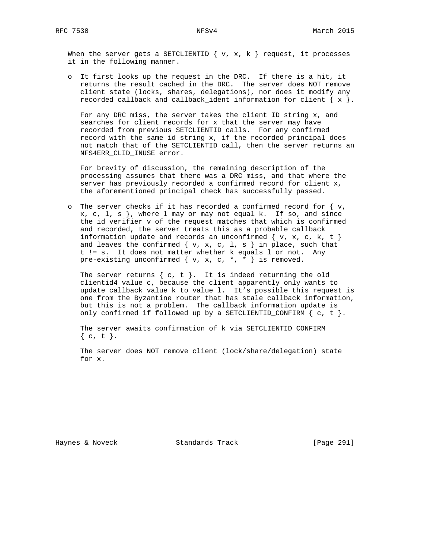When the server gets a SETCLIENTID  $\{ v, x, k \}$  request, it processes it in the following manner.

 o It first looks up the request in the DRC. If there is a hit, it returns the result cached in the DRC. The server does NOT remove client state (locks, shares, delegations), nor does it modify any recorded callback and callback\_ident information for client  $\{x\}$ .

 For any DRC miss, the server takes the client ID string x, and searches for client records for x that the server may have recorded from previous SETCLIENTID calls. For any confirmed record with the same id string x, if the recorded principal does not match that of the SETCLIENTID call, then the server returns an NFS4ERR\_CLID\_INUSE error.

 For brevity of discussion, the remaining description of the processing assumes that there was a DRC miss, and that where the server has previously recorded a confirmed record for client x, the aforementioned principal check has successfully passed.

o The server checks if it has recorded a confirmed record for  $\{v, \}$  $x, c, 1, s$ , where 1 may or may not equal k. If so, and since the id verifier v of the request matches that which is confirmed and recorded, the server treats this as a probable callback information update and records an unconfirmed  $\{ v, x, c, k, t \}$ and leaves the confirmed  $\{ v, x, c, l, s \}$  in place, such that t != s. It does not matter whether k equals l or not. Any pre-existing unconfirmed  $\{ v, x, c, *, * \}$  is removed.

The server returns  $\{ c, t \}$ . It is indeed returning the old clientid4 value c, because the client apparently only wants to update callback value k to value l. It's possible this request is one from the Byzantine router that has stale callback information, but this is not a problem. The callback information update is only confirmed if followed up by a SETCLIENTID\_CONFIRM  $\{c, t\}.$ 

 The server awaits confirmation of k via SETCLIENTID\_CONFIRM  $\{ c, t \}.$ 

 The server does NOT remove client (lock/share/delegation) state for x.

Haynes & Noveck Standards Track [Page 291]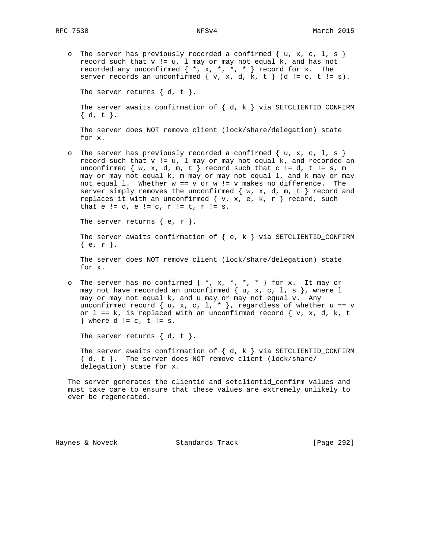o The server has previously recorded a confirmed  $\{ u, x, c, 1, s \}$ record such that  $v := u$ ,  $l$  may or may not equal  $k$ , and has not recorded any unconfirmed  $\{ *$ ,  $x$ ,  $*,$   $*,$   $*$   $\}$  record for  $x$ . The server records an unconfirmed  $\{ v, x, d, k, t \}$  (d != c, t != s).

The server returns  $\{ d, t \}$ .

```
The server awaits confirmation of \{ d, k \} via SETCLIENTID_CONFIRM
 { d, t }.
```
 The server does NOT remove client (lock/share/delegation) state for x.

o The server has previously recorded a confirmed  $\{ u, x, c, 1, s \}$  record such that v != u, l may or may not equal k, and recorded an unconfirmed  $\{ w, x, d, m, t \}$  record such that c != d, t != s, m may or may not equal k, m may or may not equal l, and k may or may not equal 1. Whether  $w == v$  or  $w != v$  makes no difference. The server simply removes the unconfirmed  $\{ w, x, d, m, t \}$  record and replaces it with an unconfirmed  $\{ v, x, e, k, r \}$  record, such that  $e := d$ ,  $e := c$ ,  $r := t$ ,  $r := s$ .

The server returns  $\{ e, r \}$ .

The server awaits confirmation of  $\{ e, k \}$  via SETCLIENTID\_CONFIRM { e, r }.

 The server does NOT remove client (lock/share/delegation) state for x.

o The server has no confirmed  $\{*, x, *, *, * \}$  for x. It may or may not have recorded an unconfirmed  $\{ u, x, c, 1, s \}$ , where  $l$  may or may not equal k, and u may or may not equal v. Any unconfirmed record  $\{ u, x, c, 1, * \}$ , regardless of whether  $u == v$ or  $l = k$ , is replaced with an unconfirmed record  $\{ v, x, d, k, t \}$ } where  $d := c$ ,  $t := s$ .

The server returns  $\{ d, t \}$ .

The server awaits confirmation of  $\{ d, k \}$  via SETCLIENTID\_CONFIRM { d, t }. The server does NOT remove client (lock/share/ delegation) state for x.

 The server generates the clientid and setclientid\_confirm values and must take care to ensure that these values are extremely unlikely to ever be regenerated.

Haynes & Noveck Standards Track [Page 292]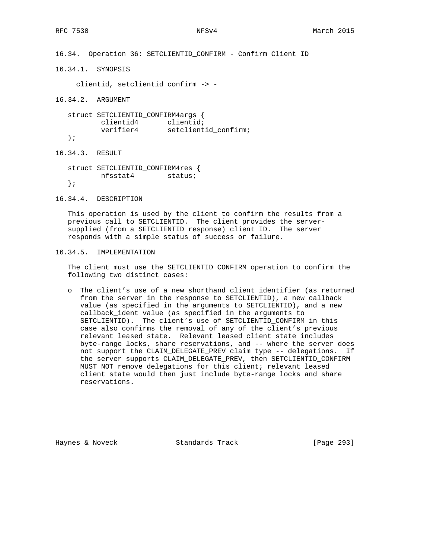16.34. Operation 36: SETCLIENTID\_CONFIRM - Confirm Client ID

16.34.1. SYNOPSIS

clientid, setclientid\_confirm -> -

16.34.2. ARGUMENT

 struct SETCLIENTID\_CONFIRM4args { clientid4 clientid; verifier4 setclientid\_confirm;

};

16.34.3. RESULT

 struct SETCLIENTID\_CONFIRM4res { nfsstat4 status; };

16.34.4. DESCRIPTION

 This operation is used by the client to confirm the results from a previous call to SETCLIENTID. The client provides the server supplied (from a SETCLIENTID response) client ID. The server responds with a simple status of success or failure.

16.34.5. IMPLEMENTATION

 The client must use the SETCLIENTID\_CONFIRM operation to confirm the following two distinct cases:

 o The client's use of a new shorthand client identifier (as returned from the server in the response to SETCLIENTID), a new callback value (as specified in the arguments to SETCLIENTID), and a new callback\_ident value (as specified in the arguments to SETCLIENTID). The client's use of SETCLIENTID\_CONFIRM in this case also confirms the removal of any of the client's previous relevant leased state. Relevant leased client state includes byte-range locks, share reservations, and -- where the server does not support the CLAIM\_DELEGATE\_PREV claim type -- delegations. If the server supports CLAIM\_DELEGATE\_PREV, then SETCLIENTID\_CONFIRM MUST NOT remove delegations for this client; relevant leased client state would then just include byte-range locks and share reservations.

Haynes & Noveck Standards Track [Page 293]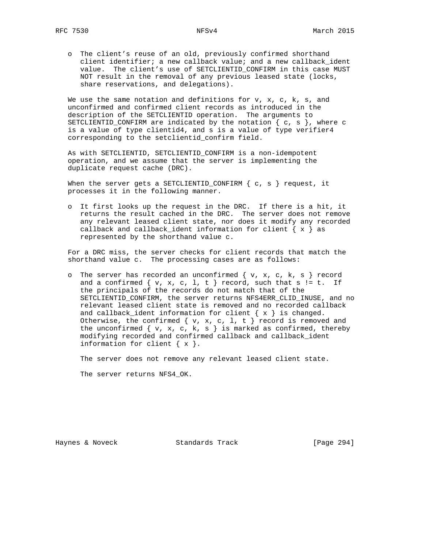o The client's reuse of an old, previously confirmed shorthand client identifier; a new callback value; and a new callback\_ident value. The client's use of SETCLIENTID\_CONFIRM in this case MUST NOT result in the removal of any previous leased state (locks, share reservations, and delegations).

We use the same notation and definitions for  $v, x, c, k, s,$  and unconfirmed and confirmed client records as introduced in the description of the SETCLIENTID operation. The arguments to SETCLIENTID\_CONFIRM are indicated by the notation  $\{ c, s \}$ , where c is a value of type clientid4, and s is a value of type verifier4 corresponding to the setclientid\_confirm field.

 As with SETCLIENTID, SETCLIENTID\_CONFIRM is a non-idempotent operation, and we assume that the server is implementing the duplicate request cache (DRC).

When the server gets a SETCLIENTID\_CONFIRM  $\{ c, s \}$  request, it processes it in the following manner.

 o It first looks up the request in the DRC. If there is a hit, it returns the result cached in the DRC. The server does not remove any relevant leased client state, nor does it modify any recorded callback and callback\_ident information for client  $\{ x \}$  as represented by the shorthand value c.

 For a DRC miss, the server checks for client records that match the shorthand value c. The processing cases are as follows:

o The server has recorded an unconfirmed  $\{ v, x, c, k, s \}$  record and a confirmed  $\{ v, x, c, 1, t \}$  record, such that  $s$  != t. If the principals of the records do not match that of the SETCLIENTID\_CONFIRM, the server returns NFS4ERR\_CLID\_INUSE, and no relevant leased client state is removed and no recorded callback and callback\_ident information for client  $\{ x \}$  is changed. Otherwise, the confirmed  $\{ v, x, c, 1, t \}$  record is removed and the unconfirmed  $\{ v, x, c, k, s \}$  is marked as confirmed, thereby modifying recorded and confirmed callback and callback\_ident information for client  $\{ x \}$ .

The server does not remove any relevant leased client state.

The server returns NFS4\_OK.

Haynes & Noveck Standards Track [Page 294]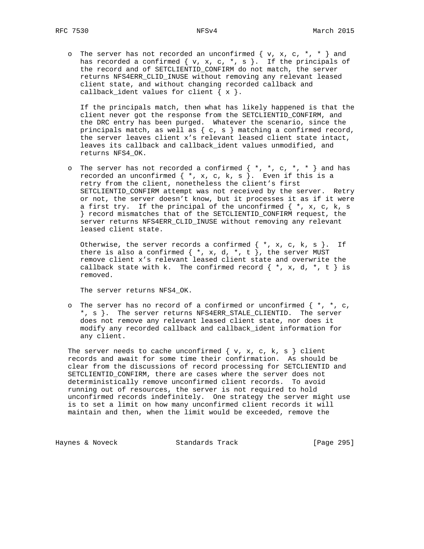o The server has not recorded an unconfirmed  $\{ v, x, c, * , * \}$  and has recorded a confirmed { v, x, c, \*, s }. If the principals of the record and of SETCLIENTID\_CONFIRM do not match, the server returns NFS4ERR\_CLID\_INUSE without removing any relevant leased client state, and without changing recorded callback and callback\_ident values for client  $\{ x \}$ .

 If the principals match, then what has likely happened is that the client never got the response from the SETCLIENTID\_CONFIRM, and the DRC entry has been purged. Whatever the scenario, since the principals match, as well as  $\{ c, s \}$  matching a confirmed record, the server leaves client x's relevant leased client state intact, leaves its callback and callback\_ident values unmodified, and returns NFS4\_OK.

o The server has not recorded a confirmed  $\{ * , * , c , * , * \}$  and has recorded an unconfirmed { \*, x, c, k, s }. Even if this is a retry from the client, nonetheless the client's first SETCLIENTID\_CONFIRM attempt was not received by the server. Retry or not, the server doesn't know, but it processes it as if it were a first try. If the principal of the unconfirmed  $\{\star, x, c, k, s\}$  } record mismatches that of the SETCLIENTID\_CONFIRM request, the server returns NFS4ERR\_CLID\_INUSE without removing any relevant leased client state.

Otherwise, the server records a confirmed  $\{ *$ , x, c, k, s  $\}.$  If there is also a confirmed  $\{ *$ , x, d,  $*,$  t  $\}$ , the server MUST remove client x's relevant leased client state and overwrite the callback state with k. The confirmed record  $\{ *$ , x, d,  $*$ , t  $\}$  is removed.

The server returns NFS4\_OK.

o The server has no record of a confirmed or unconfirmed  $\{\star, \star, c,$  \*, s }. The server returns NFS4ERR\_STALE\_CLIENTID. The server does not remove any relevant leased client state, nor does it modify any recorded callback and callback\_ident information for any client.

The server needs to cache unconfirmed  $\{ v, x, c, k, s \}$  client records and await for some time their confirmation. As should be clear from the discussions of record processing for SETCLIENTID and SETCLIENTID\_CONFIRM, there are cases where the server does not deterministically remove unconfirmed client records. To avoid running out of resources, the server is not required to hold unconfirmed records indefinitely. One strategy the server might use is to set a limit on how many unconfirmed client records it will maintain and then, when the limit would be exceeded, remove the

Haynes & Noveck Standards Track [Page 295]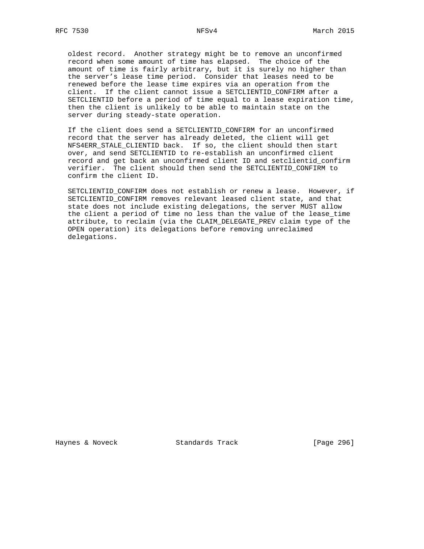oldest record. Another strategy might be to remove an unconfirmed record when some amount of time has elapsed. The choice of the amount of time is fairly arbitrary, but it is surely no higher than the server's lease time period. Consider that leases need to be renewed before the lease time expires via an operation from the client. If the client cannot issue a SETCLIENTID\_CONFIRM after a SETCLIENTID before a period of time equal to a lease expiration time, then the client is unlikely to be able to maintain state on the server during steady-state operation.

 If the client does send a SETCLIENTID\_CONFIRM for an unconfirmed record that the server has already deleted, the client will get NFS4ERR\_STALE\_CLIENTID back. If so, the client should then start over, and send SETCLIENTID to re-establish an unconfirmed client record and get back an unconfirmed client ID and setclientid\_confirm verifier. The client should then send the SETCLIENTID\_CONFIRM to confirm the client ID.

 SETCLIENTID\_CONFIRM does not establish or renew a lease. However, if SETCLIENTID\_CONFIRM removes relevant leased client state, and that state does not include existing delegations, the server MUST allow the client a period of time no less than the value of the lease\_time attribute, to reclaim (via the CLAIM\_DELEGATE\_PREV claim type of the OPEN operation) its delegations before removing unreclaimed delegations.

Haynes & Noveck Standards Track [Page 296]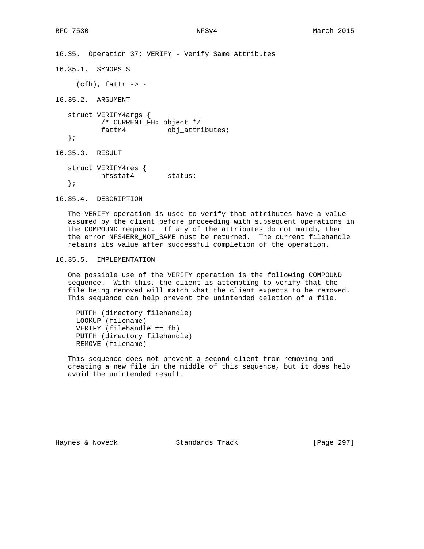16.35. Operation 37: VERIFY - Verify Same Attributes

16.35.1. SYNOPSIS

 $(cfh)$ , fattr  $\rightarrow$  -

16.35.2. ARGUMENT

 struct VERIFY4args { /\* CURRENT\_FH: object \*/ fattr4 obj\_attributes; };

16.35.3. RESULT

 struct VERIFY4res { nfsstat4 status; };

16.35.4. DESCRIPTION

 The VERIFY operation is used to verify that attributes have a value assumed by the client before proceeding with subsequent operations in the COMPOUND request. If any of the attributes do not match, then the error NFS4ERR\_NOT\_SAME must be returned. The current filehandle retains its value after successful completion of the operation.

### 16.35.5. IMPLEMENTATION

 One possible use of the VERIFY operation is the following COMPOUND sequence. With this, the client is attempting to verify that the file being removed will match what the client expects to be removed. This sequence can help prevent the unintended deletion of a file.

 PUTFH (directory filehandle) LOOKUP (filename) VERIFY (filehandle == fh) PUTFH (directory filehandle) REMOVE (filename)

 This sequence does not prevent a second client from removing and creating a new file in the middle of this sequence, but it does help avoid the unintended result.

Haynes & Noveck Standards Track [Page 297]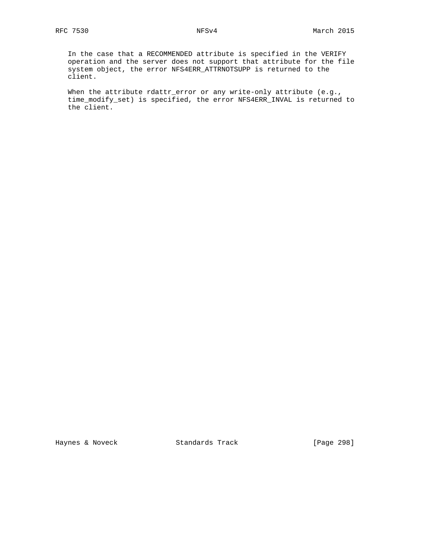In the case that a RECOMMENDED attribute is specified in the VERIFY operation and the server does not support that attribute for the file system object, the error NFS4ERR\_ATTRNOTSUPP is returned to the client.

When the attribute rdattr\_error or any write-only attribute (e.g., time\_modify\_set) is specified, the error NFS4ERR\_INVAL is returned to the client.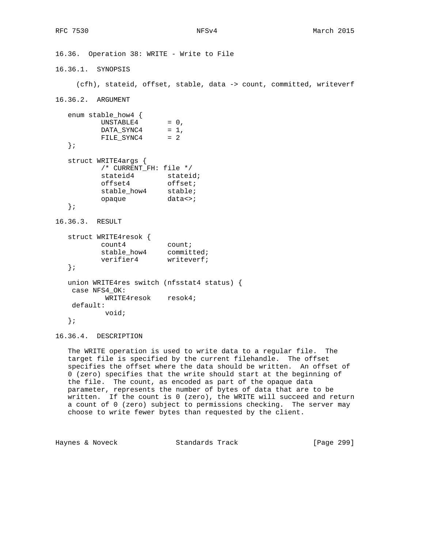16.36. Operation 38: WRITE - Write to File 16.36.1. SYNOPSIS (cfh), stateid, offset, stable, data -> count, committed, writeverf 16.36.2. ARGUMENT enum stable\_how4 {  $UNSTABLE4 = 0,$  $DATA\_SYNC4 = 1$ , FILE\_SYNC4 = 2 }; struct WRITE4args { /\* CURRENT\_FH: file \*/ stateid4 stateid;<br>offset4 offset; offset4 offset; stable\_how4 stable; opaque data<>; }; 16.36.3. RESULT struct WRITE4resok { count4 count; stable\_how4 committed; verifier4 writeverf; }; union WRITE4res switch (nfsstat4 status) { case NFS4\_OK: WRITE4resok resok4; default: void; };

16.36.4. DESCRIPTION

 The WRITE operation is used to write data to a regular file. The target file is specified by the current filehandle. The offset specifies the offset where the data should be written. An offset of 0 (zero) specifies that the write should start at the beginning of the file. The count, as encoded as part of the opaque data parameter, represents the number of bytes of data that are to be written. If the count is 0 (zero), the WRITE will succeed and return a count of 0 (zero) subject to permissions checking. The server may choose to write fewer bytes than requested by the client.

Haynes & Noveck Standards Track [Page 299]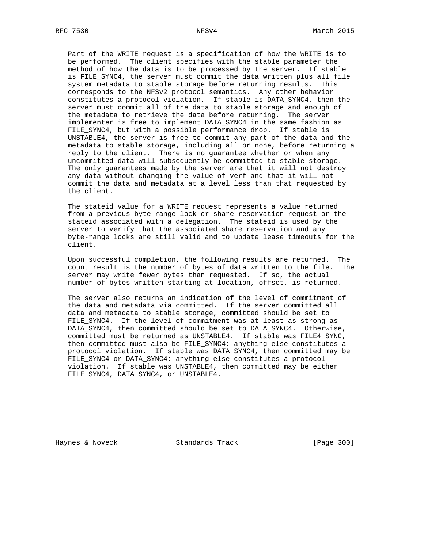Part of the WRITE request is a specification of how the WRITE is to be performed. The client specifies with the stable parameter the method of how the data is to be processed by the server. If stable is FILE SYNC4, the server must commit the data written plus all file system metadata to stable storage before returning results. This corresponds to the NFSv2 protocol semantics. Any other behavior constitutes a protocol violation. If stable is DATA\_SYNC4, then the server must commit all of the data to stable storage and enough of the metadata to retrieve the data before returning. The server implementer is free to implement DATA\_SYNC4 in the same fashion as FILE\_SYNC4, but with a possible performance drop. If stable is UNSTABLE4, the server is free to commit any part of the data and the metadata to stable storage, including all or none, before returning a reply to the client. There is no guarantee whether or when any uncommitted data will subsequently be committed to stable storage. The only guarantees made by the server are that it will not destroy any data without changing the value of verf and that it will not commit the data and metadata at a level less than that requested by the client.

 The stateid value for a WRITE request represents a value returned from a previous byte-range lock or share reservation request or the stateid associated with a delegation. The stateid is used by the server to verify that the associated share reservation and any byte-range locks are still valid and to update lease timeouts for the client.

 Upon successful completion, the following results are returned. The count result is the number of bytes of data written to the file. The server may write fewer bytes than requested. If so, the actual number of bytes written starting at location, offset, is returned.

 The server also returns an indication of the level of commitment of the data and metadata via committed. If the server committed all data and metadata to stable storage, committed should be set to FILE\_SYNC4. If the level of commitment was at least as strong as DATA\_SYNC4, then committed should be set to DATA\_SYNC4. Otherwise, committed must be returned as UNSTABLE4. If stable was FILE4\_SYNC, then committed must also be FILE\_SYNC4: anything else constitutes a protocol violation. If stable was DATA\_SYNC4, then committed may be FILE\_SYNC4 or DATA\_SYNC4: anything else constitutes a protocol violation. If stable was UNSTABLE4, then committed may be either FILE\_SYNC4, DATA\_SYNC4, or UNSTABLE4.

Haynes & Noveck Standards Track [Page 300]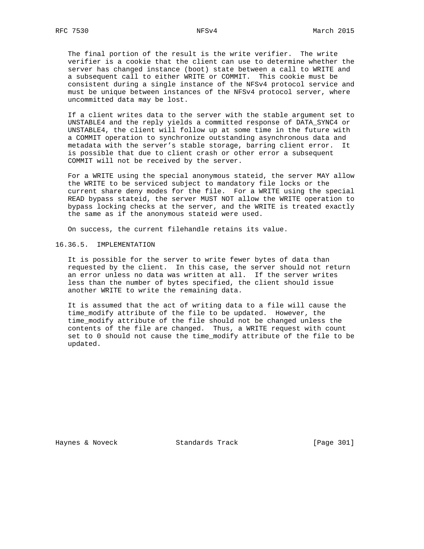The final portion of the result is the write verifier. The write verifier is a cookie that the client can use to determine whether the server has changed instance (boot) state between a call to WRITE and a subsequent call to either WRITE or COMMIT. This cookie must be consistent during a single instance of the NFSv4 protocol service and must be unique between instances of the NFSv4 protocol server, where uncommitted data may be lost.

 If a client writes data to the server with the stable argument set to UNSTABLE4 and the reply yields a committed response of DATA\_SYNC4 or UNSTABLE4, the client will follow up at some time in the future with a COMMIT operation to synchronize outstanding asynchronous data and metadata with the server's stable storage, barring client error. It is possible that due to client crash or other error a subsequent COMMIT will not be received by the server.

 For a WRITE using the special anonymous stateid, the server MAY allow the WRITE to be serviced subject to mandatory file locks or the current share deny modes for the file. For a WRITE using the special READ bypass stateid, the server MUST NOT allow the WRITE operation to bypass locking checks at the server, and the WRITE is treated exactly the same as if the anonymous stateid were used.

On success, the current filehandle retains its value.

## 16.36.5. IMPLEMENTATION

 It is possible for the server to write fewer bytes of data than requested by the client. In this case, the server should not return an error unless no data was written at all. If the server writes less than the number of bytes specified, the client should issue another WRITE to write the remaining data.

 It is assumed that the act of writing data to a file will cause the time\_modify attribute of the file to be updated. However, the time\_modify attribute of the file should not be changed unless the contents of the file are changed. Thus, a WRITE request with count set to 0 should not cause the time\_modify attribute of the file to be updated.

Haynes & Noveck Standards Track [Page 301]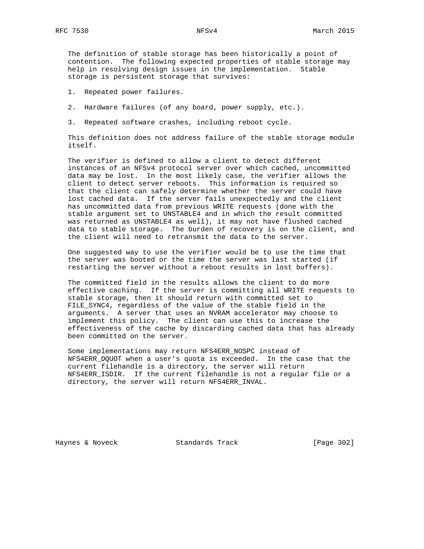The definition of stable storage has been historically a point of contention. The following expected properties of stable storage may help in resolving design issues in the implementation. Stable storage is persistent storage that survives:

- 1. Repeated power failures.
- 2. Hardware failures (of any board, power supply, etc.).
- 3. Repeated software crashes, including reboot cycle.

 This definition does not address failure of the stable storage module itself.

 The verifier is defined to allow a client to detect different instances of an NFSv4 protocol server over which cached, uncommitted data may be lost. In the most likely case, the verifier allows the client to detect server reboots. This information is required so that the client can safely determine whether the server could have lost cached data. If the server fails unexpectedly and the client has uncommitted data from previous WRITE requests (done with the stable argument set to UNSTABLE4 and in which the result committed was returned as UNSTABLE4 as well), it may not have flushed cached data to stable storage. The burden of recovery is on the client, and the client will need to retransmit the data to the server.

 One suggested way to use the verifier would be to use the time that the server was booted or the time the server was last started (if restarting the server without a reboot results in lost buffers).

 The committed field in the results allows the client to do more effective caching. If the server is committing all WRITE requests to stable storage, then it should return with committed set to FILE\_SYNC4, regardless of the value of the stable field in the arguments. A server that uses an NVRAM accelerator may choose to implement this policy. The client can use this to increase the effectiveness of the cache by discarding cached data that has already been committed on the server.

 Some implementations may return NFS4ERR\_NOSPC instead of NFS4ERR\_DQUOT when a user's quota is exceeded. In the case that the current filehandle is a directory, the server will return NFS4ERR\_ISDIR. If the current filehandle is not a regular file or a directory, the server will return NFS4ERR\_INVAL.

Haynes & Noveck Standards Track [Page 302]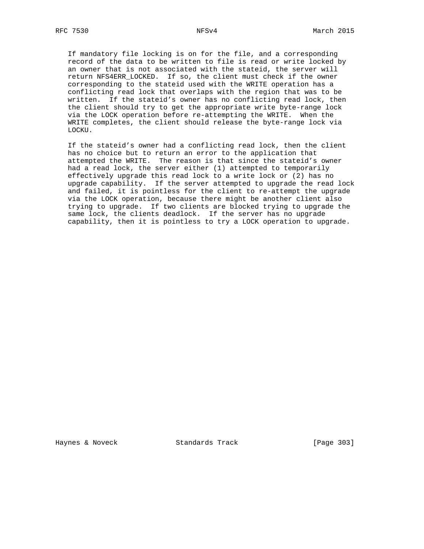If mandatory file locking is on for the file, and a corresponding record of the data to be written to file is read or write locked by an owner that is not associated with the stateid, the server will return NFS4ERR\_LOCKED. If so, the client must check if the owner corresponding to the stateid used with the WRITE operation has a conflicting read lock that overlaps with the region that was to be written. If the stateid's owner has no conflicting read lock, then the client should try to get the appropriate write byte-range lock via the LOCK operation before re-attempting the WRITE. When the WRITE completes, the client should release the byte-range lock via LOCKU.

 If the stateid's owner had a conflicting read lock, then the client has no choice but to return an error to the application that attempted the WRITE. The reason is that since the stateid's owner had a read lock, the server either (1) attempted to temporarily effectively upgrade this read lock to a write lock or (2) has no upgrade capability. If the server attempted to upgrade the read lock and failed, it is pointless for the client to re-attempt the upgrade via the LOCK operation, because there might be another client also trying to upgrade. If two clients are blocked trying to upgrade the same lock, the clients deadlock. If the server has no upgrade capability, then it is pointless to try a LOCK operation to upgrade.

Haynes & Noveck Standards Track [Page 303]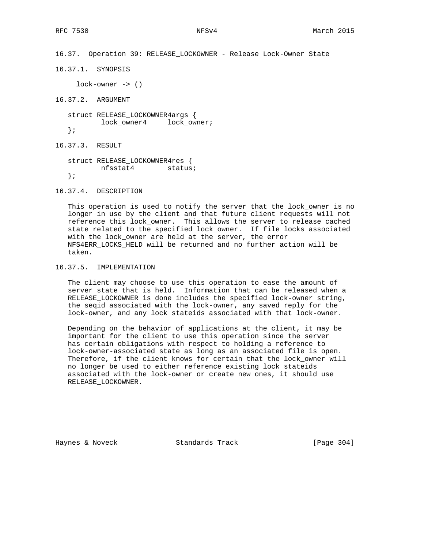```
16.37. Operation 39: RELEASE_LOCKOWNER - Release Lock-Owner State
16.37.1. SYNOPSIS
     lock-owner -> ()
16.37.2. ARGUMENT
   struct RELEASE_LOCKOWNER4args {
         lock owner4 lock owner;
   };
16.37.3. RESULT
   struct RELEASE_LOCKOWNER4res {
         nfsstat4 status;
   };
```
16.37.4. DESCRIPTION

 This operation is used to notify the server that the lock\_owner is no longer in use by the client and that future client requests will not reference this lock\_owner. This allows the server to release cached state related to the specified lock\_owner. If file locks associated with the lock\_owner are held at the server, the error NFS4ERR\_LOCKS\_HELD will be returned and no further action will be taken.

## 16.37.5. IMPLEMENTATION

 The client may choose to use this operation to ease the amount of server state that is held. Information that can be released when a RELEASE\_LOCKOWNER is done includes the specified lock-owner string, the seqid associated with the lock-owner, any saved reply for the lock-owner, and any lock stateids associated with that lock-owner.

 Depending on the behavior of applications at the client, it may be important for the client to use this operation since the server has certain obligations with respect to holding a reference to lock-owner-associated state as long as an associated file is open. Therefore, if the client knows for certain that the lock\_owner will no longer be used to either reference existing lock stateids associated with the lock-owner or create new ones, it should use RELEASE\_LOCKOWNER.

Haynes & Noveck Standards Track [Page 304]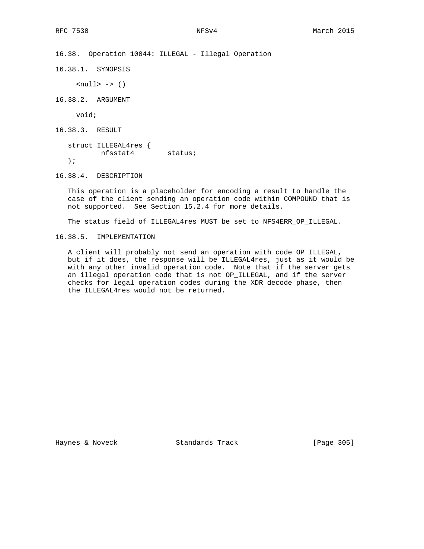16.38. Operation 10044: ILLEGAL - Illegal Operation

16.38.1. SYNOPSIS

 $\text{null} > \rightarrow$  ()

16.38.2. ARGUMENT

void;

16.38.3. RESULT

 struct ILLEGAL4res { nfsstat4 status; };

16.38.4. DESCRIPTION

 This operation is a placeholder for encoding a result to handle the case of the client sending an operation code within COMPOUND that is not supported. See Section 15.2.4 for more details.

The status field of ILLEGAL4res MUST be set to NFS4ERR\_OP\_ILLEGAL.

16.38.5. IMPLEMENTATION

 A client will probably not send an operation with code OP\_ILLEGAL, but if it does, the response will be ILLEGAL4res, just as it would be with any other invalid operation code. Note that if the server gets an illegal operation code that is not OP\_ILLEGAL, and if the server checks for legal operation codes during the XDR decode phase, then the ILLEGAL4res would not be returned.

Haynes & Noveck Standards Track [Page 305]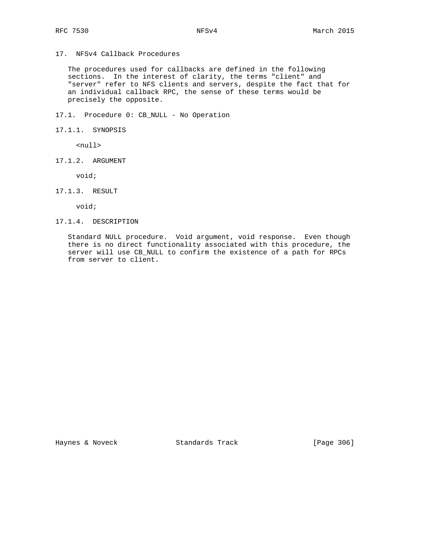17. NFSv4 Callback Procedures

 The procedures used for callbacks are defined in the following sections. In the interest of clarity, the terms "client" and "server" refer to NFS clients and servers, despite the fact that for an individual callback RPC, the sense of these terms would be precisely the opposite.

17.1. Procedure 0: CB\_NULL - No Operation

17.1.1. SYNOPSIS

<null>

17.1.2. ARGUMENT

void;

17.1.3. RESULT

void;

17.1.4. DESCRIPTION

 Standard NULL procedure. Void argument, void response. Even though there is no direct functionality associated with this procedure, the server will use CB\_NULL to confirm the existence of a path for RPCs from server to client.

Haynes & Noveck Standards Track [Page 306]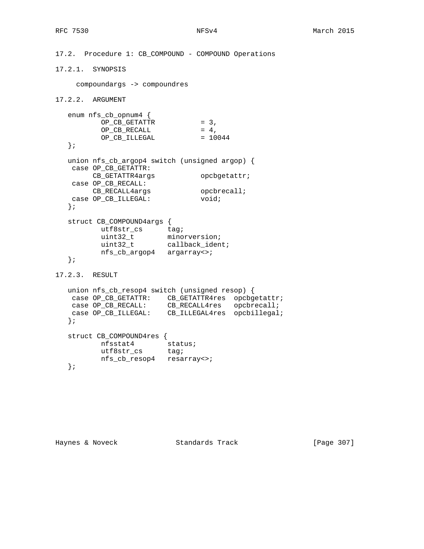```
17.2. Procedure 1: CB_COMPOUND - COMPOUND Operations
17.2.1. SYNOPSIS
     compoundargs -> compoundres
17.2.2. ARGUMENT
    enum nfs_cb_opnum4 {
OP\_CB\_GETATTR = 3,
OP\_CB\_RECALL = 4,
OP\_CB\_ILLEGAL = 10044
    };
   union nfs_cb_argop4 switch (unsigned argop) {
    case OP_CB_GETATTR:
       CB<sub>GETATTR4args</sub> opcbgetattr;
    case OP_CB_RECALL:
CB_RECALL4args    Queen    Queen    Queen    Queen    Queen    Queen    Queen    Queen    Queen    Queen    Queen    Queen    Queen    Queen    Queen    Queen    Queen    Queen    Queen    Queen    Queen    Queen    Queen 
case OP_CB_ILLEGAL: void;
    };
    struct CB_COMPOUND4args {
utf8str_cs tag;
 uint32_t minorversion;
uint32_t callback_ident;
 nfs_cb_argop4 argarray<>;
    };
17.2.3. RESULT
    union nfs_cb_resop4 switch (unsigned resop) {
 case OP_CB_GETATTR: CB_GETATTR4res opcbgetattr;
 case OP_CB_RECALL: CB_RECALL4res opcbrecall;
 case OP_CB_ILLEGAL: CB_ILLEGAL4res opcbillegal;
    };
    struct CB_COMPOUND4res {
 nfsstat4 status;
utf8str_cs tag;
           nfs_cb_resop4 resarray<>;
    };
```
Haynes & Noveck Standards Track [Page 307]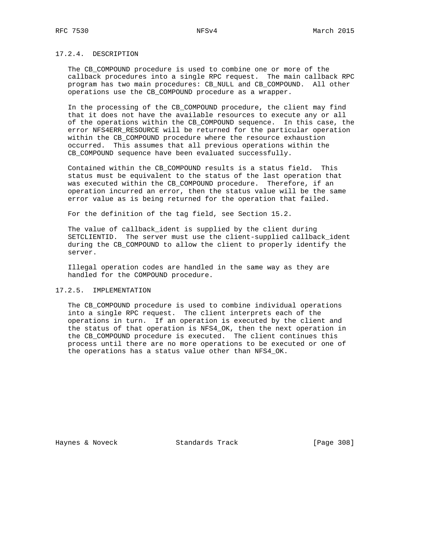## 17.2.4. DESCRIPTION

 The CB\_COMPOUND procedure is used to combine one or more of the callback procedures into a single RPC request. The main callback RPC program has two main procedures: CB\_NULL and CB\_COMPOUND. All other operations use the CB\_COMPOUND procedure as a wrapper.

 In the processing of the CB\_COMPOUND procedure, the client may find that it does not have the available resources to execute any or all of the operations within the CB\_COMPOUND sequence. In this case, the error NFS4ERR\_RESOURCE will be returned for the particular operation within the CB\_COMPOUND procedure where the resource exhaustion occurred. This assumes that all previous operations within the CB\_COMPOUND sequence have been evaluated successfully.

 Contained within the CB\_COMPOUND results is a status field. This status must be equivalent to the status of the last operation that was executed within the CB\_COMPOUND procedure. Therefore, if an operation incurred an error, then the status value will be the same error value as is being returned for the operation that failed.

For the definition of the tag field, see Section 15.2.

 The value of callback\_ident is supplied by the client during SETCLIENTID. The server must use the client-supplied callback\_ident during the CB\_COMPOUND to allow the client to properly identify the server.

 Illegal operation codes are handled in the same way as they are handled for the COMPOUND procedure.

### 17.2.5. IMPLEMENTATION

 The CB\_COMPOUND procedure is used to combine individual operations into a single RPC request. The client interprets each of the operations in turn. If an operation is executed by the client and the status of that operation is NFS4\_OK, then the next operation in the CB\_COMPOUND procedure is executed. The client continues this process until there are no more operations to be executed or one of the operations has a status value other than NFS4\_OK.

Haynes & Noveck Standards Track [Page 308]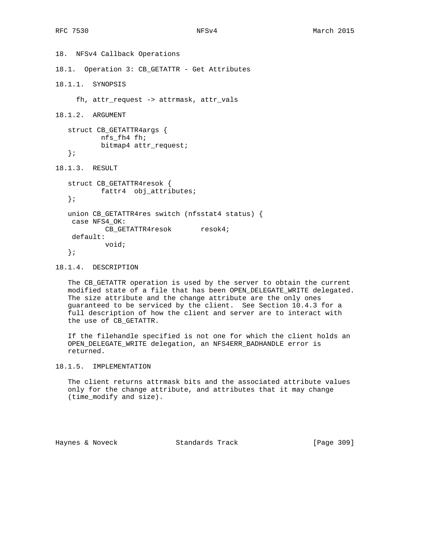18. NFSv4 Callback Operations 18.1. Operation 3: CB\_GETATTR - Get Attributes 18.1.1. SYNOPSIS fh, attr\_request -> attrmask, attr\_vals 18.1.2. ARGUMENT struct CB\_GETATTR4args { nfs\_fh4 fh; bitmap4 attr\_request; }; 18.1.3. RESULT struct CB\_GETATTR4resok { fattr4 obj\_attributes; }; union CB\_GETATTR4res switch (nfsstat4 status) { case NFS4\_OK: CB\_GETATTR4resok resok4; default: void; };

18.1.4. DESCRIPTION

 The CB\_GETATTR operation is used by the server to obtain the current modified state of a file that has been OPEN\_DELEGATE\_WRITE delegated. The size attribute and the change attribute are the only ones guaranteed to be serviced by the client. See Section 10.4.3 for a full description of how the client and server are to interact with the use of CB\_GETATTR.

 If the filehandle specified is not one for which the client holds an OPEN\_DELEGATE\_WRITE delegation, an NFS4ERR\_BADHANDLE error is returned.

18.1.5. IMPLEMENTATION

 The client returns attrmask bits and the associated attribute values only for the change attribute, and attributes that it may change (time\_modify and size).

Haynes & Noveck Standards Track [Page 309]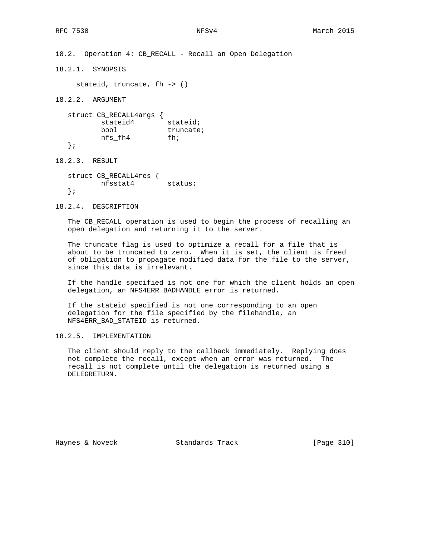18.2. Operation 4: CB\_RECALL - Recall an Open Delegation

18.2.1. SYNOPSIS

stateid, truncate, fh -> ()

18.2.2. ARGUMENT

 struct CB\_RECALL4args { stateid4 stateid; bool truncate; nfs\_fh4 fh; };

18.2.3. RESULT

 struct CB\_RECALL4res { nfsstat4 status; };

18.2.4. DESCRIPTION

 The CB\_RECALL operation is used to begin the process of recalling an open delegation and returning it to the server.

 The truncate flag is used to optimize a recall for a file that is about to be truncated to zero. When it is set, the client is freed of obligation to propagate modified data for the file to the server, since this data is irrelevant.

 If the handle specified is not one for which the client holds an open delegation, an NFS4ERR\_BADHANDLE error is returned.

 If the stateid specified is not one corresponding to an open delegation for the file specified by the filehandle, an NFS4ERR\_BAD\_STATEID is returned.

18.2.5. IMPLEMENTATION

 The client should reply to the callback immediately. Replying does not complete the recall, except when an error was returned. The recall is not complete until the delegation is returned using a DELEGRETURN.

Haynes & Noveck Standards Track [Page 310]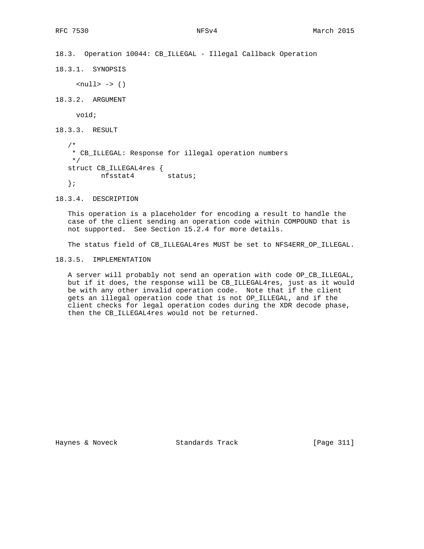```
18.3. Operation 10044: CB_ILLEGAL - Illegal Callback Operation
```
18.3.1. SYNOPSIS

 $\text{null} > -> ()$ 

18.3.2. ARGUMENT

void;

18.3.3. RESULT

 /\* \* CB\_ILLEGAL: Response for illegal operation numbers \*/ struct CB\_ILLEGAL4res {<br>nfsstat4 status;  $nfsstat4$ };

18.3.4. DESCRIPTION

 This operation is a placeholder for encoding a result to handle the case of the client sending an operation code within COMPOUND that is not supported. See Section 15.2.4 for more details.

The status field of CB\_ILLEGAL4res MUST be set to NFS4ERR\_OP\_ILLEGAL.

18.3.5. IMPLEMENTATION

 A server will probably not send an operation with code OP\_CB\_ILLEGAL, but if it does, the response will be CB\_ILLEGAL4res, just as it would be with any other invalid operation code. Note that if the client gets an illegal operation code that is not OP\_ILLEGAL, and if the client checks for legal operation codes during the XDR decode phase, then the CB\_ILLEGAL4res would not be returned.

Haynes & Noveck Standards Track [Page 311]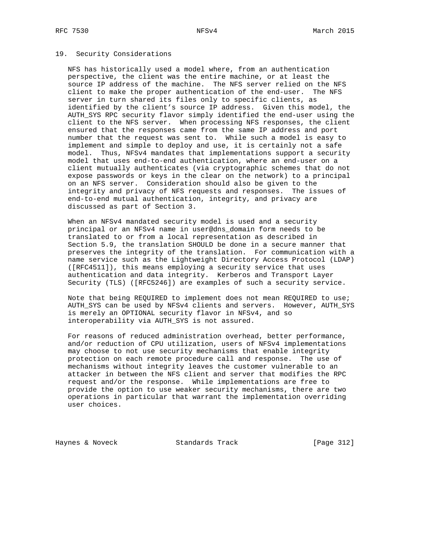### 19. Security Considerations

 NFS has historically used a model where, from an authentication perspective, the client was the entire machine, or at least the source IP address of the machine. The NFS server relied on the NFS client to make the proper authentication of the end-user. The NFS server in turn shared its files only to specific clients, as identified by the client's source IP address. Given this model, the AUTH\_SYS RPC security flavor simply identified the end-user using the client to the NFS server. When processing NFS responses, the client ensured that the responses came from the same IP address and port number that the request was sent to. While such a model is easy to implement and simple to deploy and use, it is certainly not a safe model. Thus, NFSv4 mandates that implementations support a security model that uses end-to-end authentication, where an end-user on a client mutually authenticates (via cryptographic schemes that do not expose passwords or keys in the clear on the network) to a principal on an NFS server. Consideration should also be given to the integrity and privacy of NFS requests and responses. The issues of end-to-end mutual authentication, integrity, and privacy are discussed as part of Section 3.

 When an NFSv4 mandated security model is used and a security principal or an NFSv4 name in user@dns\_domain form needs to be translated to or from a local representation as described in Section 5.9, the translation SHOULD be done in a secure manner that preserves the integrity of the translation. For communication with a name service such as the Lightweight Directory Access Protocol (LDAP) ([RFC4511]), this means employing a security service that uses authentication and data integrity. Kerberos and Transport Layer Security (TLS) ([RFC5246]) are examples of such a security service.

 Note that being REQUIRED to implement does not mean REQUIRED to use; AUTH\_SYS can be used by NFSv4 clients and servers. However, AUTH\_SYS is merely an OPTIONAL security flavor in NFSv4, and so interoperability via AUTH\_SYS is not assured.

 For reasons of reduced administration overhead, better performance, and/or reduction of CPU utilization, users of NFSv4 implementations may choose to not use security mechanisms that enable integrity protection on each remote procedure call and response. The use of mechanisms without integrity leaves the customer vulnerable to an attacker in between the NFS client and server that modifies the RPC request and/or the response. While implementations are free to provide the option to use weaker security mechanisms, there are two operations in particular that warrant the implementation overriding user choices.

Haynes & Noveck Standards Track [Page 312]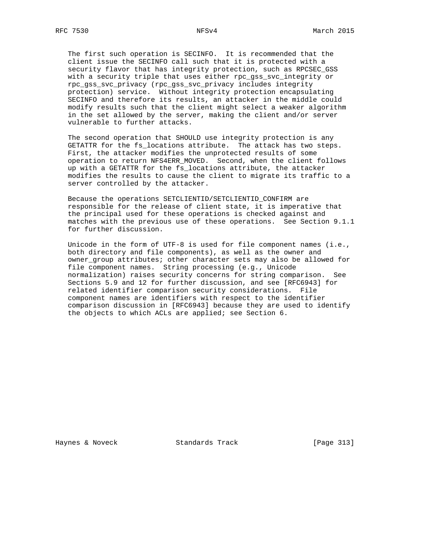The first such operation is SECINFO. It is recommended that the client issue the SECINFO call such that it is protected with a security flavor that has integrity protection, such as RPCSEC\_GSS with a security triple that uses either rpc gss svc integrity or rpc\_gss\_svc\_privacy (rpc\_gss\_svc\_privacy includes integrity protection) service. Without integrity protection encapsulating SECINFO and therefore its results, an attacker in the middle could modify results such that the client might select a weaker algorithm in the set allowed by the server, making the client and/or server vulnerable to further attacks.

 The second operation that SHOULD use integrity protection is any GETATTR for the fs\_locations attribute. The attack has two steps. First, the attacker modifies the unprotected results of some operation to return NFS4ERR\_MOVED. Second, when the client follows up with a GETATTR for the fs\_locations attribute, the attacker modifies the results to cause the client to migrate its traffic to a server controlled by the attacker.

 Because the operations SETCLIENTID/SETCLIENTID\_CONFIRM are responsible for the release of client state, it is imperative that the principal used for these operations is checked against and matches with the previous use of these operations. See Section 9.1.1 for further discussion.

 Unicode in the form of UTF-8 is used for file component names (i.e., both directory and file components), as well as the owner and owner\_group attributes; other character sets may also be allowed for file component names. String processing (e.g., Unicode normalization) raises security concerns for string comparison. See Sections 5.9 and 12 for further discussion, and see [RFC6943] for related identifier comparison security considerations. File component names are identifiers with respect to the identifier comparison discussion in [RFC6943] because they are used to identify the objects to which ACLs are applied; see Section 6.

Haynes & Noveck Standards Track [Page 313]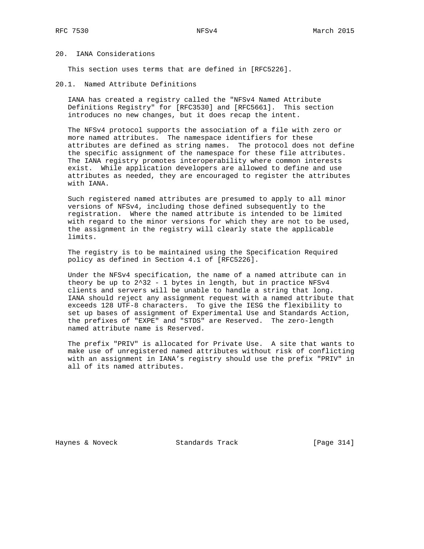## 20. IANA Considerations

This section uses terms that are defined in [RFC5226].

20.1. Named Attribute Definitions

 IANA has created a registry called the "NFSv4 Named Attribute Definitions Registry" for [RFC3530] and [RFC5661]. This section introduces no new changes, but it does recap the intent.

 The NFSv4 protocol supports the association of a file with zero or more named attributes. The namespace identifiers for these attributes are defined as string names. The protocol does not define the specific assignment of the namespace for these file attributes. The IANA registry promotes interoperability where common interests exist. While application developers are allowed to define and use attributes as needed, they are encouraged to register the attributes with IANA.

 Such registered named attributes are presumed to apply to all minor versions of NFSv4, including those defined subsequently to the registration. Where the named attribute is intended to be limited with regard to the minor versions for which they are not to be used, the assignment in the registry will clearly state the applicable limits.

 The registry is to be maintained using the Specification Required policy as defined in Section 4.1 of [RFC5226].

 Under the NFSv4 specification, the name of a named attribute can in theory be up to 2^32 - 1 bytes in length, but in practice NFSv4 clients and servers will be unable to handle a string that long. IANA should reject any assignment request with a named attribute that exceeds 128 UTF-8 characters. To give the IESG the flexibility to set up bases of assignment of Experimental Use and Standards Action, the prefixes of "EXPE" and "STDS" are Reserved. The zero-length named attribute name is Reserved.

 The prefix "PRIV" is allocated for Private Use. A site that wants to make use of unregistered named attributes without risk of conflicting with an assignment in IANA's registry should use the prefix "PRIV" in all of its named attributes.

Haynes & Noveck Standards Track [Page 314]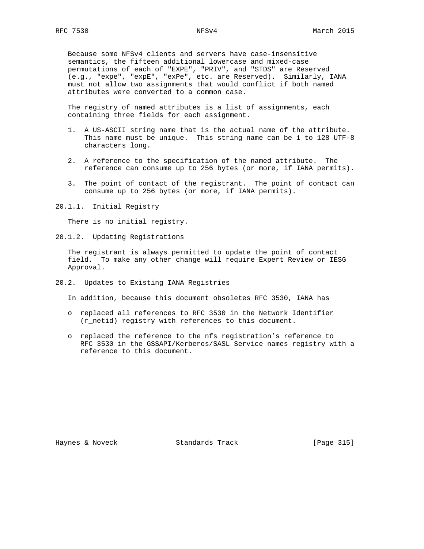Because some NFSv4 clients and servers have case-insensitive semantics, the fifteen additional lowercase and mixed-case permutations of each of "EXPE", "PRIV", and "STDS" are Reserved (e.g., "expe", "expE", "exPe", etc. are Reserved). Similarly, IANA must not allow two assignments that would conflict if both named attributes were converted to a common case.

 The registry of named attributes is a list of assignments, each containing three fields for each assignment.

- 1. A US-ASCII string name that is the actual name of the attribute. This name must be unique. This string name can be 1 to 128 UTF-8 characters long.
- 2. A reference to the specification of the named attribute. The reference can consume up to 256 bytes (or more, if IANA permits).
- 3. The point of contact of the registrant. The point of contact can consume up to 256 bytes (or more, if IANA permits).
- 20.1.1. Initial Registry

There is no initial registry.

20.1.2. Updating Registrations

 The registrant is always permitted to update the point of contact field. To make any other change will require Expert Review or IESG Approval.

20.2. Updates to Existing IANA Registries

In addition, because this document obsoletes RFC 3530, IANA has

- o replaced all references to RFC 3530 in the Network Identifier (r\_netid) registry with references to this document.
- o replaced the reference to the nfs registration's reference to RFC 3530 in the GSSAPI/Kerberos/SASL Service names registry with a reference to this document.

Haynes & Noveck Standards Track [Page 315]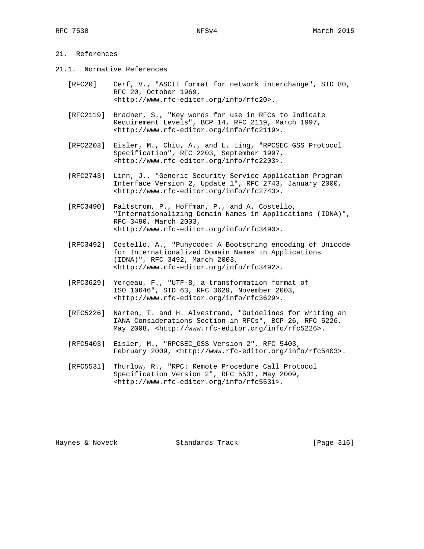# 21. References

- 21.1. Normative References
	- [RFC20] Cerf, V., "ASCII format for network interchange", STD 80, RFC 20, October 1969, <http://www.rfc-editor.org/info/rfc20>.
	- [RFC2119] Bradner, S., "Key words for use in RFCs to Indicate Requirement Levels", BCP 14, RFC 2119, March 1997, <http://www.rfc-editor.org/info/rfc2119>.
	- [RFC2203] Eisler, M., Chiu, A., and L. Ling, "RPCSEC\_GSS Protocol Specification", RFC 2203, September 1997, <http://www.rfc-editor.org/info/rfc2203>.
	- [RFC2743] Linn, J., "Generic Security Service Application Program Interface Version 2, Update 1", RFC 2743, January 2000, <http://www.rfc-editor.org/info/rfc2743>.
	- [RFC3490] Faltstrom, P., Hoffman, P., and A. Costello, "Internationalizing Domain Names in Applications (IDNA)", RFC 3490, March 2003, <http://www.rfc-editor.org/info/rfc3490>.
	- [RFC3492] Costello, A., "Punycode: A Bootstring encoding of Unicode for Internationalized Domain Names in Applications (IDNA)", RFC 3492, March 2003, <http://www.rfc-editor.org/info/rfc3492>.
	- [RFC3629] Yergeau, F., "UTF-8, a transformation format of ISO 10646", STD 63, RFC 3629, November 2003, <http://www.rfc-editor.org/info/rfc3629>.
	- [RFC5226] Narten, T. and H. Alvestrand, "Guidelines for Writing an IANA Considerations Section in RFCs", BCP 26, RFC 5226, May 2008, <http://www.rfc-editor.org/info/rfc5226>.
	- [RFC5403] Eisler, M., "RPCSEC\_GSS Version 2", RFC 5403, February 2009, <http://www.rfc-editor.org/info/rfc5403>.
	- [RFC5531] Thurlow, R., "RPC: Remote Procedure Call Protocol Specification Version 2", RFC 5531, May 2009, <http://www.rfc-editor.org/info/rfc5531>.

Haynes & Noveck Standards Track [Page 316]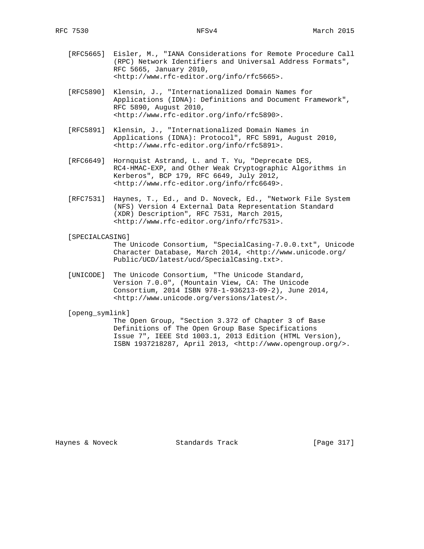- [RFC5665] Eisler, M., "IANA Considerations for Remote Procedure Call (RPC) Network Identifiers and Universal Address Formats", RFC 5665, January 2010, <http://www.rfc-editor.org/info/rfc5665>.
- [RFC5890] Klensin, J., "Internationalized Domain Names for Applications (IDNA): Definitions and Document Framework", RFC 5890, August 2010, <http://www.rfc-editor.org/info/rfc5890>.
- [RFC5891] Klensin, J., "Internationalized Domain Names in Applications (IDNA): Protocol", RFC 5891, August 2010, <http://www.rfc-editor.org/info/rfc5891>.
- [RFC6649] Hornquist Astrand, L. and T. Yu, "Deprecate DES, RC4-HMAC-EXP, and Other Weak Cryptographic Algorithms in Kerberos", BCP 179, RFC 6649, July 2012, <http://www.rfc-editor.org/info/rfc6649>.
- [RFC7531] Haynes, T., Ed., and D. Noveck, Ed., "Network File System (NFS) Version 4 External Data Representation Standard (XDR) Description", RFC 7531, March 2015, <http://www.rfc-editor.org/info/rfc7531>.

### [SPECIALCASING]

 The Unicode Consortium, "SpecialCasing-7.0.0.txt", Unicode Character Database, March 2014, <http://www.unicode.org/ Public/UCD/latest/ucd/SpecialCasing.txt>.

 [UNICODE] The Unicode Consortium, "The Unicode Standard, Version 7.0.0", (Mountain View, CA: The Unicode Consortium, 2014 ISBN 978-1-936213-09-2), June 2014, <http://www.unicode.org/versions/latest/>.

## [openg\_symlink]

 The Open Group, "Section 3.372 of Chapter 3 of Base Definitions of The Open Group Base Specifications Issue 7", IEEE Std 1003.1, 2013 Edition (HTML Version), ISBN 1937218287, April 2013, <http://www.opengroup.org/>.

Haynes & Noveck Standards Track [Page 317]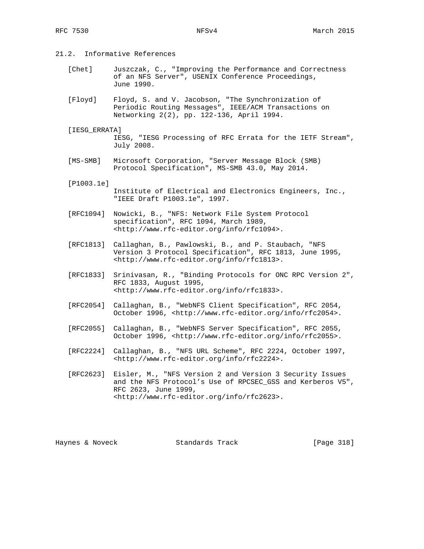- 21.2. Informative References
	- [Chet] Juszczak, C., "Improving the Performance and Correctness of an NFS Server", USENIX Conference Proceedings, June 1990.
	- [Floyd] Floyd, S. and V. Jacobson, "The Synchronization of Periodic Routing Messages", IEEE/ACM Transactions on Networking 2(2), pp. 122-136, April 1994.
	- [IESG\_ERRATA] IESG, "IESG Processing of RFC Errata for the IETF Stream", July 2008.
	- [MS-SMB] Microsoft Corporation, "Server Message Block (SMB) Protocol Specification", MS-SMB 43.0, May 2014.

[P1003.1e]

- Institute of Electrical and Electronics Engineers, Inc., "IEEE Draft P1003.1e", 1997.
- [RFC1094] Nowicki, B., "NFS: Network File System Protocol specification", RFC 1094, March 1989, <http://www.rfc-editor.org/info/rfc1094>.
- [RFC1813] Callaghan, B., Pawlowski, B., and P. Staubach, "NFS Version 3 Protocol Specification", RFC 1813, June 1995, <http://www.rfc-editor.org/info/rfc1813>.
- [RFC1833] Srinivasan, R., "Binding Protocols for ONC RPC Version 2", RFC 1833, August 1995, <http://www.rfc-editor.org/info/rfc1833>.
- [RFC2054] Callaghan, B., "WebNFS Client Specification", RFC 2054, October 1996, <http://www.rfc-editor.org/info/rfc2054>.
- [RFC2055] Callaghan, B., "WebNFS Server Specification", RFC 2055, October 1996, <http://www.rfc-editor.org/info/rfc2055>.
- [RFC2224] Callaghan, B., "NFS URL Scheme", RFC 2224, October 1997, <http://www.rfc-editor.org/info/rfc2224>.
- [RFC2623] Eisler, M., "NFS Version 2 and Version 3 Security Issues and the NFS Protocol's Use of RPCSEC\_GSS and Kerberos V5", RFC 2623, June 1999, <http://www.rfc-editor.org/info/rfc2623>.

Haynes & Noveck Standards Track [Page 318]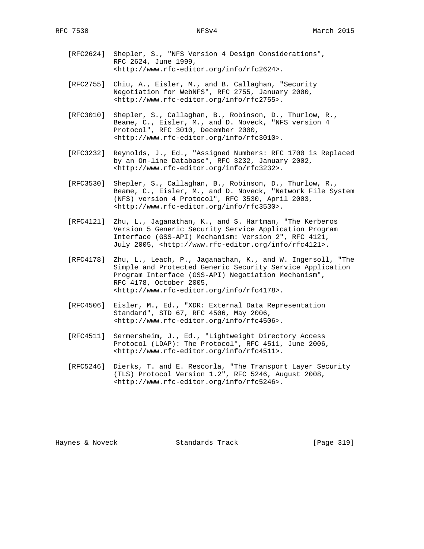- [RFC2624] Shepler, S., "NFS Version 4 Design Considerations", RFC 2624, June 1999, <http://www.rfc-editor.org/info/rfc2624>.
- [RFC2755] Chiu, A., Eisler, M., and B. Callaghan, "Security Negotiation for WebNFS", RFC 2755, January 2000, <http://www.rfc-editor.org/info/rfc2755>.
- [RFC3010] Shepler, S., Callaghan, B., Robinson, D., Thurlow, R., Beame, C., Eisler, M., and D. Noveck, "NFS version 4 Protocol", RFC 3010, December 2000, <http://www.rfc-editor.org/info/rfc3010>.
- [RFC3232] Reynolds, J., Ed., "Assigned Numbers: RFC 1700 is Replaced by an On-line Database", RFC 3232, January 2002, <http://www.rfc-editor.org/info/rfc3232>.
- [RFC3530] Shepler, S., Callaghan, B., Robinson, D., Thurlow, R., Beame, C., Eisler, M., and D. Noveck, "Network File System (NFS) version 4 Protocol", RFC 3530, April 2003, <http://www.rfc-editor.org/info/rfc3530>.
- [RFC4121] Zhu, L., Jaganathan, K., and S. Hartman, "The Kerberos Version 5 Generic Security Service Application Program Interface (GSS-API) Mechanism: Version 2", RFC 4121, July 2005, <http://www.rfc-editor.org/info/rfc4121>.
- [RFC4178] Zhu, L., Leach, P., Jaganathan, K., and W. Ingersoll, "The Simple and Protected Generic Security Service Application Program Interface (GSS-API) Negotiation Mechanism", RFC 4178, October 2005, <http://www.rfc-editor.org/info/rfc4178>.
- [RFC4506] Eisler, M., Ed., "XDR: External Data Representation Standard", STD 67, RFC 4506, May 2006, <http://www.rfc-editor.org/info/rfc4506>.
- [RFC4511] Sermersheim, J., Ed., "Lightweight Directory Access Protocol (LDAP): The Protocol", RFC 4511, June 2006, <http://www.rfc-editor.org/info/rfc4511>.
- [RFC5246] Dierks, T. and E. Rescorla, "The Transport Layer Security (TLS) Protocol Version 1.2", RFC 5246, August 2008, <http://www.rfc-editor.org/info/rfc5246>.

Haynes & Noveck Standards Track [Page 319]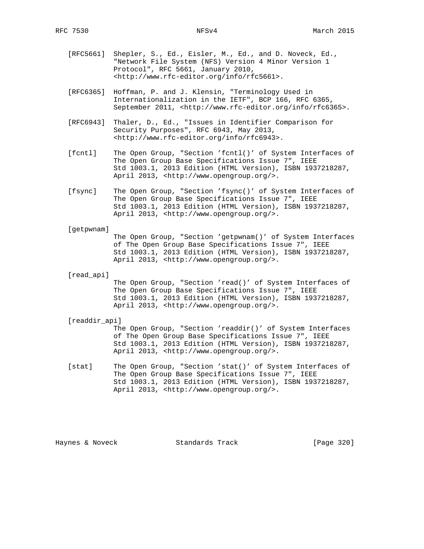- [RFC5661] Shepler, S., Ed., Eisler, M., Ed., and D. Noveck, Ed., "Network File System (NFS) Version 4 Minor Version 1 Protocol", RFC 5661, January 2010, <http://www.rfc-editor.org/info/rfc5661>.
- [RFC6365] Hoffman, P. and J. Klensin, "Terminology Used in Internationalization in the IETF", BCP 166, RFC 6365, September 2011, <http://www.rfc-editor.org/info/rfc6365>.
- [RFC6943] Thaler, D., Ed., "Issues in Identifier Comparison for Security Purposes", RFC 6943, May 2013, <http://www.rfc-editor.org/info/rfc6943>.
- [fcntl] The Open Group, "Section 'fcntl()' of System Interfaces of The Open Group Base Specifications Issue 7", IEEE Std 1003.1, 2013 Edition (HTML Version), ISBN 1937218287, April 2013, <http://www.opengroup.org/>.
- [fsync] The Open Group, "Section 'fsync()' of System Interfaces of The Open Group Base Specifications Issue 7", IEEE Std 1003.1, 2013 Edition (HTML Version), ISBN 1937218287, April 2013, <http://www.opengroup.org/>.
- [getpwnam]

 The Open Group, "Section 'getpwnam()' of System Interfaces of The Open Group Base Specifications Issue 7", IEEE Std 1003.1, 2013 Edition (HTML Version), ISBN 1937218287, April 2013, <http://www.opengroup.org/>.

[read\_api]

 The Open Group, "Section 'read()' of System Interfaces of The Open Group Base Specifications Issue 7", IEEE Std 1003.1, 2013 Edition (HTML Version), ISBN 1937218287, April 2013, <http://www.opengroup.org/>.

[readdir\_api]

 The Open Group, "Section 'readdir()' of System Interfaces of The Open Group Base Specifications Issue 7", IEEE Std 1003.1, 2013 Edition (HTML Version), ISBN 1937218287, April 2013, <http://www.opengroup.org/>.

 [stat] The Open Group, "Section 'stat()' of System Interfaces of The Open Group Base Specifications Issue 7", IEEE Std 1003.1, 2013 Edition (HTML Version), ISBN 1937218287, April 2013, <http://www.opengroup.org/>.

Haynes & Noveck Standards Track [Page 320]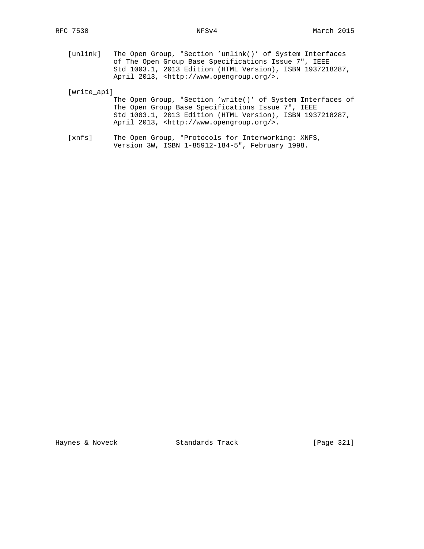[unlink] The Open Group, "Section 'unlink()' of System Interfaces of The Open Group Base Specifications Issue 7", IEEE Std 1003.1, 2013 Edition (HTML Version), ISBN 1937218287, April 2013, <http://www.opengroup.org/>.

[write\_api]

 The Open Group, "Section 'write()' of System Interfaces of The Open Group Base Specifications Issue 7", IEEE Std 1003.1, 2013 Edition (HTML Version), ISBN 1937218287, April 2013, <http://www.opengroup.org/>.

 [xnfs] The Open Group, "Protocols for Interworking: XNFS, Version 3W, ISBN 1-85912-184-5", February 1998.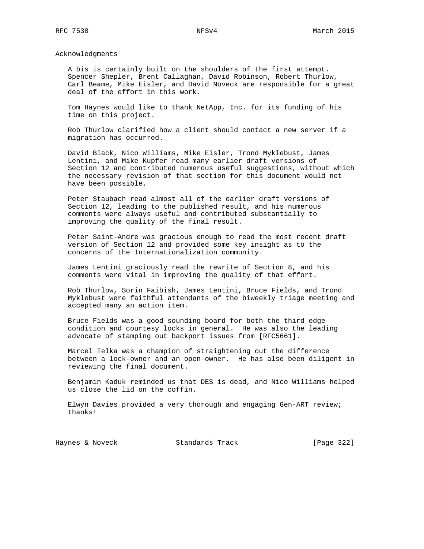Acknowledgments

 A bis is certainly built on the shoulders of the first attempt. Spencer Shepler, Brent Callaghan, David Robinson, Robert Thurlow, Carl Beame, Mike Eisler, and David Noveck are responsible for a great deal of the effort in this work.

 Tom Haynes would like to thank NetApp, Inc. for its funding of his time on this project.

 Rob Thurlow clarified how a client should contact a new server if a migration has occurred.

 David Black, Nico Williams, Mike Eisler, Trond Myklebust, James Lentini, and Mike Kupfer read many earlier draft versions of Section 12 and contributed numerous useful suggestions, without which the necessary revision of that section for this document would not have been possible.

 Peter Staubach read almost all of the earlier draft versions of Section 12, leading to the published result, and his numerous comments were always useful and contributed substantially to improving the quality of the final result.

 Peter Saint-Andre was gracious enough to read the most recent draft version of Section 12 and provided some key insight as to the concerns of the Internationalization community.

 James Lentini graciously read the rewrite of Section 8, and his comments were vital in improving the quality of that effort.

 Rob Thurlow, Sorin Faibish, James Lentini, Bruce Fields, and Trond Myklebust were faithful attendants of the biweekly triage meeting and accepted many an action item.

 Bruce Fields was a good sounding board for both the third edge condition and courtesy locks in general. He was also the leading advocate of stamping out backport issues from [RFC5661].

 Marcel Telka was a champion of straightening out the difference between a lock-owner and an open-owner. He has also been diligent in reviewing the final document.

 Benjamin Kaduk reminded us that DES is dead, and Nico Williams helped us close the lid on the coffin.

 Elwyn Davies provided a very thorough and engaging Gen-ART review; thanks!

Haynes & Noveck Standards Track [Page 322]